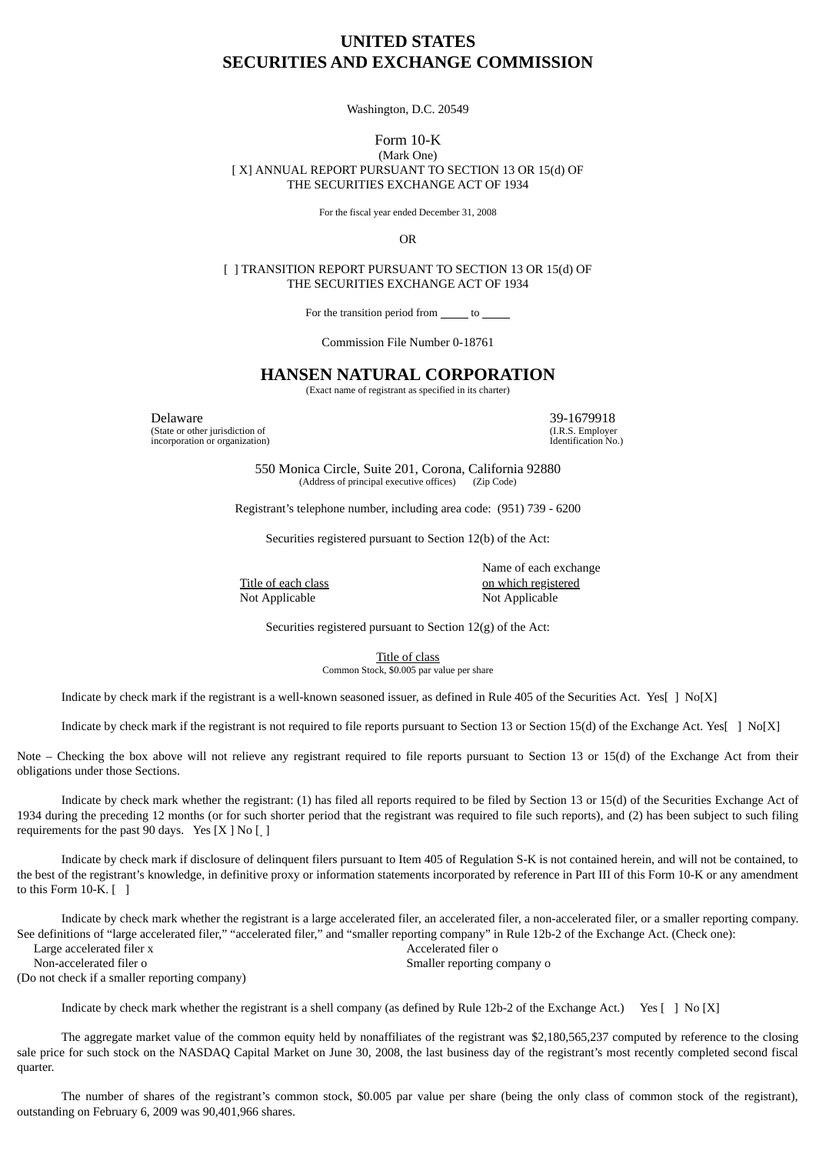# **UNITED STATES SECURITIES AND EXCHANGE COMMISSION**

Washington, D.C. 20549

#### Form 10-K

# (Mark One) [ X] ANNUAL REPORT PURSUANT TO SECTION 13 OR 15(d) OF THE SECURITIES EXCHANGE ACT OF 1934

For the fiscal year ended December 31, 2008

OR

[ ] TRANSITION REPORT PURSUANT TO SECTION 13 OR 15(d) OF THE SECURITIES EXCHANGE ACT OF 1934

For the transition period from \_\_\_\_\_\_ to \_

Commission File Number 0-18761

# **HANSEN NATURAL CORPORATION**

(Exact name of registrant as specified in its charter)

(State or other jurisdiction of (I.R.S. Employer incorporation or organization) (I.R.S. Employer incorporation or organization) incorporation or organization)

Delaware 39-1679918<br>
State or other jurisdiction of (I.R.S. Employer) (I.R.S. Employer)

550 Monica Circle, Suite 201, Corona, California 92880 (Address of principal executive offices) (Zip Code)

Registrant's telephone number, including area code: (951) 739 - 6200

Securities registered pursuant to Section 12(b) of the Act:

Not Applicable Not Applicable

Name of each exchange Title of each class on which registered

Securities registered pursuant to Section 12(g) of the Act:

Title of class Common Stock, \$0.005 par value per share

Indicate by check mark if the registrant is a well-known seasoned issuer, as defined in Rule 405 of the Securities Act. Yes[ ] No[X]

Indicate by check mark if the registrant is not required to file reports pursuant to Section 13 or Section 15(d) of the Exchange Act. Yes[ ] No[X]

Note – Checking the box above will not relieve any registrant required to file reports pursuant to Section 13 or 15(d) of the Exchange Act from their obligations under those Sections.

Indicate by check mark whether the registrant: (1) has filed all reports required to be filed by Section 13 or 15(d) of the Securities Exchange Act of 1934 during the preceding 12 months (or for such shorter period that the registrant was required to file such reports), and (2) has been subject to such filing requirements for the past 90 days. Yes  $[X]$  No  $[$  ]

Indicate by check mark if disclosure of delinquent filers pursuant to Item 405 of Regulation S-K is not contained herein, and will not be contained, to the best of the registrant's knowledge, in definitive proxy or information statements incorporated by reference in Part III of this Form 10-K or any amendment to this Form 10-K. [ ]

Indicate by check mark whether the registrant is a large accelerated filer, an accelerated filer, a non-accelerated filer, or a smaller reporting company. See definitions of "large accelerated filer," "accelerated filer," and "smaller reporting company" in Rule 12b-2 of the Exchange Act. (Check one): Large accelerated filer x  $\qquad \qquad$  Accelerated filer o

Non-accelerated filer o Smaller reporting company o

(Do not check if a smaller reporting company)

Indicate by check mark whether the registrant is a shell company (as defined by Rule 12b-2 of the Exchange Act.) Yes  $[ \ ]$  No  $[X]$ 

The aggregate market value of the common equity held by nonaffiliates of the registrant was \$2,180,565,237 computed by reference to the closing sale price for such stock on the NASDAQ Capital Market on June 30, 2008, the last business day of the registrant's most recently completed second fiscal quarter.

The number of shares of the registrant's common stock, \$0.005 par value per share (being the only class of common stock of the registrant), outstanding on February 6, 2009 was 90,401,966 shares.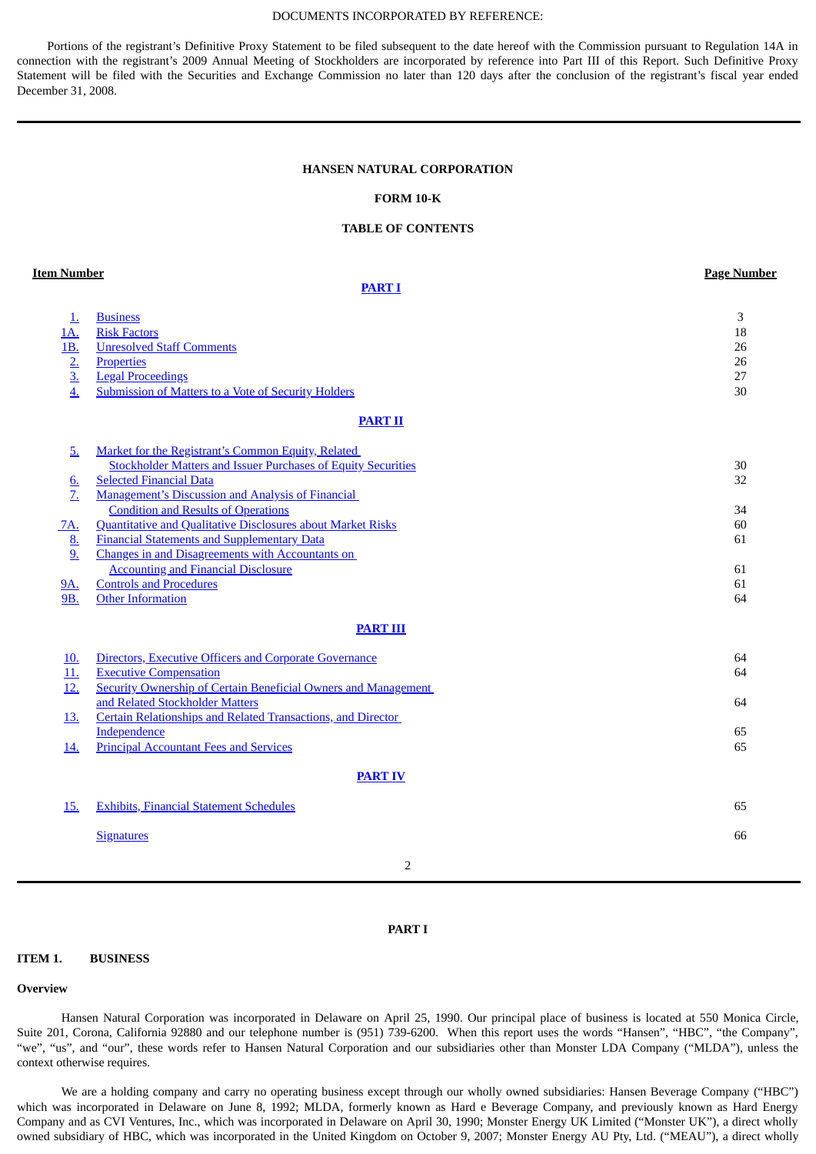#### DOCUMENTS INCORPORATED BY REFERENCE:

Portions of the registrant's Definitive Proxy Statement to be filed subsequent to the date hereof with the Commission pursuant to Regulation 14A in connection with the registrant's 2009 Annual Meeting of Stockholders are incorporated by reference into Part III of this Report. Such Definitive Proxy Statement will be filed with the Securities and Exchange Commission no later than 120 days after the conclusion of the registrant's fiscal year ended December 31, 2008.

#### **HANSEN NATURAL CORPORATION**

#### **FORM 10-K**

### **TABLE OF CONTENTS**

**[PART](#page-1-0) I**

#### **Item Number Page Number**

|                                                                                              | 17MA1 1                                                                                                                                                                                                                                                                                                                                                                                                                                                                                                                                                            |                                              |
|----------------------------------------------------------------------------------------------|--------------------------------------------------------------------------------------------------------------------------------------------------------------------------------------------------------------------------------------------------------------------------------------------------------------------------------------------------------------------------------------------------------------------------------------------------------------------------------------------------------------------------------------------------------------------|----------------------------------------------|
| $\perp$<br>1A.<br>1B.<br>$\frac{2}{3}$<br>$\overline{4}$ .                                   | <b>Business</b><br><b>Risk Factors</b><br><b>Unresolved Staff Comments</b><br><b>Properties</b><br><b>Legal Proceedings</b><br><b>Submission of Matters to a Vote of Security Holders</b>                                                                                                                                                                                                                                                                                                                                                                          | 3<br>18<br>26<br>26<br>27<br>30              |
|                                                                                              | <b>PART II</b>                                                                                                                                                                                                                                                                                                                                                                                                                                                                                                                                                     |                                              |
| <u>5.</u><br><u>6.</u><br>$\overline{Z}$<br>7A.<br>$\frac{8}{9}$<br><u>9A.</u><br><b>9B.</b> | Market for the Registrant's Common Equity, Related<br><b>Stockholder Matters and Issuer Purchases of Equity Securities</b><br><b>Selected Financial Data</b><br><b>Management's Discussion and Analysis of Financial</b><br><b>Condition and Results of Operations</b><br>Quantitative and Qualitative Disclosures about Market Risks<br><b>Financial Statements and Supplementary Data</b><br><b>Changes in and Disagreements with Accountants on</b><br><b>Accounting and Financial Disclosure</b><br><b>Controls and Procedures</b><br><b>Other Information</b> | 30<br>32<br>34<br>60<br>61<br>61<br>61<br>64 |
|                                                                                              | <b>PART III</b>                                                                                                                                                                                                                                                                                                                                                                                                                                                                                                                                                    |                                              |
| <u>10.</u><br>11.<br><u>12.</u><br><u>13.</u>                                                | Directors, Executive Officers and Corporate Governance<br><b>Executive Compensation</b><br><b>Security Ownership of Certain Beneficial Owners and Management</b><br>and Related Stockholder Matters<br>Certain Relationships and Related Transactions, and Director<br>Independence                                                                                                                                                                                                                                                                                | 64<br>64<br>64<br>65                         |
| 14.                                                                                          | <b>Principal Accountant Fees and Services</b>                                                                                                                                                                                                                                                                                                                                                                                                                                                                                                                      | 65                                           |
|                                                                                              | <b>PART IV</b>                                                                                                                                                                                                                                                                                                                                                                                                                                                                                                                                                     |                                              |
| <u>15.</u>                                                                                   | <b>Exhibits, Financial Statement Schedules</b>                                                                                                                                                                                                                                                                                                                                                                                                                                                                                                                     | 65                                           |
|                                                                                              | <b>Signatures</b>                                                                                                                                                                                                                                                                                                                                                                                                                                                                                                                                                  | 66                                           |
|                                                                                              | 2                                                                                                                                                                                                                                                                                                                                                                                                                                                                                                                                                                  |                                              |

# <span id="page-1-0"></span>**PART I**

#### <span id="page-1-1"></span>**ITEM 1. BUSINESS**

#### **Overview**

Hansen Natural Corporation was incorporated in Delaware on April 25, 1990. Our principal place of business is located at 550 Monica Circle, Suite 201, Corona, California 92880 and our telephone number is (951) 739-6200. When this report uses the words "Hansen", "HBC", "the Company", "we", "us", and "our", these words refer to Hansen Natural Corporation and our subsidiaries other than Monster LDA Company ("MLDA"), unless the context otherwise requires.

We are a holding company and carry no operating business except through our wholly owned subsidiaries: Hansen Beverage Company ("HBC") which was incorporated in Delaware on June 8, 1992; MLDA, formerly known as Hard e Beverage Company, and previously known as Hard Energy Company and as CVI Ventures, Inc., which was incorporated in Delaware on April 30, 1990; Monster Energy UK Limited ("Monster UK"), a direct wholly owned subsidiary of HBC, which was incorporated in the United Kingdom on October 9, 2007; Monster Energy AU Pty, Ltd. ("MEAU"), a direct wholly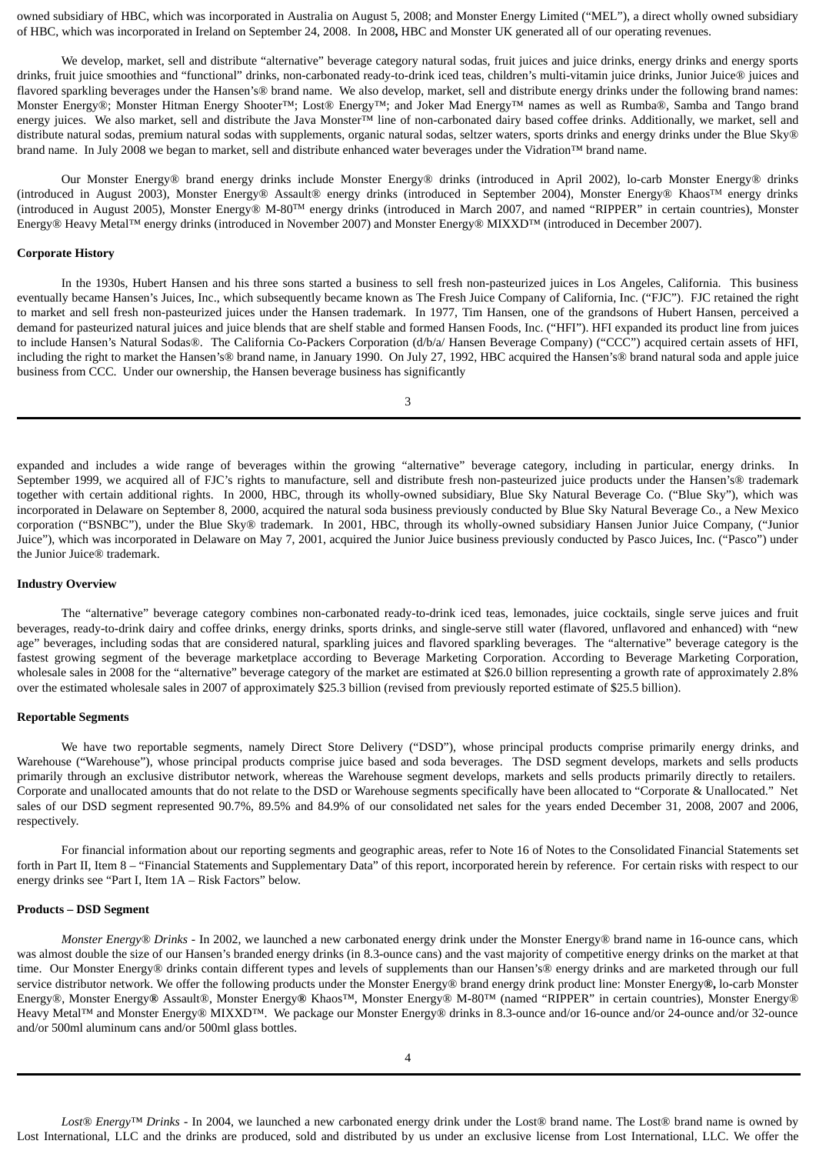owned subsidiary of HBC, which was incorporated in Australia on August 5, 2008; and Monster Energy Limited ("MEL"), a direct wholly owned subsidiary of HBC, which was incorporated in Ireland on September 24, 2008. In 2008**,** HBC and Monster UK generated all of our operating revenues.

We develop, market, sell and distribute "alternative" beverage category natural sodas, fruit juices and juice drinks, energy drinks and energy sports drinks, fruit juice smoothies and "functional" drinks, non-carbonated ready-to-drink iced teas, children's multi-vitamin juice drinks, Junior Juice® juices and flavored sparkling beverages under the Hansen's® brand name. We also develop, market, sell and distribute energy drinks under the following brand names: Monster Energy®; Monster Hitman Energy Shooter™; Lost® Energy™; and Joker Mad Energy™ names as well as Rumba®, Samba and Tango brand energy juices. We also market, sell and distribute the Java Monster™ line of non-carbonated dairy based coffee drinks. Additionally, we market, sell and distribute natural sodas, premium natural sodas with supplements, organic natural sodas, seltzer waters, sports drinks and energy drinks under the Blue Sky® brand name. In July 2008 we began to market, sell and distribute enhanced water beverages under the Vidration™ brand name.

Our Monster Energy® brand energy drinks include Monster Energy® drinks (introduced in April 2002), lo-carb Monster Energy® drinks (introduced in August 2003), Monster Energy® Assault® energy drinks (introduced in September 2004), Monster Energy® Khaos™ energy drinks (introduced in August 2005), Monster Energy® M-80<sup>™</sup> energy drinks (introduced in March 2007, and named "RIPPER" in certain countries), Monster Energy® Heavy Metal™ energy drinks (introduced in November 2007) and Monster Energy® MIXXD™ (introduced in December 2007).

#### **Corporate History**

In the 1930s, Hubert Hansen and his three sons started a business to sell fresh non-pasteurized juices in Los Angeles, California. This business eventually became Hansen's Juices, Inc., which subsequently became known as The Fresh Juice Company of California, Inc. ("FJC"). FJC retained the right to market and sell fresh non-pasteurized juices under the Hansen trademark. In 1977, Tim Hansen, one of the grandsons of Hubert Hansen, perceived a demand for pasteurized natural juices and juice blends that are shelf stable and formed Hansen Foods, Inc. ("HFI"). HFI expanded its product line from juices to include Hansen's Natural Sodas®. The California Co-Packers Corporation (d/b/a/ Hansen Beverage Company) ("CCC") acquired certain assets of HFI, including the right to market the Hansen's® brand name, in January 1990. On July 27, 1992, HBC acquired the Hansen's® brand natural soda and apple juice business from CCC. Under our ownership, the Hansen beverage business has significantly

3

expanded and includes a wide range of beverages within the growing "alternative" beverage category, including in particular, energy drinks. In September 1999, we acquired all of FJC's rights to manufacture, sell and distribute fresh non-pasteurized juice products under the Hansen's® trademark together with certain additional rights. In 2000, HBC, through its wholly-owned subsidiary, Blue Sky Natural Beverage Co. ("Blue Sky"), which was incorporated in Delaware on September 8, 2000, acquired the natural soda business previously conducted by Blue Sky Natural Beverage Co., a New Mexico corporation ("BSNBC"), under the Blue Sky® trademark. In 2001, HBC, through its wholly-owned subsidiary Hansen Junior Juice Company, ("Junior Juice"), which was incorporated in Delaware on May 7, 2001, acquired the Junior Juice business previously conducted by Pasco Juices, Inc. ("Pasco") under the Junior Juice® trademark.

#### **Industry Overview**

The "alternative" beverage category combines non-carbonated ready-to-drink iced teas, lemonades, juice cocktails, single serve juices and fruit beverages, ready-to-drink dairy and coffee drinks, energy drinks, sports drinks, and single-serve still water (flavored, unflavored and enhanced) with "new age" beverages, including sodas that are considered natural, sparkling juices and flavored sparkling beverages. The "alternative" beverage category is the fastest growing segment of the beverage marketplace according to Beverage Marketing Corporation. According to Beverage Marketing Corporation, wholesale sales in 2008 for the "alternative" beverage category of the market are estimated at \$26.0 billion representing a growth rate of approximately 2.8% over the estimated wholesale sales in 2007 of approximately \$25.3 billion (revised from previously reported estimate of \$25.5 billion).

#### **Reportable Segments**

We have two reportable segments, namely Direct Store Delivery ("DSD"), whose principal products comprise primarily energy drinks, and Warehouse ("Warehouse"), whose principal products comprise juice based and soda beverages. The DSD segment develops, markets and sells products primarily through an exclusive distributor network, whereas the Warehouse segment develops, markets and sells products primarily directly to retailers. Corporate and unallocated amounts that do not relate to the DSD or Warehouse segments specifically have been allocated to "Corporate & Unallocated." Net sales of our DSD segment represented 90.7%, 89.5% and 84.9% of our consolidated net sales for the years ended December 31, 2008, 2007 and 2006, respectively.

For financial information about our reporting segments and geographic areas, refer to Note 16 of Notes to the Consolidated Financial Statements set forth in Part II, Item 8 - "Financial Statements and Supplementary Data" of this report, incorporated herein by reference. For certain risks with respect to our energy drinks see "Part I, Item 1A – Risk Factors" below.

#### **Products – DSD Segment**

*Monster Energy® Drinks* - In 2002, we launched a new carbonated energy drink under the Monster Energy® brand name in 16-ounce cans, which was almost double the size of our Hansen's branded energy drinks (in 8.3-ounce cans) and the vast majority of competitive energy drinks on the market at that time. Our Monster Energy® drinks contain different types and levels of supplements than our Hansen's® energy drinks and are marketed through our full service distributor network. We offer the following products under the Monster Energy® brand energy drink product line: Monster Energy**®,** lo-carb Monster Energy®, Monster Energy**®** Assault®, Monster Energy**®** Khaos™, Monster Energy® M-80™ (named "RIPPER" in certain countries), Monster Energy® Heavy Metal™ and Monster Energy® MIXXD™. We package our Monster Energy® drinks in 8.3-ounce and/or 16-ounce and/or 24-ounce and/or 32-ounce and/or 500ml aluminum cans and/or 500ml glass bottles.

*Lost® Energy™ Drinks* - In 2004, we launched a new carbonated energy drink under the Lost® brand name. The Lost® brand name is owned by Lost International, LLC and the drinks are produced, sold and distributed by us under an exclusive license from Lost International, LLC. We offer the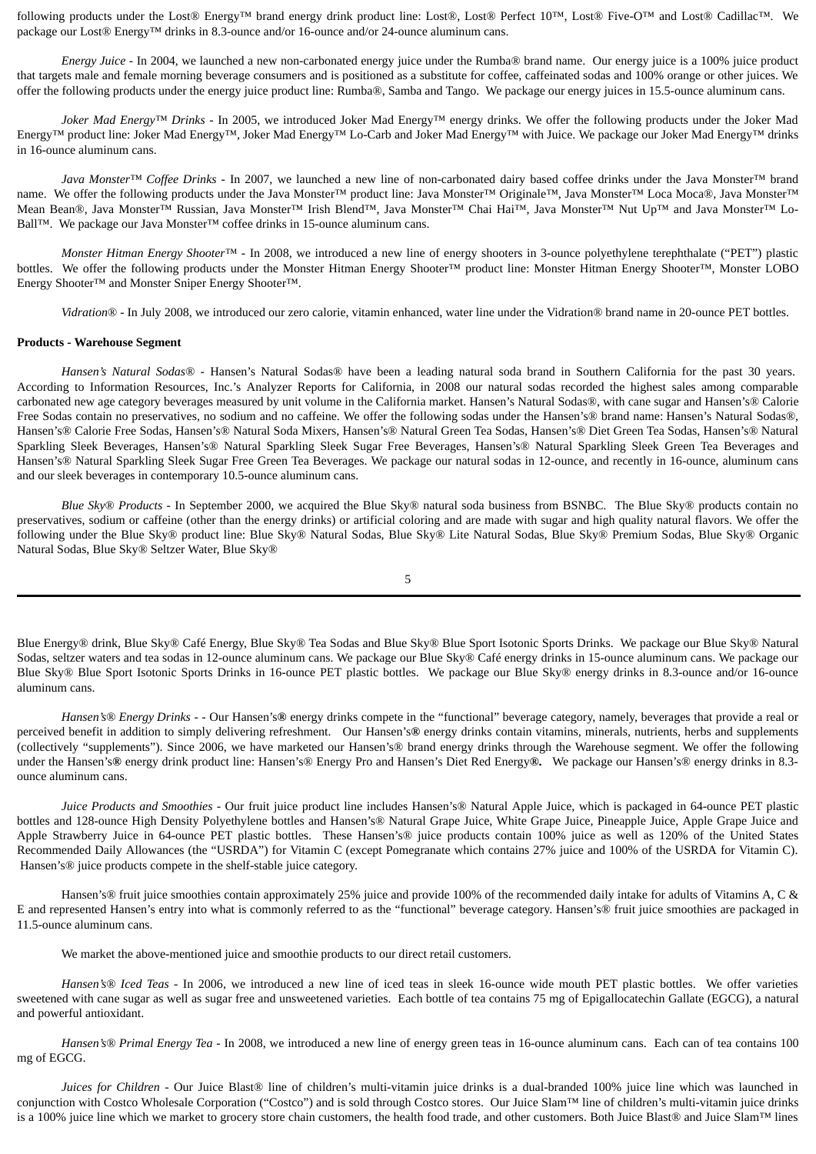following products under the Lost® Energy™ brand energy drink product line: Lost®, Lost® Perfect 10™, Lost® Five-O™ and Lost® Cadillac™. We package our Lost® Energy™ drinks in 8.3-ounce and/or 16-ounce and/or 24-ounce aluminum cans.

*Energy Juice* - In 2004, we launched a new non-carbonated energy juice under the Rumba® brand name. Our energy juice is a 100% juice product that targets male and female morning beverage consumers and is positioned as a substitute for coffee, caffeinated sodas and 100% orange or other juices. We offer the following products under the energy juice product line: Rumba®, Samba and Tango. We package our energy juices in 15.5-ounce aluminum cans.

*Joker Mad Energy™ Drinks* - In 2005, we introduced Joker Mad Energy™ energy drinks. We offer the following products under the Joker Mad Energy™ product line: Joker Mad Energy™, Joker Mad Energy™ Lo-Carb and Joker Mad Energy™ with Juice. We package our Joker Mad Energy™ drinks in 16-ounce aluminum cans.

*Java Monster™ Coffee Drinks* - In 2007, we launched a new line of non-carbonated dairy based coffee drinks under the Java Monster™ brand name. We offer the following products under the Java Monster™ product line: Java Monster™ Originale™, Java Monster™ Loca Moca®, Java Monster™ Mean Bean®, Java Monster™ Russian, Java Monster™ Irish Blend™, Java Monster™ Chai Hai™, Java Monster™ Nut Up™ and Java Monster™ Lo-Ball™. We package our Java Monster™ coffee drinks in 15-ounce aluminum cans.

*Monster Hitman Energy Shooter™* - In 2008, we introduced a new line of energy shooters in 3-ounce polyethylene terephthalate ("PET") plastic bottles. We offer the following products under the Monster Hitman Energy Shooter™ product line: Monster Hitman Energy Shooter™, Monster LOBO Energy Shooter™ and Monster Sniper Energy Shooter™.

*Vidration*® - In July 2008, we introduced our zero calorie, vitamin enhanced, water line under the Vidration® brand name in 20-ounce PET bottles.

#### **Products - Warehouse Segment**

*Hansen's Natural Sodas® -* Hansen's Natural Sodas® have been a leading natural soda brand in Southern California for the past 30 years. According to Information Resources, Inc.'s Analyzer Reports for California, in 2008 our natural sodas recorded the highest sales among comparable carbonated new age category beverages measured by unit volume in the California market. Hansen's Natural Sodas®, with cane sugar and Hansen's® Calorie Free Sodas contain no preservatives, no sodium and no caffeine. We offer the following sodas under the Hansen's® brand name: Hansen's Natural Sodas®, Hansen's® Calorie Free Sodas, Hansen's® Natural Soda Mixers, Hansen's® Natural Green Tea Sodas, Hansen's® Diet Green Tea Sodas, Hansen's® Natural Sparkling Sleek Beverages, Hansen's® Natural Sparkling Sleek Sugar Free Beverages, Hansen's® Natural Sparkling Sleek Green Tea Beverages and Hansen's® Natural Sparkling Sleek Sugar Free Green Tea Beverages. We package our natural sodas in 12-ounce, and recently in 16-ounce, aluminum cans and our sleek beverages in contemporary 10.5-ounce aluminum cans.

*Blue Sky*® *Products* - In September 2000, we acquired the Blue Sky® natural soda business from BSNBC. The Blue Sky® products contain no preservatives, sodium or caffeine (other than the energy drinks) or artificial coloring and are made with sugar and high quality natural flavors. We offer the following under the Blue Sky® product line: Blue Sky® Natural Sodas, Blue Sky® Lite Natural Sodas, Blue Sky® Premium Sodas, Blue Sky® Organic Natural Sodas, Blue Sky® Seltzer Water, Blue Sky®

$$
5 \\
$$

Blue Energy® drink, Blue Sky® Café Energy, Blue Sky® Tea Sodas and Blue Sky® Blue Sport Isotonic Sports Drinks. We package our Blue Sky® Natural Sodas, seltzer waters and tea sodas in 12-ounce aluminum cans. We package our Blue Sky® Café energy drinks in 15-ounce aluminum cans. We package our Blue Sky® Blue Sport Isotonic Sports Drinks in 16-ounce PET plastic bottles. We package our Blue Sky® energy drinks in 8.3-ounce and/or 16-ounce aluminum cans.

*Hansen's*® *Energy Drinks* - - Our Hansen's**®** energy drinks compete in the "functional" beverage category, namely, beverages that provide a real or perceived benefit in addition to simply delivering refreshment. Our Hansen's**®** energy drinks contain vitamins, minerals, nutrients, herbs and supplements (collectively "supplements"). Since 2006, we have marketed our Hansen's® brand energy drinks through the Warehouse segment. We offer the following under the Hansen's**®** energy drink product line: Hansen's® Energy Pro and Hansen's Diet Red Energy**®.** We package our Hansen's® energy drinks in 8.3 ounce aluminum cans.

*Juice Products and Smoothies -* Our fruit juice product line includes Hansen's® Natural Apple Juice, which is packaged in 64-ounce PET plastic bottles and 128-ounce High Density Polyethylene bottles and Hansen's® Natural Grape Juice, White Grape Juice, Pineapple Juice, Apple Grape Juice and Apple Strawberry Juice in 64-ounce PET plastic bottles. These Hansen's® juice products contain 100% juice as well as 120% of the United States Recommended Daily Allowances (the "USRDA") for Vitamin C (except Pomegranate which contains 27% juice and 100% of the USRDA for Vitamin C). Hansen's® juice products compete in the shelf-stable juice category.

Hansen's® fruit juice smoothies contain approximately 25% juice and provide 100% of the recommended daily intake for adults of Vitamins A, C & E and represented Hansen's entry into what is commonly referred to as the "functional" beverage category. Hansen's® fruit juice smoothies are packaged in 11.5-ounce aluminum cans.

We market the above-mentioned juice and smoothie products to our direct retail customers.

*Hansen's® Iced Teas -* In 2006, we introduced a new line of iced teas in sleek 16-ounce wide mouth PET plastic bottles. We offer varieties sweetened with cane sugar as well as sugar free and unsweetened varieties. Each bottle of tea contains 75 mg of Epigallocatechin Gallate (EGCG), a natural and powerful antioxidant.

*Hansen's® Primal Energy Tea* - In 2008, we introduced a new line of energy green teas in 16-ounce aluminum cans. Each can of tea contains 100 mg of EGCG.

*Juices for Children -* Our Juice Blast® line of children's multi-vitamin juice drinks is a dual-branded 100% juice line which was launched in conjunction with Costco Wholesale Corporation ("Costco") and is sold through Costco stores. Our Juice Slam™ line of children's multi-vitamin juice drinks is a 100% juice line which we market to grocery store chain customers, the health food trade, and other customers. Both Juice Blast® and Juice Slam™ lines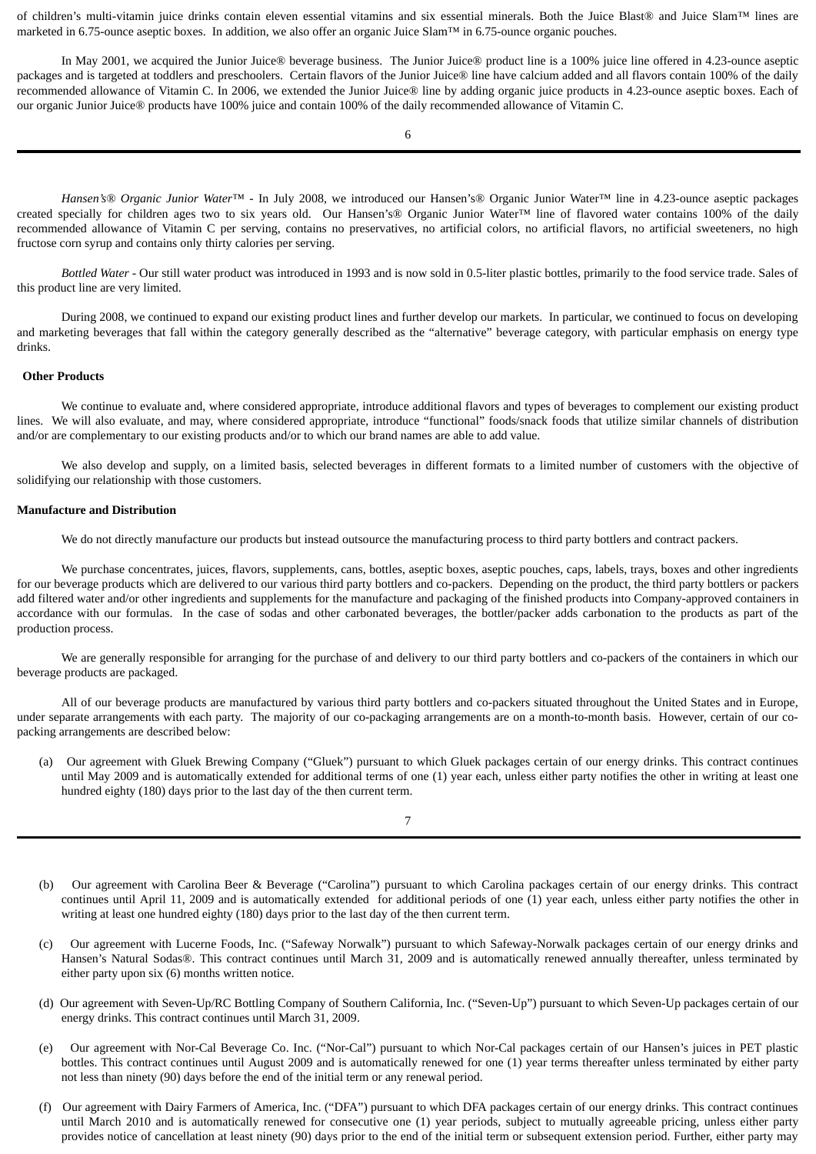of children's multi-vitamin juice drinks contain eleven essential vitamins and six essential minerals. Both the Juice Blast® and Juice Slam™ lines are marketed in 6.75-ounce aseptic boxes. In addition, we also offer an organic Juice Slam™ in 6.75-ounce organic pouches.

In May 2001, we acquired the Junior Juice® beverage business. The Junior Juice® product line is a 100% juice line offered in 4.23-ounce aseptic packages and is targeted at toddlers and preschoolers. Certain flavors of the Junior Juice® line have calcium added and all flavors contain 100% of the daily recommended allowance of Vitamin C. In 2006, we extended the Junior Juice® line by adding organic juice products in 4.23-ounce aseptic boxes. Each of our organic Junior Juice® products have 100% juice and contain 100% of the daily recommended allowance of Vitamin C.

*Hansen's® Organic Junior Water™ -* In July 2008, we introduced our Hansen's® Organic Junior Water™ line in 4.23-ounce aseptic packages created specially for children ages two to six years old. Our Hansen's® Organic Junior Water™ line of flavored water contains 100% of the daily recommended allowance of Vitamin C per serving, contains no preservatives, no artificial colors, no artificial flavors, no artificial sweeteners, no high fructose corn syrup and contains only thirty calories per serving.

*Bottled Water -* Our still water product was introduced in 1993 and is now sold in 0.5-liter plastic bottles, primarily to the food service trade. Sales of this product line are very limited.

During 2008, we continued to expand our existing product lines and further develop our markets. In particular, we continued to focus on developing and marketing beverages that fall within the category generally described as the "alternative" beverage category, with particular emphasis on energy type drinks.

#### **Other Products**

We continue to evaluate and, where considered appropriate, introduce additional flavors and types of beverages to complement our existing product lines. We will also evaluate, and may, where considered appropriate, introduce "functional" foods/snack foods that utilize similar channels of distribution and/or are complementary to our existing products and/or to which our brand names are able to add value.

We also develop and supply, on a limited basis, selected beverages in different formats to a limited number of customers with the objective of solidifying our relationship with those customers.

#### **Manufacture and Distribution**

We do not directly manufacture our products but instead outsource the manufacturing process to third party bottlers and contract packers.

We purchase concentrates, juices, flavors, supplements, cans, bottles, aseptic boxes, aseptic pouches, caps, labels, trays, boxes and other ingredients for our beverage products which are delivered to our various third party bottlers and co-packers. Depending on the product, the third party bottlers or packers add filtered water and/or other ingredients and supplements for the manufacture and packaging of the finished products into Company-approved containers in accordance with our formulas. In the case of sodas and other carbonated beverages, the bottler/packer adds carbonation to the products as part of the production process.

We are generally responsible for arranging for the purchase of and delivery to our third party bottlers and co-packers of the containers in which our beverage products are packaged.

All of our beverage products are manufactured by various third party bottlers and co-packers situated throughout the United States and in Europe, under separate arrangements with each party. The majority of our co-packaging arrangements are on a month-to-month basis. However, certain of our copacking arrangements are described below:

(a) Our agreement with Gluek Brewing Company ("Gluek") pursuant to which Gluek packages certain of our energy drinks. This contract continues until May 2009 and is automatically extended for additional terms of one (1) year each, unless either party notifies the other in writing at least one hundred eighty (180) days prior to the last day of the then current term.

- (b) Our agreement with Carolina Beer & Beverage ("Carolina") pursuant to which Carolina packages certain of our energy drinks. This contract continues until April 11, 2009 and is automatically extended for additional periods of one (1) year each, unless either party notifies the other in writing at least one hundred eighty (180) days prior to the last day of the then current term.
- (c) Our agreement with Lucerne Foods, Inc. ("Safeway Norwalk") pursuant to which Safeway-Norwalk packages certain of our energy drinks and Hansen's Natural Sodas®. This contract continues until March 31, 2009 and is automatically renewed annually thereafter, unless terminated by either party upon six (6) months written notice.
- (d) Our agreement with Seven-Up/RC Bottling Company of Southern California, Inc. ("Seven-Up") pursuant to which Seven-Up packages certain of our energy drinks. This contract continues until March 31, 2009.
- (e) Our agreement with Nor-Cal Beverage Co. Inc. ("Nor-Cal") pursuant to which Nor-Cal packages certain of our Hansen's juices in PET plastic bottles. This contract continues until August 2009 and is automatically renewed for one (1) year terms thereafter unless terminated by either party not less than ninety (90) days before the end of the initial term or any renewal period.
- (f) Our agreement with Dairy Farmers of America, Inc. ("DFA") pursuant to which DFA packages certain of our energy drinks. This contract continues until March 2010 and is automatically renewed for consecutive one (1) year periods, subject to mutually agreeable pricing, unless either party provides notice of cancellation at least ninety (90) days prior to the end of the initial term or subsequent extension period. Further, either party may

<sup>7</sup>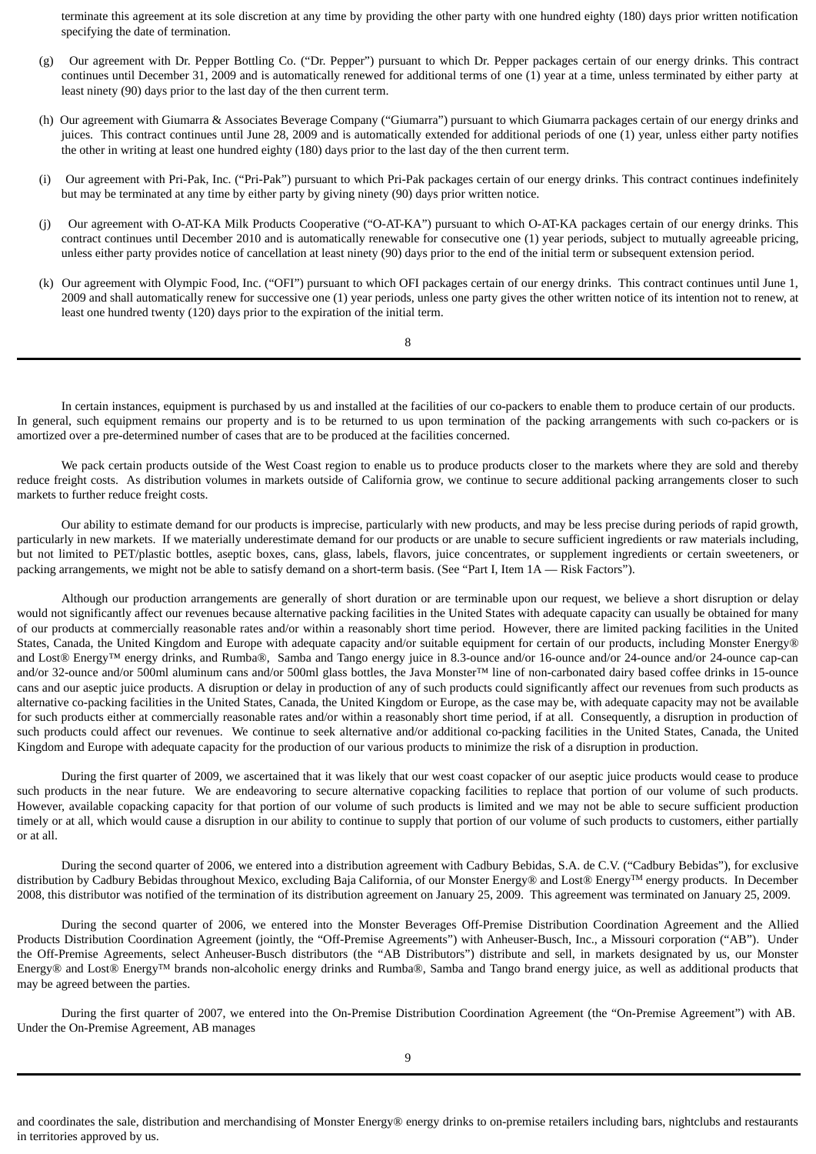terminate this agreement at its sole discretion at any time by providing the other party with one hundred eighty (180) days prior written notification specifying the date of termination.

- (g) Our agreement with Dr. Pepper Bottling Co. ("Dr. Pepper") pursuant to which Dr. Pepper packages certain of our energy drinks. This contract continues until December 31, 2009 and is automatically renewed for additional terms of one (1) year at a time, unless terminated by either party at least ninety (90) days prior to the last day of the then current term.
- (h) Our agreement with Giumarra & Associates Beverage Company ("Giumarra") pursuant to which Giumarra packages certain of our energy drinks and juices. This contract continues until June 28, 2009 and is automatically extended for additional periods of one (1) year, unless either party notifies the other in writing at least one hundred eighty (180) days prior to the last day of the then current term.
- (i) Our agreement with Pri-Pak, Inc. ("Pri-Pak") pursuant to which Pri-Pak packages certain of our energy drinks. This contract continues indefinitely but may be terminated at any time by either party by giving ninety (90) days prior written notice.
- (j) Our agreement with O-AT-KA Milk Products Cooperative ("O-AT-KA") pursuant to which O-AT-KA packages certain of our energy drinks. This contract continues until December 2010 and is automatically renewable for consecutive one (1) year periods, subject to mutually agreeable pricing, unless either party provides notice of cancellation at least ninety (90) days prior to the end of the initial term or subsequent extension period.
- (k) Our agreement with Olympic Food, Inc. ("OFI") pursuant to which OFI packages certain of our energy drinks. This contract continues until June 1, 2009 and shall automatically renew for successive one (1) year periods, unless one party gives the other written notice of its intention not to renew, at least one hundred twenty (120) days prior to the expiration of the initial term.

8

In certain instances, equipment is purchased by us and installed at the facilities of our co-packers to enable them to produce certain of our products. In general, such equipment remains our property and is to be returned to us upon termination of the packing arrangements with such co-packers or is amortized over a pre-determined number of cases that are to be produced at the facilities concerned.

We pack certain products outside of the West Coast region to enable us to produce products closer to the markets where they are sold and thereby reduce freight costs. As distribution volumes in markets outside of California grow, we continue to secure additional packing arrangements closer to such markets to further reduce freight costs.

Our ability to estimate demand for our products is imprecise, particularly with new products, and may be less precise during periods of rapid growth, particularly in new markets. If we materially underestimate demand for our products or are unable to secure sufficient ingredients or raw materials including, but not limited to PET/plastic bottles, aseptic boxes, cans, glass, labels, flavors, juice concentrates, or supplement ingredients or certain sweeteners, or packing arrangements, we might not be able to satisfy demand on a short-term basis. (See "Part I, Item  $1A -$ Risk Factors").

Although our production arrangements are generally of short duration or are terminable upon our request, we believe a short disruption or delay would not significantly affect our revenues because alternative packing facilities in the United States with adequate capacity can usually be obtained for many of our products at commercially reasonable rates and/or within a reasonably short time period. However, there are limited packing facilities in the United States, Canada, the United Kingdom and Europe with adequate capacity and/or suitable equipment for certain of our products, including Monster Energy® and Lost® Energy*™* energy drinks, and Rumba®, Samba and Tango energy juice in 8.3-ounce and/or 16-ounce and/or 24-ounce and/or 24-ounce cap-can and/or 32-ounce and/or 500ml aluminum cans and/or 500ml glass bottles, the Java Monster™ line of non-carbonated dairy based coffee drinks in 15-ounce cans and our aseptic juice products. A disruption or delay in production of any of such products could significantly affect our revenues from such products as alternative co-packing facilities in the United States, Canada, the United Kingdom or Europe, as the case may be, with adequate capacity may not be available for such products either at commercially reasonable rates and/or within a reasonably short time period, if at all. Consequently, a disruption in production of such products could affect our revenues. We continue to seek alternative and/or additional co-packing facilities in the United States, Canada, the United Kingdom and Europe with adequate capacity for the production of our various products to minimize the risk of a disruption in production.

During the first quarter of 2009, we ascertained that it was likely that our west coast copacker of our aseptic juice products would cease to produce such products in the near future. We are endeavoring to secure alternative copacking facilities to replace that portion of our volume of such products. However, available copacking capacity for that portion of our volume of such products is limited and we may not be able to secure sufficient production timely or at all, which would cause a disruption in our ability to continue to supply that portion of our volume of such products to customers, either partially or at all.

During the second quarter of 2006, we entered into a distribution agreement with Cadbury Bebidas, S.A. de C.V. ("Cadbury Bebidas"), for exclusive distribution by Cadbury Bebidas throughout Mexico, excluding Baja California, of our Monster Energy® and Lost® Energy™ energy products. In December 2008, this distributor was notified of the termination of its distribution agreement on January 25, 2009. This agreement was terminated on January 25, 2009.

During the second quarter of 2006, we entered into the Monster Beverages Off-Premise Distribution Coordination Agreement and the Allied Products Distribution Coordination Agreement (jointly, the "Off-Premise Agreements") with Anheuser-Busch, Inc., a Missouri corporation ("AB"). Under the Off-Premise Agreements, select Anheuser-Busch distributors (the "AB Distributors") distribute and sell, in markets designated by us, our Monster Energy® and Lost® Energy™ brands non-alcoholic energy drinks and Rumba®, Samba and Tango brand energy juice, as well as additional products that may be agreed between the parties.

During the first quarter of 2007, we entered into the On-Premise Distribution Coordination Agreement (the "On-Premise Agreement") with AB. Under the On-Premise Agreement, AB manages

and coordinates the sale, distribution and merchandising of Monster Energy® energy drinks to on-premise retailers including bars, nightclubs and restaurants in territories approved by us.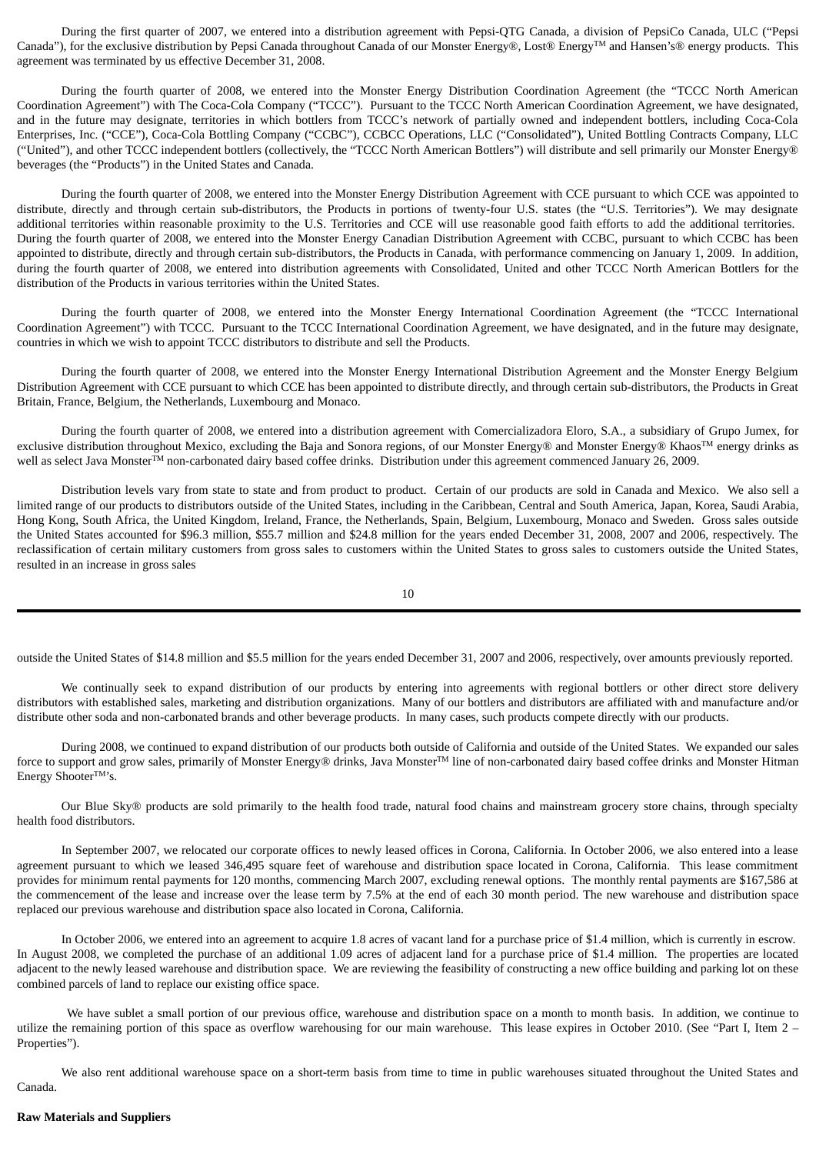During the first quarter of 2007, we entered into a distribution agreement with Pepsi-QTG Canada, a division of PepsiCo Canada, ULC ("Pepsi Canada"), for the exclusive distribution by Pepsi Canada throughout Canada of our Monster Energy®, Lost® Energy™ and Hansen's® energy products. This agreement was terminated by us effective December 31, 2008.

During the fourth quarter of 2008, we entered into the Monster Energy Distribution Coordination Agreement (the "TCCC North American Coordination Agreement") with The Coca-Cola Company ("TCCC"). Pursuant to the TCCC North American Coordination Agreement, we have designated, and in the future may designate, territories in which bottlers from TCCC's network of partially owned and independent bottlers, including Coca-Cola Enterprises, Inc. ("CCE"), Coca-Cola Bottling Company ("CCBC"), CCBCC Operations, LLC ("Consolidated"), United Bottling Contracts Company, LLC ("United"), and other TCCC independent bottlers (collectively, the "TCCC North American Bottlers") will distribute and sell primarily our Monster Energy® beverages (the "Products") in the United States and Canada.

During the fourth quarter of 2008, we entered into the Monster Energy Distribution Agreement with CCE pursuant to which CCE was appointed to distribute, directly and through certain sub-distributors, the Products in portions of twenty-four U.S. states (the "U.S. Territories"). We may designate additional territories within reasonable proximity to the U.S. Territories and CCE will use reasonable good faith efforts to add the additional territories. During the fourth quarter of 2008, we entered into the Monster Energy Canadian Distribution Agreement with CCBC, pursuant to which CCBC has been appointed to distribute, directly and through certain sub-distributors, the Products in Canada, with performance commencing on January 1, 2009. In addition, during the fourth quarter of 2008, we entered into distribution agreements with Consolidated, United and other TCCC North American Bottlers for the distribution of the Products in various territories within the United States.

During the fourth quarter of 2008, we entered into the Monster Energy International Coordination Agreement (the "TCCC International Coordination Agreement") with TCCC. Pursuant to the TCCC International Coordination Agreement, we have designated, and in the future may designate, countries in which we wish to appoint TCCC distributors to distribute and sell the Products.

During the fourth quarter of 2008, we entered into the Monster Energy International Distribution Agreement and the Monster Energy Belgium Distribution Agreement with CCE pursuant to which CCE has been appointed to distribute directly, and through certain sub-distributors, the Products in Great Britain, France, Belgium, the Netherlands, Luxembourg and Monaco.

During the fourth quarter of 2008, we entered into a distribution agreement with Comercializadora Eloro, S.A., a subsidiary of Grupo Jumex, for exclusive distribution throughout Mexico, excluding the Baja and Sonora regions, of our Monster Energy® and Monster Energy® Khaos™ energy drinks as well as select Java Monster<sup>™</sup> non-carbonated dairy based coffee drinks. Distribution under this agreement commenced January 26, 2009.

Distribution levels vary from state to state and from product to product. Certain of our products are sold in Canada and Mexico. We also sell a limited range of our products to distributors outside of the United States, including in the Caribbean, Central and South America, Japan, Korea, Saudi Arabia, Hong Kong, South Africa, the United Kingdom, Ireland, France, the Netherlands, Spain, Belgium, Luxembourg, Monaco and Sweden. Gross sales outside the United States accounted for \$96.3 million, \$55.7 million and \$24.8 million for the years ended December 31, 2008, 2007 and 2006, respectively. The reclassification of certain military customers from gross sales to customers within the United States to gross sales to customers outside the United States, resulted in an increase in gross sales

$$
10\quad
$$

outside the United States of \$14.8 million and \$5.5 million for the years ended December 31, 2007 and 2006, respectively, over amounts previously reported.

We continually seek to expand distribution of our products by entering into agreements with regional bottlers or other direct store delivery distributors with established sales, marketing and distribution organizations. Many of our bottlers and distributors are affiliated with and manufacture and/or distribute other soda and non-carbonated brands and other beverage products. In many cases, such products compete directly with our products.

During 2008, we continued to expand distribution of our products both outside of California and outside of the United States. We expanded our sales force to support and grow sales, primarily of Monster Energy® drinks, Java Monster™ line of non-carbonated dairy based coffee drinks and Monster Hitman Energy Shooter<sup>™'</sup>s.

Our Blue Sky® products are sold primarily to the health food trade, natural food chains and mainstream grocery store chains, through specialty health food distributors.

In September 2007, we relocated our corporate offices to newly leased offices in Corona, California. In October 2006, we also entered into a lease agreement pursuant to which we leased 346,495 square feet of warehouse and distribution space located in Corona, California. This lease commitment provides for minimum rental payments for 120 months, commencing March 2007, excluding renewal options. The monthly rental payments are \$167,586 at the commencement of the lease and increase over the lease term by 7.5% at the end of each 30 month period. The new warehouse and distribution space replaced our previous warehouse and distribution space also located in Corona, California.

In October 2006, we entered into an agreement to acquire 1.8 acres of vacant land for a purchase price of \$1.4 million, which is currently in escrow. In August 2008, we completed the purchase of an additional 1.09 acres of adjacent land for a purchase price of \$1.4 million. The properties are located adjacent to the newly leased warehouse and distribution space. We are reviewing the feasibility of constructing a new office building and parking lot on these combined parcels of land to replace our existing office space.

We have sublet a small portion of our previous office, warehouse and distribution space on a month to month basis. In addition, we continue to utilize the remaining portion of this space as overflow warehousing for our main warehouse. This lease expires in October 2010. (See "Part I, Item 2 -Properties").

We also rent additional warehouse space on a short-term basis from time to time in public warehouses situated throughout the United States and Canada.

#### **Raw Materials and Suppliers**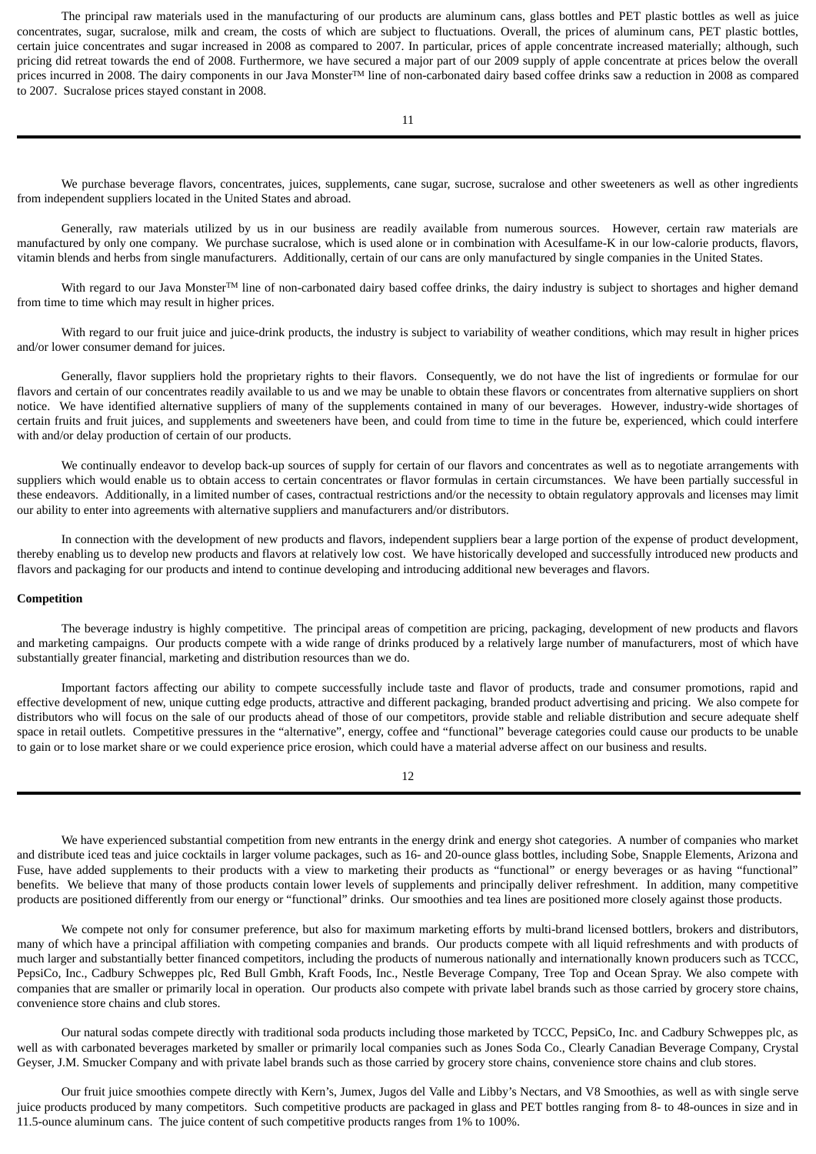The principal raw materials used in the manufacturing of our products are aluminum cans, glass bottles and PET plastic bottles as well as juice concentrates, sugar, sucralose, milk and cream, the costs of which are subject to fluctuations. Overall, the prices of aluminum cans, PET plastic bottles, certain juice concentrates and sugar increased in 2008 as compared to 2007. In particular, prices of apple concentrate increased materially; although, such pricing did retreat towards the end of 2008. Furthermore, we have secured a major part of our 2009 supply of apple concentrate at prices below the overall prices incurred in 2008. The dairy components in our Java Monster<sup>™</sup> line of non-carbonated dairy based coffee drinks saw a reduction in 2008 as compared to 2007. Sucralose prices stayed constant in 2008.

We purchase beverage flavors, concentrates, juices, supplements, cane sugar, sucrose, sucralose and other sweeteners as well as other ingredients from independent suppliers located in the United States and abroad.

Generally, raw materials utilized by us in our business are readily available from numerous sources. However, certain raw materials are manufactured by only one company. We purchase sucralose, which is used alone or in combination with Acesulfame-K in our low-calorie products, flavors, vitamin blends and herbs from single manufacturers. Additionally, certain of our cans are only manufactured by single companies in the United States.

With regard to our Java Monster<sup>TM</sup> line of non-carbonated dairy based coffee drinks, the dairy industry is subject to shortages and higher demand from time to time which may result in higher prices.

With regard to our fruit juice and juice-drink products, the industry is subject to variability of weather conditions, which may result in higher prices and/or lower consumer demand for juices.

Generally, flavor suppliers hold the proprietary rights to their flavors. Consequently, we do not have the list of ingredients or formulae for our flavors and certain of our concentrates readily available to us and we may be unable to obtain these flavors or concentrates from alternative suppliers on short notice. We have identified alternative suppliers of many of the supplements contained in many of our beverages. However, industry-wide shortages of certain fruits and fruit juices, and supplements and sweeteners have been, and could from time to time in the future be, experienced, which could interfere with and/or delay production of certain of our products.

We continually endeavor to develop back-up sources of supply for certain of our flavors and concentrates as well as to negotiate arrangements with suppliers which would enable us to obtain access to certain concentrates or flavor formulas in certain circumstances. We have been partially successful in these endeavors. Additionally, in a limited number of cases, contractual restrictions and/or the necessity to obtain regulatory approvals and licenses may limit our ability to enter into agreements with alternative suppliers and manufacturers and/or distributors.

In connection with the development of new products and flavors, independent suppliers bear a large portion of the expense of product development, thereby enabling us to develop new products and flavors at relatively low cost. We have historically developed and successfully introduced new products and flavors and packaging for our products and intend to continue developing and introducing additional new beverages and flavors.

#### **Competition**

The beverage industry is highly competitive. The principal areas of competition are pricing, packaging, development of new products and flavors and marketing campaigns. Our products compete with a wide range of drinks produced by a relatively large number of manufacturers, most of which have substantially greater financial, marketing and distribution resources than we do.

Important factors affecting our ability to compete successfully include taste and flavor of products, trade and consumer promotions, rapid and effective development of new, unique cutting edge products, attractive and different packaging, branded product advertising and pricing. We also compete for distributors who will focus on the sale of our products ahead of those of our competitors, provide stable and reliable distribution and secure adequate shelf space in retail outlets. Competitive pressures in the "alternative", energy, coffee and "functional" beverage categories could cause our products to be unable to gain or to lose market share or we could experience price erosion, which could have a material adverse affect on our business and results.

| a. |
|----|
|    |
|    |
|    |

We have experienced substantial competition from new entrants in the energy drink and energy shot categories. A number of companies who market and distribute iced teas and juice cocktails in larger volume packages, such as 16- and 20-ounce glass bottles, including Sobe, Snapple Elements, Arizona and Fuse, have added supplements to their products with a view to marketing their products as "functional" or energy beverages or as having "functional" benefits. We believe that many of those products contain lower levels of supplements and principally deliver refreshment. In addition, many competitive products are positioned differently from our energy or "functional" drinks. Our smoothies and tea lines are positioned more closely against those products.

We compete not only for consumer preference, but also for maximum marketing efforts by multi-brand licensed bottlers, brokers and distributors, many of which have a principal affiliation with competing companies and brands. Our products compete with all liquid refreshments and with products of much larger and substantially better financed competitors, including the products of numerous nationally and internationally known producers such as TCCC, PepsiCo, Inc., Cadbury Schweppes plc, Red Bull Gmbh, Kraft Foods, Inc., Nestle Beverage Company, Tree Top and Ocean Spray. We also compete with companies that are smaller or primarily local in operation. Our products also compete with private label brands such as those carried by grocery store chains, convenience store chains and club stores.

Our natural sodas compete directly with traditional soda products including those marketed by TCCC, PepsiCo, Inc. and Cadbury Schweppes plc, as well as with carbonated beverages marketed by smaller or primarily local companies such as Jones Soda Co., Clearly Canadian Beverage Company, Crystal Geyser, J.M. Smucker Company and with private label brands such as those carried by grocery store chains, convenience store chains and club stores.

Our fruit juice smoothies compete directly with Kern's, Jumex, Jugos del Valle and Libby's Nectars, and V8 Smoothies, as well as with single serve juice products produced by many competitors. Such competitive products are packaged in glass and PET bottles ranging from 8- to 48-ounces in size and in 11.5-ounce aluminum cans. The juice content of such competitive products ranges from 1% to 100%.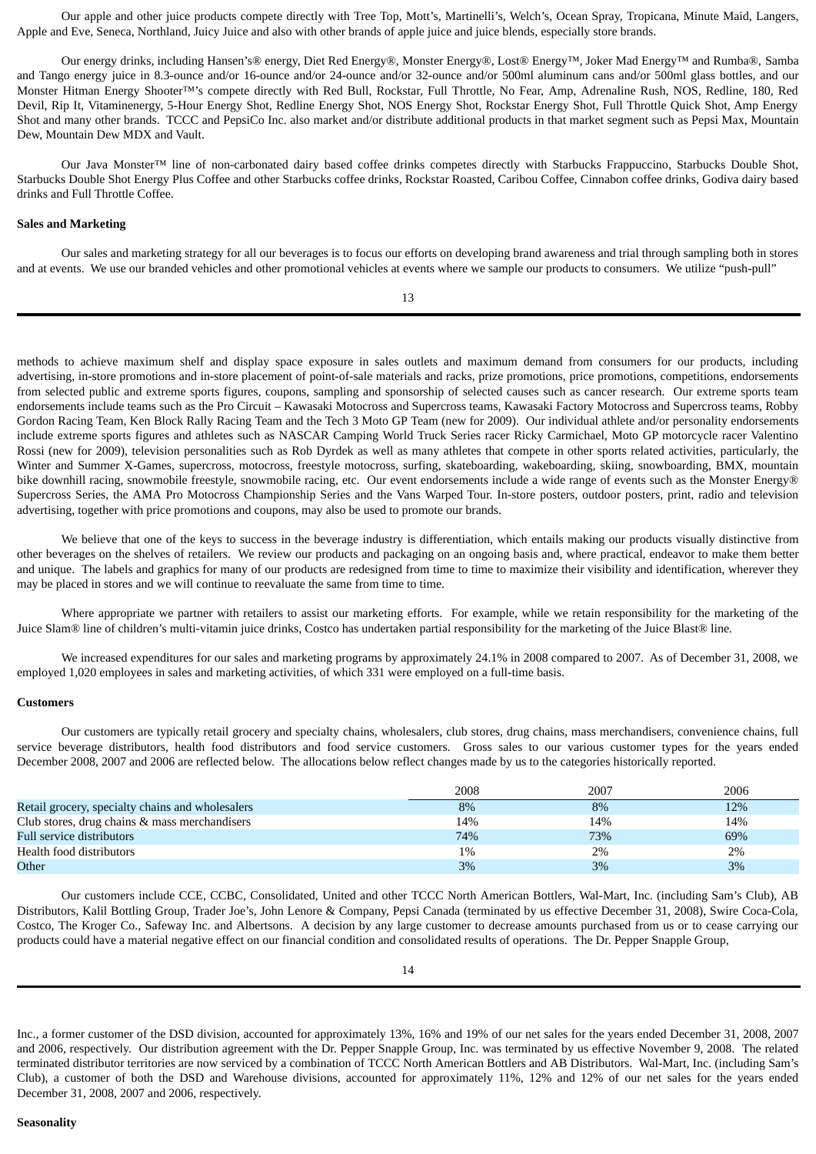Our apple and other juice products compete directly with Tree Top, Mott's, Martinelli's, Welch's, Ocean Spray, Tropicana, Minute Maid, Langers, Apple and Eve, Seneca, Northland, Juicy Juice and also with other brands of apple juice and juice blends, especially store brands.

Our energy drinks, including Hansen's® energy, Diet Red Energy®, Monster Energy®, Lost® Energy™, Joker Mad Energy™ and Rumba®, Samba and Tango energy juice in 8.3-ounce and/or 16-ounce and/or 24-ounce and/or 32-ounce and/or 500ml aluminum cans and/or 500ml glass bottles, and our Monster Hitman Energy Shooter™'s compete directly with Red Bull, Rockstar, Full Throttle, No Fear, Amp, Adrenaline Rush, NOS, Redline, 180, Red Devil, Rip It, Vitaminenergy, 5-Hour Energy Shot, Redline Energy Shot, NOS Energy Shot, Rockstar Energy Shot, Full Throttle Quick Shot, Amp Energy Shot and many other brands. TCCC and PepsiCo Inc. also market and/or distribute additional products in that market segment such as Pepsi Max, Mountain Dew, Mountain Dew MDX and Vault.

Our Java Monster™ line of non-carbonated dairy based coffee drinks competes directly with Starbucks Frappuccino, Starbucks Double Shot, Starbucks Double Shot Energy Plus Coffee and other Starbucks coffee drinks, Rockstar Roasted, Caribou Coffee, Cinnabon coffee drinks, Godiva dairy based drinks and Full Throttle Coffee.

### **Sales and Marketing**

Our sales and marketing strategy for all our beverages is to focus our efforts on developing brand awareness and trial through sampling both in stores and at events. We use our branded vehicles and other promotional vehicles at events where we sample our products to consumers. We utilize "push-pull"

methods to achieve maximum shelf and display space exposure in sales outlets and maximum demand from consumers for our products, including advertising, in-store promotions and in-store placement of point-of-sale materials and racks, prize promotions, price promotions, competitions, endorsements from selected public and extreme sports figures, coupons, sampling and sponsorship of selected causes such as cancer research. Our extreme sports team endorsements include teams such as the Pro Circuit – Kawasaki Motocross and Supercross teams, Kawasaki Factory Motocross and Supercross teams, Robby Gordon Racing Team, Ken Block Rally Racing Team and the Tech 3 Moto GP Team (new for 2009). Our individual athlete and/or personality endorsements include extreme sports figures and athletes such as NASCAR Camping World Truck Series racer Ricky Carmichael, Moto GP motorcycle racer Valentino Rossi (new for 2009), television personalities such as Rob Dyrdek as well as many athletes that compete in other sports related activities, particularly, the Winter and Summer X-Games, supercross, motocross, freestyle motocross, surfing, skateboarding, wakeboarding, skiing, snowboarding, BMX, mountain bike downhill racing, snowmobile freestyle, snowmobile racing, etc. Our event endorsements include a wide range of events such as the Monster Energy® Supercross Series, the AMA Pro Motocross Championship Series and the Vans Warped Tour. In-store posters, outdoor posters, print, radio and television advertising, together with price promotions and coupons, may also be used to promote our brands.

We believe that one of the keys to success in the beverage industry is differentiation, which entails making our products visually distinctive from other beverages on the shelves of retailers. We review our products and packaging on an ongoing basis and, where practical, endeavor to make them better and unique. The labels and graphics for many of our products are redesigned from time to time to maximize their visibility and identification, wherever they may be placed in stores and we will continue to reevaluate the same from time to time.

Where appropriate we partner with retailers to assist our marketing efforts. For example, while we retain responsibility for the marketing of the Juice Slam® line of children's multi-vitamin juice drinks, Costco has undertaken partial responsibility for the marketing of the Juice Blast® line.

We increased expenditures for our sales and marketing programs by approximately 24.1% in 2008 compared to 2007. As of December 31, 2008, we employed 1,020 employees in sales and marketing activities, of which 331 were employed on a full-time basis.

#### **Customers**

Our customers are typically retail grocery and specialty chains, wholesalers, club stores, drug chains, mass merchandisers, convenience chains, full service beverage distributors, health food distributors and food service customers. Gross sales to our various customer types for the years ended December 2008, 2007 and 2006 are reflected below. The allocations below reflect changes made by us to the categories historically reported.

|                                                  | 2008  | 2007  | 2006 |
|--------------------------------------------------|-------|-------|------|
| Retail grocery, specialty chains and wholesalers | 8%    | 8%    | 12%  |
| Club stores, drug chains & mass merchandisers    | 14%   | 14%   | 14%  |
| Full service distributors                        | 74%   | 73%   | 69%  |
| Health food distributors                         | $1\%$ | $2\%$ | 2%   |
| Other                                            | 3%    | 3%    | 3%   |

Our customers include CCE, CCBC, Consolidated, United and other TCCC North American Bottlers, Wal-Mart, Inc. (including Sam's Club), AB Distributors, Kalil Bottling Group, Trader Joe's, John Lenore & Company, Pepsi Canada (terminated by us effective December 31, 2008), Swire Coca-Cola, Costco, The Kroger Co., Safeway Inc. and Albertsons. A decision by any large customer to decrease amounts purchased from us or to cease carrying our products could have a material negative effect on our financial condition and consolidated results of operations. The Dr. Pepper Snapple Group,

Inc., a former customer of the DSD division, accounted for approximately 13%, 16% and 19% of our net sales for the years ended December 31, 2008, 2007 and 2006, respectively. Our distribution agreement with the Dr. Pepper Snapple Group, Inc. was terminated by us effective November 9, 2008. The related terminated distributor territories are now serviced by a combination of TCCC North American Bottlers and AB Distributors. Wal-Mart, Inc. (including Sam's Club), a customer of both the DSD and Warehouse divisions, accounted for approximately 11%, 12% and 12% of our net sales for the years ended December 31, 2008, 2007 and 2006, respectively.

<sup>13</sup>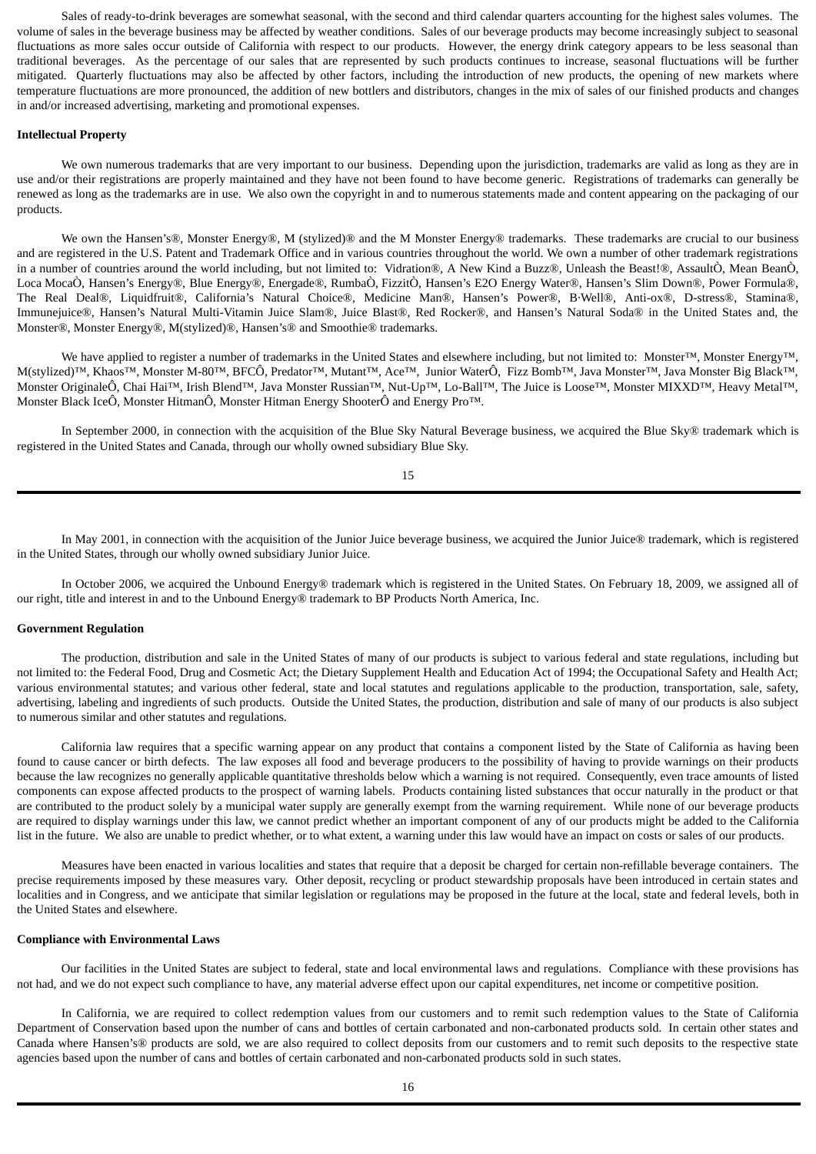Sales of ready-to-drink beverages are somewhat seasonal, with the second and third calendar quarters accounting for the highest sales volumes. The volume of sales in the beverage business may be affected by weather conditions. Sales of our beverage products may become increasingly subject to seasonal fluctuations as more sales occur outside of California with respect to our products. However, the energy drink category appears to be less seasonal than traditional beverages. As the percentage of our sales that are represented by such products continues to increase, seasonal fluctuations will be further mitigated. Quarterly fluctuations may also be affected by other factors, including the introduction of new products, the opening of new markets where temperature fluctuations are more pronounced, the addition of new bottlers and distributors, changes in the mix of sales of our finished products and changes in and/or increased advertising, marketing and promotional expenses.

#### **Intellectual Property**

We own numerous trademarks that are very important to our business. Depending upon the jurisdiction, trademarks are valid as long as they are in use and/or their registrations are properly maintained and they have not been found to have become generic. Registrations of trademarks can generally be renewed as long as the trademarks are in use. We also own the copyright in and to numerous statements made and content appearing on the packaging of our products.

We own the Hansen's®, Monster Energy®, M (stylized)® and the M Monster Energy® trademarks. These trademarks are crucial to our business and are registered in the U.S. Patent and Trademark Office and in various countries throughout the world. We own a number of other trademark registrations in a number of countries around the world including, but not limited to: Vidration®, A New Kind a Buzz®, Unleash the Beast!®, AssaultÒ, Mean BeanÒ, Loca MocaÒ, Hansen's Energy®, Blue Energy®, Energade®, RumbaÒ, FizzitÒ, Hansen's E2O Energy Water®, Hansen's Slim Down®, Power Formula®, The Real Deal®, Liquidfruit®, California's Natural Choice®, Medicine Man®, Hansen's Power®, B·Well®, Anti-ox®, D-stress®, Stamina®, Immunejuice®, Hansen's Natural Multi-Vitamin Juice Slam®, Juice Blast®, Red Rocker®, and Hansen's Natural Soda® in the United States and, the Monster®, Monster Energy®, M(stylized)®, Hansen's® and Smoothie® trademarks.

We have applied to register a number of trademarks in the United States and elsewhere including, but not limited to: Monster™, Monster Energy™, M(stylized)™, Khaos™, Monster M-80™, BFCÔ, Predator™, Mutant™, Ace™, Junior WaterÔ, Fizz Bomb™, Java Monster™, Java Monster Big Black™, Monster OriginaleÔ, Chai Hai™, Irish Blend™, Java Monster Russian™, Nut-Up™, Lo-Ball™, The Juice is Loose™, Monster MIXXD™, Heavy Metal™, Monster Black IceÔ, Monster HitmanÔ, Monster Hitman Energy ShooterÔ and Energy Pro™.

In September 2000, in connection with the acquisition of the Blue Sky Natural Beverage business, we acquired the Blue Sky® trademark which is registered in the United States and Canada, through our wholly owned subsidiary Blue Sky.

15

In May 2001, in connection with the acquisition of the Junior Juice beverage business, we acquired the Junior Juice® trademark, which is registered in the United States, through our wholly owned subsidiary Junior Juice.

In October 2006, we acquired the Unbound Energy® trademark which is registered in the United States. On February 18, 2009, we assigned all of our right, title and interest in and to the Unbound Energy® trademark to BP Products North America, Inc.

#### **Government Regulation**

The production, distribution and sale in the United States of many of our products is subject to various federal and state regulations, including but not limited to: the Federal Food, Drug and Cosmetic Act; the Dietary Supplement Health and Education Act of 1994; the Occupational Safety and Health Act; various environmental statutes; and various other federal, state and local statutes and regulations applicable to the production, transportation, sale, safety, advertising, labeling and ingredients of such products. Outside the United States, the production, distribution and sale of many of our products is also subject to numerous similar and other statutes and regulations.

California law requires that a specific warning appear on any product that contains a component listed by the State of California as having been found to cause cancer or birth defects. The law exposes all food and beverage producers to the possibility of having to provide warnings on their products because the law recognizes no generally applicable quantitative thresholds below which a warning is not required. Consequently, even trace amounts of listed components can expose affected products to the prospect of warning labels. Products containing listed substances that occur naturally in the product or that are contributed to the product solely by a municipal water supply are generally exempt from the warning requirement. While none of our beverage products are required to display warnings under this law, we cannot predict whether an important component of any of our products might be added to the California list in the future. We also are unable to predict whether, or to what extent, a warning under this law would have an impact on costs or sales of our products.

Measures have been enacted in various localities and states that require that a deposit be charged for certain non-refillable beverage containers. The precise requirements imposed by these measures vary. Other deposit, recycling or product stewardship proposals have been introduced in certain states and localities and in Congress, and we anticipate that similar legislation or regulations may be proposed in the future at the local, state and federal levels, both in the United States and elsewhere.

### **Compliance with Environmental Laws**

Our facilities in the United States are subject to federal, state and local environmental laws and regulations. Compliance with these provisions has not had, and we do not expect such compliance to have, any material adverse effect upon our capital expenditures, net income or competitive position.

In California, we are required to collect redemption values from our customers and to remit such redemption values to the State of California Department of Conservation based upon the number of cans and bottles of certain carbonated and non-carbonated products sold. In certain other states and Canada where Hansen's® products are sold, we are also required to collect deposits from our customers and to remit such deposits to the respective state agencies based upon the number of cans and bottles of certain carbonated and non-carbonated products sold in such states.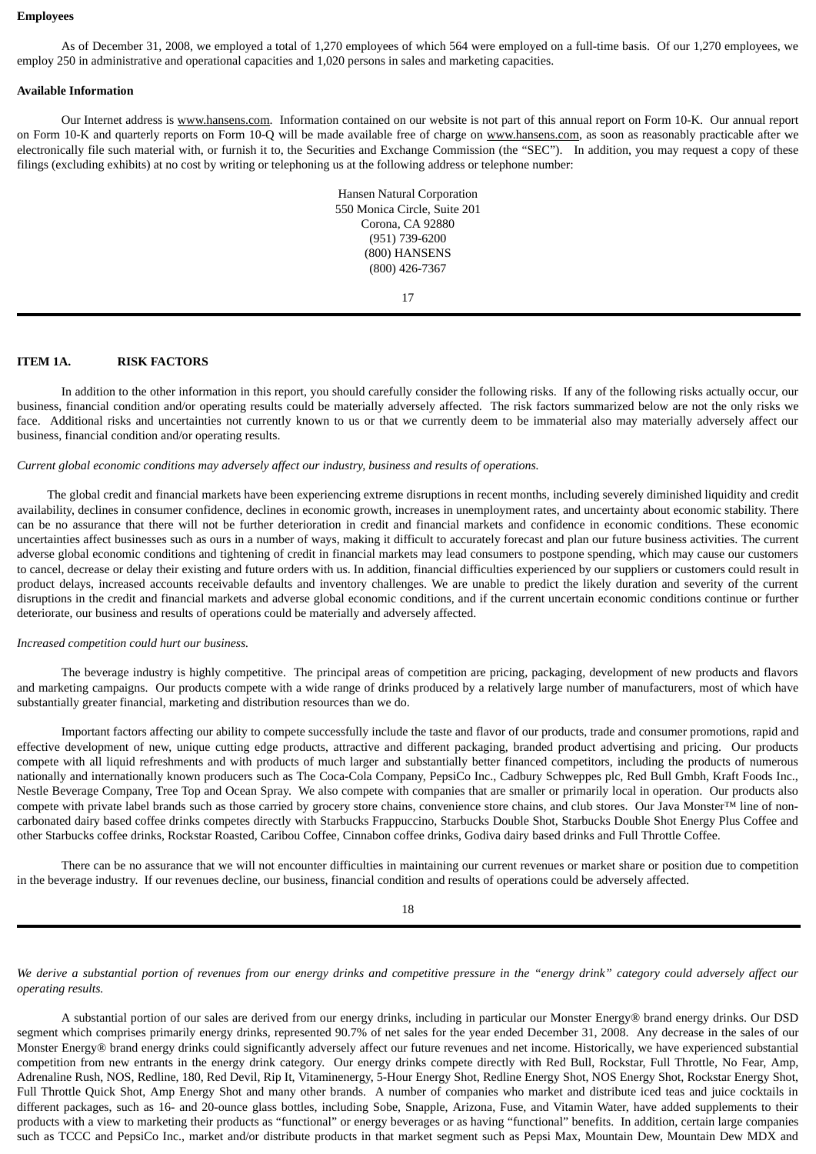#### **Employees**

As of December 31, 2008, we employed a total of 1,270 employees of which 564 were employed on a full-time basis. Of our 1,270 employees, we employ 250 in administrative and operational capacities and 1,020 persons in sales and marketing capacities.

#### **Available Information**

Our Internet address is www.hansens.com. Information contained on our website is not part of this annual report on Form 10-K. Our annual report on Form 10-K and quarterly reports on Form 10-Q will be made available free of charge on www.hansens.com, as soon as reasonably practicable after we electronically file such material with, or furnish it to, the Securities and Exchange Commission (the "SEC"). In addition, you may request a copy of these filings (excluding exhibits) at no cost by writing or telephoning us at the following address or telephone number:

> Hansen Natural Corporation 550 Monica Circle, Suite 201 Corona, CA 92880 (951) 739-6200 (800) HANSENS (800) 426-7367

> > 17

#### <span id="page-10-0"></span>**ITEM 1A. RISK FACTORS**

In addition to the other information in this report, you should carefully consider the following risks. If any of the following risks actually occur, our business, financial condition and/or operating results could be materially adversely affected. The risk factors summarized below are not the only risks we face. Additional risks and uncertainties not currently known to us or that we currently deem to be immaterial also may materially adversely affect our business, financial condition and/or operating results.

#### *Current global economic conditions may adversely affect our industry, business and results of operations.*

The global credit and financial markets have been experiencing extreme disruptions in recent months, including severely diminished liquidity and credit availability, declines in consumer confidence, declines in economic growth, increases in unemployment rates, and uncertainty about economic stability. There can be no assurance that there will not be further deterioration in credit and financial markets and confidence in economic conditions. These economic uncertainties affect businesses such as ours in a number of ways, making it difficult to accurately forecast and plan our future business activities. The current adverse global economic conditions and tightening of credit in financial markets may lead consumers to postpone spending, which may cause our customers to cancel, decrease or delay their existing and future orders with us. In addition, financial difficulties experienced by our suppliers or customers could result in product delays, increased accounts receivable defaults and inventory challenges. We are unable to predict the likely duration and severity of the current disruptions in the credit and financial markets and adverse global economic conditions, and if the current uncertain economic conditions continue or further deteriorate, our business and results of operations could be materially and adversely affected.

#### *Increased competition could hurt our business.*

The beverage industry is highly competitive. The principal areas of competition are pricing, packaging, development of new products and flavors and marketing campaigns. Our products compete with a wide range of drinks produced by a relatively large number of manufacturers, most of which have substantially greater financial, marketing and distribution resources than we do.

Important factors affecting our ability to compete successfully include the taste and flavor of our products, trade and consumer promotions, rapid and effective development of new, unique cutting edge products, attractive and different packaging, branded product advertising and pricing. Our products compete with all liquid refreshments and with products of much larger and substantially better financed competitors, including the products of numerous nationally and internationally known producers such as The Coca-Cola Company, PepsiCo Inc., Cadbury Schweppes plc, Red Bull Gmbh, Kraft Foods Inc., Nestle Beverage Company, Tree Top and Ocean Spray. We also compete with companies that are smaller or primarily local in operation. Our products also compete with private label brands such as those carried by grocery store chains, convenience store chains, and club stores. Our Java Monster™ line of noncarbonated dairy based coffee drinks competes directly with Starbucks Frappuccino, Starbucks Double Shot, Starbucks Double Shot Energy Plus Coffee and other Starbucks coffee drinks, Rockstar Roasted, Caribou Coffee, Cinnabon coffee drinks, Godiva dairy based drinks and Full Throttle Coffee.

There can be no assurance that we will not encounter difficulties in maintaining our current revenues or market share or position due to competition in the beverage industry. If our revenues decline, our business, financial condition and results of operations could be adversely affected.

18

We derive a substantial portion of revenues from our eneray drinks and competitive pressure in the "eneray drink" category could adversely affect our *operating results.*

A substantial portion of our sales are derived from our energy drinks, including in particular our Monster Energy® brand energy drinks. Our DSD segment which comprises primarily energy drinks, represented 90.7% of net sales for the year ended December 31, 2008. Any decrease in the sales of our Monster Energy® brand energy drinks could significantly adversely affect our future revenues and net income. Historically, we have experienced substantial competition from new entrants in the energy drink category. Our energy drinks compete directly with Red Bull, Rockstar, Full Throttle, No Fear, Amp, Adrenaline Rush, NOS, Redline, 180, Red Devil, Rip It, Vitaminenergy, 5-Hour Energy Shot, Redline Energy Shot, NOS Energy Shot, Rockstar Energy Shot, Full Throttle Quick Shot, Amp Energy Shot and many other brands. A number of companies who market and distribute iced teas and juice cocktails in different packages, such as 16- and 20-ounce glass bottles, including Sobe, Snapple, Arizona, Fuse, and Vitamin Water, have added supplements to their products with a view to marketing their products as "functional" or energy beverages or as having "functional" benefits. In addition, certain large companies such as TCCC and PepsiCo Inc., market and/or distribute products in that market segment such as Pepsi Max, Mountain Dew, Mountain Dew MDX and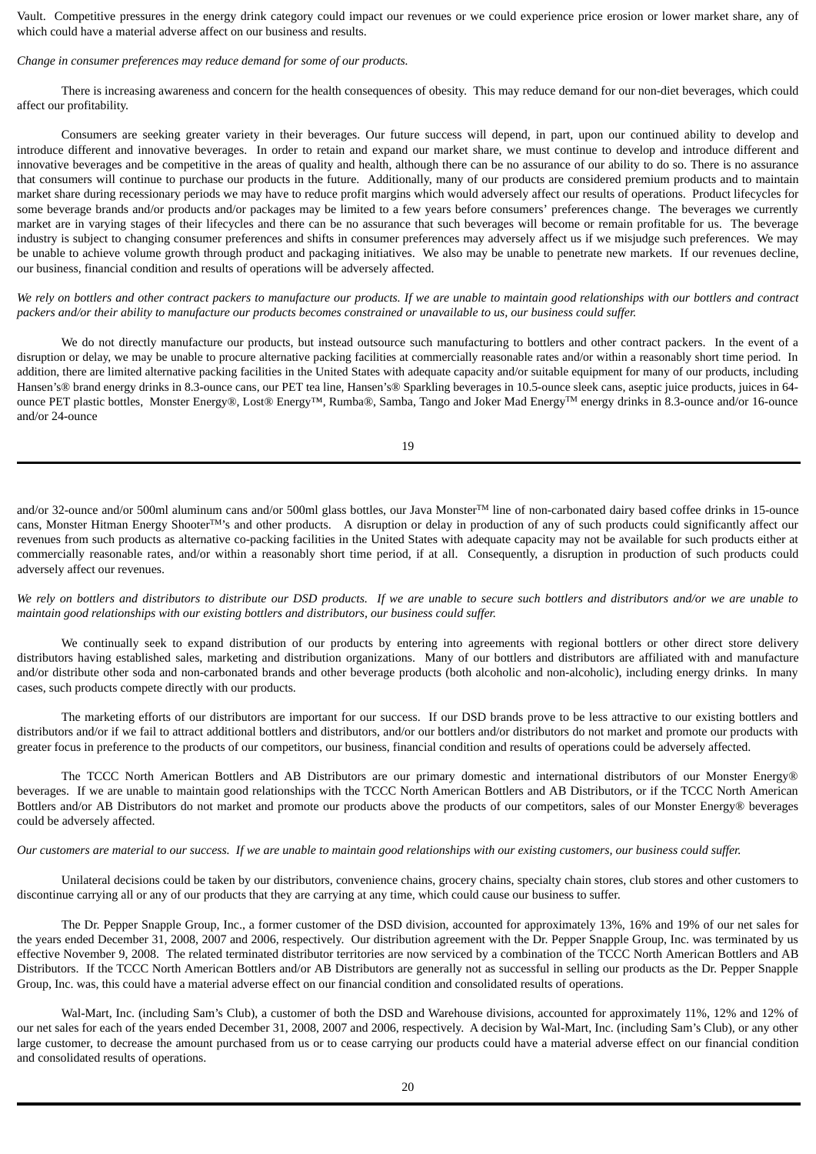Vault. Competitive pressures in the energy drink category could impact our revenues or we could experience price erosion or lower market share, any of which could have a material adverse affect on our business and results.

#### *Change in consumer preferences may reduce demand for some of our products.*

There is increasing awareness and concern for the health consequences of obesity. This may reduce demand for our non-diet beverages, which could affect our profitability.

Consumers are seeking greater variety in their beverages. Our future success will depend, in part, upon our continued ability to develop and introduce different and innovative beverages. In order to retain and expand our market share, we must continue to develop and introduce different and innovative beverages and be competitive in the areas of quality and health, although there can be no assurance of our ability to do so. There is no assurance that consumers will continue to purchase our products in the future. Additionally, many of our products are considered premium products and to maintain market share during recessionary periods we may have to reduce profit margins which would adversely affect our results of operations. Product lifecycles for some beverage brands and/or products and/or packages may be limited to a few years before consumers' preferences change. The beverages we currently market are in varying stages of their lifecycles and there can be no assurance that such beverages will become or remain profitable for us. The beverage industry is subject to changing consumer preferences and shifts in consumer preferences may adversely affect us if we misjudge such preferences. We may be unable to achieve volume growth through product and packaging initiatives. We also may be unable to penetrate new markets. If our revenues decline, our business, financial condition and results of operations will be adversely affected.

We rely on bottlers and other contract packers to manufacture our products. If we are unable to maintain good relationships with our bottlers and contract packers and/or their ability to manufacture our products becomes constrained or unavailable to us, our business could suffer.

We do not directly manufacture our products, but instead outsource such manufacturing to bottlers and other contract packers. In the event of a disruption or delay, we may be unable to procure alternative packing facilities at commercially reasonable rates and/or within a reasonably short time period. In addition, there are limited alternative packing facilities in the United States with adequate capacity and/or suitable equipment for many of our products, including Hansen's® brand energy drinks in 8.3-ounce cans, our PET tea line, Hansen's® Sparkling beverages in 10.5-ounce sleek cans, aseptic juice products, juices in 64 ounce PET plastic bottles, Monster Energy®, Lost® Energy™, Rumba®, Samba, Tango and Joker Mad Energy™ energy drinks in 8.3-ounce and/or 16-ounce and/or 24-ounce

19

and/or 32-ounce and/or 500ml aluminum cans and/or 500ml glass bottles, our Java Monster<sup>TM</sup> line of non-carbonated dairy based coffee drinks in 15-ounce cans, Monster Hitman Energy Shooter<sup>TM</sup>'s and other products. A disruption or delay in production of any of such products could significantly affect our revenues from such products as alternative co-packing facilities in the United States with adequate capacity may not be available for such products either at commercially reasonable rates, and/or within a reasonably short time period, if at all. Consequently, a disruption in production of such products could adversely affect our revenues.

We rely on bottlers and distributors to distribute our DSD products. If we are unable to secure such bottlers and distributors and/or we are unable to *maintain good relationships with our existing bottlers and distributors, our business could suffer.*

We continually seek to expand distribution of our products by entering into agreements with regional bottlers or other direct store delivery distributors having established sales, marketing and distribution organizations. Many of our bottlers and distributors are affiliated with and manufacture and/or distribute other soda and non-carbonated brands and other beverage products (both alcoholic and non-alcoholic), including energy drinks. In many cases, such products compete directly with our products.

The marketing efforts of our distributors are important for our success. If our DSD brands prove to be less attractive to our existing bottlers and distributors and/or if we fail to attract additional bottlers and distributors, and/or our bottlers and/or distributors do not market and promote our products with greater focus in preference to the products of our competitors, our business, financial condition and results of operations could be adversely affected.

The TCCC North American Bottlers and AB Distributors are our primary domestic and international distributors of our Monster Energy® beverages. If we are unable to maintain good relationships with the TCCC North American Bottlers and AB Distributors, or if the TCCC North American Bottlers and/or AB Distributors do not market and promote our products above the products of our competitors, sales of our Monster Energy® beverages could be adversely affected.

Our customers are material to our success. If we are unable to maintain good relationships with our existing customers, our business could suffer.

Unilateral decisions could be taken by our distributors, convenience chains, grocery chains, specialty chain stores, club stores and other customers to discontinue carrying all or any of our products that they are carrying at any time, which could cause our business to suffer.

The Dr. Pepper Snapple Group, Inc., a former customer of the DSD division, accounted for approximately 13%, 16% and 19% of our net sales for the years ended December 31, 2008, 2007 and 2006, respectively. Our distribution agreement with the Dr. Pepper Snapple Group, Inc. was terminated by us effective November 9, 2008. The related terminated distributor territories are now serviced by a combination of the TCCC North American Bottlers and AB Distributors. If the TCCC North American Bottlers and/or AB Distributors are generally not as successful in selling our products as the Dr. Pepper Snapple Group, Inc. was, this could have a material adverse effect on our financial condition and consolidated results of operations.

Wal-Mart, Inc. (including Sam's Club), a customer of both the DSD and Warehouse divisions, accounted for approximately 11%, 12% and 12% of our net sales for each of the years ended December 31, 2008, 2007 and 2006, respectively. A decision by Wal-Mart, Inc. (including Sam's Club), or any other large customer, to decrease the amount purchased from us or to cease carrying our products could have a material adverse effect on our financial condition and consolidated results of operations.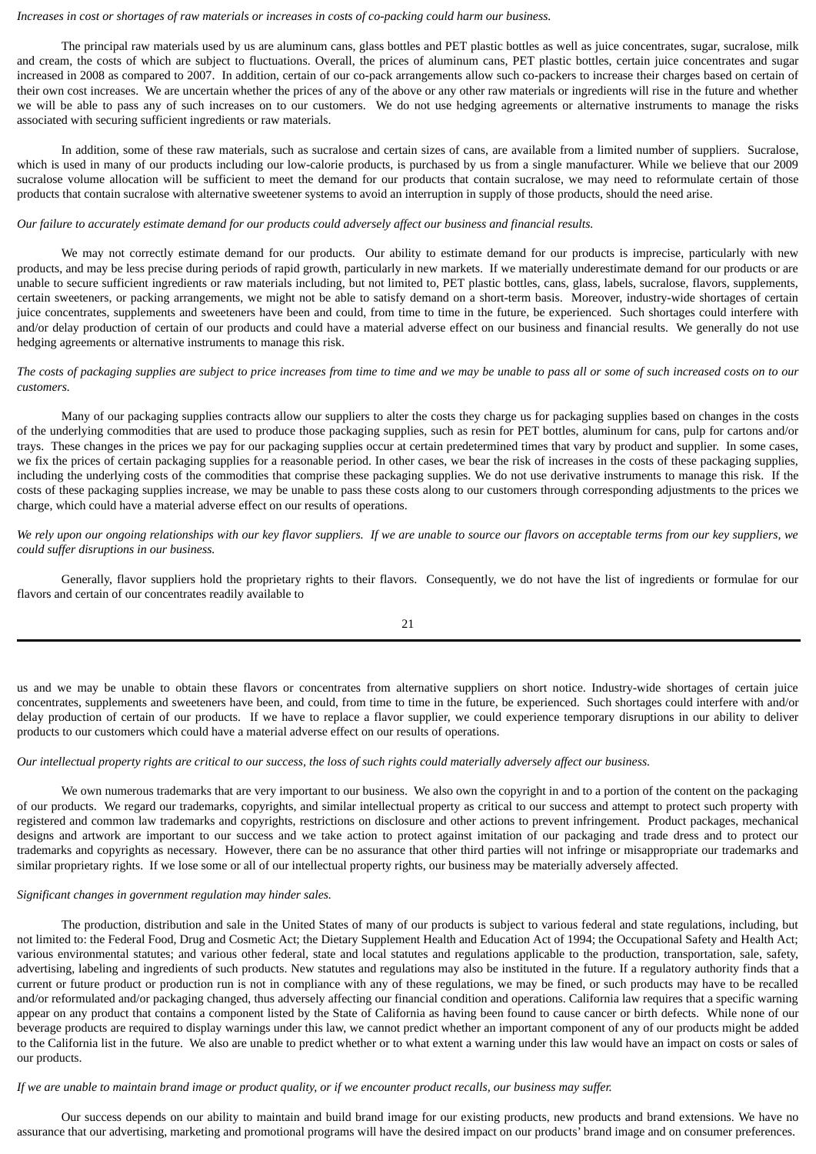#### Increases in cost or shortages of raw materials or increases in costs of co-packing could harm our business.

The principal raw materials used by us are aluminum cans, glass bottles and PET plastic bottles as well as juice concentrates, sugar, sucralose, milk and cream, the costs of which are subject to fluctuations. Overall, the prices of aluminum cans, PET plastic bottles, certain juice concentrates and sugar increased in 2008 as compared to 2007. In addition, certain of our co-pack arrangements allow such co-packers to increase their charges based on certain of their own cost increases. We are uncertain whether the prices of any of the above or any other raw materials or ingredients will rise in the future and whether we will be able to pass any of such increases on to our customers. We do not use hedging agreements or alternative instruments to manage the risks associated with securing sufficient ingredients or raw materials.

In addition, some of these raw materials, such as sucralose and certain sizes of cans, are available from a limited number of suppliers. Sucralose, which is used in many of our products including our low-calorie products, is purchased by us from a single manufacturer. While we believe that our 2009 sucralose volume allocation will be sufficient to meet the demand for our products that contain sucralose, we may need to reformulate certain of those products that contain sucralose with alternative sweetener systems to avoid an interruption in supply of those products, should the need arise.

### Our failure to accurately estimate demand for our products could adversely affect our business and financial results.

We may not correctly estimate demand for our products. Our ability to estimate demand for our products is imprecise, particularly with new products, and may be less precise during periods of rapid growth, particularly in new markets. If we materially underestimate demand for our products or are unable to secure sufficient ingredients or raw materials including, but not limited to, PET plastic bottles, cans, glass, labels, sucralose, flavors, supplements, certain sweeteners, or packing arrangements, we might not be able to satisfy demand on a short-term basis. Moreover, industry-wide shortages of certain juice concentrates, supplements and sweeteners have been and could, from time to time in the future, be experienced. Such shortages could interfere with and/or delay production of certain of our products and could have a material adverse effect on our business and financial results. We generally do not use hedging agreements or alternative instruments to manage this risk.

The costs of packaging supplies are subject to price increases from time to time and we may be unable to pass all or some of such increased costs on to our *customers.*

Many of our packaging supplies contracts allow our suppliers to alter the costs they charge us for packaging supplies based on changes in the costs of the underlying commodities that are used to produce those packaging supplies, such as resin for PET bottles, aluminum for cans, pulp for cartons and/or trays. These changes in the prices we pay for our packaging supplies occur at certain predetermined times that vary by product and supplier. In some cases, we fix the prices of certain packaging supplies for a reasonable period. In other cases, we bear the risk of increases in the costs of these packaging supplies, including the underlying costs of the commodities that comprise these packaging supplies. We do not use derivative instruments to manage this risk. If the costs of these packaging supplies increase, we may be unable to pass these costs along to our customers through corresponding adjustments to the prices we charge, which could have a material adverse effect on our results of operations.

We rely upon our ongoing relationships with our key flavor suppliers. If we are unable to source our flavors on acceptable terms from our key suppliers, we *could suffer disruptions in our business.*

Generally, flavor suppliers hold the proprietary rights to their flavors. Consequently, we do not have the list of ingredients or formulae for our flavors and certain of our concentrates readily available to

21

us and we may be unable to obtain these flavors or concentrates from alternative suppliers on short notice. Industry-wide shortages of certain juice concentrates, supplements and sweeteners have been, and could, from time to time in the future, be experienced. Such shortages could interfere with and/or delay production of certain of our products. If we have to replace a flavor supplier, we could experience temporary disruptions in our ability to deliver products to our customers which could have a material adverse effect on our results of operations.

### Our intellectual property rights are critical to our success, the loss of such rights could materially adversely affect our business.

We own numerous trademarks that are very important to our business. We also own the copyright in and to a portion of the content on the packaging of our products. We regard our trademarks, copyrights, and similar intellectual property as critical to our success and attempt to protect such property with registered and common law trademarks and copyrights, restrictions on disclosure and other actions to prevent infringement. Product packages, mechanical designs and artwork are important to our success and we take action to protect against imitation of our packaging and trade dress and to protect our trademarks and copyrights as necessary. However, there can be no assurance that other third parties will not infringe or misappropriate our trademarks and similar proprietary rights. If we lose some or all of our intellectual property rights, our business may be materially adversely affected.

#### *Significant changes in government regulation may hinder sales.*

The production, distribution and sale in the United States of many of our products is subject to various federal and state regulations, including, but not limited to: the Federal Food, Drug and Cosmetic Act; the Dietary Supplement Health and Education Act of 1994; the Occupational Safety and Health Act; various environmental statutes; and various other federal, state and local statutes and regulations applicable to the production, transportation, sale, safety, advertising, labeling and ingredients of such products. New statutes and regulations may also be instituted in the future. If a regulatory authority finds that a current or future product or production run is not in compliance with any of these regulations, we may be fined, or such products may have to be recalled and/or reformulated and/or packaging changed, thus adversely affecting our financial condition and operations. California law requires that a specific warning appear on any product that contains a component listed by the State of California as having been found to cause cancer or birth defects. While none of our beverage products are required to display warnings under this law, we cannot predict whether an important component of any of our products might be added to the California list in the future. We also are unable to predict whether or to what extent a warning under this law would have an impact on costs or sales of our products.

If we are unable to maintain brand image or product quality, or if we encounter product recalls, our business may suffer.

Our success depends on our ability to maintain and build brand image for our existing products, new products and brand extensions. We have no assurance that our advertising, marketing and promotional programs will have the desired impact on our products' brand image and on consumer preferences.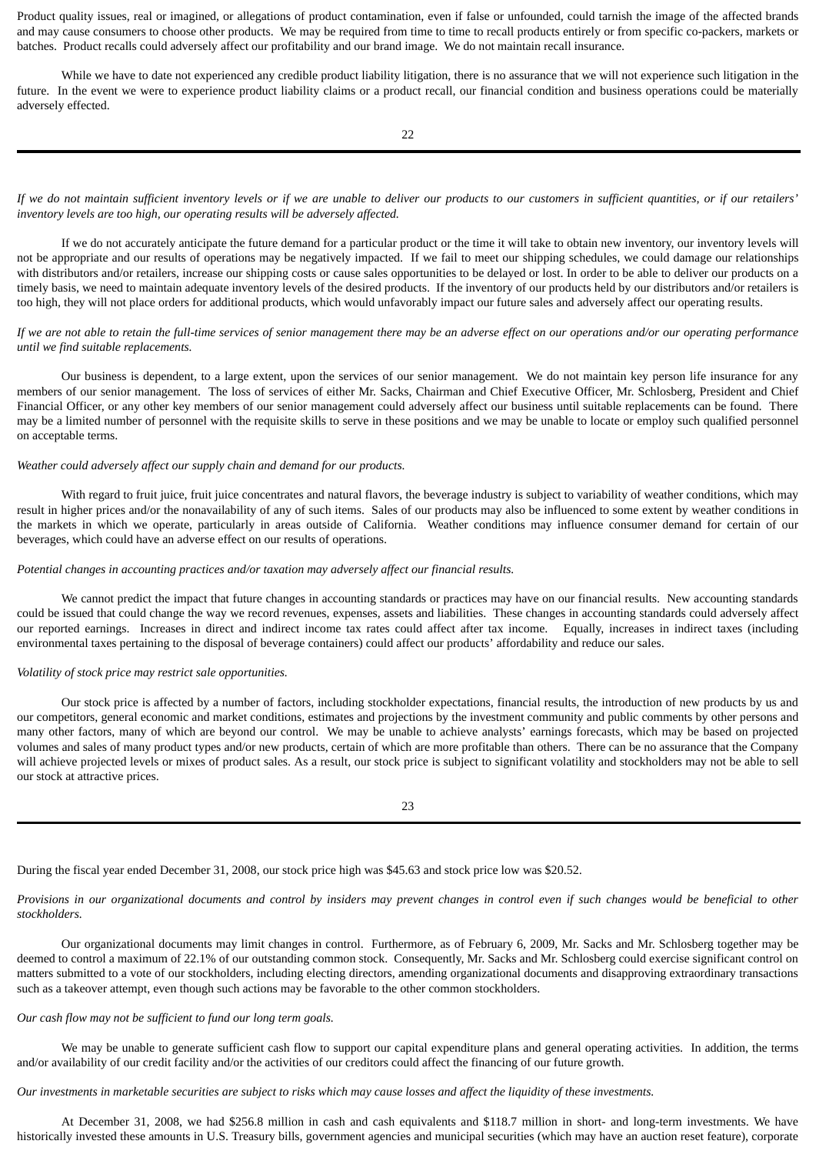Product quality issues, real or imagined, or allegations of product contamination, even if false or unfounded, could tarnish the image of the affected brands and may cause consumers to choose other products. We may be required from time to time to recall products entirely or from specific co-packers, markets or batches. Product recalls could adversely affect our profitability and our brand image. We do not maintain recall insurance.

While we have to date not experienced any credible product liability litigation, there is no assurance that we will not experience such litigation in the future. In the event we were to experience product liability claims or a product recall, our financial condition and business operations could be materially adversely effected.

If we do not maintain sufficient inventory levels or if we are unable to deliver our products to our customers in sufficient quantities, or if our retailers' *inventory levels are too high, our operating results will be adversely affected.*

If we do not accurately anticipate the future demand for a particular product or the time it will take to obtain new inventory, our inventory levels will not be appropriate and our results of operations may be negatively impacted. If we fail to meet our shipping schedules, we could damage our relationships with distributors and/or retailers, increase our shipping costs or cause sales opportunities to be delayed or lost. In order to be able to deliver our products on a timely basis, we need to maintain adequate inventory levels of the desired products. If the inventory of our products held by our distributors and/or retailers is too high, they will not place orders for additional products, which would unfavorably impact our future sales and adversely affect our operating results.

If we are not able to retain the full-time services of senior management there may be an adverse effect on our operations and/or our operating performance *until we find suitable replacements.*

Our business is dependent, to a large extent, upon the services of our senior management. We do not maintain key person life insurance for any members of our senior management. The loss of services of either Mr. Sacks, Chairman and Chief Executive Officer, Mr. Schlosberg, President and Chief Financial Officer, or any other key members of our senior management could adversely affect our business until suitable replacements can be found. There may be a limited number of personnel with the requisite skills to serve in these positions and we may be unable to locate or employ such qualified personnel on acceptable terms.

#### *Weather could adversely affect our supply chain and demand for our products.*

With regard to fruit juice, fruit juice concentrates and natural flavors, the beverage industry is subject to variability of weather conditions, which may result in higher prices and/or the nonavailability of any of such items. Sales of our products may also be influenced to some extent by weather conditions in the markets in which we operate, particularly in areas outside of California. Weather conditions may influence consumer demand for certain of our beverages, which could have an adverse effect on our results of operations.

#### *Potential changes in accounting practices and/or taxation may adversely affect our financial results.*

We cannot predict the impact that future changes in accounting standards or practices may have on our financial results. New accounting standards could be issued that could change the way we record revenues, expenses, assets and liabilities. These changes in accounting standards could adversely affect our reported earnings. Increases in direct and indirect income tax rates could affect after tax income. Equally, increases in indirect taxes (including environmental taxes pertaining to the disposal of beverage containers) could affect our products' affordability and reduce our sales.

#### *Volatility of stock price may restrict sale opportunities.*

Our stock price is affected by a number of factors, including stockholder expectations, financial results, the introduction of new products by us and our competitors, general economic and market conditions, estimates and projections by the investment community and public comments by other persons and many other factors, many of which are beyond our control. We may be unable to achieve analysts' earnings forecasts, which may be based on projected volumes and sales of many product types and/or new products, certain of which are more profitable than others. There can be no assurance that the Company will achieve projected levels or mixes of product sales. As a result, our stock price is subject to significant volatility and stockholders may not be able to sell our stock at attractive prices.

During the fiscal year ended December 31, 2008, our stock price high was \$45.63 and stock price low was \$20.52.

Provisions in our organizational documents and control by insiders may prevent changes in control even if such changes would be beneficial to other *stockholders.*

Our organizational documents may limit changes in control. Furthermore, as of February 6, 2009, Mr. Sacks and Mr. Schlosberg together may be deemed to control a maximum of 22.1% of our outstanding common stock. Consequently, Mr. Sacks and Mr. Schlosberg could exercise significant control on matters submitted to a vote of our stockholders, including electing directors, amending organizational documents and disapproving extraordinary transactions such as a takeover attempt, even though such actions may be favorable to the other common stockholders.

# *Our cash flow may not be sufficient to fund our long term goals.*

We may be unable to generate sufficient cash flow to support our capital expenditure plans and general operating activities. In addition, the terms and/or availability of our credit facility and/or the activities of our creditors could affect the financing of our future growth.

Our investments in marketable securities are subject to risks which may cause losses and affect the liquidity of these investments.

At December 31, 2008, we had \$256.8 million in cash and cash equivalents and \$118.7 million in short- and long-term investments. We have historically invested these amounts in U.S. Treasury bills, government agencies and municipal securities (which may have an auction reset feature), corporate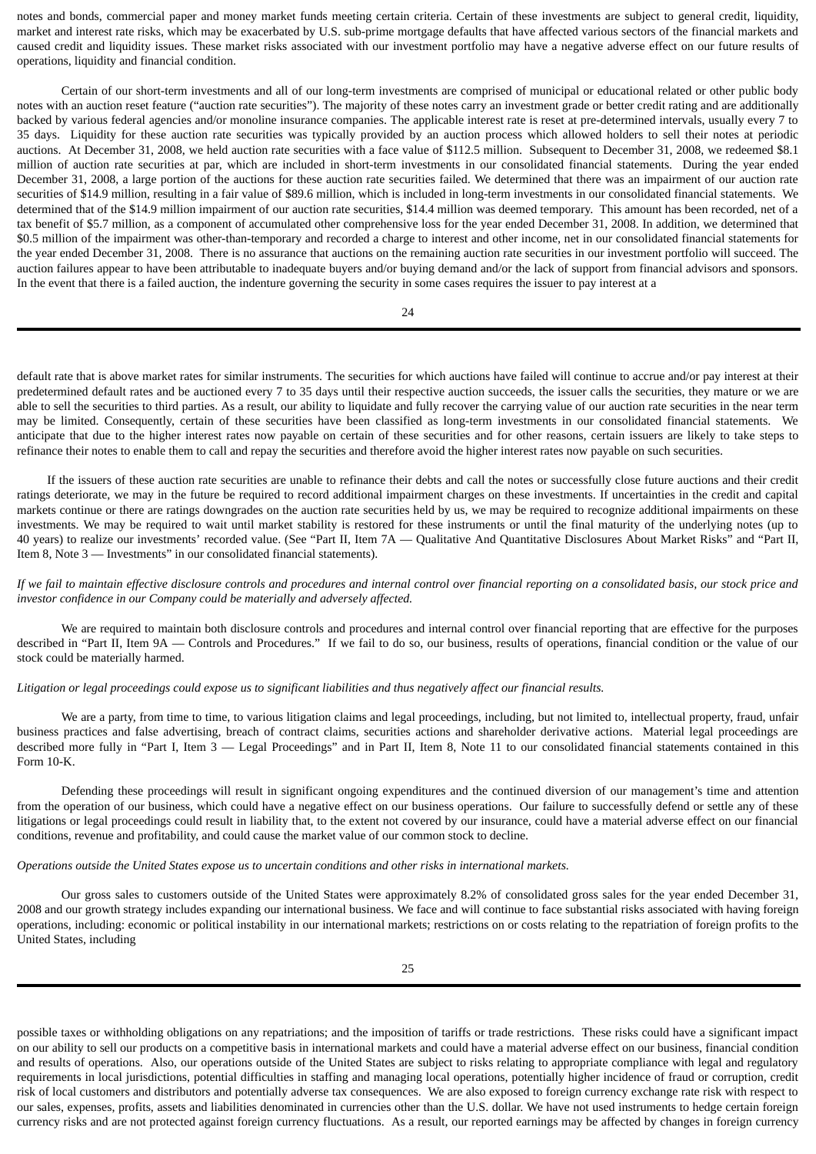notes and bonds, commercial paper and money market funds meeting certain criteria. Certain of these investments are subject to general credit, liquidity, market and interest rate risks, which may be exacerbated by U.S. sub-prime mortgage defaults that have affected various sectors of the financial markets and caused credit and liquidity issues. These market risks associated with our investment portfolio may have a negative adverse effect on our future results of operations, liquidity and financial condition.

Certain of our short-term investments and all of our long-term investments are comprised of municipal or educational related or other public body notes with an auction reset feature ("auction rate securities"). The majority of these notes carry an investment grade or better credit rating and are additionally backed by various federal agencies and/or monoline insurance companies. The applicable interest rate is reset at pre-determined intervals, usually every 7 to 35 days. Liquidity for these auction rate securities was typically provided by an auction process which allowed holders to sell their notes at periodic auctions. At December 31, 2008, we held auction rate securities with a face value of \$112.5 million. Subsequent to December 31, 2008, we redeemed \$8.1 million of auction rate securities at par, which are included in short-term investments in our consolidated financial statements. During the year ended December 31, 2008, a large portion of the auctions for these auction rate securities failed. We determined that there was an impairment of our auction rate securities of \$14.9 million, resulting in a fair value of \$89.6 million, which is included in long-term investments in our consolidated financial statements. We determined that of the \$14.9 million impairment of our auction rate securities, \$14.4 million was deemed temporary. This amount has been recorded, net of a tax benefit of \$5.7 million, as a component of accumulated other comprehensive loss for the year ended December 31, 2008. In addition, we determined that \$0.5 million of the impairment was other-than-temporary and recorded a charge to interest and other income, net in our consolidated financial statements for the year ended December 31, 2008. There is no assurance that auctions on the remaining auction rate securities in our investment portfolio will succeed. The auction failures appear to have been attributable to inadequate buyers and/or buying demand and/or the lack of support from financial advisors and sponsors. In the event that there is a failed auction, the indenture governing the security in some cases requires the issuer to pay interest at a

### 24

default rate that is above market rates for similar instruments. The securities for which auctions have failed will continue to accrue and/or pay interest at their predetermined default rates and be auctioned every 7 to 35 days until their respective auction succeeds, the issuer calls the securities, they mature or we are able to sell the securities to third parties. As a result, our ability to liquidate and fully recover the carrying value of our auction rate securities in the near term may be limited. Consequently, certain of these securities have been classified as long-term investments in our consolidated financial statements. We anticipate that due to the higher interest rates now payable on certain of these securities and for other reasons, certain issuers are likely to take steps to refinance their notes to enable them to call and repay the securities and therefore avoid the higher interest rates now payable on such securities.

If the issuers of these auction rate securities are unable to refinance their debts and call the notes or successfully close future auctions and their credit ratings deteriorate, we may in the future be required to record additional impairment charges on these investments. If uncertainties in the credit and capital markets continue or there are ratings downgrades on the auction rate securities held by us, we may be required to recognize additional impairments on these investments. We may be required to wait until market stability is restored for these instruments or until the final maturity of the underlying notes (up to 40 years) to realize our investments' recorded value. (See "Part II, Item 7A — Qualitative And Quantitative Disclosures About Market Risks" and "Part II, Item 8, Note 3 — Investments" in our consolidated financial statements).

If we fail to maintain effective disclosure controls and procedures and internal control over financial reporting on a consolidated basis, our stock price and *investor confidence in our Company could be materially and adversely affected.*

We are required to maintain both disclosure controls and procedures and internal control over financial reporting that are effective for the purposes described in "Part II, Item 9A — Controls and Procedures." If we fail to do so, our business, results of operations, financial condition or the value of our stock could be materially harmed.

Litigation or legal proceedings could expose us to significant liabilities and thus negatively affect our financial results.

We are a party, from time to time, to various litigation claims and legal proceedings, including, but not limited to, intellectual property, fraud, unfair business practices and false advertising, breach of contract claims, securities actions and shareholder derivative actions. Material legal proceedings are described more fully in "Part I, Item 3 — Legal Proceedings" and in Part II, Item 8, Note 11 to our consolidated financial statements contained in this Form 10-K.

Defending these proceedings will result in significant ongoing expenditures and the continued diversion of our management's time and attention from the operation of our business, which could have a negative effect on our business operations. Our failure to successfully defend or settle any of these litigations or legal proceedings could result in liability that, to the extent not covered by our insurance, could have a material adverse effect on our financial conditions, revenue and profitability, and could cause the market value of our common stock to decline.

*Operations outside the United States expose us to uncertain conditions and other risks in international markets.*

Our gross sales to customers outside of the United States were approximately 8.2% of consolidated gross sales for the year ended December 31, 2008 and our growth strategy includes expanding our international business. We face and will continue to face substantial risks associated with having foreign operations, including: economic or political instability in our international markets; restrictions on or costs relating to the repatriation of foreign profits to the United States, including

possible taxes or withholding obligations on any repatriations; and the imposition of tariffs or trade restrictions. These risks could have a significant impact on our ability to sell our products on a competitive basis in international markets and could have a material adverse effect on our business, financial condition and results of operations. Also, our operations outside of the United States are subject to risks relating to appropriate compliance with legal and regulatory requirements in local jurisdictions, potential difficulties in staffing and managing local operations, potentially higher incidence of fraud or corruption, credit risk of local customers and distributors and potentially adverse tax consequences. We are also exposed to foreign currency exchange rate risk with respect to our sales, expenses, profits, assets and liabilities denominated in currencies other than the U.S. dollar. We have not used instruments to hedge certain foreign currency risks and are not protected against foreign currency fluctuations. As a result, our reported earnings may be affected by changes in foreign currency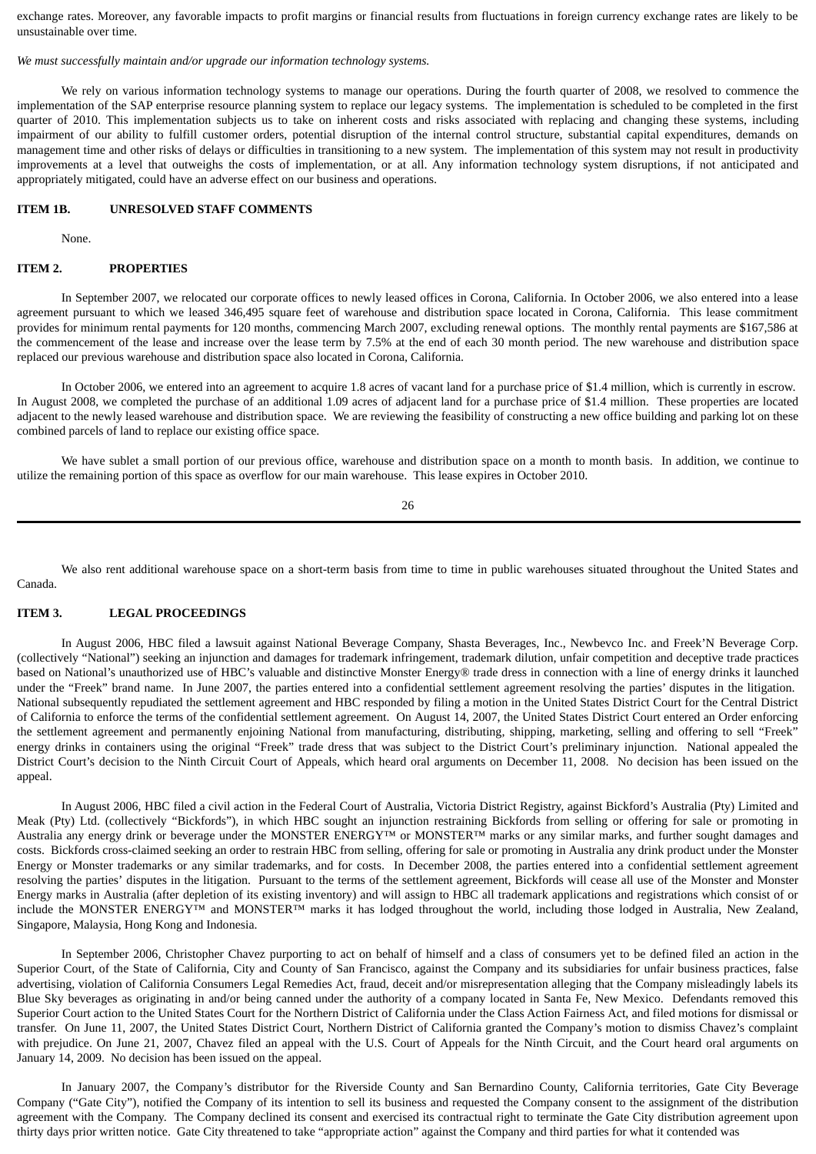exchange rates. Moreover, any favorable impacts to profit margins or financial results from fluctuations in foreign currency exchange rates are likely to be unsustainable over time.

*We must successfully maintain and/or upgrade our information technology systems.*

We rely on various information technology systems to manage our operations. During the fourth quarter of 2008, we resolved to commence the implementation of the SAP enterprise resource planning system to replace our legacy systems. The implementation is scheduled to be completed in the first quarter of 2010. This implementation subjects us to take on inherent costs and risks associated with replacing and changing these systems, including impairment of our ability to fulfill customer orders, potential disruption of the internal control structure, substantial capital expenditures, demands on management time and other risks of delays or difficulties in transitioning to a new system. The implementation of this system may not result in productivity improvements at a level that outweighs the costs of implementation, or at all. Any information technology system disruptions, if not anticipated and appropriately mitigated, could have an adverse effect on our business and operations.

#### **ITEM 1B. UNRESOLVED STAFF COMMENTS**

<span id="page-15-1"></span><span id="page-15-0"></span>None.

### **ITEM 2. PROPERTIES**

In September 2007, we relocated our corporate offices to newly leased offices in Corona, California. In October 2006, we also entered into a lease agreement pursuant to which we leased 346,495 square feet of warehouse and distribution space located in Corona, California. This lease commitment provides for minimum rental payments for 120 months, commencing March 2007, excluding renewal options. The monthly rental payments are \$167,586 at the commencement of the lease and increase over the lease term by 7.5% at the end of each 30 month period. The new warehouse and distribution space replaced our previous warehouse and distribution space also located in Corona, California.

In October 2006, we entered into an agreement to acquire 1.8 acres of vacant land for a purchase price of \$1.4 million, which is currently in escrow. In August 2008, we completed the purchase of an additional 1.09 acres of adjacent land for a purchase price of \$1.4 million. These properties are located adjacent to the newly leased warehouse and distribution space. We are reviewing the feasibility of constructing a new office building and parking lot on these combined parcels of land to replace our existing office space.

We have sublet a small portion of our previous office, warehouse and distribution space on a month to month basis. In addition, we continue to utilize the remaining portion of this space as overflow for our main warehouse. This lease expires in October 2010.

```
26
```
We also rent additional warehouse space on a short-term basis from time to time in public warehouses situated throughout the United States and Canada.

#### **ITEM 3. LEGAL PROCEEDINGS**

In August 2006, HBC filed a lawsuit against National Beverage Company, Shasta Beverages, Inc., Newbevco Inc. and Freek'N Beverage Corp. (collectively "National") seeking an injunction and damages for trademark infringement, trademark dilution, unfair competition and deceptive trade practices based on National's unauthorized use of HBC's valuable and distinctive Monster Energy® trade dress in connection with a line of energy drinks it launched under the "Freek" brand name. In June 2007, the parties entered into a confidential settlement agreement resolving the parties' disputes in the litigation. National subsequently repudiated the settlement agreement and HBC responded by filing a motion in the United States District Court for the Central District of California to enforce the terms of the confidential settlement agreement. On August 14, 2007, the United States District Court entered an Order enforcing the settlement agreement and permanently enjoining National from manufacturing, distributing, shipping, marketing, selling and offering to sell "Freek" energy drinks in containers using the original "Freek" trade dress that was subject to the District Court's preliminary injunction. National appealed the District Court's decision to the Ninth Circuit Court of Appeals, which heard oral arguments on December 11, 2008. No decision has been issued on the appeal.

In August 2006, HBC filed a civil action in the Federal Court of Australia, Victoria District Registry, against Bickford's Australia (Pty) Limited and Meak (Pty) Ltd. (collectively "Bickfords"), in which HBC sought an injunction restraining Bickfords from selling or offering for sale or promoting in Australia any energy drink or beverage under the MONSTER ENERGY™ or MONSTER™ marks or any similar marks, and further sought damages and costs. Bickfords cross-claimed seeking an order to restrain HBC from selling, offering for sale or promoting in Australia any drink product under the Monster Energy or Monster trademarks or any similar trademarks, and for costs. In December 2008, the parties entered into a confidential settlement agreement resolving the parties' disputes in the litigation. Pursuant to the terms of the settlement agreement, Bickfords will cease all use of the Monster and Monster Energy marks in Australia (after depletion of its existing inventory) and will assign to HBC all trademark applications and registrations which consist of or include the MONSTER ENERGY™ and MONSTER™ marks it has lodged throughout the world, including those lodged in Australia, New Zealand, Singapore, Malaysia, Hong Kong and Indonesia.

In September 2006, Christopher Chavez purporting to act on behalf of himself and a class of consumers yet to be defined filed an action in the Superior Court, of the State of California, City and County of San Francisco, against the Company and its subsidiaries for unfair business practices, false advertising, violation of California Consumers Legal Remedies Act, fraud, deceit and/or misrepresentation alleging that the Company misleadingly labels its Blue Sky beverages as originating in and/or being canned under the authority of a company located in Santa Fe, New Mexico. Defendants removed this Superior Court action to the United States Court for the Northern District of California under the Class Action Fairness Act, and filed motions for dismissal or transfer. On June 11, 2007, the United States District Court, Northern District of California granted the Company's motion to dismiss Chavez's complaint with prejudice. On June 21, 2007, Chavez filed an appeal with the U.S. Court of Appeals for the Ninth Circuit, and the Court heard oral arguments on January 14, 2009. No decision has been issued on the appeal.

In January 2007, the Company's distributor for the Riverside County and San Bernardino County, California territories, Gate City Beverage Company ("Gate City"), notified the Company of its intention to sell its business and requested the Company consent to the assignment of the distribution agreement with the Company. The Company declined its consent and exercised its contractual right to terminate the Gate City distribution agreement upon thirty days prior written notice. Gate City threatened to take "appropriate action" against the Company and third parties for what it contended was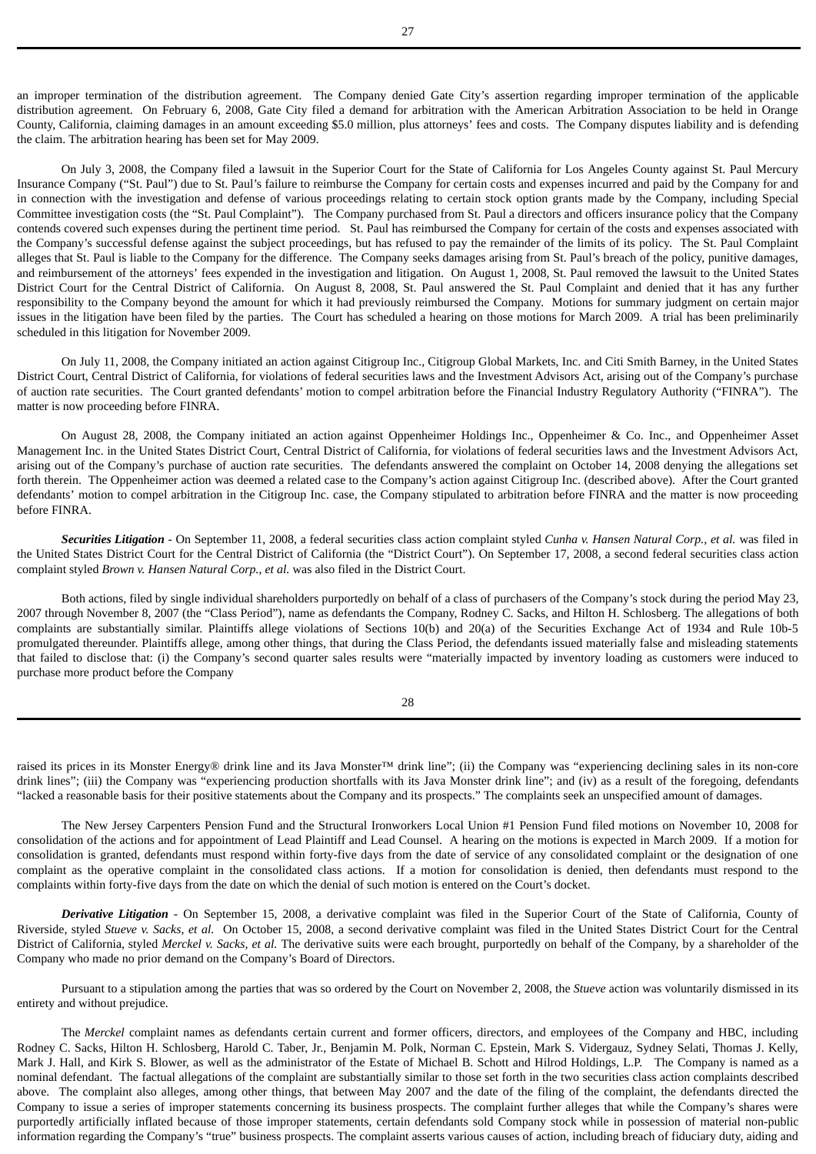an improper termination of the distribution agreement. The Company denied Gate City's assertion regarding improper termination of the applicable distribution agreement. On February 6, 2008, Gate City filed a demand for arbitration with the American Arbitration Association to be held in Orange County, California, claiming damages in an amount exceeding \$5.0 million, plus attorneys' fees and costs. The Company disputes liability and is defending the claim. The arbitration hearing has been set for May 2009.

On July 3, 2008, the Company filed a lawsuit in the Superior Court for the State of California for Los Angeles County against St. Paul Mercury Insurance Company ("St. Paul") due to St. Paul's failure to reimburse the Company for certain costs and expenses incurred and paid by the Company for and in connection with the investigation and defense of various proceedings relating to certain stock option grants made by the Company, including Special Committee investigation costs (the "St. Paul Complaint"). The Company purchased from St. Paul a directors and officers insurance policy that the Company contends covered such expenses during the pertinent time period. St. Paul has reimbursed the Company for certain of the costs and expenses associated with the Company's successful defense against the subject proceedings, but has refused to pay the remainder of the limits of its policy. The St. Paul Complaint alleges that St. Paul is liable to the Company for the difference. The Company seeks damages arising from St. Paul's breach of the policy, punitive damages, and reimbursement of the attorneys' fees expended in the investigation and litigation. On August 1, 2008, St. Paul removed the lawsuit to the United States District Court for the Central District of California. On August 8, 2008, St. Paul answered the St. Paul Complaint and denied that it has any further responsibility to the Company beyond the amount for which it had previously reimbursed the Company. Motions for summary judgment on certain major issues in the litigation have been filed by the parties. The Court has scheduled a hearing on those motions for March 2009. A trial has been preliminarily scheduled in this litigation for November 2009.

On July 11, 2008, the Company initiated an action against Citigroup Inc., Citigroup Global Markets, Inc. and Citi Smith Barney, in the United States District Court, Central District of California, for violations of federal securities laws and the Investment Advisors Act, arising out of the Company's purchase of auction rate securities. The Court granted defendants' motion to compel arbitration before the Financial Industry Regulatory Authority ("FINRA"). The matter is now proceeding before FINRA.

On August 28, 2008, the Company initiated an action against Oppenheimer Holdings Inc., Oppenheimer & Co. Inc., and Oppenheimer Asset Management Inc. in the United States District Court, Central District of California, for violations of federal securities laws and the Investment Advisors Act, arising out of the Company's purchase of auction rate securities. The defendants answered the complaint on October 14, 2008 denying the allegations set forth therein. The Oppenheimer action was deemed a related case to the Company's action against Citigroup Inc. (described above). After the Court granted defendants' motion to compel arbitration in the Citigroup Inc. case, the Company stipulated to arbitration before FINRA and the matter is now proceeding before FINRA.

*Securities Litigation* - On September 11, 2008, a federal securities class action complaint styled *Cunha v. Hansen Natural Corp., et al.* was filed in the United States District Court for the Central District of California (the "District Court"). On September 17, 2008, a second federal securities class action complaint styled *Brown v. Hansen Natural Corp., et al.* was also filed in the District Court.

Both actions, filed by single individual shareholders purportedly on behalf of a class of purchasers of the Company's stock during the period May 23, 2007 through November 8, 2007 (the "Class Period"), name as defendants the Company, Rodney C. Sacks, and Hilton H. Schlosberg. The allegations of both complaints are substantially similar. Plaintiffs allege violations of Sections 10(b) and 20(a) of the Securities Exchange Act of 1934 and Rule 10b-5 promulgated thereunder. Plaintiffs allege, among other things, that during the Class Period, the defendants issued materially false and misleading statements that failed to disclose that: (i) the Company's second quarter sales results were "materially impacted by inventory loading as customers were induced to purchase more product before the Company

raised its prices in its Monster Energy® drink line and its Java Monster™ drink line"; (ii) the Company was "experiencing declining sales in its non-core drink lines"; (iii) the Company was "experiencing production shortfalls with its Java Monster drink line"; and (iv) as a result of the foregoing, defendants "lacked a reasonable basis for their positive statements about the Company and its prospects." The complaints seek an unspecified amount of damages.

The New Jersey Carpenters Pension Fund and the Structural Ironworkers Local Union #1 Pension Fund filed motions on November 10, 2008 for consolidation of the actions and for appointment of Lead Plaintiff and Lead Counsel. A hearing on the motions is expected in March 2009. If a motion for consolidation is granted, defendants must respond within forty-five days from the date of service of any consolidated complaint or the designation of one complaint as the operative complaint in the consolidated class actions. If a motion for consolidation is denied, then defendants must respond to the complaints within forty-five days from the date on which the denial of such motion is entered on the Court's docket.

*Derivative Litigation* - On September 15, 2008, a derivative complaint was filed in the Superior Court of the State of California, County of Riverside, styled *Stueve v. Sacks, et al.* On October 15, 2008, a second derivative complaint was filed in the United States District Court for the Central District of California, styled *Merckel v. Sacks, et al.* The derivative suits were each brought, purportedly on behalf of the Company, by a shareholder of the Company who made no prior demand on the Company's Board of Directors.

Pursuant to a stipulation among the parties that was so ordered by the Court on November 2, 2008, the *Stueve* action was voluntarily dismissed in its entirety and without prejudice.

The *Merckel* complaint names as defendants certain current and former officers, directors, and employees of the Company and HBC, including Rodney C. Sacks, Hilton H. Schlosberg, Harold C. Taber, Jr., Benjamin M. Polk, Norman C. Epstein, Mark S. Vidergauz, Sydney Selati, Thomas J. Kelly, Mark J. Hall, and Kirk S. Blower, as well as the administrator of the Estate of Michael B. Schott and Hilrod Holdings, L.P. The Company is named as a nominal defendant. The factual allegations of the complaint are substantially similar to those set forth in the two securities class action complaints described above. The complaint also alleges, among other things, that between May 2007 and the date of the filing of the complaint, the defendants directed the Company to issue a series of improper statements concerning its business prospects. The complaint further alleges that while the Company's shares were purportedly artificially inflated because of those improper statements, certain defendants sold Company stock while in possession of material non-public information regarding the Company's "true" business prospects. The complaint asserts various causes of action, including breach of fiduciary duty, aiding and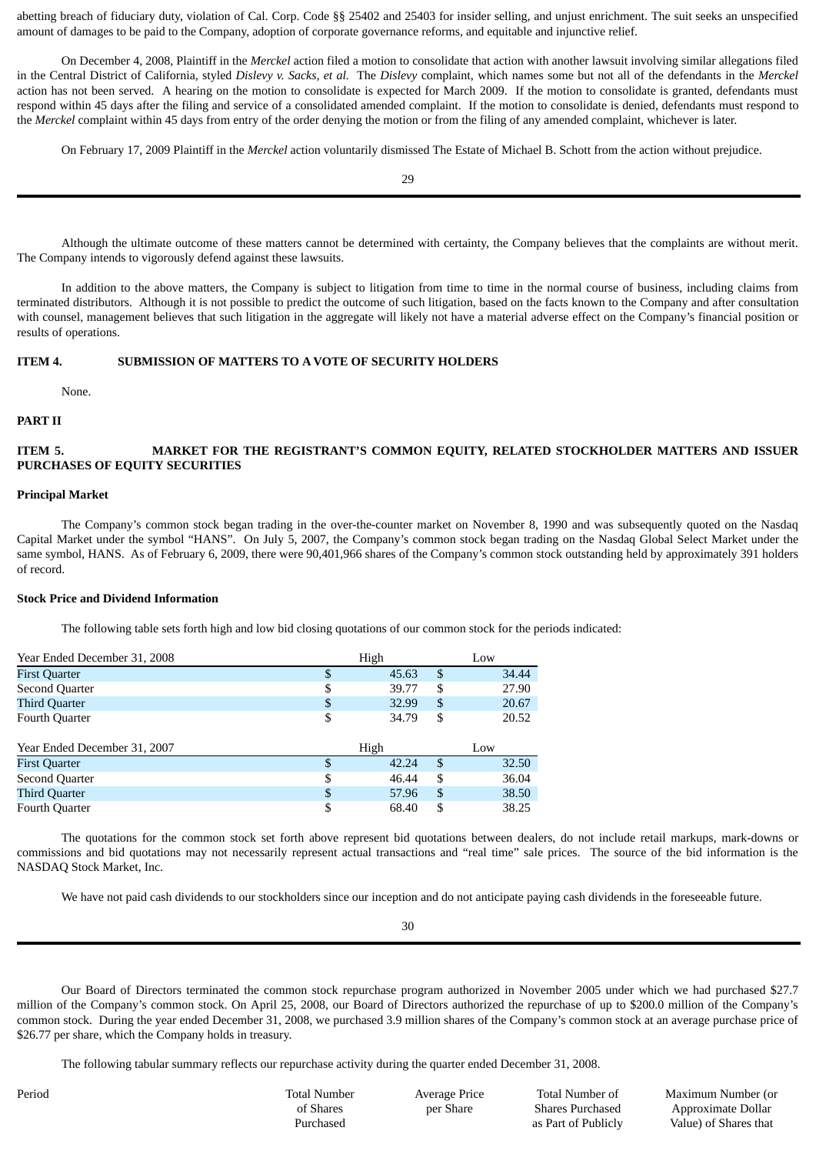abetting breach of fiduciary duty, violation of Cal. Corp. Code §§ 25402 and 25403 for insider selling, and unjust enrichment. The suit seeks an unspecified amount of damages to be paid to the Company, adoption of corporate governance reforms, and equitable and injunctive relief.

On December 4, 2008, Plaintiff in the *Merckel* action filed a motion to consolidate that action with another lawsuit involving similar allegations filed in the Central District of California, styled *Dislevy v. Sacks, et al.* The *Dislevy* complaint, which names some but not all of the defendants in the *Merckel* action has not been served. A hearing on the motion to consolidate is expected for March 2009. If the motion to consolidate is granted, defendants must respond within 45 days after the filing and service of a consolidated amended complaint. If the motion to consolidate is denied, defendants must respond to the *Merckel* complaint within 45 days from entry of the order denying the motion or from the filing of any amended complaint, whichever is later.

On February 17, 2009 Plaintiff in the *Merckel* action voluntarily dismissed The Estate of Michael B. Schott from the action without prejudice.

<span id="page-17-0"></span>29

Although the ultimate outcome of these matters cannot be determined with certainty, the Company believes that the complaints are without merit. The Company intends to vigorously defend against these lawsuits.

In addition to the above matters, the Company is subject to litigation from time to time in the normal course of business, including claims from terminated distributors. Although it is not possible to predict the outcome of such litigation, based on the facts known to the Company and after consultation with counsel, management believes that such litigation in the aggregate will likely not have a material adverse effect on the Company's financial position or results of operations.

### **ITEM 4. SUBMISSION OF MATTERS TO A VOTE OF SECURITY HOLDERS**

<span id="page-17-2"></span><span id="page-17-1"></span>None.

### **PART II**

# **ITEM 5. MARKET FOR THE REGISTRANT'S COMMON EQUITY, RELATED STOCKHOLDER MATTERS AND ISSUER PURCHASES OF EQUITY SECURITIES**

#### **Principal Market**

The Company's common stock began trading in the over-the-counter market on November 8, 1990 and was subsequently quoted on the Nasdaq Capital Market under the symbol "HANS". On July 5, 2007, the Company's common stock began trading on the Nasdaq Global Select Market under the same symbol, HANS. As of February 6, 2009, there were 90,401,966 shares of the Company's common stock outstanding held by approximately 391 holders of record.

### **Stock Price and Dividend Information**

The following table sets forth high and low bid closing quotations of our common stock for the periods indicated:

| Year Ended December 31, 2008 |    | High  |    | Low   |
|------------------------------|----|-------|----|-------|
| <b>First Quarter</b>         | \$ | 45.63 | \$ | 34.44 |
| <b>Second Quarter</b>        | \$ | 39.77 | \$ | 27.90 |
| <b>Third Quarter</b>         | \$ | 32.99 | \$ | 20.67 |
| Fourth Quarter               | \$ | 34.79 | \$ | 20.52 |
| Year Ended December 31, 2007 |    | High  |    | Low   |
| First Quarter                | S  | 42.24 | S  | 32.50 |
| Second Quarter               | \$ | 46.44 | \$ | 36.04 |
| <b>Third Quarter</b>         | \$ | 57.96 | \$ | 38.50 |
| Fourth Quarter               | \$ | 68.40 | \$ | 38.25 |

The quotations for the common stock set forth above represent bid quotations between dealers, do not include retail markups, mark-downs or commissions and bid quotations may not necessarily represent actual transactions and "real time" sale prices. The source of the bid information is the NASDAQ Stock Market, Inc.

We have not paid cash dividends to our stockholders since our inception and do not anticipate paying cash dividends in the foreseeable future.

30

Our Board of Directors terminated the common stock repurchase program authorized in November 2005 under which we had purchased \$27.7 million of the Company's common stock. On April 25, 2008, our Board of Directors authorized the repurchase of up to \$200.0 million of the Company's common stock. During the year ended December 31, 2008, we purchased 3.9 million shares of the Company's common stock at an average purchase price of \$26.77 per share, which the Company holds in treasury.

The following tabular summary reflects our repurchase activity during the quarter ended December 31, 2008.

Period Total Number of Shares Purchased

Average Price per Share

Total Number of Shares Purchased as Part of Publicly Maximum Number (or Approximate Dollar Value) of Shares that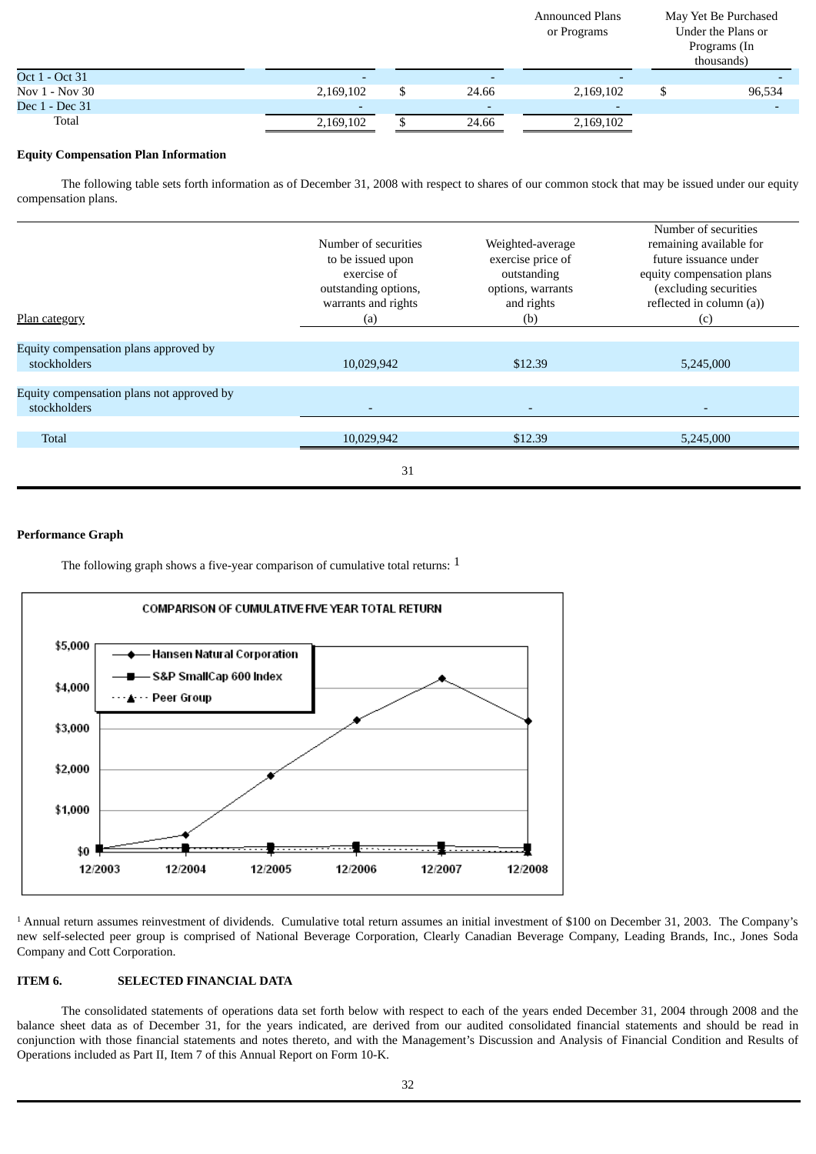|                |           |       | <b>Announced Plans</b><br>or Programs | May Yet Be Purchased<br>Under the Plans or |
|----------------|-----------|-------|---------------------------------------|--------------------------------------------|
|                |           |       |                                       | Programs (In<br>thousands)                 |
| Oct 1 - Oct 31 |           |       |                                       |                                            |
| Nov 1 - Nov 30 | 2,169,102 | 24.66 | 2,169,102                             | 96,534                                     |
| Dec 1 - Dec 31 |           |       |                                       |                                            |
| Total          | 2,169,102 | 24.66 | 2,169,102                             |                                            |

# **Equity Compensation Plan Information**

The following table sets forth information as of December 31, 2008 with respect to shares of our common stock that may be issued under our equity compensation plans.

| Plan category                             | Number of securities<br>to be issued upon<br>exercise of<br>outstanding options,<br>warrants and rights<br>(a) | Weighted-average<br>exercise price of<br>outstanding<br>options, warrants<br>and rights<br>(b) | Number of securities<br>remaining available for<br>future issuance under<br>equity compensation plans<br>(excluding securities<br>reflected in column (a))<br>(c) |
|-------------------------------------------|----------------------------------------------------------------------------------------------------------------|------------------------------------------------------------------------------------------------|-------------------------------------------------------------------------------------------------------------------------------------------------------------------|
| Equity compensation plans approved by     |                                                                                                                |                                                                                                |                                                                                                                                                                   |
| stockholders                              | 10,029,942                                                                                                     | \$12.39                                                                                        | 5,245,000                                                                                                                                                         |
| Equity compensation plans not approved by |                                                                                                                |                                                                                                |                                                                                                                                                                   |
| stockholders                              |                                                                                                                |                                                                                                |                                                                                                                                                                   |
|                                           |                                                                                                                |                                                                                                |                                                                                                                                                                   |
| <b>Total</b>                              | 10,029,942                                                                                                     | \$12.39                                                                                        | 5,245,000                                                                                                                                                         |
|                                           | 31                                                                                                             |                                                                                                |                                                                                                                                                                   |

# **Performance Graph**

The following graph shows a five-year comparison of cumulative total returns:  $^{\rm 1}$ 



<sup>1</sup> Annual return assumes reinvestment of dividends. Cumulative total return assumes an initial investment of \$100 on December 31, 2003. The Company's new self-selected peer group is comprised of National Beverage Corporation, Clearly Canadian Beverage Company, Leading Brands, Inc., Jones Soda Company and Cott Corporation.

# <span id="page-18-0"></span>**ITEM 6. SELECTED FINANCIAL DATA**

The consolidated statements of operations data set forth below with respect to each of the years ended December 31, 2004 through 2008 and the balance sheet data as of December 31, for the years indicated, are derived from our audited consolidated financial statements and should be read in conjunction with those financial statements and notes thereto, and with the Management's Discussion and Analysis of Financial Condition and Results of Operations included as Part II, Item 7 of this Annual Report on Form 10-K.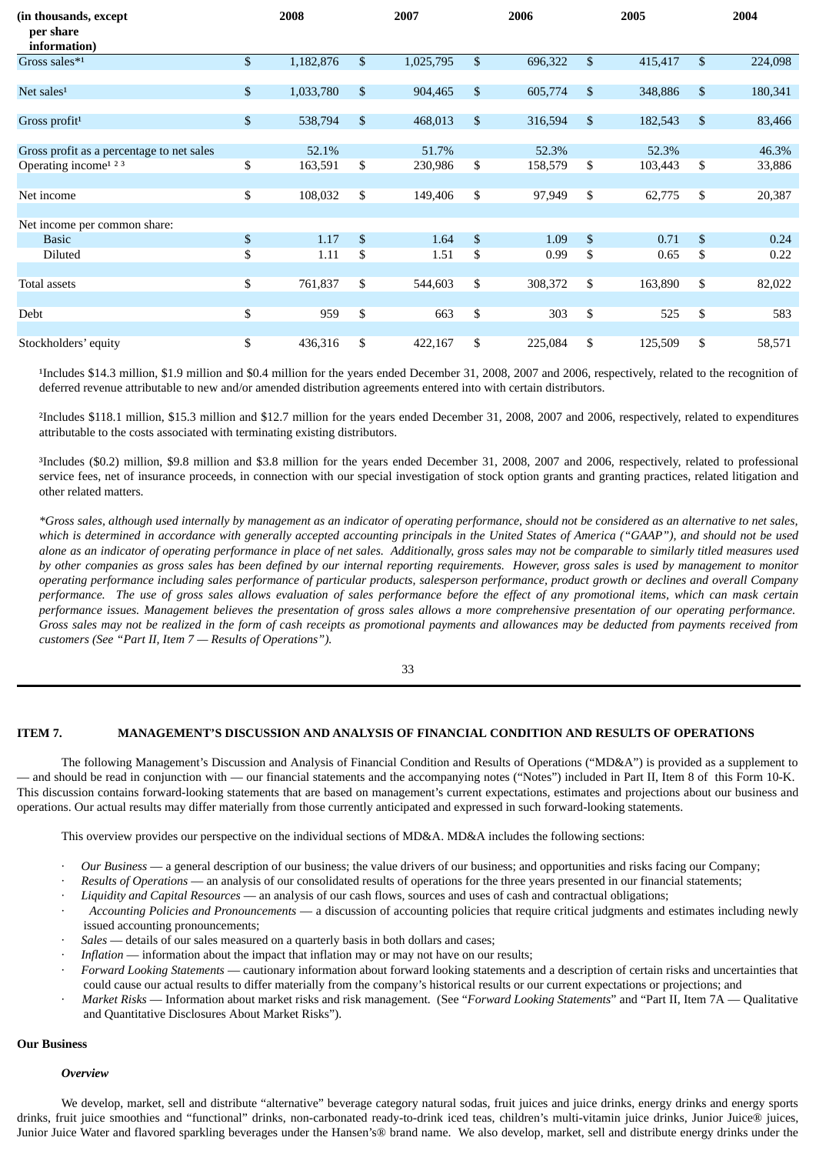| (in thousands, except)<br>per share<br>information) | 2008            | 2007            |      | 2006    | 2005          | 2004           |         |
|-----------------------------------------------------|-----------------|-----------------|------|---------|---------------|----------------|---------|
| Gross sales*1                                       | \$<br>1,182,876 | \$<br>1,025,795 | \$   | 696,322 | \$<br>415,417 | \$             | 224,098 |
|                                                     |                 |                 |      |         |               |                |         |
| Net sales <sup>1</sup>                              | \$<br>1,033,780 | \$<br>904,465   | $\$$ | 605,774 | \$<br>348,886 | $\mathfrak{S}$ | 180,341 |
| Gross profit $1$                                    | \$<br>538,794   | \$<br>468,013   | \$   | 316,594 | \$<br>182,543 | $\mathfrak s$  | 83,466  |
|                                                     |                 |                 |      |         |               |                |         |
| Gross profit as a percentage to net sales           | 52.1%           | 51.7%           |      | 52.3%   | 52.3%         |                | 46.3%   |
| Operating income <sup>1 2 3</sup>                   | \$<br>163,591   | \$<br>230,986   | \$   | 158,579 | \$<br>103,443 | \$             | 33,886  |
| Net income                                          | \$<br>108,032   | \$<br>149,406   | \$   | 97,949  | \$<br>62,775  | \$             | 20,387  |
| Net income per common share:                        |                 |                 |      |         |               |                |         |
| <b>Basic</b>                                        | \$<br>1.17      | \$<br>1.64      | \$   | 1.09    | \$<br>0.71    | $\mathfrak{S}$ | 0.24    |
| Diluted                                             | \$<br>1.11      | \$<br>1.51      | \$   | 0.99    | \$<br>0.65    | \$             | 0.22    |
|                                                     |                 |                 |      |         |               |                |         |
| Total assets                                        | \$<br>761,837   | \$<br>544,603   | \$   | 308,372 | \$<br>163,890 | \$             | 82,022  |
| Debt                                                | \$<br>959       | \$<br>663       | \$   | 303     | \$<br>525     | \$             | 583     |
| Stockholders' equity                                | \$<br>436,316   | \$<br>422,167   | \$   | 225,084 | \$<br>125,509 | \$             | 58,571  |

<sup>1</sup>Includes \$14.3 million, \$1.9 million and \$0.4 million for the years ended December 31, 2008, 2007 and 2006, respectively, related to the recognition of deferred revenue attributable to new and/or amended distribution agreements entered into with certain distributors.

²Includes \$118.1 million, \$15.3 million and \$12.7 million for the years ended December 31, 2008, 2007 and 2006, respectively, related to expenditures attributable to the costs associated with terminating existing distributors.

³Includes (\$0.2) million, \$9.8 million and \$3.8 million for the years ended December 31, 2008, 2007 and 2006, respectively, related to professional service fees, net of insurance proceeds, in connection with our special investigation of stock option grants and granting practices, related litigation and other related matters.

\*Gross sales, although used internally by management as an indicator of operating performance, should not be considered as an alternative to net sales, which is determined in accordance with generally accepted accounting principals in the United States of America ("GAAP"), and should not be used alone as an indicator of operating performance in place of net sales. Additionally, gross sales may not be comparable to similarly titled measures used by other companies as gross sales has been defined by our internal reporting requirements. However, gross sales is used by management to monitor operating performance including sales performance of particular products, salesperson performance, product growth or declines and overall Company performance. The use of gross sales allows evaluation of sales performance before the effect of any promotional items, which can mask certain performance issues. Management believes the presentation of gross sales allows a more comprehensive presentation of our operating performance. Gross sales may not be realized in the form of cash receipts as promotional payments and allowances may be deducted from payments received from *customers (See "Part II, Item 7 — Results of Operations").*

<span id="page-19-0"></span>33

# **ITEM 7. MANAGEMENT'S DISCUSSION AND ANALYSIS OF FINANCIAL CONDITION AND RESULTS OF OPERATIONS**

The following Management's Discussion and Analysis of Financial Condition and Results of Operations ("MD&A") is provided as a supplement to — and should be read in conjunction with — our financial statements and the accompanying notes ("Notes") included in Part II, Item 8 of this Form 10-K. This discussion contains forward-looking statements that are based on management's current expectations, estimates and projections about our business and operations. Our actual results may differ materially from those currently anticipated and expressed in such forward-looking statements.

This overview provides our perspective on the individual sections of MD&A. MD&A includes the following sections:

- · *Our Business* a general description of our business; the value drivers of our business; and opportunities and risks facing our Company;
- · *Results of Operations* an analysis of our consolidated results of operations for the three years presented in our financial statements;
- · *Liquidity and Capital Resources* an analysis of our cash flows, sources and uses of cash and contractual obligations;
- · *Accounting Policies and Pronouncements* a discussion of accounting policies that require critical judgments and estimates including newly issued accounting pronouncements;
- · *Sales* details of our sales measured on a quarterly basis in both dollars and cases;
- · *Inflation* information about the impact that inflation may or may not have on our results;
- · *Forward Looking Statements* cautionary information about forward looking statements and a description of certain risks and uncertainties that could cause our actual results to differ materially from the company's historical results or our current expectations or projections; and
- · *Market Risks* Information about market risks and risk management. (See "*Forward Looking Statements*" and "Part II, Item 7A Qualitative and Quantitative Disclosures About Market Risks").

### **Our Business**

#### *Overview*

We develop, market, sell and distribute "alternative" beverage category natural sodas, fruit juices and juice drinks, energy drinks and energy sports drinks, fruit juice smoothies and "functional" drinks, non-carbonated ready-to-drink iced teas, children's multi-vitamin juice drinks, Junior Juice® juices, Junior Juice Water and flavored sparkling beverages under the Hansen's® brand name. We also develop, market, sell and distribute energy drinks under the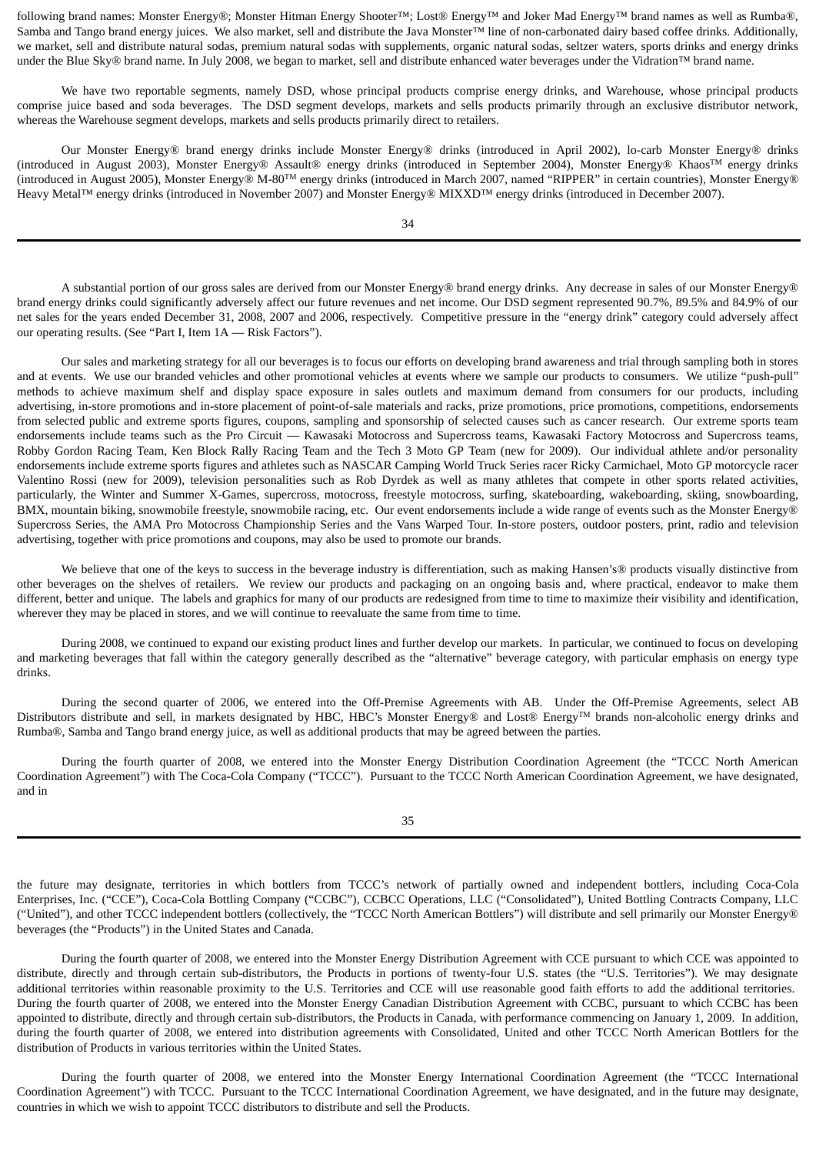following brand names: Monster Energy®; Monster Hitman Energy Shooter™; Lost® Energy™ and Joker Mad Energy™ brand names as well as Rumba®, Samba and Tango brand energy juices. We also market, sell and distribute the Java Monster™ line of non-carbonated dairy based coffee drinks. Additionally, we market, sell and distribute natural sodas, premium natural sodas with supplements, organic natural sodas, seltzer waters, sports drinks and energy drinks under the Blue Sky® brand name. In July 2008, we began to market, sell and distribute enhanced water beverages under the Vidration™ brand name.

We have two reportable segments, namely DSD, whose principal products comprise energy drinks, and Warehouse, whose principal products comprise juice based and soda beverages. The DSD segment develops, markets and sells products primarily through an exclusive distributor network, whereas the Warehouse segment develops, markets and sells products primarily direct to retailers.

Our Monster Energy® brand energy drinks include Monster Energy® drinks (introduced in April 2002), lo-carb Monster Energy® drinks (introduced in August 2003), Monster Energy® Assault® energy drinks (introduced in September 2004), Monster Energy® Khaos™ energy drinks (introduced in August 2005), Monster Energy® M-80™ energy drinks (introduced in March 2007, named "RIPPER" in certain countries), Monster Energy® Heavy Metal™ energy drinks (introduced in November 2007) and Monster Energy® MIXXD™ energy drinks (introduced in December 2007).

34

A substantial portion of our gross sales are derived from our Monster Energy® brand energy drinks. Any decrease in sales of our Monster Energy® brand energy drinks could significantly adversely affect our future revenues and net income. Our DSD segment represented 90.7%, 89.5% and 84.9% of our net sales for the years ended December 31, 2008, 2007 and 2006, respectively. Competitive pressure in the "energy drink" category could adversely affect our operating results. (See "Part I, Item 1A — Risk Factors").

Our sales and marketing strategy for all our beverages is to focus our efforts on developing brand awareness and trial through sampling both in stores and at events. We use our branded vehicles and other promotional vehicles at events where we sample our products to consumers. We utilize "push-pull" methods to achieve maximum shelf and display space exposure in sales outlets and maximum demand from consumers for our products, including advertising, in-store promotions and in-store placement of point-of-sale materials and racks, prize promotions, price promotions, competitions, endorsements from selected public and extreme sports figures, coupons, sampling and sponsorship of selected causes such as cancer research. Our extreme sports team endorsements include teams such as the Pro Circuit — Kawasaki Motocross and Supercross teams, Kawasaki Factory Motocross and Supercross teams, Robby Gordon Racing Team, Ken Block Rally Racing Team and the Tech 3 Moto GP Team (new for 2009). Our individual athlete and/or personality endorsements include extreme sports figures and athletes such as NASCAR Camping World Truck Series racer Ricky Carmichael, Moto GP motorcycle racer Valentino Rossi (new for 2009), television personalities such as Rob Dyrdek as well as many athletes that compete in other sports related activities, particularly, the Winter and Summer X-Games, supercross, motocross, freestyle motocross, surfing, skateboarding, wakeboarding, skiing, snowboarding, BMX, mountain biking, snowmobile freestyle, snowmobile racing, etc. Our event endorsements include a wide range of events such as the Monster Energy® Supercross Series, the AMA Pro Motocross Championship Series and the Vans Warped Tour. In-store posters, outdoor posters, print, radio and television advertising, together with price promotions and coupons, may also be used to promote our brands.

We believe that one of the keys to success in the beverage industry is differentiation, such as making Hansen's® products visually distinctive from other beverages on the shelves of retailers. We review our products and packaging on an ongoing basis and, where practical, endeavor to make them different, better and unique. The labels and graphics for many of our products are redesigned from time to time to maximize their visibility and identification, wherever they may be placed in stores, and we will continue to reevaluate the same from time to time.

During 2008, we continued to expand our existing product lines and further develop our markets. In particular, we continued to focus on developing and marketing beverages that fall within the category generally described as the "alternative" beverage category, with particular emphasis on energy type drinks.

During the second quarter of 2006, we entered into the Off-Premise Agreements with AB. Under the Off-Premise Agreements, select AB Distributors distribute and sell, in markets designated by HBC, HBC's Monster Energy® and Lost® Energy™ brands non-alcoholic energy drinks and Rumba®, Samba and Tango brand energy juice, as well as additional products that may be agreed between the parties.

During the fourth quarter of 2008, we entered into the Monster Energy Distribution Coordination Agreement (the "TCCC North American Coordination Agreement") with The Coca-Cola Company ("TCCC"). Pursuant to the TCCC North American Coordination Agreement, we have designated, and in

35

the future may designate, territories in which bottlers from TCCC's network of partially owned and independent bottlers, including Coca-Cola Enterprises, Inc. ("CCE"), Coca-Cola Bottling Company ("CCBC"), CCBCC Operations, LLC ("Consolidated"), United Bottling Contracts Company, LLC ("United"), and other TCCC independent bottlers (collectively, the "TCCC North American Bottlers") will distribute and sell primarily our Monster Energy® beverages (the "Products") in the United States and Canada.

During the fourth quarter of 2008, we entered into the Monster Energy Distribution Agreement with CCE pursuant to which CCE was appointed to distribute, directly and through certain sub-distributors, the Products in portions of twenty-four U.S. states (the "U.S. Territories"). We may designate additional territories within reasonable proximity to the U.S. Territories and CCE will use reasonable good faith efforts to add the additional territories. During the fourth quarter of 2008, we entered into the Monster Energy Canadian Distribution Agreement with CCBC, pursuant to which CCBC has been appointed to distribute, directly and through certain sub-distributors, the Products in Canada, with performance commencing on January 1, 2009. In addition, during the fourth quarter of 2008, we entered into distribution agreements with Consolidated, United and other TCCC North American Bottlers for the distribution of Products in various territories within the United States.

During the fourth quarter of 2008, we entered into the Monster Energy International Coordination Agreement (the "TCCC International Coordination Agreement") with TCCC. Pursuant to the TCCC International Coordination Agreement, we have designated, and in the future may designate, countries in which we wish to appoint TCCC distributors to distribute and sell the Products.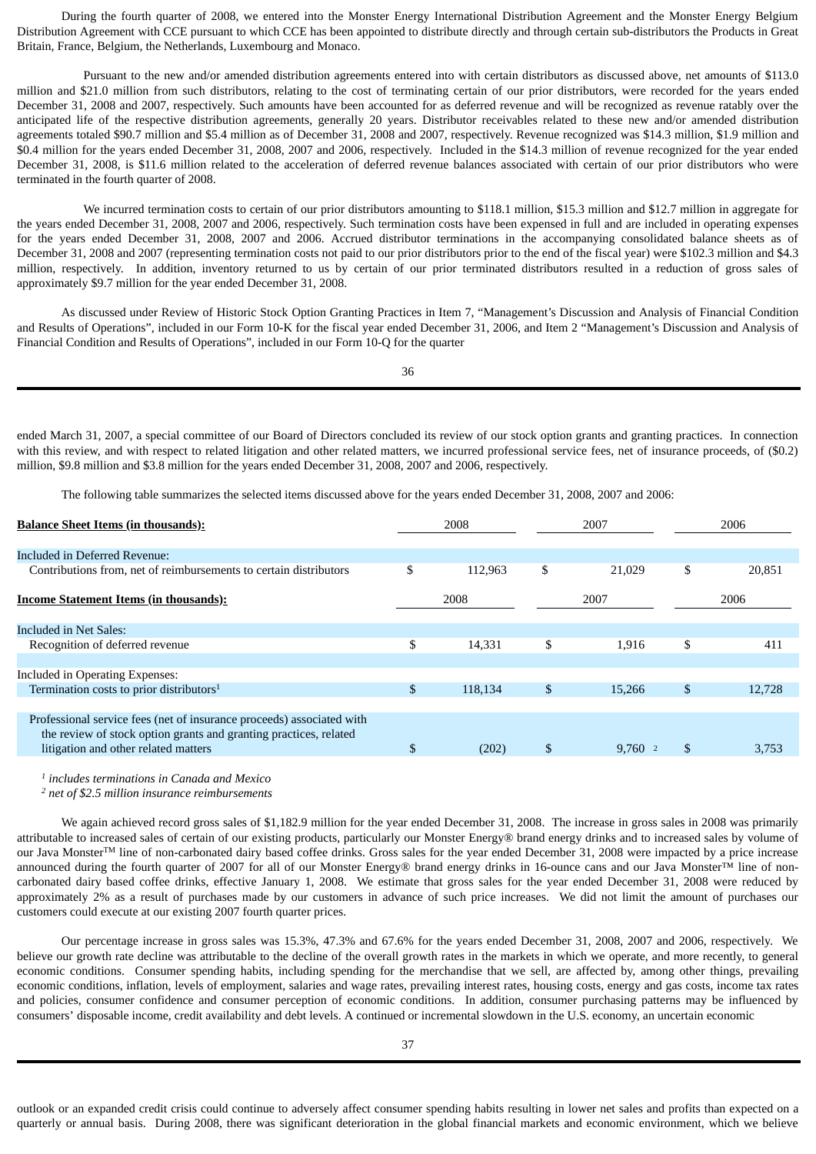During the fourth quarter of 2008, we entered into the Monster Energy International Distribution Agreement and the Monster Energy Belgium Distribution Agreement with CCE pursuant to which CCE has been appointed to distribute directly and through certain sub-distributors the Products in Great Britain, France, Belgium, the Netherlands, Luxembourg and Monaco.

Pursuant to the new and/or amended distribution agreements entered into with certain distributors as discussed above, net amounts of \$113.0 million and \$21.0 million from such distributors, relating to the cost of terminating certain of our prior distributors, were recorded for the years ended December 31, 2008 and 2007, respectively. Such amounts have been accounted for as deferred revenue and will be recognized as revenue ratably over the anticipated life of the respective distribution agreements, generally 20 years. Distributor receivables related to these new and/or amended distribution agreements totaled \$90.7 million and \$5.4 million as of December 31, 2008 and 2007, respectively. Revenue recognized was \$14.3 million, \$1.9 million and \$0.4 million for the years ended December 31, 2008, 2007 and 2006, respectively. Included in the \$14.3 million of revenue recognized for the year ended December 31, 2008, is \$11.6 million related to the acceleration of deferred revenue balances associated with certain of our prior distributors who were terminated in the fourth quarter of 2008.

We incurred termination costs to certain of our prior distributors amounting to \$118.1 million, \$15.3 million and \$12.7 million in aggregate for the years ended December 31, 2008, 2007 and 2006, respectively. Such termination costs have been expensed in full and are included in operating expenses for the years ended December 31, 2008, 2007 and 2006. Accrued distributor terminations in the accompanying consolidated balance sheets as of December 31, 2008 and 2007 (representing termination costs not paid to our prior distributors prior to the end of the fiscal year) were \$102.3 million and \$4.3 million, respectively. In addition, inventory returned to us by certain of our prior terminated distributors resulted in a reduction of gross sales of approximately \$9.7 million for the year ended December 31, 2008.

As discussed under Review of Historic Stock Option Granting Practices in Item 7, "Management's Discussion and Analysis of Financial Condition and Results of Operations", included in our Form 10-K for the fiscal year ended December 31, 2006, and Item 2 "Management's Discussion and Analysis of Financial Condition and Results of Operations", included in our Form 10-Q for the quarter

36

ended March 31, 2007, a special committee of our Board of Directors concluded its review of our stock option grants and granting practices. In connection with this review, and with respect to related litigation and other related matters, we incurred professional service fees, net of insurance proceeds, of (\$0.2) million, \$9.8 million and \$3.8 million for the years ended December 31, 2008, 2007 and 2006, respectively.

The following table summarizes the selected items discussed above for the years ended December 31, 2008, 2007 and 2006:

| <b>Balance Sheet Items (in thousands):</b>                                                                                                 | 2008          |     | 2007      | 2006 |        |
|--------------------------------------------------------------------------------------------------------------------------------------------|---------------|-----|-----------|------|--------|
| Included in Deferred Revenue:                                                                                                              |               |     |           |      |        |
| Contributions from, net of reimbursements to certain distributors                                                                          | \$<br>112,963 | \$  | 21,029    | \$   | 20.851 |
| <b>Income Statement Items (in thousands):</b>                                                                                              | 2008          |     | 2007      |      | 2006   |
| Included in Net Sales:                                                                                                                     |               |     |           |      |        |
| Recognition of deferred revenue                                                                                                            | \$<br>14,331  | \$  | 1,916     | \$   | 411    |
| Included in Operating Expenses:                                                                                                            |               |     |           |      |        |
| Termination costs to prior distributors <sup>1</sup>                                                                                       | \$<br>118.134 | \$. | 15.266    | \$   | 12.728 |
| Professional service fees (net of insurance proceeds) associated with<br>the review of stock option grants and granting practices, related |               |     |           |      |        |
| litigation and other related matters                                                                                                       | \$<br>(202)   | \$  | $9,760$ 2 | \$   | 3,753  |

*includes terminations in Canada and Mexico 1*

*net of \$2.5 million insurance reimbursements 2*

We again achieved record gross sales of \$1,182.9 million for the year ended December 31, 2008. The increase in gross sales in 2008 was primarily attributable to increased sales of certain of our existing products, particularly our Monster Energy® brand energy drinks and to increased sales by volume of our Java Monster™ line of non-carbonated dairy based coffee drinks. Gross sales for the year ended December 31, 2008 were impacted by a price increase announced during the fourth quarter of 2007 for all of our Monster Energy® brand energy drinks in 16-ounce cans and our Java Monster™ line of noncarbonated dairy based coffee drinks, effective January 1, 2008. We estimate that gross sales for the year ended December 31, 2008 were reduced by approximately 2% as a result of purchases made by our customers in advance of such price increases. We did not limit the amount of purchases our customers could execute at our existing 2007 fourth quarter prices.

Our percentage increase in gross sales was 15.3%, 47.3% and 67.6% for the years ended December 31, 2008, 2007 and 2006, respectively. We believe our growth rate decline was attributable to the decline of the overall growth rates in the markets in which we operate, and more recently, to general economic conditions. Consumer spending habits, including spending for the merchandise that we sell, are affected by, among other things, prevailing economic conditions, inflation, levels of employment, salaries and wage rates, prevailing interest rates, housing costs, energy and gas costs, income tax rates and policies, consumer confidence and consumer perception of economic conditions. In addition, consumer purchasing patterns may be influenced by consumers' disposable income, credit availability and debt levels. A continued or incremental slowdown in the U.S. economy, an uncertain economic

outlook or an expanded credit crisis could continue to adversely affect consumer spending habits resulting in lower net sales and profits than expected on a quarterly or annual basis. During 2008, there was significant deterioration in the global financial markets and economic environment, which we believe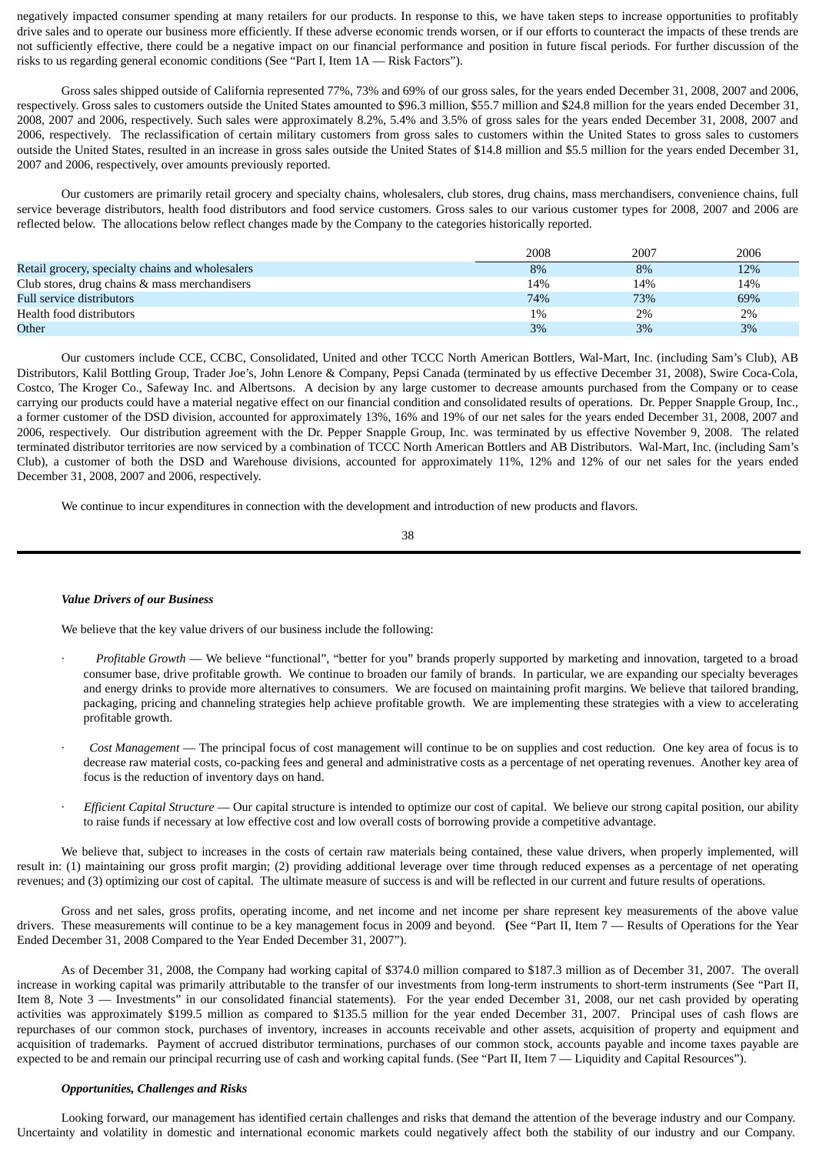negatively impacted consumer spending at many retailers for our products. In response to this, we have taken steps to increase opportunities to profitably drive sales and to operate our business more efficiently. If these adverse economic trends worsen, or if our efforts to counteract the impacts of these trends are not sufficiently effective, there could be a negative impact on our financial performance and position in future fiscal periods. For further discussion of the risks to us regarding general economic conditions (See "Part I, Item 1A — Risk Factors").

Gross sales shipped outside of California represented 77%, 73% and 69% of our gross sales, for the years ended December 31, 2008, 2007 and 2006, respectively. Gross sales to customers outside the United States amounted to \$96.3 million, \$55.7 million and \$24.8 million for the years ended December 31, 2008, 2007 and 2006, respectively. Such sales were approximately 8.2%, 5.4% and 3.5% of gross sales for the years ended December 31, 2008, 2007 and 2006, respectively. The reclassification of certain military customers from gross sales to customers within the United States to gross sales to customers outside the United States, resulted in an increase in gross sales outside the United States of \$14.8 million and \$5.5 million for the years ended December 31, 2007 and 2006, respectively, over amounts previously reported.

Our customers are primarily retail grocery and specialty chains, wholesalers, club stores, drug chains, mass merchandisers, convenience chains, full service beverage distributors, health food distributors and food service customers. Gross sales to our various customer types for 2008, 2007 and 2006 are reflected below. The allocations below reflect changes made by the Company to the categories historically reported.

|                                                  | 2008 | 2007 | 2006 |
|--------------------------------------------------|------|------|------|
| Retail grocery, specialty chains and wholesalers | 8%   | 8%   | 12%  |
| Club stores, drug chains & mass merchandisers    | 14%  | 14%  | 14%  |
| Full service distributors                        | 74%  | 73%  | 69%  |
| Health food distributors                         | 1%   | 2%   | 2%   |
| Other                                            | 3%   | 3%   | 3%   |

Our customers include CCE, CCBC, Consolidated, United and other TCCC North American Bottlers, Wal-Mart, Inc. (including Sam's Club), AB Distributors, Kalil Bottling Group, Trader Joe's, John Lenore & Company, Pepsi Canada (terminated by us effective December 31, 2008), Swire Coca-Cola, Costco, The Kroger Co., Safeway Inc. and Albertsons. A decision by any large customer to decrease amounts purchased from the Company or to cease carrying our products could have a material negative effect on our financial condition and consolidated results of operations. Dr. Pepper Snapple Group, Inc., a former customer of the DSD division, accounted for approximately 13%, 16% and 19% of our net sales for the years ended December 31, 2008, 2007 and 2006, respectively. Our distribution agreement with the Dr. Pepper Snapple Group, Inc. was terminated by us effective November 9, 2008. The related terminated distributor territories are now serviced by a combination of TCCC North American Bottlers and AB Distributors. Wal-Mart, Inc. (including Sam's Club), a customer of both the DSD and Warehouse divisions, accounted for approximately 11%, 12% and 12% of our net sales for the years ended December 31, 2008, 2007 and 2006, respectively.

We continue to incur expenditures in connection with the development and introduction of new products and flavors.

$$
38 \\
$$

#### *Value Drivers of our Business*

We believe that the key value drivers of our business include the following:

- · *Profitable Growth* We believe "functional", "better for you" brands properly supported by marketing and innovation, targeted to a broad consumer base, drive profitable growth. We continue to broaden our family of brands. In particular, we are expanding our specialty beverages and energy drinks to provide more alternatives to consumers. We are focused on maintaining profit margins. We believe that tailored branding, packaging, pricing and channeling strategies help achieve profitable growth. We are implementing these strategies with a view to accelerating profitable growth.
- · *Cost Management* The principal focus of cost management will continue to be on supplies and cost reduction. One key area of focus is to decrease raw material costs, co-packing fees and general and administrative costs as a percentage of net operating revenues. Another key area of focus is the reduction of inventory days on hand.
- · *Efficient Capital Structure* Our capital structure is intended to optimize our cost of capital. We believe our strong capital position, our ability to raise funds if necessary at low effective cost and low overall costs of borrowing provide a competitive advantage.

We believe that, subject to increases in the costs of certain raw materials being contained, these value drivers, when properly implemented, will result in: (1) maintaining our gross profit margin; (2) providing additional leverage over time through reduced expenses as a percentage of net operating revenues; and (3) optimizing our cost of capital. The ultimate measure of success is and will be reflected in our current and future results of operations.

Gross and net sales, gross profits, operating income, and net income and net income per share represent key measurements of the above value drivers. These measurements will continue to be a key management focus in 2009 and beyond. **(**See "Part II, Item 7 — Results of Operations for the Year Ended December 31, 2008 Compared to the Year Ended December 31, 2007").

As of December 31, 2008, the Company had working capital of \$374.0 million compared to \$187.3 million as of December 31, 2007. The overall increase in working capital was primarily attributable to the transfer of our investments from long-term instruments to short-term instruments (See "Part II, Item 8, Note 3 — Investments" in our consolidated financial statements). For the year ended December 31, 2008, our net cash provided by operating activities was approximately \$199.5 million as compared to \$135.5 million for the year ended December 31, 2007. Principal uses of cash flows are repurchases of our common stock, purchases of inventory, increases in accounts receivable and other assets, acquisition of property and equipment and acquisition of trademarks. Payment of accrued distributor terminations, purchases of our common stock, accounts payable and income taxes payable are expected to be and remain our principal recurring use of cash and working capital funds. (See "Part II, Item 7 — Liquidity and Capital Resources").

### *Opportunities, Challenges and Risks*

Looking forward, our management has identified certain challenges and risks that demand the attention of the beverage industry and our Company. Uncertainty and volatility in domestic and international economic markets could negatively affect both the stability of our industry and our Company.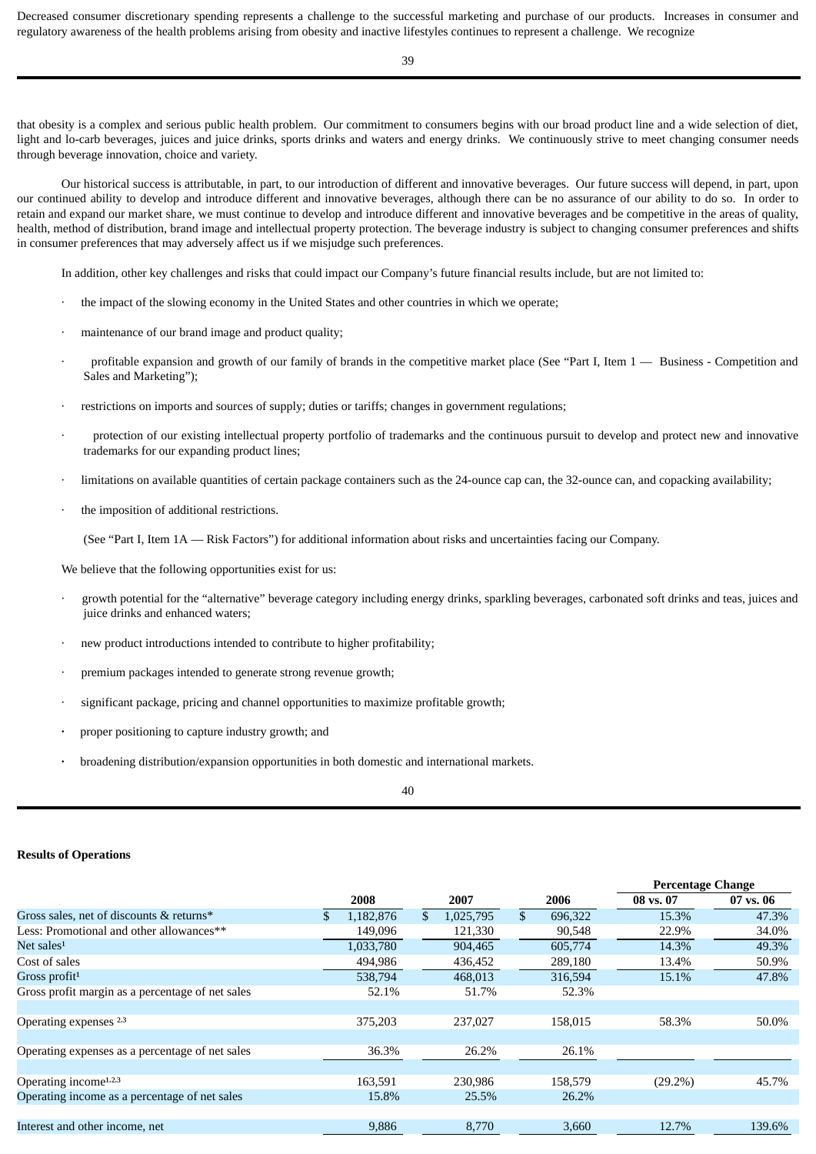Decreased consumer discretionary spending represents a challenge to the successful marketing and purchase of our products. Increases in consumer and regulatory awareness of the health problems arising from obesity and inactive lifestyles continues to represent a challenge. We recognize

39

that obesity is a complex and serious public health problem. Our commitment to consumers begins with our broad product line and a wide selection of diet, light and lo-carb beverages, juices and juice drinks, sports drinks and waters and energy drinks. We continuously strive to meet changing consumer needs through beverage innovation, choice and variety.

Our historical success is attributable, in part, to our introduction of different and innovative beverages. Our future success will depend, in part, upon our continued ability to develop and introduce different and innovative beverages, although there can be no assurance of our ability to do so. In order to retain and expand our market share, we must continue to develop and introduce different and innovative beverages and be competitive in the areas of quality, health, method of distribution, brand image and intellectual property protection. The beverage industry is subject to changing consumer preferences and shifts in consumer preferences that may adversely affect us if we misjudge such preferences.

In addition, other key challenges and risks that could impact our Company's future financial results include, but are not limited to:

- · the impact of the slowing economy in the United States and other countries in which we operate;
- maintenance of our brand image and product quality;
- profitable expansion and growth of our family of brands in the competitive market place (See "Part I, Item 1 Business Competition and Sales and Marketing");
- restrictions on imports and sources of supply; duties or tariffs; changes in government regulations;
- protection of our existing intellectual property portfolio of trademarks and the continuous pursuit to develop and protect new and innovative trademarks for our expanding product lines;
- limitations on available quantities of certain package containers such as the 24-ounce cap can, the 32-ounce can, and copacking availability;
- the imposition of additional restrictions.

(See "Part I, Item 1A — Risk Factors") for additional information about risks and uncertainties facing our Company.

We believe that the following opportunities exist for us:

- · growth potential for the "alternative" beverage category including energy drinks, sparkling beverages, carbonated soft drinks and teas, juices and juice drinks and enhanced waters;
- · new product introductions intended to contribute to higher profitability;
- premium packages intended to generate strong revenue growth;
- significant package, pricing and channel opportunities to maximize profitable growth;
- **·** proper positioning to capture industry growth; and
- **·** broadening distribution/expansion opportunities in both domestic and international markets.

### 40

#### **Results of Operations**

|                                                  |     |           |                 |               | <b>Percentage Change</b> |               |
|--------------------------------------------------|-----|-----------|-----------------|---------------|--------------------------|---------------|
|                                                  |     | 2008      | 2007            | 2006          | 08 vs. 07                | $07$ vs. $06$ |
| Gross sales, net of discounts & returns*         | \$. | 1,182,876 | \$<br>1,025,795 | \$<br>696,322 | 15.3%                    | 47.3%         |
| Less: Promotional and other allowances**         |     | 149,096   | 121,330         | 90,548        | 22.9%                    | 34.0%         |
| Net sales <sup>1</sup>                           |     | 1,033,780 | 904,465         | 605,774       | 14.3%                    | 49.3%         |
| Cost of sales                                    |     | 494,986   | 436,452         | 289,180       | 13.4%                    | 50.9%         |
| Gross profit $1$                                 |     | 538,794   | 468,013         | 316,594       | 15.1%                    | 47.8%         |
| Gross profit margin as a percentage of net sales |     | 52.1%     | 51.7%           | 52.3%         |                          |               |
|                                                  |     |           |                 |               |                          |               |
| Operating expenses 2,3                           |     | 375,203   | 237,027         | 158,015       | 58.3%                    | 50.0%         |
|                                                  |     |           |                 |               |                          |               |
| Operating expenses as a percentage of net sales  |     | 36.3%     | 26.2%           | 26.1%         |                          |               |
|                                                  |     |           |                 |               |                          |               |
| Operating income <sup>1,2,3</sup>                |     | 163,591   | 230,986         | 158,579       | $(29.2\%)$               | 45.7%         |
| Operating income as a percentage of net sales    |     | 15.8%     | 25.5%           | 26.2%         |                          |               |
|                                                  |     |           |                 |               |                          |               |
| Interest and other income, net                   |     | 9,886     | 8,770           | 3.660         | 12.7%                    | 139.6%        |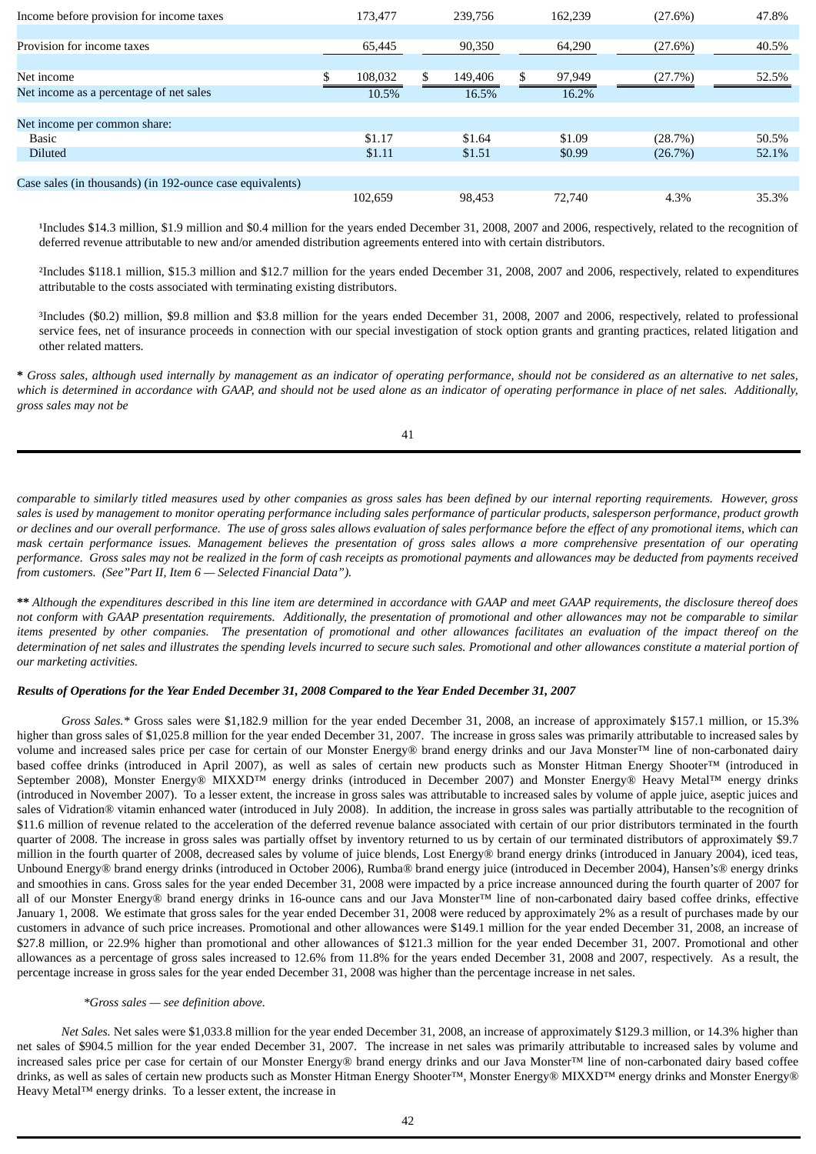| Income before provision for income taxes                  | 173,477 | 239.756 | 162.239      | (27.6%) | 47.8% |
|-----------------------------------------------------------|---------|---------|--------------|---------|-------|
|                                                           |         |         |              |         |       |
| Provision for income taxes                                | 65,445  | 90,350  | 64,290       | (27.6%) | 40.5% |
|                                                           |         |         |              |         |       |
| Net income                                                | 108,032 | 149,406 | \$<br>97,949 | (27.7%) | 52.5% |
| Net income as a percentage of net sales                   | 10.5%   | 16.5%   | 16.2%        |         |       |
|                                                           |         |         |              |         |       |
| Net income per common share:                              |         |         |              |         |       |
| <b>Basic</b>                                              | \$1.17  | \$1.64  | \$1.09       | (28.7%) | 50.5% |
| <b>Diluted</b>                                            | \$1.11  | \$1.51  | \$0.99       | (26.7%) | 52.1% |
|                                                           |         |         |              |         |       |
| Case sales (in thousands) (in 192-ounce case equivalents) |         |         |              |         |       |
|                                                           | 102,659 | 98.453  | 72.740       | 4.3%    | 35.3% |

<sup>1</sup>Includes \$14.3 million, \$1.9 million and \$0.4 million for the years ended December 31, 2008, 2007 and 2006, respectively, related to the recognition of deferred revenue attributable to new and/or amended distribution agreements entered into with certain distributors.

²Includes \$118.1 million, \$15.3 million and \$12.7 million for the years ended December 31, 2008, 2007 and 2006, respectively, related to expenditures attributable to the costs associated with terminating existing distributors.

³Includes (\$0.2) million, \$9.8 million and \$3.8 million for the years ended December 31, 2008, 2007 and 2006, respectively, related to professional service fees, net of insurance proceeds in connection with our special investigation of stock option grants and granting practices, related litigation and other related matters.

\* Gross sales, although used internally by management as an indicator of operating performance, should not be considered as an alternative to net sales, which is determined in accordance with GAAP, and should not be used alone as an indicator of operating performance in place of net sales. Additionally, *gross sales may not be*

41

comparable to similarly titled measures used by other companies as gross sales has been defined by our internal reporting requirements. However, gross sales is used by management to monitor operating performance including sales performance of particular products, salesperson performance, product growth or declines and our overall performance. The use of gross sales allows evaluation of sales performance before the effect of any promotional items, which can mask certain performance issues. Management believes the presentation of gross sales allows a more comprehensive presentation of our operating performance. Gross sales may not be realized in the form of cash receipts as promotional payments and allowances may be deducted from payments received *from customers. (See"Part II, Item 6 — Selected Financial Data").*

\*\* Although the expenditures described in this line item are determined in accordance with GAAP and meet GAAP requirements, the disclosure thereof does not conform with GAAP presentation requirements. Additionally, the presentation of promotional and other allowances may not be comparable to similar items presented by other companies. The presentation of promotional and other allowances facilitates an evaluation of the impact thereof on the determination of net sales and illustrates the spending levels incurred to secure such sales. Promotional and other allowances constitute a material portion of *our marketing activities.*

# Results of Operations for the Year Ended December 31, 2008 Compared to the Year Ended December 31, 2007

*Gross Sales.\** Gross sales were \$1,182.9 million for the year ended December 31, 2008, an increase of approximately \$157.1 million, or 15.3% higher than gross sales of \$1,025.8 million for the year ended December 31, 2007. The increase in gross sales was primarily attributable to increased sales by volume and increased sales price per case for certain of our Monster Energy® brand energy drinks and our Java Monster™ line of non-carbonated dairy based coffee drinks (introduced in April 2007), as well as sales of certain new products such as Monster Hitman Energy Shooter™ (introduced in September 2008), Monster Energy® MIXXD™ energy drinks (introduced in December 2007) and Monster Energy® Heavy Metal™ energy drinks (introduced in November 2007). To a lesser extent, the increase in gross sales was attributable to increased sales by volume of apple juice, aseptic juices and sales of Vidration® vitamin enhanced water (introduced in July 2008). In addition, the increase in gross sales was partially attributable to the recognition of \$11.6 million of revenue related to the acceleration of the deferred revenue balance associated with certain of our prior distributors terminated in the fourth quarter of 2008. The increase in gross sales was partially offset by inventory returned to us by certain of our terminated distributors of approximately \$9.7 million in the fourth quarter of 2008, decreased sales by volume of juice blends, Lost Energy® brand energy drinks (introduced in January 2004), iced teas, Unbound Energy® brand energy drinks (introduced in October 2006), Rumba® brand energy juice (introduced in December 2004), Hansen's® energy drinks and smoothies in cans. Gross sales for the year ended December 31, 2008 were impacted by a price increase announced during the fourth quarter of 2007 for all of our Monster Energy® brand energy drinks in 16-ounce cans and our Java Monster™ line of non-carbonated dairy based coffee drinks, effective January 1, 2008. We estimate that gross sales for the year ended December 31, 2008 were reduced by approximately 2% as a result of purchases made by our customers in advance of such price increases. Promotional and other allowances were \$149.1 million for the year ended December 31, 2008, an increase of \$27.8 million, or 22.9% higher than promotional and other allowances of \$121.3 million for the year ended December 31, 2007. Promotional and other allowances as a percentage of gross sales increased to 12.6% from 11.8% for the years ended December 31, 2008 and 2007, respectively. As a result, the percentage increase in gross sales for the year ended December 31, 2008 was higher than the percentage increase in net sales.

# *\*Gross sales — see definition above.*

*Net Sales.* Net sales were \$1,033.8 million for the year ended December 31, 2008, an increase of approximately \$129.3 million, or 14.3% higher than net sales of \$904.5 million for the year ended December 31, 2007. The increase in net sales was primarily attributable to increased sales by volume and increased sales price per case for certain of our Monster Energy® brand energy drinks and our Java Monster™ line of non-carbonated dairy based coffee drinks, as well as sales of certain new products such as Monster Hitman Energy Shooter™, Monster Energy® MIXXD™ energy drinks and Monster Energy® Heavy Metal™ energy drinks. To a lesser extent, the increase in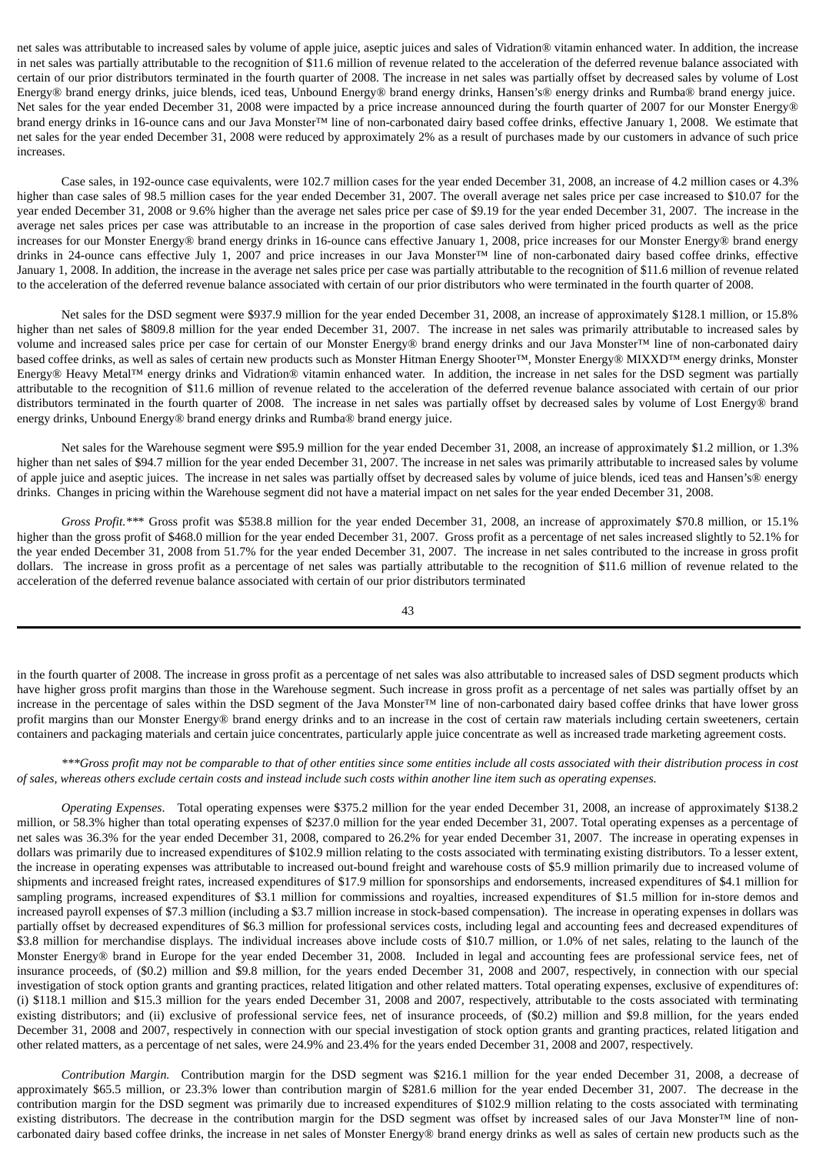net sales was attributable to increased sales by volume of apple juice, aseptic juices and sales of Vidration® vitamin enhanced water. In addition, the increase in net sales was partially attributable to the recognition of \$11.6 million of revenue related to the acceleration of the deferred revenue balance associated with certain of our prior distributors terminated in the fourth quarter of 2008. The increase in net sales was partially offset by decreased sales by volume of Lost Energy® brand energy drinks, juice blends, iced teas, Unbound Energy® brand energy drinks, Hansen's® energy drinks and Rumba® brand energy juice. Net sales for the year ended December 31, 2008 were impacted by a price increase announced during the fourth quarter of 2007 for our Monster Energy® brand energy drinks in 16-ounce cans and our Java Monster™ line of non-carbonated dairy based coffee drinks, effective January 1, 2008. We estimate that net sales for the year ended December 31, 2008 were reduced by approximately 2% as a result of purchases made by our customers in advance of such price increases.

Case sales, in 192-ounce case equivalents, were 102.7 million cases for the year ended December 31, 2008, an increase of 4.2 million cases or 4.3% higher than case sales of 98.5 million cases for the year ended December 31, 2007. The overall average net sales price per case increased to \$10.07 for the year ended December 31, 2008 or 9.6% higher than the average net sales price per case of \$9.19 for the year ended December 31, 2007. The increase in the average net sales prices per case was attributable to an increase in the proportion of case sales derived from higher priced products as well as the price increases for our Monster Energy® brand energy drinks in 16-ounce cans effective January 1, 2008, price increases for our Monster Energy® brand energy drinks in 24-ounce cans effective July 1, 2007 and price increases in our Java Monster™ line of non-carbonated dairy based coffee drinks, effective January 1, 2008. In addition, the increase in the average net sales price per case was partially attributable to the recognition of \$11.6 million of revenue related to the acceleration of the deferred revenue balance associated with certain of our prior distributors who were terminated in the fourth quarter of 2008.

Net sales for the DSD segment were \$937.9 million for the year ended December 31, 2008, an increase of approximately \$128.1 million, or 15.8% higher than net sales of \$809.8 million for the year ended December 31, 2007. The increase in net sales was primarily attributable to increased sales by volume and increased sales price per case for certain of our Monster Energy® brand energy drinks and our Java Monster™ line of non-carbonated dairy based coffee drinks, as well as sales of certain new products such as Monster Hitman Energy Shooter™, Monster Energy® MIXXD™ energy drinks, Monster Energy® Heavy Metal™ energy drinks and Vidration® vitamin enhanced water. In addition, the increase in net sales for the DSD segment was partially attributable to the recognition of \$11.6 million of revenue related to the acceleration of the deferred revenue balance associated with certain of our prior distributors terminated in the fourth quarter of 2008. The increase in net sales was partially offset by decreased sales by volume of Lost Energy® brand energy drinks, Unbound Energy® brand energy drinks and Rumba® brand energy juice.

Net sales for the Warehouse segment were \$95.9 million for the year ended December 31, 2008, an increase of approximately \$1.2 million, or 1.3% higher than net sales of \$94.7 million for the year ended December 31, 2007. The increase in net sales was primarily attributable to increased sales by volume of apple juice and aseptic juices. The increase in net sales was partially offset by decreased sales by volume of juice blends, iced teas and Hansen's® energy drinks. Changes in pricing within the Warehouse segment did not have a material impact on net sales for the year ended December 31, 2008.

*Gross Profit.\*\**\* Gross profit was \$538.8 million for the year ended December 31, 2008, an increase of approximately \$70.8 million, or 15.1% higher than the gross profit of \$468.0 million for the year ended December 31, 2007. Gross profit as a percentage of net sales increased slightly to 52.1% for the year ended December 31, 2008 from 51.7% for the year ended December 31, 2007. The increase in net sales contributed to the increase in gross profit dollars. The increase in gross profit as a percentage of net sales was partially attributable to the recognition of \$11.6 million of revenue related to the acceleration of the deferred revenue balance associated with certain of our prior distributors terminated

43

in the fourth quarter of 2008. The increase in gross profit as a percentage of net sales was also attributable to increased sales of DSD segment products which have higher gross profit margins than those in the Warehouse segment. Such increase in gross profit as a percentage of net sales was partially offset by an increase in the percentage of sales within the DSD segment of the Java Monster™ line of non-carbonated dairy based coffee drinks that have lower gross profit margins than our Monster Energy® brand energy drinks and to an increase in the cost of certain raw materials including certain sweeteners, certain containers and packaging materials and certain juice concentrates, particularly apple juice concentrate as well as increased trade marketing agreement costs.

\*\*\*Gross profit may not be comparable to that of other entities since some entities include all costs associated with their distribution process in cost of sales, whereas others exclude certain costs and instead include such costs within another line item such as operating expenses.

*Operating Expenses*. Total operating expenses were \$375.2 million for the year ended December 31, 2008, an increase of approximately \$138.2 million, or 58.3% higher than total operating expenses of \$237.0 million for the year ended December 31, 2007. Total operating expenses as a percentage of net sales was 36.3% for the year ended December 31, 2008, compared to 26.2% for year ended December 31, 2007. The increase in operating expenses in dollars was primarily due to increased expenditures of \$102.9 million relating to the costs associated with terminating existing distributors. To a lesser extent, the increase in operating expenses was attributable to increased out-bound freight and warehouse costs of \$5.9 million primarily due to increased volume of shipments and increased freight rates, increased expenditures of \$17.9 million for sponsorships and endorsements, increased expenditures of \$4.1 million for sampling programs, increased expenditures of \$3.1 million for commissions and royalties, increased expenditures of \$1.5 million for in-store demos and increased payroll expenses of \$7.3 million (including a \$3.7 million increase in stock-based compensation). The increase in operating expenses in dollars was partially offset by decreased expenditures of \$6.3 million for professional services costs, including legal and accounting fees and decreased expenditures of \$3.8 million for merchandise displays. The individual increases above include costs of \$10.7 million, or 1.0% of net sales, relating to the launch of the Monster Energy® brand in Europe for the year ended December 31, 2008. Included in legal and accounting fees are professional service fees, net of insurance proceeds, of (\$0.2) million and \$9.8 million, for the years ended December 31, 2008 and 2007, respectively, in connection with our special investigation of stock option grants and granting practices, related litigation and other related matters. Total operating expenses, exclusive of expenditures of: (i) \$118.1 million and \$15.3 million for the years ended December 31, 2008 and 2007, respectively, attributable to the costs associated with terminating existing distributors; and (ii) exclusive of professional service fees, net of insurance proceeds, of (\$0.2) million and \$9.8 million, for the years ended December 31, 2008 and 2007, respectively in connection with our special investigation of stock option grants and granting practices, related litigation and other related matters, as a percentage of net sales, were 24.9% and 23.4% for the years ended December 31, 2008 and 2007, respectively.

*Contribution Margin.* Contribution margin for the DSD segment was \$216.1 million for the year ended December 31, 2008, a decrease of approximately \$65.5 million, or 23.3% lower than contribution margin of \$281.6 million for the year ended December 31, 2007. The decrease in the contribution margin for the DSD segment was primarily due to increased expenditures of \$102.9 million relating to the costs associated with terminating existing distributors. The decrease in the contribution margin for the DSD segment was offset by increased sales of our Java Monster™ line of noncarbonated dairy based coffee drinks, the increase in net sales of Monster Energy® brand energy drinks as well as sales of certain new products such as the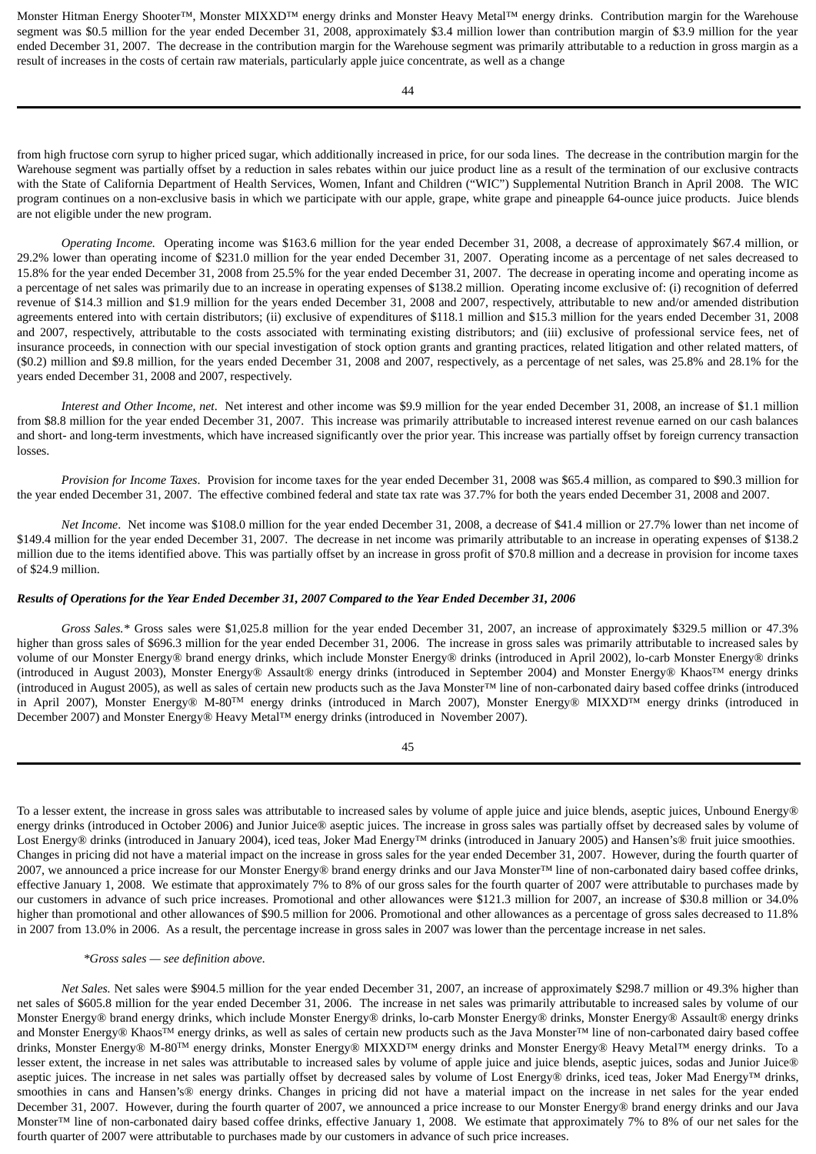Monster Hitman Energy Shooter™, Monster MIXXD™ energy drinks and Monster Heavy Metal™ energy drinks. Contribution margin for the Warehouse segment was \$0.5 million for the year ended December 31, 2008, approximately \$3.4 million lower than contribution margin of \$3.9 million for the year ended December 31, 2007. The decrease in the contribution margin for the Warehouse segment was primarily attributable to a reduction in gross margin as a result of increases in the costs of certain raw materials, particularly apple juice concentrate, as well as a change

from high fructose corn syrup to higher priced sugar, which additionally increased in price, for our soda lines. The decrease in the contribution margin for the Warehouse segment was partially offset by a reduction in sales rebates within our juice product line as a result of the termination of our exclusive contracts with the State of California Department of Health Services, Women, Infant and Children ("WIC") Supplemental Nutrition Branch in April 2008. The WIC program continues on a non-exclusive basis in which we participate with our apple, grape, white grape and pineapple 64-ounce juice products. Juice blends are not eligible under the new program.

*Operating Income.* Operating income was \$163.6 million for the year ended December 31, 2008, a decrease of approximately \$67.4 million, or 29.2% lower than operating income of \$231.0 million for the year ended December 31, 2007. Operating income as a percentage of net sales decreased to 15.8% for the year ended December 31, 2008 from 25.5% for the year ended December 31, 2007. The decrease in operating income and operating income as a percentage of net sales was primarily due to an increase in operating expenses of \$138.2 million. Operating income exclusive of: (i) recognition of deferred revenue of \$14.3 million and \$1.9 million for the years ended December 31, 2008 and 2007, respectively, attributable to new and/or amended distribution agreements entered into with certain distributors; (ii) exclusive of expenditures of \$118.1 million and \$15.3 million for the years ended December 31, 2008 and 2007, respectively, attributable to the costs associated with terminating existing distributors; and (iii) exclusive of professional service fees, net of insurance proceeds, in connection with our special investigation of stock option grants and granting practices, related litigation and other related matters, of (\$0.2) million and \$9.8 million, for the years ended December 31, 2008 and 2007, respectively, as a percentage of net sales, was 25.8% and 28.1% for the years ended December 31, 2008 and 2007, respectively.

*Interest and Other Income, net*. Net interest and other income was \$9.9 million for the year ended December 31, 2008, an increase of \$1.1 million from \$8.8 million for the year ended December 31, 2007. This increase was primarily attributable to increased interest revenue earned on our cash balances and short- and long-term investments, which have increased significantly over the prior year. This increase was partially offset by foreign currency transaction losses.

*Provision for Income Taxes*. Provision for income taxes for the year ended December 31, 2008 was \$65.4 million, as compared to \$90.3 million for the year ended December 31, 2007. The effective combined federal and state tax rate was 37.7% for both the years ended December 31, 2008 and 2007.

*Net Income*. Net income was \$108.0 million for the year ended December 31, 2008, a decrease of \$41.4 million or 27.7% lower than net income of \$149.4 million for the year ended December 31, 2007. The decrease in net income was primarily attributable to an increase in operating expenses of \$138.2 million due to the items identified above. This was partially offset by an increase in gross profit of \$70.8 million and a decrease in provision for income taxes of \$24.9 million.

#### Results of Operations for the Year Ended December 31, 2007 Compared to the Year Ended December 31, 2006

*Gross Sales.\** Gross sales were \$1,025.8 million for the year ended December 31, 2007, an increase of approximately \$329.5 million or 47.3% higher than gross sales of \$696.3 million for the year ended December 31, 2006. The increase in gross sales was primarily attributable to increased sales by volume of our Monster Energy® brand energy drinks, which include Monster Energy® drinks (introduced in April 2002), lo-carb Monster Energy® drinks (introduced in August 2003), Monster Energy® Assault® energy drinks (introduced in September 2004) and Monster Energy® Khaos™ energy drinks (introduced in August 2005), as well as sales of certain new products such as the Java Monster™ line of non-carbonated dairy based coffee drinks (introduced in April 2007), Monster Energy® M-80™ energy drinks (introduced in March 2007), Monster Energy® MIXXD™ energy drinks (introduced in December 2007) and Monster Energy® Heavy Metal™ energy drinks (introduced in November 2007).

45

To a lesser extent, the increase in gross sales was attributable to increased sales by volume of apple juice and juice blends, aseptic juices, Unbound Energy*®* energy drinks (introduced in October 2006) and Junior Juice® aseptic juices. The increase in gross sales was partially offset by decreased sales by volume of Lost Energy® drinks (introduced in January 2004), iced teas, Joker Mad Energy™ drinks (introduced in January 2005) and Hansen's® fruit juice smoothies. Changes in pricing did not have a material impact on the increase in gross sales for the year ended December 31, 2007. However, during the fourth quarter of 2007, we announced a price increase for our Monster Energy® brand energy drinks and our Java Monster™ line of non-carbonated dairy based coffee drinks, effective January 1, 2008. We estimate that approximately 7% to 8% of our gross sales for the fourth quarter of 2007 were attributable to purchases made by our customers in advance of such price increases. Promotional and other allowances were \$121.3 million for 2007, an increase of \$30.8 million or 34.0% higher than promotional and other allowances of \$90.5 million for 2006. Promotional and other allowances as a percentage of gross sales decreased to 11.8% in 2007 from 13.0% in 2006. As a result, the percentage increase in gross sales in 2007 was lower than the percentage increase in net sales.

#### *\*Gross sales — see definition above.*

*Net Sales.* Net sales were \$904.5 million for the year ended December 31, 2007, an increase of approximately \$298.7 million or 49.3% higher than net sales of \$605.8 million for the year ended December 31, 2006. The increase in net sales was primarily attributable to increased sales by volume of our Monster Energy® brand energy drinks, which include Monster Energy® drinks, lo-carb Monster Energy® drinks, Monster Energy® Assault® energy drinks and Monster Energy® Khaos™ energy drinks, as well as sales of certain new products such as the Java Monster™ line of non-carbonated dairy based coffee drinks, Monster Energy® M-80™ energy drinks, Monster Energy® MIXXD™ energy drinks and Monster Energy® Heavy Metal™ energy drinks. To a lesser extent, the increase in net sales was attributable to increased sales by volume of apple juice and juice blends, aseptic juices, sodas and Junior Juice® aseptic juices. The increase in net sales was partially offset by decreased sales by volume of Lost Energy® drinks, iced teas, Joker Mad Energy™ drinks, smoothies in cans and Hansen's® energy drinks. Changes in pricing did not have a material impact on the increase in net sales for the year ended December 31, 2007. However, during the fourth quarter of 2007, we announced a price increase to our Monster Energy® brand energy drinks and our Java Monster™ line of non-carbonated dairy based coffee drinks, effective January 1, 2008. We estimate that approximately 7% to 8% of our net sales for the fourth quarter of 2007 were attributable to purchases made by our customers in advance of such price increases.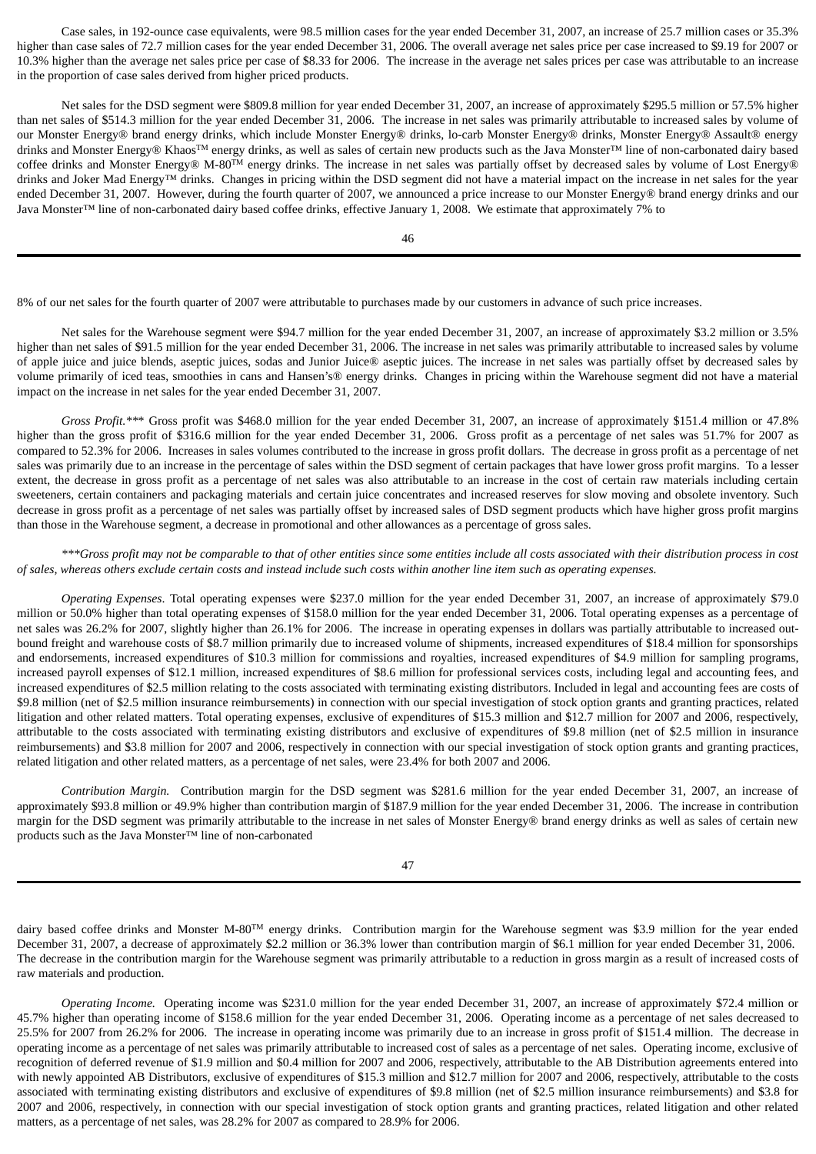Case sales, in 192-ounce case equivalents, were 98.5 million cases for the year ended December 31, 2007, an increase of 25.7 million cases or 35.3% higher than case sales of 72.7 million cases for the year ended December 31, 2006. The overall average net sales price per case increased to \$9.19 for 2007 or 10.3% higher than the average net sales price per case of \$8.33 for 2006. The increase in the average net sales prices per case was attributable to an increase in the proportion of case sales derived from higher priced products.

Net sales for the DSD segment were \$809.8 million for year ended December 31, 2007, an increase of approximately \$295.5 million or 57.5% higher than net sales of \$514.3 million for the year ended December 31, 2006. The increase in net sales was primarily attributable to increased sales by volume of our Monster Energy® brand energy drinks, which include Monster Energy® drinks, lo-carb Monster Energy® drinks, Monster Energy® Assault® energy drinks and Monster Energy® Khaos™ energy drinks, as well as sales of certain new products such as the Java Monster™ line of non-carbonated dairy based coffee drinks and Monster Energy® M-80™ energy drinks. The increase in net sales was partially offset by decreased sales by volume of Lost Energy® drinks and Joker Mad Energy™ drinks. Changes in pricing within the DSD segment did not have a material impact on the increase in net sales for the year ended December 31, 2007. However, during the fourth quarter of 2007, we announced a price increase to our Monster Energy® brand energy drinks and our Java Monster™ line of non-carbonated dairy based coffee drinks, effective January 1, 2008. We estimate that approximately 7% to

46

8% of our net sales for the fourth quarter of 2007 were attributable to purchases made by our customers in advance of such price increases.

Net sales for the Warehouse segment were \$94.7 million for the year ended December 31, 2007, an increase of approximately \$3.2 million or 3.5% higher than net sales of \$91.5 million for the year ended December 31, 2006. The increase in net sales was primarily attributable to increased sales by volume of apple juice and juice blends, aseptic juices, sodas and Junior Juice® aseptic juices. The increase in net sales was partially offset by decreased sales by volume primarily of iced teas, smoothies in cans and Hansen's® energy drinks. Changes in pricing within the Warehouse segment did not have a material impact on the increase in net sales for the year ended December 31, 2007.

*Gross Profit.\*\**\* Gross profit was \$468.0 million for the year ended December 31, 2007, an increase of approximately \$151.4 million or 47.8% higher than the gross profit of \$316.6 million for the year ended December 31, 2006. Gross profit as a percentage of net sales was 51.7% for 2007 as compared to 52.3% for 2006. Increases in sales volumes contributed to the increase in gross profit dollars. The decrease in gross profit as a percentage of net sales was primarily due to an increase in the percentage of sales within the DSD segment of certain packages that have lower gross profit margins. To a lesser extent, the decrease in gross profit as a percentage of net sales was also attributable to an increase in the cost of certain raw materials including certain sweeteners, certain containers and packaging materials and certain juice concentrates and increased reserves for slow moving and obsolete inventory. Such decrease in gross profit as a percentage of net sales was partially offset by increased sales of DSD segment products which have higher gross profit margins than those in the Warehouse segment, a decrease in promotional and other allowances as a percentage of gross sales.

### \*\*\*Gross profit may not be comparable to that of other entities since some entities include all costs associated with their distribution process in cost of sales, whereas others exclude certain costs and instead include such costs within another line item such as operating expenses.

*Operating Expenses*. Total operating expenses were \$237.0 million for the year ended December 31, 2007, an increase of approximately \$79.0 million or 50.0% higher than total operating expenses of \$158.0 million for the year ended December 31, 2006. Total operating expenses as a percentage of net sales was 26.2% for 2007, slightly higher than 26.1% for 2006. The increase in operating expenses in dollars was partially attributable to increased outbound freight and warehouse costs of \$8.7 million primarily due to increased volume of shipments, increased expenditures of \$18.4 million for sponsorships and endorsements, increased expenditures of \$10.3 million for commissions and royalties, increased expenditures of \$4.9 million for sampling programs, increased payroll expenses of \$12.1 million, increased expenditures of \$8.6 million for professional services costs, including legal and accounting fees, and increased expenditures of \$2.5 million relating to the costs associated with terminating existing distributors. Included in legal and accounting fees are costs of \$9.8 million (net of \$2.5 million insurance reimbursements) in connection with our special investigation of stock option grants and granting practices, related litigation and other related matters. Total operating expenses, exclusive of expenditures of \$15.3 million and \$12.7 million for 2007 and 2006, respectively, attributable to the costs associated with terminating existing distributors and exclusive of expenditures of \$9.8 million (net of \$2.5 million in insurance reimbursements) and \$3.8 million for 2007 and 2006, respectively in connection with our special investigation of stock option grants and granting practices, related litigation and other related matters, as a percentage of net sales, were 23.4% for both 2007 and 2006.

*Contribution Margin.* Contribution margin for the DSD segment was \$281.6 million for the year ended December 31, 2007, an increase of approximately \$93.8 million or 49.9% higher than contribution margin of \$187.9 million for the year ended December 31, 2006. The increase in contribution margin for the DSD segment was primarily attributable to the increase in net sales of Monster Energy® brand energy drinks as well as sales of certain new products such as the Java Monster™ line of non-carbonated

47

dairy based coffee drinks and Monster M-80<sup>™</sup> energy drinks. Contribution margin for the Warehouse segment was \$3.9 million for the year ended December 31, 2007, a decrease of approximately \$2.2 million or 36.3% lower than contribution margin of \$6.1 million for year ended December 31, 2006. The decrease in the contribution margin for the Warehouse segment was primarily attributable to a reduction in gross margin as a result of increased costs of raw materials and production.

*Operating Income.* Operating income was \$231.0 million for the year ended December 31, 2007, an increase of approximately \$72.4 million or 45.7% higher than operating income of \$158.6 million for the year ended December 31, 2006. Operating income as a percentage of net sales decreased to 25.5% for 2007 from 26.2% for 2006. The increase in operating income was primarily due to an increase in gross profit of \$151.4 million. The decrease in operating income as a percentage of net sales was primarily attributable to increased cost of sales as a percentage of net sales. Operating income, exclusive of recognition of deferred revenue of \$1.9 million and \$0.4 million for 2007 and 2006, respectively, attributable to the AB Distribution agreements entered into with newly appointed AB Distributors, exclusive of expenditures of \$15.3 million and \$12.7 million for 2007 and 2006, respectively, attributable to the costs associated with terminating existing distributors and exclusive of expenditures of \$9.8 million (net of \$2.5 million insurance reimbursements) and \$3.8 for 2007 and 2006, respectively, in connection with our special investigation of stock option grants and granting practices, related litigation and other related matters, as a percentage of net sales, was 28.2% for 2007 as compared to 28.9% for 2006.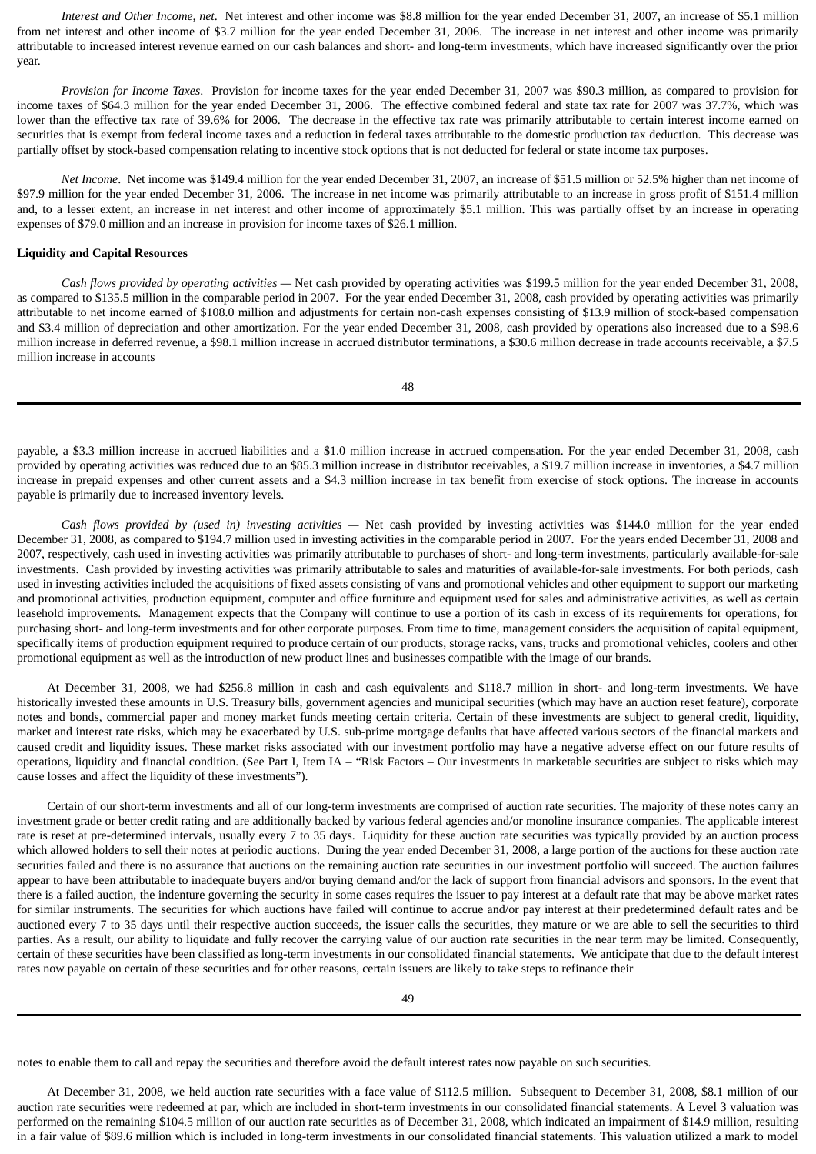*Interest and Other Income, net*. Net interest and other income was \$8.8 million for the year ended December 31, 2007, an increase of \$5.1 million from net interest and other income of \$3.7 million for the year ended December 31, 2006. The increase in net interest and other income was primarily attributable to increased interest revenue earned on our cash balances and short- and long-term investments, which have increased significantly over the prior year.

*Provision for Income Taxes*. Provision for income taxes for the year ended December 31, 2007 was \$90.3 million, as compared to provision for income taxes of \$64.3 million for the year ended December 31, 2006. The effective combined federal and state tax rate for 2007 was 37.7%, which was lower than the effective tax rate of 39.6% for 2006. The decrease in the effective tax rate was primarily attributable to certain interest income earned on securities that is exempt from federal income taxes and a reduction in federal taxes attributable to the domestic production tax deduction. This decrease was partially offset by stock-based compensation relating to incentive stock options that is not deducted for federal or state income tax purposes.

*Net Income*. Net income was \$149.4 million for the year ended December 31, 2007, an increase of \$51.5 million or 52.5% higher than net income of \$97.9 million for the year ended December 31, 2006. The increase in net income was primarily attributable to an increase in gross profit of \$151.4 million and, to a lesser extent, an increase in net interest and other income of approximately \$5.1 million. This was partially offset by an increase in operating expenses of \$79.0 million and an increase in provision for income taxes of \$26.1 million.

### **Liquidity and Capital Resources**

*Cash flows provided by operating activities —* Net cash provided by operating activities was \$199.5 million for the year ended December 31, 2008, as compared to \$135.5 million in the comparable period in 2007. For the year ended December 31, 2008, cash provided by operating activities was primarily attributable to net income earned of \$108.0 million and adjustments for certain non-cash expenses consisting of \$13.9 million of stock-based compensation and \$3.4 million of depreciation and other amortization. For the year ended December 31, 2008, cash provided by operations also increased due to a \$98.6 million increase in deferred revenue, a \$98.1 million increase in accrued distributor terminations, a \$30.6 million decrease in trade accounts receivable, a \$7.5 million increase in accounts

48

payable, a \$3.3 million increase in accrued liabilities and a \$1.0 million increase in accrued compensation. For the year ended December 31, 2008, cash provided by operating activities was reduced due to an \$85.3 million increase in distributor receivables, a \$19.7 million increase in inventories, a \$4.7 million increase in prepaid expenses and other current assets and a \$4.3 million increase in tax benefit from exercise of stock options. The increase in accounts payable is primarily due to increased inventory levels.

*Cash flows provided by (used in) investing activities —* Net cash provided by investing activities was \$144.0 million for the year ended December 31, 2008, as compared to \$194.7 million used in investing activities in the comparable period in 2007. For the years ended December 31, 2008 and 2007, respectively, cash used in investing activities was primarily attributable to purchases of short- and long-term investments, particularly available-for-sale investments. Cash provided by investing activities was primarily attributable to sales and maturities of available-for-sale investments. For both periods, cash used in investing activities included the acquisitions of fixed assets consisting of vans and promotional vehicles and other equipment to support our marketing and promotional activities, production equipment, computer and office furniture and equipment used for sales and administrative activities, as well as certain leasehold improvements. Management expects that the Company will continue to use a portion of its cash in excess of its requirements for operations, for purchasing short- and long-term investments and for other corporate purposes. From time to time, management considers the acquisition of capital equipment, specifically items of production equipment required to produce certain of our products, storage racks, vans, trucks and promotional vehicles, coolers and other promotional equipment as well as the introduction of new product lines and businesses compatible with the image of our brands.

At December 31, 2008, we had \$256.8 million in cash and cash equivalents and \$118.7 million in short- and long-term investments. We have historically invested these amounts in U.S. Treasury bills, government agencies and municipal securities (which may have an auction reset feature), corporate notes and bonds, commercial paper and money market funds meeting certain criteria. Certain of these investments are subject to general credit, liquidity, market and interest rate risks, which may be exacerbated by U.S. sub-prime mortgage defaults that have affected various sectors of the financial markets and caused credit and liquidity issues. These market risks associated with our investment portfolio may have a negative adverse effect on our future results of operations, liquidity and financial condition. (See Part I, Item IA – "Risk Factors – Our investments in marketable securities are subject to risks which may cause losses and affect the liquidity of these investments").

Certain of our short-term investments and all of our long-term investments are comprised of auction rate securities. The majority of these notes carry an investment grade or better credit rating and are additionally backed by various federal agencies and/or monoline insurance companies. The applicable interest rate is reset at pre-determined intervals, usually every 7 to 35 days. Liquidity for these auction rate securities was typically provided by an auction process which allowed holders to sell their notes at periodic auctions. During the year ended December 31, 2008, a large portion of the auctions for these auction rate securities failed and there is no assurance that auctions on the remaining auction rate securities in our investment portfolio will succeed. The auction failures appear to have been attributable to inadequate buyers and/or buying demand and/or the lack of support from financial advisors and sponsors. In the event that there is a failed auction, the indenture governing the security in some cases requires the issuer to pay interest at a default rate that may be above market rates for similar instruments. The securities for which auctions have failed will continue to accrue and/or pay interest at their predetermined default rates and be auctioned every 7 to 35 days until their respective auction succeeds, the issuer calls the securities, they mature or we are able to sell the securities to third parties. As a result, our ability to liquidate and fully recover the carrying value of our auction rate securities in the near term may be limited. Consequently, certain of these securities have been classified as long-term investments in our consolidated financial statements. We anticipate that due to the default interest rates now payable on certain of these securities and for other reasons, certain issuers are likely to take steps to refinance their

notes to enable them to call and repay the securities and therefore avoid the default interest rates now payable on such securities.

At December 31, 2008, we held auction rate securities with a face value of \$112.5 million. Subsequent to December 31, 2008, \$8.1 million of our auction rate securities were redeemed at par, which are included in short-term investments in our consolidated financial statements. A Level 3 valuation was performed on the remaining \$104.5 million of our auction rate securities as of December 31, 2008, which indicated an impairment of \$14.9 million, resulting in a fair value of \$89.6 million which is included in long-term investments in our consolidated financial statements. This valuation utilized a mark to model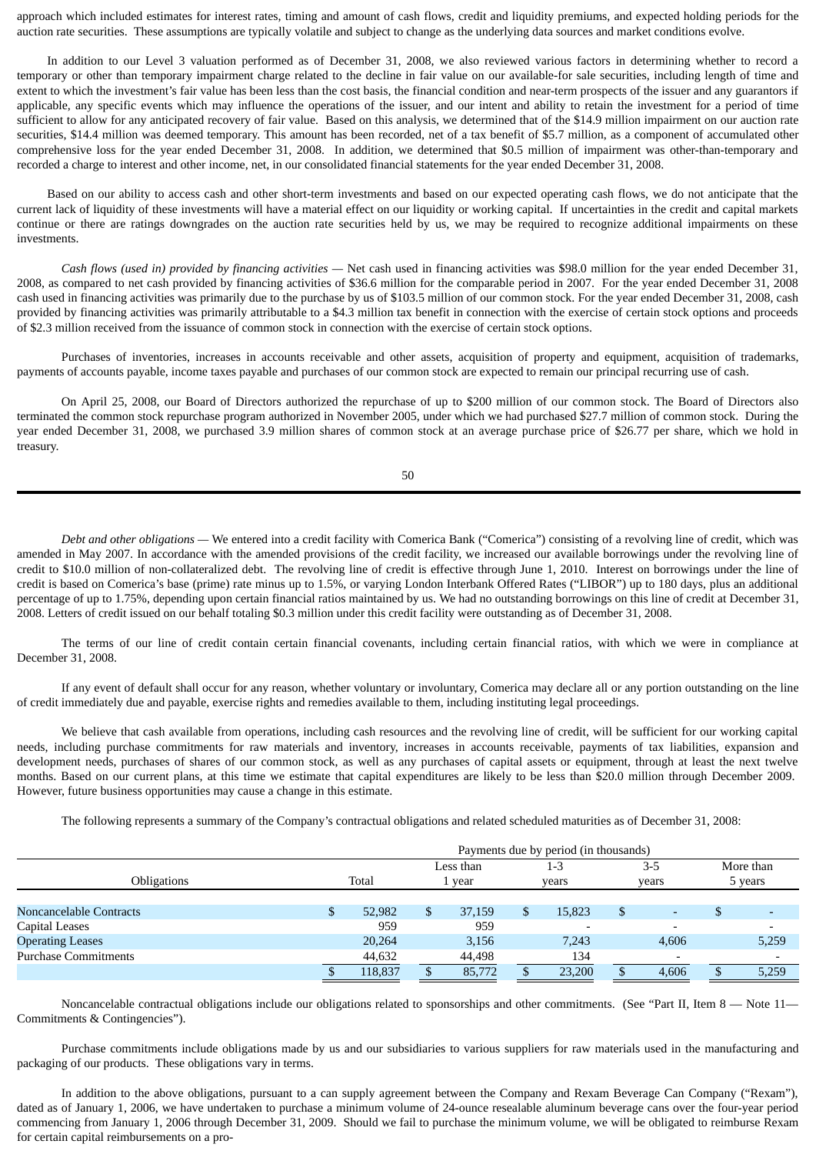approach which included estimates for interest rates, timing and amount of cash flows, credit and liquidity premiums, and expected holding periods for the auction rate securities. These assumptions are typically volatile and subject to change as the underlying data sources and market conditions evolve.

In addition to our Level 3 valuation performed as of December 31, 2008, we also reviewed various factors in determining whether to record a temporary or other than temporary impairment charge related to the decline in fair value on our available-for sale securities, including length of time and extent to which the investment's fair value has been less than the cost basis, the financial condition and near-term prospects of the issuer and any guarantors if applicable, any specific events which may influence the operations of the issuer, and our intent and ability to retain the investment for a period of time sufficient to allow for any anticipated recovery of fair value. Based on this analysis, we determined that of the \$14.9 million impairment on our auction rate securities, \$14.4 million was deemed temporary. This amount has been recorded, net of a tax benefit of \$5.7 million, as a component of accumulated other comprehensive loss for the year ended December 31, 2008. In addition, we determined that \$0.5 million of impairment was other-than-temporary and recorded a charge to interest and other income, net, in our consolidated financial statements for the year ended December 31, 2008.

Based on our ability to access cash and other short-term investments and based on our expected operating cash flows, we do not anticipate that the current lack of liquidity of these investments will have a material effect on our liquidity or working capital. If uncertainties in the credit and capital markets continue or there are ratings downgrades on the auction rate securities held by us, we may be required to recognize additional impairments on these investments.

*Cash flows (used in) provided by financing activities —* Net cash used in financing activities was \$98.0 million for the year ended December 31, 2008, as compared to net cash provided by financing activities of \$36.6 million for the comparable period in 2007. For the year ended December 31, 2008 cash used in financing activities was primarily due to the purchase by us of \$103.5 million of our common stock. For the year ended December 31, 2008, cash provided by financing activities was primarily attributable to a \$4.3 million tax benefit in connection with the exercise of certain stock options and proceeds of \$2.3 million received from the issuance of common stock in connection with the exercise of certain stock options.

Purchases of inventories, increases in accounts receivable and other assets, acquisition of property and equipment, acquisition of trademarks, payments of accounts payable, income taxes payable and purchases of our common stock are expected to remain our principal recurring use of cash.

On April 25, 2008, our Board of Directors authorized the repurchase of up to \$200 million of our common stock. The Board of Directors also terminated the common stock repurchase program authorized in November 2005, under which we had purchased \$27.7 million of common stock. During the year ended December 31, 2008, we purchased 3.9 million shares of common stock at an average purchase price of \$26.77 per share, which we hold in treasury.

50

*Debt and other obligations —* We entered into a credit facility with Comerica Bank ("Comerica") consisting of a revolving line of credit, which was amended in May 2007. In accordance with the amended provisions of the credit facility, we increased our available borrowings under the revolving line of credit to \$10.0 million of non-collateralized debt. The revolving line of credit is effective through June 1, 2010. Interest on borrowings under the line of credit is based on Comerica's base (prime) rate minus up to 1.5%, or varying London Interbank Offered Rates ("LIBOR") up to 180 days, plus an additional percentage of up to 1.75%, depending upon certain financial ratios maintained by us. We had no outstanding borrowings on this line of credit at December 31, 2008. Letters of credit issued on our behalf totaling \$0.3 million under this credit facility were outstanding as of December 31, 2008.

The terms of our line of credit contain certain financial covenants, including certain financial ratios, with which we were in compliance at December 31, 2008.

If any event of default shall occur for any reason, whether voluntary or involuntary, Comerica may declare all or any portion outstanding on the line of credit immediately due and payable, exercise rights and remedies available to them, including instituting legal proceedings.

We believe that cash available from operations, including cash resources and the revolving line of credit, will be sufficient for our working capital needs, including purchase commitments for raw materials and inventory, increases in accounts receivable, payments of tax liabilities, expansion and development needs, purchases of shares of our common stock, as well as any purchases of capital assets or equipment, through at least the next twelve months. Based on our current plans, at this time we estimate that capital expenditures are likely to be less than \$20.0 million through December 2009. However, future business opportunities may cause a change in this estimate.

The following represents a summary of the Company's contractual obligations and related scheduled maturities as of December 31, 2008:

|                             | Payments due by period (in thousands) |         |    |        |   |                          |    |                          |           |         |
|-----------------------------|---------------------------------------|---------|----|--------|---|--------------------------|----|--------------------------|-----------|---------|
|                             | Less than                             |         |    |        |   | 1-3                      |    | $3 - 5$                  | More than |         |
| <b>Obligations</b>          | Total                                 |         |    | 1 year |   | vears                    |    | vears                    |           | 5 years |
|                             |                                       |         |    |        |   |                          |    |                          |           |         |
| Noncancelable Contracts     |                                       | 52,982  | Ъ. | 37,159 | S | 15,823                   | \$ | $\overline{\phantom{0}}$ |           |         |
| Capital Leases              |                                       | 959     |    | 959    |   | $\overline{\phantom{0}}$ |    | -                        |           |         |
| <b>Operating Leases</b>     |                                       | 20,264  |    | 3,156  |   | 7,243                    |    | 4.606                    |           | 5,259   |
| <b>Purchase Commitments</b> |                                       | 44,632  |    | 44,498 |   | 134                      |    | $\overline{\phantom{0}}$ |           |         |
|                             |                                       | 118,837 |    | 85,772 |   | 23,200                   |    | 4,606                    |           | 5,259   |

Noncancelable contractual obligations include our obligations related to sponsorships and other commitments. (See "Part II, Item 8 — Note 11— Commitments & Contingencies").

Purchase commitments include obligations made by us and our subsidiaries to various suppliers for raw materials used in the manufacturing and packaging of our products. These obligations vary in terms.

In addition to the above obligations, pursuant to a can supply agreement between the Company and Rexam Beverage Can Company ("Rexam"), dated as of January 1, 2006, we have undertaken to purchase a minimum volume of 24-ounce resealable aluminum beverage cans over the four-year period commencing from January 1, 2006 through December 31, 2009. Should we fail to purchase the minimum volume, we will be obligated to reimburse Rexam for certain capital reimbursements on a pro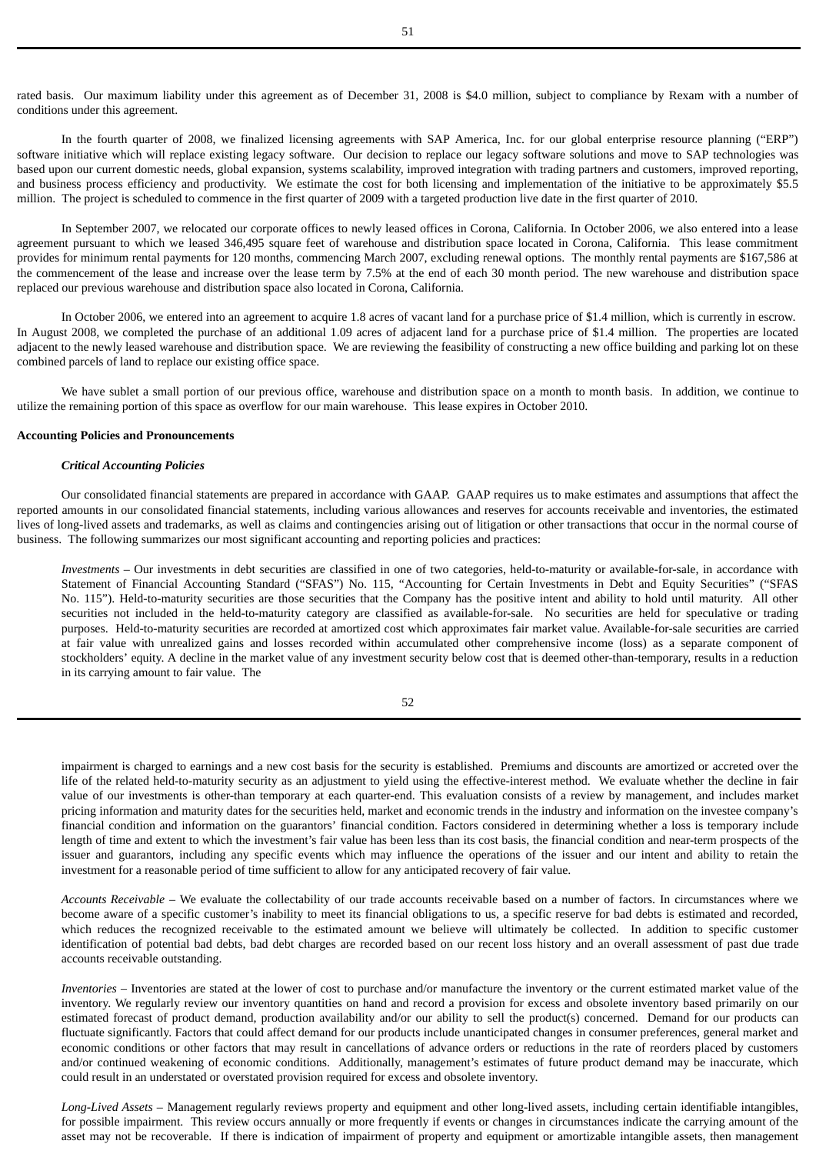rated basis. Our maximum liability under this agreement as of December 31, 2008 is \$4.0 million, subject to compliance by Rexam with a number of conditions under this agreement.

In the fourth quarter of 2008, we finalized licensing agreements with SAP America, Inc. for our global enterprise resource planning ("ERP") software initiative which will replace existing legacy software. Our decision to replace our legacy software solutions and move to SAP technologies was based upon our current domestic needs, global expansion, systems scalability, improved integration with trading partners and customers, improved reporting, and business process efficiency and productivity. We estimate the cost for both licensing and implementation of the initiative to be approximately \$5.5 million. The project is scheduled to commence in the first quarter of 2009 with a targeted production live date in the first quarter of 2010.

In September 2007, we relocated our corporate offices to newly leased offices in Corona, California. In October 2006, we also entered into a lease agreement pursuant to which we leased 346,495 square feet of warehouse and distribution space located in Corona, California. This lease commitment provides for minimum rental payments for 120 months, commencing March 2007, excluding renewal options. The monthly rental payments are \$167,586 at the commencement of the lease and increase over the lease term by 7.5% at the end of each 30 month period. The new warehouse and distribution space replaced our previous warehouse and distribution space also located in Corona, California.

In October 2006, we entered into an agreement to acquire 1.8 acres of vacant land for a purchase price of \$1.4 million, which is currently in escrow. In August 2008, we completed the purchase of an additional 1.09 acres of adjacent land for a purchase price of \$1.4 million. The properties are located adjacent to the newly leased warehouse and distribution space. We are reviewing the feasibility of constructing a new office building and parking lot on these combined parcels of land to replace our existing office space.

We have sublet a small portion of our previous office, warehouse and distribution space on a month to month basis. In addition, we continue to utilize the remaining portion of this space as overflow for our main warehouse. This lease expires in October 2010.

#### **Accounting Policies and Pronouncements**

#### *Critical Accounting Policies*

Our consolidated financial statements are prepared in accordance with GAAP. GAAP requires us to make estimates and assumptions that affect the reported amounts in our consolidated financial statements, including various allowances and reserves for accounts receivable and inventories, the estimated lives of long-lived assets and trademarks, as well as claims and contingencies arising out of litigation or other transactions that occur in the normal course of business. The following summarizes our most significant accounting and reporting policies and practices:

*Investments* – Our investments in debt securities are classified in one of two categories, held-to-maturity or available-for-sale, in accordance with Statement of Financial Accounting Standard ("SFAS") No. 115, "Accounting for Certain Investments in Debt and Equity Securities" ("SFAS No. 115"). Held-to-maturity securities are those securities that the Company has the positive intent and ability to hold until maturity. All other securities not included in the held-to-maturity category are classified as available-for-sale. No securities are held for speculative or trading purposes. Held-to-maturity securities are recorded at amortized cost which approximates fair market value. Available-for-sale securities are carried at fair value with unrealized gains and losses recorded within accumulated other comprehensive income (loss) as a separate component of stockholders' equity. A decline in the market value of any investment security below cost that is deemed other-than-temporary, results in a reduction in its carrying amount to fair value. The

impairment is charged to earnings and a new cost basis for the security is established. Premiums and discounts are amortized or accreted over the life of the related held-to-maturity security as an adjustment to yield using the effective-interest method. We evaluate whether the decline in fair value of our investments is other-than temporary at each quarter-end. This evaluation consists of a review by management, and includes market pricing information and maturity dates for the securities held, market and economic trends in the industry and information on the investee company's financial condition and information on the guarantors' financial condition. Factors considered in determining whether a loss is temporary include length of time and extent to which the investment's fair value has been less than its cost basis, the financial condition and near-term prospects of the issuer and guarantors, including any specific events which may influence the operations of the issuer and our intent and ability to retain the investment for a reasonable period of time sufficient to allow for any anticipated recovery of fair value.

*Accounts Receivable* – We evaluate the collectability of our trade accounts receivable based on a number of factors. In circumstances where we become aware of a specific customer's inability to meet its financial obligations to us, a specific reserve for bad debts is estimated and recorded, which reduces the recognized receivable to the estimated amount we believe will ultimately be collected. In addition to specific customer identification of potential bad debts, bad debt charges are recorded based on our recent loss history and an overall assessment of past due trade accounts receivable outstanding.

*Inventories* – Inventories are stated at the lower of cost to purchase and/or manufacture the inventory or the current estimated market value of the inventory. We regularly review our inventory quantities on hand and record a provision for excess and obsolete inventory based primarily on our estimated forecast of product demand, production availability and/or our ability to sell the product(s) concerned. Demand for our products can fluctuate significantly. Factors that could affect demand for our products include unanticipated changes in consumer preferences, general market and economic conditions or other factors that may result in cancellations of advance orders or reductions in the rate of reorders placed by customers and/or continued weakening of economic conditions. Additionally, management's estimates of future product demand may be inaccurate, which could result in an understated or overstated provision required for excess and obsolete inventory.

*Long-Lived Assets –* Management regularly reviews property and equipment and other long-lived assets, including certain identifiable intangibles, for possible impairment. This review occurs annually or more frequently if events or changes in circumstances indicate the carrying amount of the asset may not be recoverable. If there is indication of impairment of property and equipment or amortizable intangible assets, then management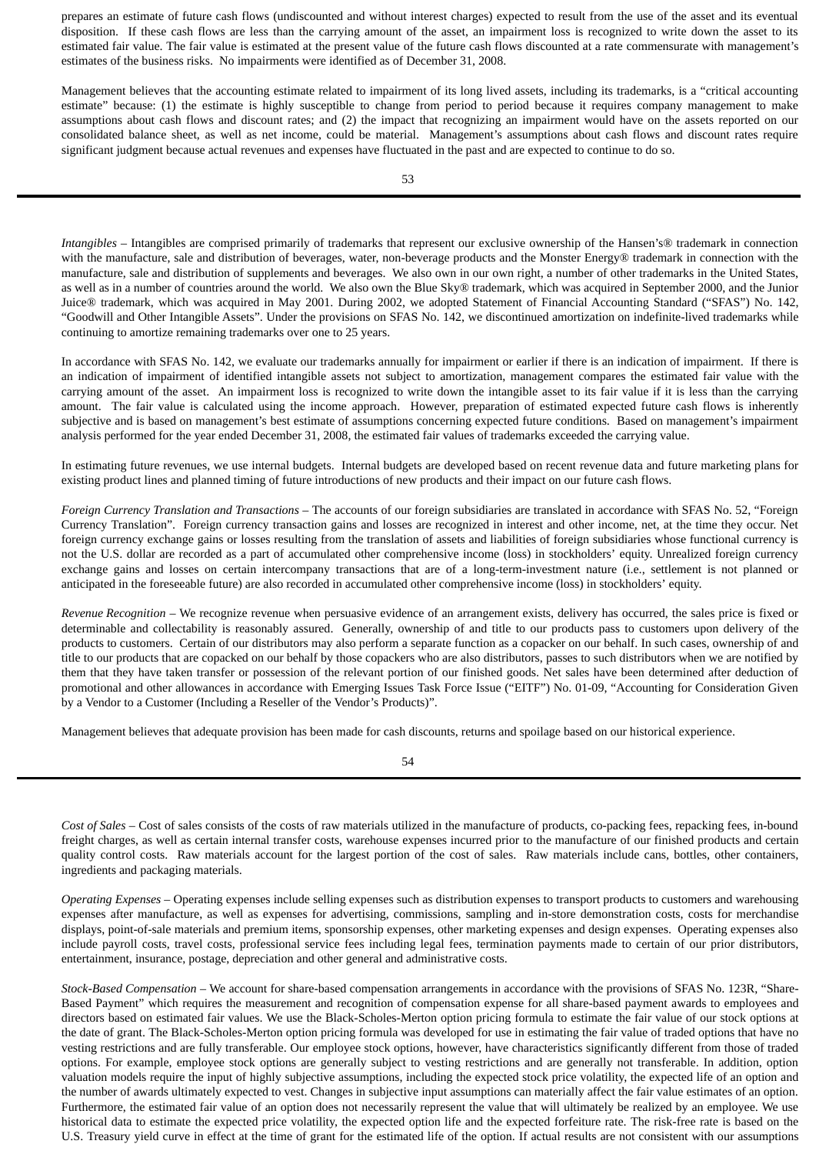prepares an estimate of future cash flows (undiscounted and without interest charges) expected to result from the use of the asset and its eventual disposition. If these cash flows are less than the carrying amount of the asset, an impairment loss is recognized to write down the asset to its estimated fair value. The fair value is estimated at the present value of the future cash flows discounted at a rate commensurate with management's estimates of the business risks. No impairments were identified as of December 31, 2008.

Management believes that the accounting estimate related to impairment of its long lived assets, including its trademarks, is a "critical accounting estimate" because: (1) the estimate is highly susceptible to change from period to period because it requires company management to make assumptions about cash flows and discount rates; and (2) the impact that recognizing an impairment would have on the assets reported on our consolidated balance sheet, as well as net income, could be material. Management's assumptions about cash flows and discount rates require significant judgment because actual revenues and expenses have fluctuated in the past and are expected to continue to do so.

*Intangibles* – Intangibles are comprised primarily of trademarks that represent our exclusive ownership of the Hansen's® trademark in connection with the manufacture, sale and distribution of beverages, water, non-beverage products and the Monster Energy® trademark in connection with the manufacture, sale and distribution of supplements and beverages. We also own in our own right, a number of other trademarks in the United States, as well as in a number of countries around the world. We also own the Blue Sky® trademark, which was acquired in September 2000, and the Junior Juice® trademark, which was acquired in May 2001. During 2002, we adopted Statement of Financial Accounting Standard ("SFAS") No. 142, "Goodwill and Other Intangible Assets". Under the provisions on SFAS No. 142, we discontinued amortization on indefinite-lived trademarks while continuing to amortize remaining trademarks over one to 25 years.

In accordance with SFAS No. 142, we evaluate our trademarks annually for impairment or earlier if there is an indication of impairment. If there is an indication of impairment of identified intangible assets not subject to amortization, management compares the estimated fair value with the carrying amount of the asset. An impairment loss is recognized to write down the intangible asset to its fair value if it is less than the carrying amount. The fair value is calculated using the income approach. However, preparation of estimated expected future cash flows is inherently subjective and is based on management's best estimate of assumptions concerning expected future conditions. Based on management's impairment analysis performed for the year ended December 31, 2008, the estimated fair values of trademarks exceeded the carrying value.

In estimating future revenues, we use internal budgets. Internal budgets are developed based on recent revenue data and future marketing plans for existing product lines and planned timing of future introductions of new products and their impact on our future cash flows.

*Foreign Currency Translation and Transactions* – The accounts of our foreign subsidiaries are translated in accordance with SFAS No. 52, "Foreign Currency Translation". Foreign currency transaction gains and losses are recognized in interest and other income, net, at the time they occur. Net foreign currency exchange gains or losses resulting from the translation of assets and liabilities of foreign subsidiaries whose functional currency is not the U.S. dollar are recorded as a part of accumulated other comprehensive income (loss) in stockholders' equity. Unrealized foreign currency exchange gains and losses on certain intercompany transactions that are of a long-term-investment nature (i.e., settlement is not planned or anticipated in the foreseeable future) are also recorded in accumulated other comprehensive income (loss) in stockholders' equity.

*Revenue Recognition* – We recognize revenue when persuasive evidence of an arrangement exists, delivery has occurred, the sales price is fixed or determinable and collectability is reasonably assured. Generally, ownership of and title to our products pass to customers upon delivery of the products to customers. Certain of our distributors may also perform a separate function as a copacker on our behalf. In such cases, ownership of and title to our products that are copacked on our behalf by those copackers who are also distributors, passes to such distributors when we are notified by them that they have taken transfer or possession of the relevant portion of our finished goods. Net sales have been determined after deduction of promotional and other allowances in accordance with Emerging Issues Task Force Issue ("EITF") No. 01-09, "Accounting for Consideration Given by a Vendor to a Customer (Including a Reseller of the Vendor's Products)".

Management believes that adequate provision has been made for cash discounts, returns and spoilage based on our historical experience.

54

*Cost of Sales* – Cost of sales consists of the costs of raw materials utilized in the manufacture of products, co-packing fees, repacking fees, in-bound freight charges, as well as certain internal transfer costs, warehouse expenses incurred prior to the manufacture of our finished products and certain quality control costs. Raw materials account for the largest portion of the cost of sales. Raw materials include cans, bottles, other containers, ingredients and packaging materials.

*Operating Expenses* – Operating expenses include selling expenses such as distribution expenses to transport products to customers and warehousing expenses after manufacture, as well as expenses for advertising, commissions, sampling and in-store demonstration costs, costs for merchandise displays, point-of-sale materials and premium items, sponsorship expenses, other marketing expenses and design expenses. Operating expenses also include payroll costs, travel costs, professional service fees including legal fees, termination payments made to certain of our prior distributors, entertainment, insurance, postage, depreciation and other general and administrative costs.

*Stock-Based Compensation* – We account for share-based compensation arrangements in accordance with the provisions of SFAS No. 123R, "Share-Based Payment" which requires the measurement and recognition of compensation expense for all share-based payment awards to employees and directors based on estimated fair values. We use the Black-Scholes-Merton option pricing formula to estimate the fair value of our stock options at the date of grant. The Black-Scholes-Merton option pricing formula was developed for use in estimating the fair value of traded options that have no vesting restrictions and are fully transferable. Our employee stock options, however, have characteristics significantly different from those of traded options. For example, employee stock options are generally subject to vesting restrictions and are generally not transferable. In addition, option valuation models require the input of highly subjective assumptions, including the expected stock price volatility, the expected life of an option and the number of awards ultimately expected to vest. Changes in subjective input assumptions can materially affect the fair value estimates of an option. Furthermore, the estimated fair value of an option does not necessarily represent the value that will ultimately be realized by an employee. We use historical data to estimate the expected price volatility, the expected option life and the expected forfeiture rate. The risk-free rate is based on the U.S. Treasury yield curve in effect at the time of grant for the estimated life of the option. If actual results are not consistent with our assumptions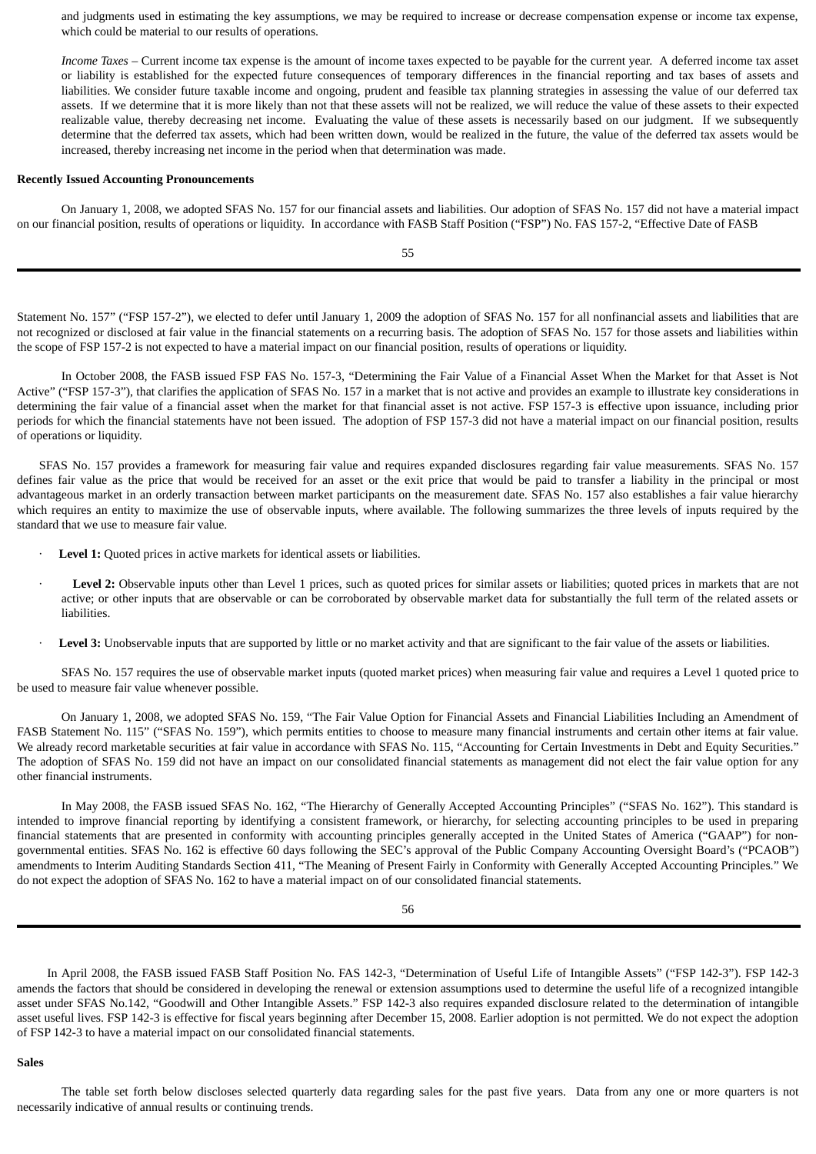and judgments used in estimating the key assumptions, we may be required to increase or decrease compensation expense or income tax expense, which could be material to our results of operations.

*Income Taxes* – Current income tax expense is the amount of income taxes expected to be payable for the current year. A deferred income tax asset or liability is established for the expected future consequences of temporary differences in the financial reporting and tax bases of assets and liabilities. We consider future taxable income and ongoing, prudent and feasible tax planning strategies in assessing the value of our deferred tax assets. If we determine that it is more likely than not that these assets will not be realized, we will reduce the value of these assets to their expected realizable value, thereby decreasing net income. Evaluating the value of these assets is necessarily based on our judgment. If we subsequently determine that the deferred tax assets, which had been written down, would be realized in the future, the value of the deferred tax assets would be increased, thereby increasing net income in the period when that determination was made.

#### **Recently Issued Accounting Pronouncements**

On January 1, 2008, we adopted SFAS No. 157 for our financial assets and liabilities. Our adoption of SFAS No. 157 did not have a material impact on our financial position, results of operations or liquidity. In accordance with FASB Staff Position ("FSP") No. FAS 157-2, "Effective Date of FASB

Statement No. 157" ("FSP 157-2"), we elected to defer until January 1, 2009 the adoption of SFAS No. 157 for all nonfinancial assets and liabilities that are not recognized or disclosed at fair value in the financial statements on a recurring basis. The adoption of SFAS No. 157 for those assets and liabilities within the scope of FSP 157-2 is not expected to have a material impact on our financial position, results of operations or liquidity.

In October 2008, the FASB issued FSP FAS No. 157-3, "Determining the Fair Value of a Financial Asset When the Market for that Asset is Not Active" ("FSP 157-3"), that clarifies the application of SFAS No. 157 in a market that is not active and provides an example to illustrate key considerations in determining the fair value of a financial asset when the market for that financial asset is not active. FSP 157-3 is effective upon issuance, including prior periods for which the financial statements have not been issued. The adoption of FSP 157-3 did not have a material impact on our financial position, results of operations or liquidity.

SFAS No. 157 provides a framework for measuring fair value and requires expanded disclosures regarding fair value measurements. SFAS No. 157 defines fair value as the price that would be received for an asset or the exit price that would be paid to transfer a liability in the principal or most advantageous market in an orderly transaction between market participants on the measurement date. SFAS No. 157 also establishes a fair value hierarchy which requires an entity to maximize the use of observable inputs, where available. The following summarizes the three levels of inputs required by the standard that we use to measure fair value.

- **Level 1:** Ouoted prices in active markets for identical assets or liabilities.
- Level 2: Observable inputs other than Level 1 prices, such as quoted prices for similar assets or liabilities; quoted prices in markets that are not active; or other inputs that are observable or can be corroborated by observable market data for substantially the full term of the related assets or liabilities.
- Level 3: Unobservable inputs that are supported by little or no market activity and that are significant to the fair value of the assets or liabilities.

SFAS No. 157 requires the use of observable market inputs (quoted market prices) when measuring fair value and requires a Level 1 quoted price to be used to measure fair value whenever possible.

On January 1, 2008, we adopted SFAS No. 159, "The Fair Value Option for Financial Assets and Financial Liabilities Including an Amendment of FASB Statement No. 115" ("SFAS No. 159"), which permits entities to choose to measure many financial instruments and certain other items at fair value. We already record marketable securities at fair value in accordance with SFAS No. 115, "Accounting for Certain Investments in Debt and Equity Securities." The adoption of SFAS No. 159 did not have an impact on our consolidated financial statements as management did not elect the fair value option for any other financial instruments.

In May 2008, the FASB issued SFAS No. 162, "The Hierarchy of Generally Accepted Accounting Principles" ("SFAS No. 162"). This standard is intended to improve financial reporting by identifying a consistent framework, or hierarchy, for selecting accounting principles to be used in preparing financial statements that are presented in conformity with accounting principles generally accepted in the United States of America ("GAAP") for nongovernmental entities. SFAS No. 162 is effective 60 days following the SEC's approval of the Public Company Accounting Oversight Board's ("PCAOB") amendments to Interim Auditing Standards Section 411, "The Meaning of Present Fairly in Conformity with Generally Accepted Accounting Principles." We do not expect the adoption of SFAS No. 162 to have a material impact on of our consolidated financial statements.

56

In April 2008, the FASB issued FASB Staff Position No. FAS 142-3, "Determination of Useful Life of Intangible Assets" ("FSP 142-3"). FSP 142-3 amends the factors that should be considered in developing the renewal or extension assumptions used to determine the useful life of a recognized intangible asset under SFAS No.142, "Goodwill and Other Intangible Assets." FSP 142-3 also requires expanded disclosure related to the determination of intangible asset useful lives. FSP 142-3 is effective for fiscal years beginning after December 15, 2008. Earlier adoption is not permitted. We do not expect the adoption of FSP 142-3 to have a material impact on our consolidated financial statements.

#### **Sales**

The table set forth below discloses selected quarterly data regarding sales for the past five years. Data from any one or more quarters is not necessarily indicative of annual results or continuing trends.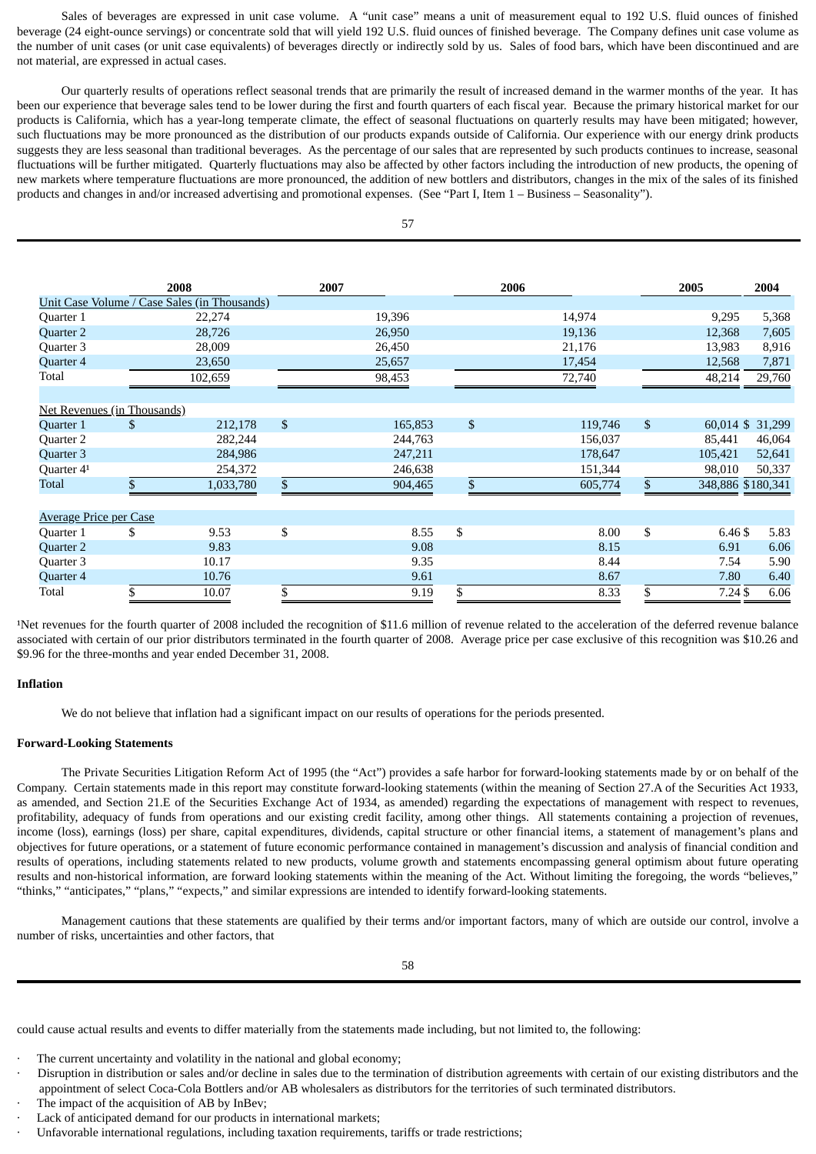Sales of beverages are expressed in unit case volume. A "unit case" means a unit of measurement equal to 192 U.S. fluid ounces of finished beverage (24 eight-ounce servings) or concentrate sold that will yield 192 U.S. fluid ounces of finished beverage. The Company defines unit case volume as the number of unit cases (or unit case equivalents) of beverages directly or indirectly sold by us. Sales of food bars, which have been discontinued and are not material, are expressed in actual cases.

Our quarterly results of operations reflect seasonal trends that are primarily the result of increased demand in the warmer months of the year. It has been our experience that beverage sales tend to be lower during the first and fourth quarters of each fiscal year. Because the primary historical market for our products is California, which has a year-long temperate climate, the effect of seasonal fluctuations on quarterly results may have been mitigated; however, such fluctuations may be more pronounced as the distribution of our products expands outside of California. Our experience with our energy drink products suggests they are less seasonal than traditional beverages. As the percentage of our sales that are represented by such products continues to increase, seasonal fluctuations will be further mitigated. Quarterly fluctuations may also be affected by other factors including the introduction of new products, the opening of new markets where temperature fluctuations are more pronounced, the addition of new bottlers and distributors, changes in the mix of the sales of its finished products and changes in and/or increased advertising and promotional expenses. (See "Part I, Item 1 – Business – Seasonality").

| . .          |  |
|--------------|--|
| ۰.<br>×<br>v |  |

|                                    | 2008 |                                              | 2007 |         | 2006          | 2005                    | 2004   |
|------------------------------------|------|----------------------------------------------|------|---------|---------------|-------------------------|--------|
|                                    |      | Unit Case Volume / Case Sales (in Thousands) |      |         |               |                         |        |
| Quarter 1                          |      | 22,274                                       |      | 19,396  | 14,974        | 9,295                   | 5,368  |
| Quarter 2                          |      | 28,726                                       |      | 26,950  | 19,136        | 12,368                  | 7,605  |
| Quarter 3                          |      | 28,009                                       |      | 26,450  | 21,176        | 13,983                  | 8,916  |
| Quarter 4                          |      | 23,650                                       |      | 25,657  | 17,454        | 12,568                  | 7,871  |
| Total                              |      | 102,659                                      |      | 98,453  | 72,740        | 48,214                  | 29,760 |
|                                    |      |                                              |      |         |               |                         |        |
| <b>Net Revenues (in Thousands)</b> |      |                                              |      |         |               |                         |        |
| Quarter 1                          | \$   | 212,178                                      | \$   | 165,853 | \$<br>119,746 | \$<br>60,014 \$         | 31,299 |
| Quarter 2                          |      | 282,244                                      |      | 244,763 | 156,037       | 85,441                  | 46,064 |
| Quarter 3                          |      | 284,986                                      |      | 247,211 | 178,647       | 105,421                 | 52,641 |
| Quarter 4 <sup>1</sup>             |      | 254,372                                      |      | 246,638 | 151,344       | 98,010                  | 50,337 |
| Total                              | \$   | 1,033,780                                    | \$   | 904,465 | \$<br>605,774 | \$<br>348,886 \$180,341 |        |
|                                    |      |                                              |      |         |               |                         |        |
| <b>Average Price per Case</b>      |      |                                              |      |         |               |                         |        |
| Quarter 1                          | \$   | 9.53                                         | \$   | 8.55    | \$<br>8.00    | \$<br>6.46\$            | 5.83   |
| Quarter 2                          |      | 9.83                                         |      | 9.08    | 8.15          | 6.91                    | 6.06   |
| Quarter 3                          |      | 10.17                                        |      | 9.35    | 8.44          | 7.54                    | 5.90   |
| Quarter 4                          |      | 10.76                                        |      | 9.61    | 8.67          | 7.80                    | 6.40   |
| Total                              | \$   | 10.07                                        | \$   | 9.19    | \$<br>8.33    | \$<br>$7.24$ \$         | 6.06   |

<sup>1</sup>Net revenues for the fourth quarter of 2008 included the recognition of \$11.6 million of revenue related to the acceleration of the deferred revenue balance associated with certain of our prior distributors terminated in the fourth quarter of 2008. Average price per case exclusive of this recognition was \$10.26 and \$9.96 for the three-months and year ended December 31, 2008.

#### **Inflation**

We do not believe that inflation had a significant impact on our results of operations for the periods presented.

#### **Forward-Looking Statements**

The Private Securities Litigation Reform Act of 1995 (the "Act") provides a safe harbor for forward-looking statements made by or on behalf of the Company. Certain statements made in this report may constitute forward-looking statements (within the meaning of Section 27.A of the Securities Act 1933, as amended, and Section 21.E of the Securities Exchange Act of 1934, as amended) regarding the expectations of management with respect to revenues, profitability, adequacy of funds from operations and our existing credit facility, among other things. All statements containing a projection of revenues, income (loss), earnings (loss) per share, capital expenditures, dividends, capital structure or other financial items, a statement of management's plans and objectives for future operations, or a statement of future economic performance contained in management's discussion and analysis of financial condition and results of operations, including statements related to new products, volume growth and statements encompassing general optimism about future operating results and non-historical information, are forward looking statements within the meaning of the Act. Without limiting the foregoing, the words "believes," "thinks," "anticipates," "plans," "expects," and similar expressions are intended to identify forward-looking statements.

Management cautions that these statements are qualified by their terms and/or important factors, many of which are outside our control, involve a number of risks, uncertainties and other factors, that

could cause actual results and events to differ materially from the statements made including, but not limited to, the following:

The current uncertainty and volatility in the national and global economy;

· Disruption in distribution or sales and/or decline in sales due to the termination of distribution agreements with certain of our existing distributors and the appointment of select Coca-Cola Bottlers and/or AB wholesalers as distributors for the territories of such terminated distributors.

- The impact of the acquisition of AB by InBev;
- Lack of anticipated demand for our products in international markets;
- Unfavorable international regulations, including taxation requirements, tariffs or trade restrictions;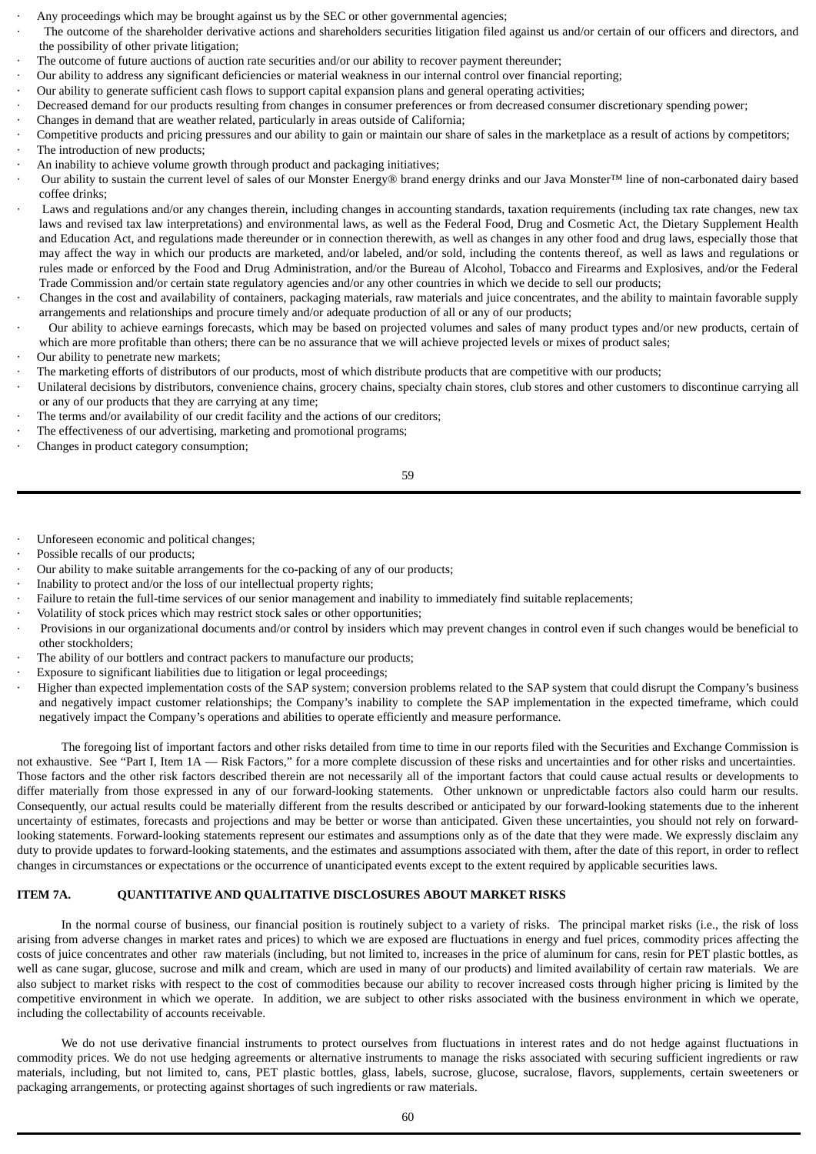- Any proceedings which may be brought against us by the SEC or other governmental agencies;
- The outcome of the shareholder derivative actions and shareholders securities litigation filed against us and/or certain of our officers and directors, and the possibility of other private litigation;
- The outcome of future auctions of auction rate securities and/or our ability to recover payment thereunder;
- · Our ability to address any significant deficiencies or material weakness in our internal control over financial reporting;
- · Our ability to generate sufficient cash flows to support capital expansion plans and general operating activities;
- · Decreased demand for our products resulting from changes in consumer preferences or from decreased consumer discretionary spending power;
- · Changes in demand that are weather related, particularly in areas outside of California;
- Competitive products and pricing pressures and our ability to gain or maintain our share of sales in the marketplace as a result of actions by competitors;
- The introduction of new products;
- · An inability to achieve volume growth through product and packaging initiatives;
- · Our ability to sustain the current level of sales of our Monster Energy® brand energy drinks and our Java Monster™ line of non-carbonated dairy based coffee drinks;
- Laws and regulations and/or any changes therein, including changes in accounting standards, taxation requirements (including tax rate changes, new tax laws and revised tax law interpretations) and environmental laws, as well as the Federal Food, Drug and Cosmetic Act, the Dietary Supplement Health and Education Act, and regulations made thereunder or in connection therewith, as well as changes in any other food and drug laws, especially those that may affect the way in which our products are marketed, and/or labeled, and/or sold, including the contents thereof, as well as laws and regulations or rules made or enforced by the Food and Drug Administration, and/or the Bureau of Alcohol, Tobacco and Firearms and Explosives, and/or the Federal Trade Commission and/or certain state regulatory agencies and/or any other countries in which we decide to sell our products;
- · Changes in the cost and availability of containers, packaging materials, raw materials and juice concentrates, and the ability to maintain favorable supply arrangements and relationships and procure timely and/or adequate production of all or any of our products;
- · Our ability to achieve earnings forecasts, which may be based on projected volumes and sales of many product types and/or new products, certain of which are more profitable than others; there can be no assurance that we will achieve projected levels or mixes of product sales;
- Our ability to penetrate new markets;
- The marketing efforts of distributors of our products, most of which distribute products that are competitive with our products;
- · Unilateral decisions by distributors, convenience chains, grocery chains, specialty chain stores, club stores and other customers to discontinue carrying all or any of our products that they are carrying at any time;
- The terms and/or availability of our credit facility and the actions of our creditors;
- The effectiveness of our advertising, marketing and promotional programs;
- · Changes in product category consumption;

<span id="page-34-0"></span>59

- Unforeseen economic and political changes;
- Possible recalls of our products:
- · Our ability to make suitable arrangements for the co-packing of any of our products;
- Inability to protect and/or the loss of our intellectual property rights;
- · Failure to retain the full-time services of our senior management and inability to immediately find suitable replacements;
- Volatility of stock prices which may restrict stock sales or other opportunities;
- · Provisions in our organizational documents and/or control by insiders which may prevent changes in control even if such changes would be beneficial to other stockholders;
- The ability of our bottlers and contract packers to manufacture our products;
- Exposure to significant liabilities due to litigation or legal proceedings;
- · Higher than expected implementation costs of the SAP system; conversion problems related to the SAP system that could disrupt the Company's business and negatively impact customer relationships; the Company's inability to complete the SAP implementation in the expected timeframe, which could negatively impact the Company's operations and abilities to operate efficiently and measure performance.

The foregoing list of important factors and other risks detailed from time to time in our reports filed with the Securities and Exchange Commission is not exhaustive. See "Part I, Item 1A — Risk Factors," for a more complete discussion of these risks and uncertainties and for other risks and uncertainties. Those factors and the other risk factors described therein are not necessarily all of the important factors that could cause actual results or developments to differ materially from those expressed in any of our forward-looking statements. Other unknown or unpredictable factors also could harm our results. Consequently, our actual results could be materially different from the results described or anticipated by our forward-looking statements due to the inherent uncertainty of estimates, forecasts and projections and may be better or worse than anticipated. Given these uncertainties, you should not rely on forwardlooking statements. Forward-looking statements represent our estimates and assumptions only as of the date that they were made. We expressly disclaim any duty to provide updates to forward-looking statements, and the estimates and assumptions associated with them, after the date of this report, in order to reflect changes in circumstances or expectations or the occurrence of unanticipated events except to the extent required by applicable securities laws.

# **ITEM 7A. QUANTITATIVE AND QUALITATIVE DISCLOSURES ABOUT MARKET RISKS**

In the normal course of business, our financial position is routinely subject to a variety of risks. The principal market risks (i.e., the risk of loss arising from adverse changes in market rates and prices) to which we are exposed are fluctuations in energy and fuel prices, commodity prices affecting the costs of juice concentrates and other raw materials (including, but not limited to, increases in the price of aluminum for cans, resin for PET plastic bottles, as well as cane sugar, glucose, sucrose and milk and cream, which are used in many of our products) and limited availability of certain raw materials. We are also subject to market risks with respect to the cost of commodities because our ability to recover increased costs through higher pricing is limited by the competitive environment in which we operate. In addition, we are subject to other risks associated with the business environment in which we operate, including the collectability of accounts receivable.

We do not use derivative financial instruments to protect ourselves from fluctuations in interest rates and do not hedge against fluctuations in commodity prices. We do not use hedging agreements or alternative instruments to manage the risks associated with securing sufficient ingredients or raw materials, including, but not limited to, cans, PET plastic bottles, glass, labels, sucrose, glucose, sucralose, flavors, supplements, certain sweeteners or packaging arrangements, or protecting against shortages of such ingredients or raw materials.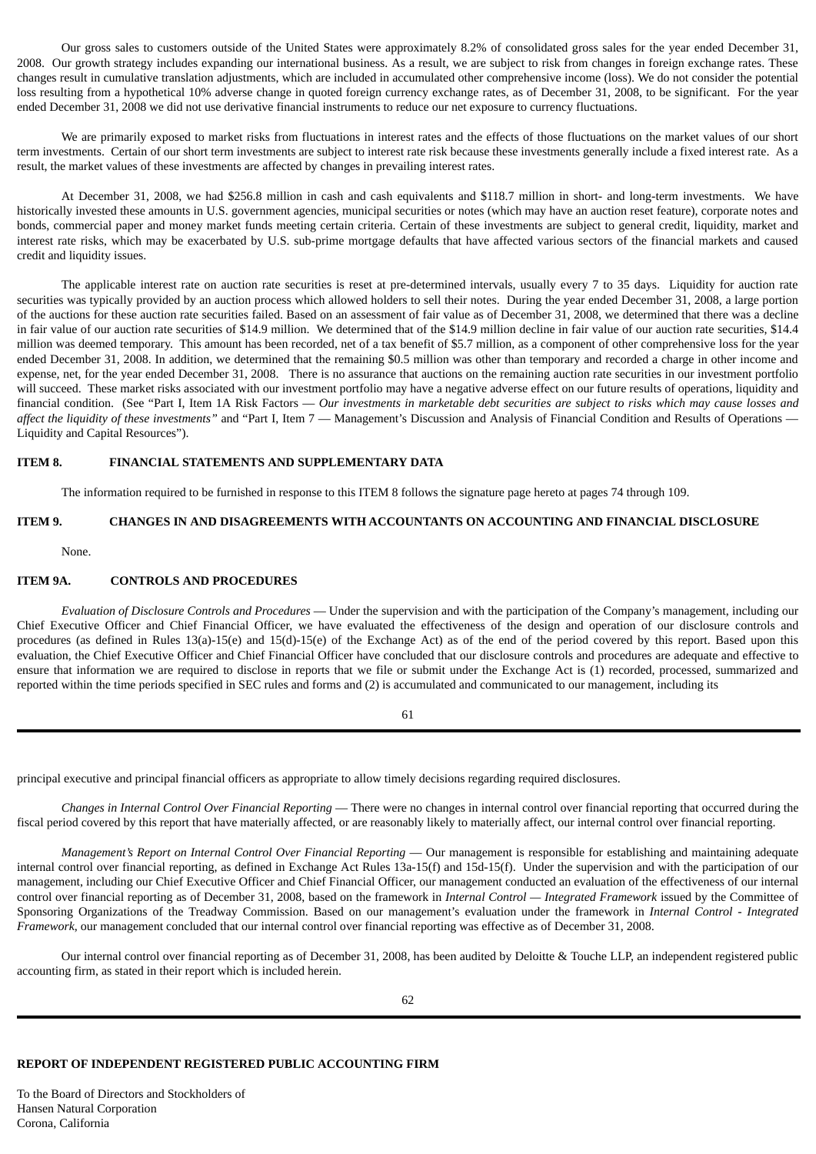Our gross sales to customers outside of the United States were approximately 8.2% of consolidated gross sales for the year ended December 31, 2008. Our growth strategy includes expanding our international business. As a result, we are subject to risk from changes in foreign exchange rates. These changes result in cumulative translation adjustments, which are included in accumulated other comprehensive income (loss). We do not consider the potential loss resulting from a hypothetical 10% adverse change in quoted foreign currency exchange rates, as of December 31, 2008, to be significant. For the year ended December 31, 2008 we did not use derivative financial instruments to reduce our net exposure to currency fluctuations.

We are primarily exposed to market risks from fluctuations in interest rates and the effects of those fluctuations on the market values of our short term investments. Certain of our short term investments are subject to interest rate risk because these investments generally include a fixed interest rate. As a result, the market values of these investments are affected by changes in prevailing interest rates.

At December 31, 2008, we had \$256.8 million in cash and cash equivalents and \$118.7 million in short- and long-term investments. We have historically invested these amounts in U.S. government agencies, municipal securities or notes (which may have an auction reset feature), corporate notes and bonds, commercial paper and money market funds meeting certain criteria. Certain of these investments are subject to general credit, liquidity, market and interest rate risks, which may be exacerbated by U.S. sub-prime mortgage defaults that have affected various sectors of the financial markets and caused credit and liquidity issues.

The applicable interest rate on auction rate securities is reset at pre-determined intervals, usually every 7 to 35 days. Liquidity for auction rate securities was typically provided by an auction process which allowed holders to sell their notes. During the year ended December 31, 2008, a large portion of the auctions for these auction rate securities failed. Based on an assessment of fair value as of December 31, 2008, we determined that there was a decline in fair value of our auction rate securities of \$14.9 million. We determined that of the \$14.9 million decline in fair value of our auction rate securities, \$14.4 million was deemed temporary. This amount has been recorded, net of a tax benefit of \$5.7 million, as a component of other comprehensive loss for the year ended December 31, 2008. In addition, we determined that the remaining \$0.5 million was other than temporary and recorded a charge in other income and expense, net, for the year ended December 31, 2008. There is no assurance that auctions on the remaining auction rate securities in our investment portfolio will succeed. These market risks associated with our investment portfolio may have a negative adverse effect on our future results of operations, liquidity and financial condition. (See "Part I, Item 1A Risk Factors — Our investments in marketable debt securities are subject to risks which may cause losses and *affect the liquidity of these investments"* and "Part I, Item 7 — Management's Discussion and Analysis of Financial Condition and Results of Operations — Liquidity and Capital Resources").

# **ITEM 8. FINANCIAL STATEMENTS AND SUPPLEMENTARY DATA**

The information required to be furnished in response to this ITEM 8 follows the signature page hereto at pages 74 through 109.

### **ITEM 9. CHANGES IN AND DISAGREEMENTS WITH ACCOUNTANTS ON ACCOUNTING AND FINANCIAL DISCLOSURE**

None.

# **ITEM 9A. CONTROLS AND PROCEDURES**

*Evaluation of Disclosure Controls and Procedures* — Under the supervision and with the participation of the Company's management, including our Chief Executive Officer and Chief Financial Officer, we have evaluated the effectiveness of the design and operation of our disclosure controls and procedures (as defined in Rules 13(a)-15(e) and 15(d)-15(e) of the Exchange Act) as of the end of the period covered by this report. Based upon this evaluation, the Chief Executive Officer and Chief Financial Officer have concluded that our disclosure controls and procedures are adequate and effective to ensure that information we are required to disclose in reports that we file or submit under the Exchange Act is (1) recorded, processed, summarized and reported within the time periods specified in SEC rules and forms and (2) is accumulated and communicated to our management, including its

<span id="page-35-2"></span><span id="page-35-1"></span><span id="page-35-0"></span>61

principal executive and principal financial officers as appropriate to allow timely decisions regarding required disclosures.

*Changes in Internal Control Over Financial Reporting* — There were no changes in internal control over financial reporting that occurred during the fiscal period covered by this report that have materially affected, or are reasonably likely to materially affect, our internal control over financial reporting.

*Management's Report on Internal Control Over Financial Reporting* — Our management is responsible for establishing and maintaining adequate internal control over financial reporting, as defined in Exchange Act Rules 13a-15(f) and 15d-15(f). Under the supervision and with the participation of our management, including our Chief Executive Officer and Chief Financial Officer, our management conducted an evaluation of the effectiveness of our internal control over financial reporting as of December 31, 2008, based on the framework in *Internal Control — Integrated Framework* issued by the Committee of Sponsoring Organizations of the Treadway Commission. Based on our management's evaluation under the framework in *Internal Control - Integrated Framework*, our management concluded that our internal control over financial reporting was effective as of December 31, 2008.

Our internal control over financial reporting as of December 31, 2008, has been audited by Deloitte & Touche LLP, an independent registered public accounting firm, as stated in their report which is included herein.

# **REPORT OF INDEPENDENT REGISTERED PUBLIC ACCOUNTING FIRM**

To the Board of Directors and Stockholders of Hansen Natural Corporation Corona, California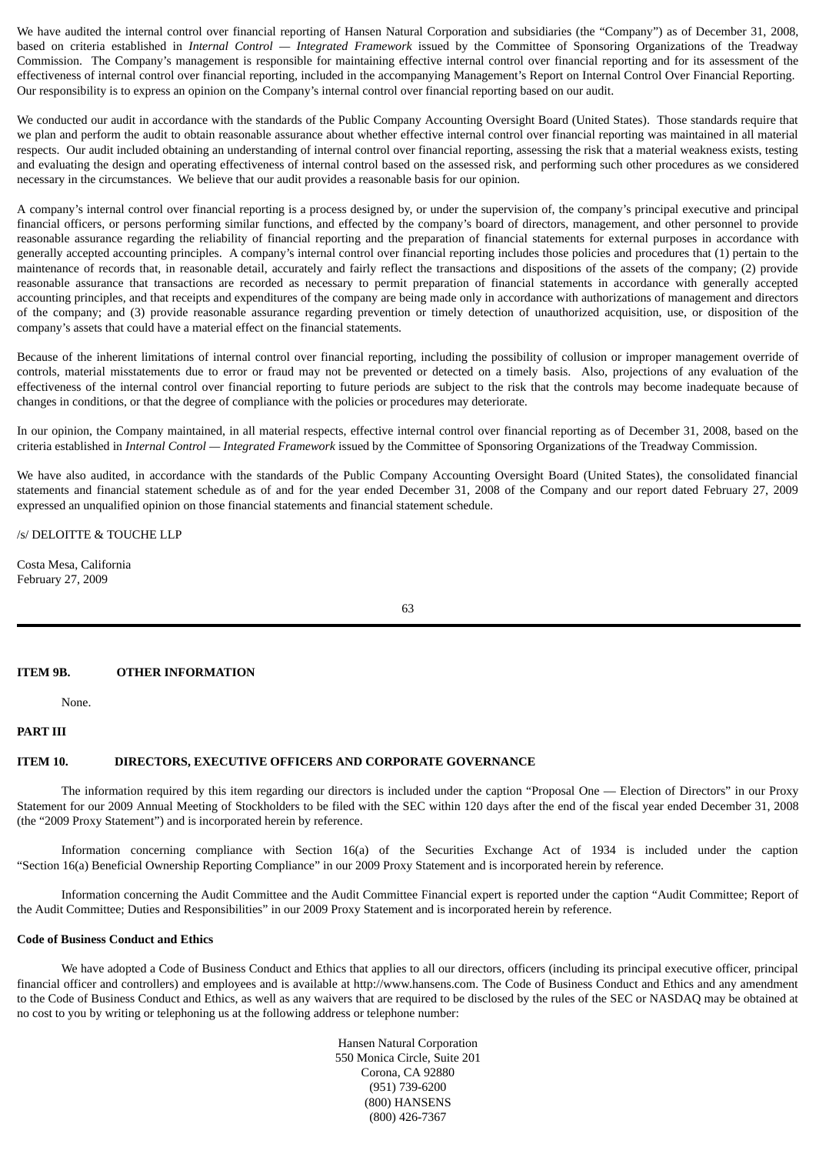We have audited the internal control over financial reporting of Hansen Natural Corporation and subsidiaries (the "Company") as of December 31, 2008, based on criteria established in *Internal Control — Integrated Framework* issued by the Committee of Sponsoring Organizations of the Treadway Commission. The Company's management is responsible for maintaining effective internal control over financial reporting and for its assessment of the effectiveness of internal control over financial reporting, included in the accompanying Management's Report on Internal Control Over Financial Reporting. Our responsibility is to express an opinion on the Company's internal control over financial reporting based on our audit.

We conducted our audit in accordance with the standards of the Public Company Accounting Oversight Board (United States). Those standards require that we plan and perform the audit to obtain reasonable assurance about whether effective internal control over financial reporting was maintained in all material respects. Our audit included obtaining an understanding of internal control over financial reporting, assessing the risk that a material weakness exists, testing and evaluating the design and operating effectiveness of internal control based on the assessed risk, and performing such other procedures as we considered necessary in the circumstances. We believe that our audit provides a reasonable basis for our opinion.

A company's internal control over financial reporting is a process designed by, or under the supervision of, the company's principal executive and principal financial officers, or persons performing similar functions, and effected by the company's board of directors, management, and other personnel to provide reasonable assurance regarding the reliability of financial reporting and the preparation of financial statements for external purposes in accordance with generally accepted accounting principles. A company's internal control over financial reporting includes those policies and procedures that (1) pertain to the maintenance of records that, in reasonable detail, accurately and fairly reflect the transactions and dispositions of the assets of the company; (2) provide reasonable assurance that transactions are recorded as necessary to permit preparation of financial statements in accordance with generally accepted accounting principles, and that receipts and expenditures of the company are being made only in accordance with authorizations of management and directors of the company; and (3) provide reasonable assurance regarding prevention or timely detection of unauthorized acquisition, use, or disposition of the company's assets that could have a material effect on the financial statements.

Because of the inherent limitations of internal control over financial reporting, including the possibility of collusion or improper management override of controls, material misstatements due to error or fraud may not be prevented or detected on a timely basis. Also, projections of any evaluation of the effectiveness of the internal control over financial reporting to future periods are subject to the risk that the controls may become inadequate because of changes in conditions, or that the degree of compliance with the policies or procedures may deteriorate.

In our opinion, the Company maintained, in all material respects, effective internal control over financial reporting as of December 31, 2008, based on the criteria established in *Internal Control — Integrated Framework* issued by the Committee of Sponsoring Organizations of the Treadway Commission.

We have also audited, in accordance with the standards of the Public Company Accounting Oversight Board (United States), the consolidated financial statements and financial statement schedule as of and for the year ended December 31, 2008 of the Company and our report dated February 27, 2009 expressed an unqualified opinion on those financial statements and financial statement schedule.

# /s/ DELOITTE & TOUCHE LLP

Costa Mesa, California February 27, 2009

<span id="page-36-2"></span><span id="page-36-0"></span>63

# **ITEM 9B. OTHER INFORMATION**

<span id="page-36-1"></span>None.

# **PART III**

### **ITEM 10. DIRECTORS, EXECUTIVE OFFICERS AND CORPORATE GOVERNANCE**

The information required by this item regarding our directors is included under the caption "Proposal One — Election of Directors" in our Proxy Statement for our 2009 Annual Meeting of Stockholders to be filed with the SEC within 120 days after the end of the fiscal year ended December 31, 2008 (the "2009 Proxy Statement") and is incorporated herein by reference.

Information concerning compliance with Section 16(a) of the Securities Exchange Act of 1934 is included under the caption "Section 16(a) Beneficial Ownership Reporting Compliance" in our 2009 Proxy Statement and is incorporated herein by reference.

Information concerning the Audit Committee and the Audit Committee Financial expert is reported under the caption "Audit Committee; Report of the Audit Committee; Duties and Responsibilities" in our 2009 Proxy Statement and is incorporated herein by reference.

### **Code of Business Conduct and Ethics**

We have adopted a Code of Business Conduct and Ethics that applies to all our directors, officers (including its principal executive officer, principal financial officer and controllers) and employees and is available at http://www.hansens.com. The Code of Business Conduct and Ethics and any amendment to the Code of Business Conduct and Ethics, as well as any waivers that are required to be disclosed by the rules of the SEC or NASDAQ may be obtained at no cost to you by writing or telephoning us at the following address or telephone number:

> <span id="page-36-3"></span>Hansen Natural Corporation 550 Monica Circle, Suite 201 Corona, CA 92880 (951) 739-6200 (800) HANSENS (800) 426-7367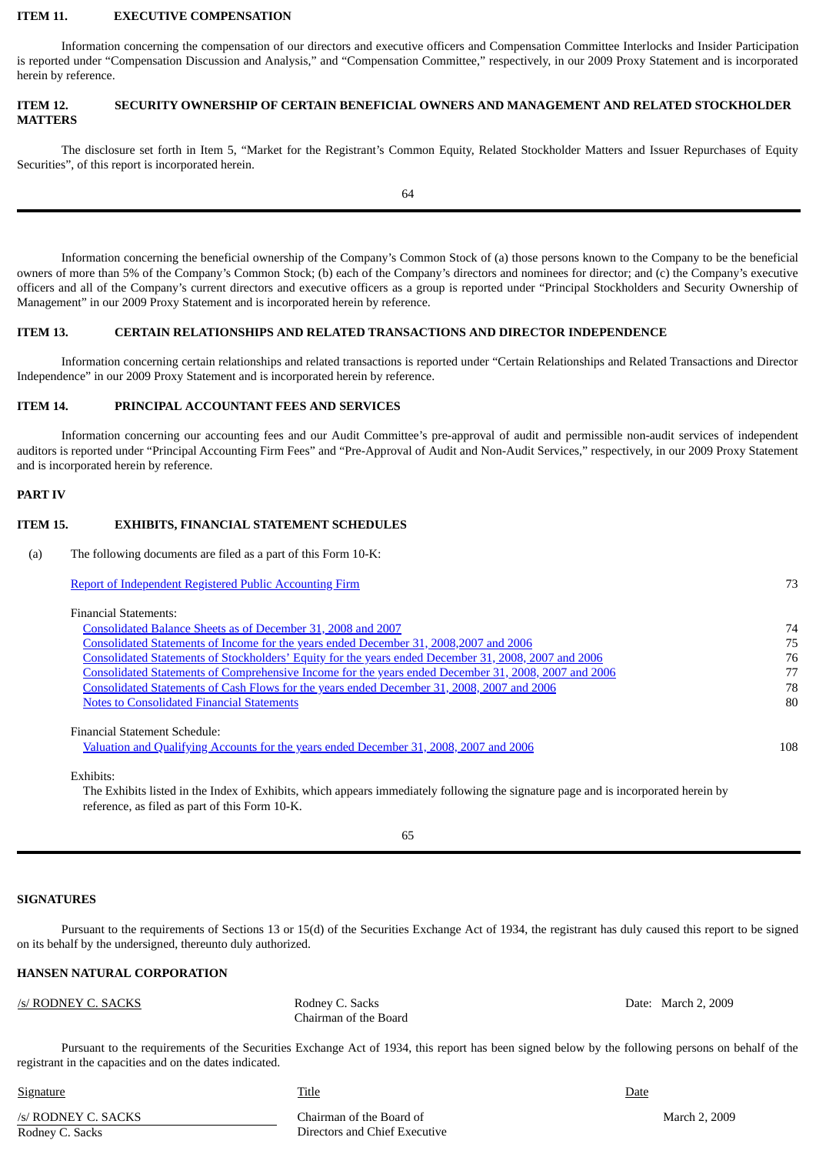### **ITEM 11. EXECUTIVE COMPENSATION**

Information concerning the compensation of our directors and executive officers and Compensation Committee Interlocks and Insider Participation is reported under "Compensation Discussion and Analysis," and "Compensation Committee," respectively, in our 2009 Proxy Statement and is incorporated herein by reference.

### <span id="page-37-0"></span>**ITEM 12. SECURITY OWNERSHIP OF CERTAIN BENEFICIAL OWNERS AND MANAGEMENT AND RELATED STOCKHOLDER MATTERS**

The disclosure set forth in Item 5, "Market for the Registrant's Common Equity, Related Stockholder Matters and Issuer Repurchases of Equity Securities", of this report is incorporated herein.

<span id="page-37-2"></span><span id="page-37-1"></span>64

Information concerning the beneficial ownership of the Company's Common Stock of (a) those persons known to the Company to be the beneficial owners of more than 5% of the Company's Common Stock; (b) each of the Company's directors and nominees for director; and (c) the Company's executive officers and all of the Company's current directors and executive officers as a group is reported under "Principal Stockholders and Security Ownership of Management" in our 2009 Proxy Statement and is incorporated herein by reference.

# **ITEM 13. CERTAIN RELATIONSHIPS AND RELATED TRANSACTIONS AND DIRECTOR INDEPENDENCE**

Information concerning certain relationships and related transactions is reported under "Certain Relationships and Related Transactions and Director Independence" in our 2009 Proxy Statement and is incorporated herein by reference.

# **ITEM 14. PRINCIPAL ACCOUNTANT FEES AND SERVICES**

Information concerning our accounting fees and our Audit Committee's pre-approval of audit and permissible non-audit services of independent auditors is reported under "Principal Accounting Firm Fees" and "Pre-Approval of Audit and Non-Audit Services," respectively, in our 2009 Proxy Statement and is incorporated herein by reference.

### <span id="page-37-3"></span>**PART IV**

# **ITEM 15. EXHIBITS, FINANCIAL STATEMENT SCHEDULES**

(a) The following documents are filed as a part of this Form 10-K:

| <b>Report of Independent Registered Public Accounting Firm</b>                                       | 73  |
|------------------------------------------------------------------------------------------------------|-----|
| <b>Financial Statements:</b>                                                                         |     |
| Consolidated Balance Sheets as of December 31, 2008 and 2007                                         | 74  |
| Consolidated Statements of Income for the years ended December 31, 2008, 2007 and 2006               | 75  |
| Consolidated Statements of Stockholders' Equity for the years ended December 31, 2008, 2007 and 2006 | 76  |
| Consolidated Statements of Comprehensive Income for the years ended December 31, 2008, 2007 and 2006 | 77  |
| Consolidated Statements of Cash Flows for the years ended December 31, 2008, 2007 and 2006           | 78  |
| <b>Notes to Consolidated Financial Statements</b>                                                    | 80  |
| Financial Statement Schedule:                                                                        |     |
| Valuation and Qualifying Accounts for the years ended December 31, 2008, 2007 and 2006               | 108 |
| Exhibits:                                                                                            |     |

The Exhibits listed in the Index of Exhibits, which appears immediately following the signature page and is incorporated herein by reference, as filed as part of this Form 10-K.

<span id="page-37-4"></span>65

#### <span id="page-37-5"></span>**SIGNATURES**

Pursuant to the requirements of Sections 13 or 15(d) of the Securities Exchange Act of 1934, the registrant has duly caused this report to be signed on its behalf by the undersigned, thereunto duly authorized.

# **HANSEN NATURAL CORPORATION**

/s/ RODNEY C. SACKS Rodney C. Sacks Date: March 2, 2009

Chairman of the Board

Pursuant to the requirements of the Securities Exchange Act of 1934, this report has been signed below by the following persons on behalf of the registrant in the capacities and on the dates indicated.

**Signature** Date **Date** Date **Title Contract Contract Date** Date **Date** Date **Date** 

/s/ RODNEY C. SACKS Chairman of the Board of March 2, 2009 Rodney C. Sacks Directors and Chief Executive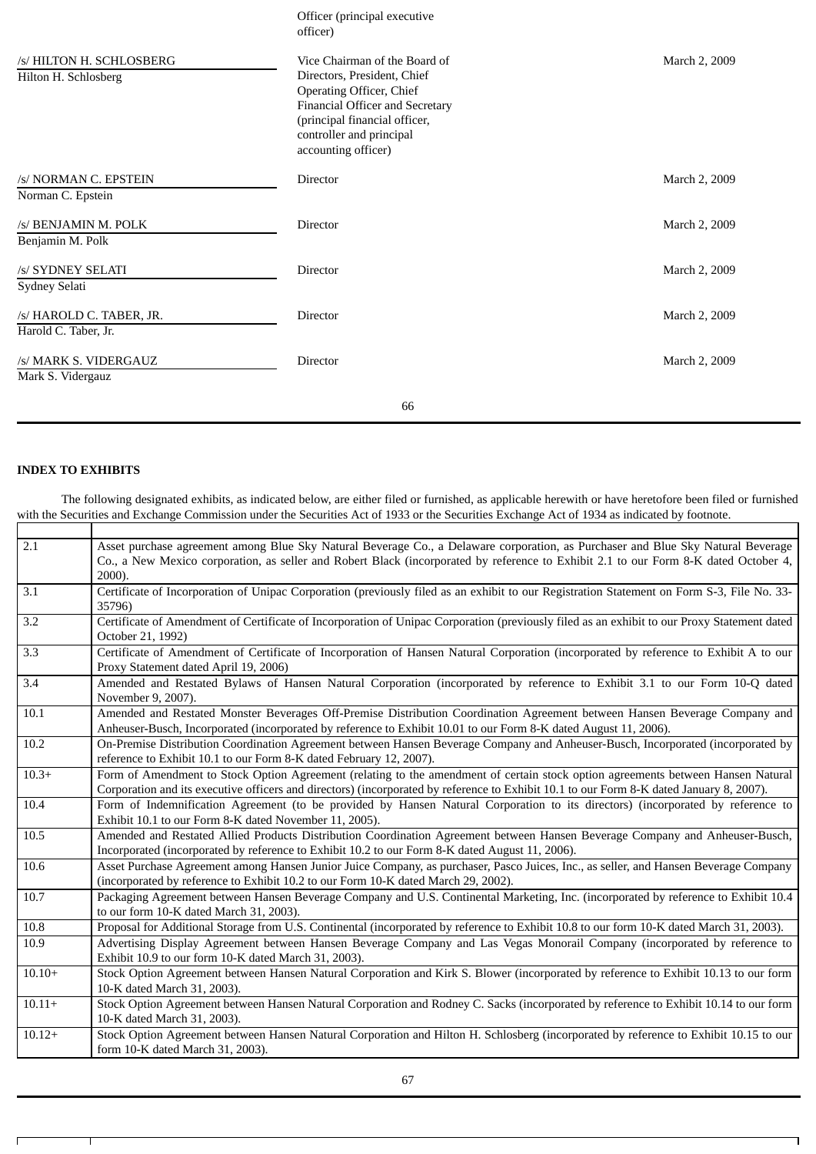|                                                  | Officer (principal executive<br>officer)                                                                                                                                                                                      |               |
|--------------------------------------------------|-------------------------------------------------------------------------------------------------------------------------------------------------------------------------------------------------------------------------------|---------------|
| /s/ HILTON H. SCHLOSBERG<br>Hilton H. Schlosberg | Vice Chairman of the Board of<br>Directors, President, Chief<br><b>Operating Officer, Chief</b><br><b>Financial Officer and Secretary</b><br>(principal financial officer,<br>controller and principal<br>accounting officer) | March 2, 2009 |
| /s/ NORMAN C. EPSTEIN<br>Norman C. Epstein       | Director                                                                                                                                                                                                                      | March 2, 2009 |
| /s/ BENJAMIN M. POLK<br>Benjamin M. Polk         | Director                                                                                                                                                                                                                      | March 2, 2009 |
| /s/ SYDNEY SELATI<br>Sydney Selati               | <b>Director</b>                                                                                                                                                                                                               | March 2, 2009 |
| /s/ HAROLD C. TABER, JR.<br>Harold C. Taber, Jr. | Director                                                                                                                                                                                                                      | March 2, 2009 |
| /s/ MARK S. VIDERGAUZ<br>Mark S. Vidergauz       | Director                                                                                                                                                                                                                      | March 2, 2009 |
|                                                  | 66                                                                                                                                                                                                                            |               |

# **INDEX TO EXHIBITS**

 $\mathsf{L}$ 

T

The following designated exhibits, as indicated below, are either filed or furnished, as applicable herewith or have heretofore been filed or furnished with the Securities and Exchange Commission under the Securities Act of 1933 or the Securities Exchange Act of 1934 as indicated by footnote.

| 2.1              | Asset purchase agreement among Blue Sky Natural Beverage Co., a Delaware corporation, as Purchaser and Blue Sky Natural Beverage                                                                                                                                             |
|------------------|------------------------------------------------------------------------------------------------------------------------------------------------------------------------------------------------------------------------------------------------------------------------------|
|                  | Co., a New Mexico corporation, as seller and Robert Black (incorporated by reference to Exhibit 2.1 to our Form 8-K dated October 4,<br>2000).                                                                                                                               |
| 3.1              | Certificate of Incorporation of Unipac Corporation (previously filed as an exhibit to our Registration Statement on Form S-3, File No. 33-<br>35796)                                                                                                                         |
| $\overline{3.2}$ | Certificate of Amendment of Certificate of Incorporation of Unipac Corporation (previously filed as an exhibit to our Proxy Statement dated<br>October 21, 1992)                                                                                                             |
| 3.3              | Certificate of Amendment of Certificate of Incorporation of Hansen Natural Corporation (incorporated by reference to Exhibit A to our<br>Proxy Statement dated April 19, 2006)                                                                                               |
| 3.4              | Amended and Restated Bylaws of Hansen Natural Corporation (incorporated by reference to Exhibit 3.1 to our Form 10-Q dated<br>November 9, 2007).                                                                                                                             |
| 10.1             | Amended and Restated Monster Beverages Off-Premise Distribution Coordination Agreement between Hansen Beverage Company and<br>Anheuser-Busch, Incorporated (incorporated by reference to Exhibit 10.01 to our Form 8-K dated August 11, 2006).                               |
| 10.2             | On-Premise Distribution Coordination Agreement between Hansen Beverage Company and Anheuser-Busch, Incorporated (incorporated by<br>reference to Exhibit 10.1 to our Form 8-K dated February 12, 2007).                                                                      |
| $10.3+$          | Form of Amendment to Stock Option Agreement (relating to the amendment of certain stock option agreements between Hansen Natural<br>Corporation and its executive officers and directors) (incorporated by reference to Exhibit 10.1 to our Form 8-K dated January 8, 2007). |
| 10.4             | Form of Indemnification Agreement (to be provided by Hansen Natural Corporation to its directors) (incorporated by reference to<br>Exhibit 10.1 to our Form 8-K dated November 11, 2005).                                                                                    |
| 10.5             | Amended and Restated Allied Products Distribution Coordination Agreement between Hansen Beverage Company and Anheuser-Busch,<br>Incorporated (incorporated by reference to Exhibit 10.2 to our Form 8-K dated August 11, 2006).                                              |
| 10.6             | Asset Purchase Agreement among Hansen Junior Juice Company, as purchaser, Pasco Juices, Inc., as seller, and Hansen Beverage Company<br>(incorporated by reference to Exhibit 10.2 to our Form 10-K dated March 29, 2002).                                                   |
| 10.7             | Packaging Agreement between Hansen Beverage Company and U.S. Continental Marketing, Inc. (incorporated by reference to Exhibit 10.4<br>to our form 10-K dated March 31, 2003).                                                                                               |
| 10.8             | Proposal for Additional Storage from U.S. Continental (incorporated by reference to Exhibit 10.8 to our form 10-K dated March 31, 2003).                                                                                                                                     |
| 10.9             | Advertising Display Agreement between Hansen Beverage Company and Las Vegas Monorail Company (incorporated by reference to<br>Exhibit 10.9 to our form 10-K dated March 31, 2003).                                                                                           |
| $10.10+$         | Stock Option Agreement between Hansen Natural Corporation and Kirk S. Blower (incorporated by reference to Exhibit 10.13 to our form<br>10-K dated March 31, 2003).                                                                                                          |
| $10.11+$         | Stock Option Agreement between Hansen Natural Corporation and Rodney C. Sacks (incorporated by reference to Exhibit 10.14 to our form<br>10-K dated March 31, 2003).                                                                                                         |
| $10.12+$         | Stock Option Agreement between Hansen Natural Corporation and Hilton H. Schlosberg (incorporated by reference to Exhibit 10.15 to our<br>form 10-K dated March 31, 2003).                                                                                                    |

٦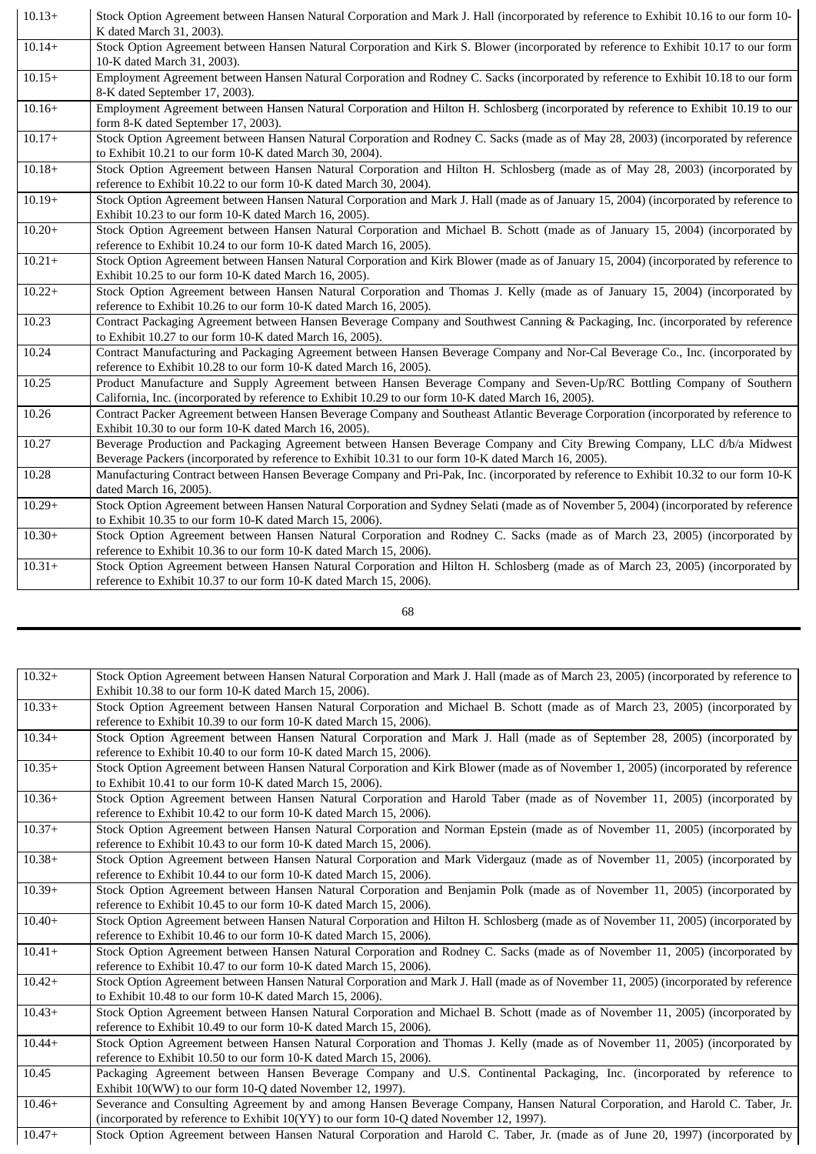| $10.13+$ | Stock Option Agreement between Hansen Natural Corporation and Mark J. Hall (incorporated by reference to Exhibit 10.16 to our form 10-<br>K dated March 31, 2003).                                                              |
|----------|---------------------------------------------------------------------------------------------------------------------------------------------------------------------------------------------------------------------------------|
| $10.14+$ | Stock Option Agreement between Hansen Natural Corporation and Kirk S. Blower (incorporated by reference to Exhibit 10.17 to our form<br>10-K dated March 31, 2003).                                                             |
| $10.15+$ | Employment Agreement between Hansen Natural Corporation and Rodney C. Sacks (incorporated by reference to Exhibit 10.18 to our form<br>8-K dated September 17, 2003).                                                           |
| $10.16+$ | Employment Agreement between Hansen Natural Corporation and Hilton H. Schlosberg (incorporated by reference to Exhibit 10.19 to our<br>form 8-K dated September 17, 2003).                                                      |
| $10.17+$ | Stock Option Agreement between Hansen Natural Corporation and Rodney C. Sacks (made as of May 28, 2003) (incorporated by reference<br>to Exhibit 10.21 to our form 10-K dated March 30, 2004).                                  |
| $10.18+$ | Stock Option Agreement between Hansen Natural Corporation and Hilton H. Schlosberg (made as of May 28, 2003) (incorporated by<br>reference to Exhibit 10.22 to our form 10-K dated March 30, 2004).                             |
| $10.19+$ | Stock Option Agreement between Hansen Natural Corporation and Mark J. Hall (made as of January 15, 2004) (incorporated by reference to<br>Exhibit 10.23 to our form 10-K dated March 16, 2005).                                 |
| $10.20+$ | Stock Option Agreement between Hansen Natural Corporation and Michael B. Schott (made as of January 15, 2004) (incorporated by<br>reference to Exhibit 10.24 to our form 10-K dated March 16, 2005).                            |
| $10.21+$ | Stock Option Agreement between Hansen Natural Corporation and Kirk Blower (made as of January 15, 2004) (incorporated by reference to<br>Exhibit 10.25 to our form 10-K dated March 16, 2005).                                  |
| $10.22+$ | Stock Option Agreement between Hansen Natural Corporation and Thomas J. Kelly (made as of January 15, 2004) (incorporated by<br>reference to Exhibit 10.26 to our form 10-K dated March 16, 2005).                              |
| 10.23    | Contract Packaging Agreement between Hansen Beverage Company and Southwest Canning & Packaging, Inc. (incorporated by reference<br>to Exhibit 10.27 to our form 10-K dated March 16, 2005).                                     |
| 10.24    | Contract Manufacturing and Packaging Agreement between Hansen Beverage Company and Nor-Cal Beverage Co., Inc. (incorporated by<br>reference to Exhibit 10.28 to our form 10-K dated March 16, 2005).                            |
| 10.25    | Product Manufacture and Supply Agreement between Hansen Beverage Company and Seven-Up/RC Bottling Company of Southern<br>California, Inc. (incorporated by reference to Exhibit 10.29 to our form 10-K dated March 16, 2005).   |
| 10.26    | Contract Packer Agreement between Hansen Beverage Company and Southeast Atlantic Beverage Corporation (incorporated by reference to<br>Exhibit 10.30 to our form 10-K dated March 16, 2005).                                    |
| 10.27    | Beverage Production and Packaging Agreement between Hansen Beverage Company and City Brewing Company, LLC d/b/a Midwest<br>Beverage Packers (incorporated by reference to Exhibit 10.31 to our form 10-K dated March 16, 2005). |
| 10.28    | Manufacturing Contract between Hansen Beverage Company and Pri-Pak, Inc. (incorporated by reference to Exhibit 10.32 to our form 10-K<br>dated March 16, 2005).                                                                 |
| $10.29+$ | Stock Option Agreement between Hansen Natural Corporation and Sydney Selati (made as of November 5, 2004) (incorporated by reference<br>to Exhibit 10.35 to our form 10-K dated March 15, 2006).                                |
| $10.30+$ | Stock Option Agreement between Hansen Natural Corporation and Rodney C. Sacks (made as of March 23, 2005) (incorporated by<br>reference to Exhibit 10.36 to our form 10-K dated March 15, 2006).                                |
| $10.31+$ | Stock Option Agreement between Hansen Natural Corporation and Hilton H. Schlosberg (made as of March 23, 2005) (incorporated by<br>reference to Exhibit 10.37 to our form 10-K dated March 15, 2006).                           |

68

 $\mathsf{r}$ 

| $10.32+$ | Stock Option Agreement between Hansen Natural Corporation and Mark J. Hall (made as of March 23, 2005) (incorporated by reference to |
|----------|--------------------------------------------------------------------------------------------------------------------------------------|
|          | Exhibit 10.38 to our form 10-K dated March 15, 2006).                                                                                |
| $10.33+$ | Stock Option Agreement between Hansen Natural Corporation and Michael B. Schott (made as of March 23, 2005) (incorporated by         |
|          | reference to Exhibit 10.39 to our form 10-K dated March 15, 2006).                                                                   |
| $10.34+$ | Stock Option Agreement between Hansen Natural Corporation and Mark J. Hall (made as of September 28, 2005) (incorporated by          |
|          | reference to Exhibit 10.40 to our form 10-K dated March 15, 2006).                                                                   |
| $10.35+$ | Stock Option Agreement between Hansen Natural Corporation and Kirk Blower (made as of November 1, 2005) (incorporated by reference   |
|          | to Exhibit 10.41 to our form 10-K dated March 15, 2006).                                                                             |
| $10.36+$ | Stock Option Agreement between Hansen Natural Corporation and Harold Taber (made as of November 11, 2005) (incorporated by           |
|          | reference to Exhibit 10.42 to our form 10-K dated March 15, 2006).                                                                   |
| $10.37+$ | Stock Option Agreement between Hansen Natural Corporation and Norman Epstein (made as of November 11, 2005) (incorporated by         |
|          | reference to Exhibit 10.43 to our form 10-K dated March 15, 2006).                                                                   |
| $10.38+$ | Stock Option Agreement between Hansen Natural Corporation and Mark Vidergauz (made as of November 11, 2005) (incorporated by         |
|          | reference to Exhibit 10.44 to our form 10-K dated March 15, 2006).                                                                   |
| $10.39+$ | Stock Option Agreement between Hansen Natural Corporation and Benjamin Polk (made as of November 11, 2005) (incorporated by          |
|          | reference to Exhibit 10.45 to our form 10-K dated March 15, 2006).                                                                   |
| $10.40+$ | Stock Option Agreement between Hansen Natural Corporation and Hilton H. Schlosberg (made as of November 11, 2005) (incorporated by   |
|          | reference to Exhibit 10.46 to our form 10-K dated March 15, 2006).                                                                   |
| $10.41+$ | Stock Option Agreement between Hansen Natural Corporation and Rodney C. Sacks (made as of November 11, 2005) (incorporated by        |
|          | reference to Exhibit 10.47 to our form 10-K dated March 15, 2006).                                                                   |
| $10.42+$ | Stock Option Agreement between Hansen Natural Corporation and Mark J. Hall (made as of November 11, 2005) (incorporated by reference |
|          | to Exhibit 10.48 to our form 10-K dated March 15, 2006).                                                                             |
| $10.43+$ | Stock Option Agreement between Hansen Natural Corporation and Michael B. Schott (made as of November 11, 2005) (incorporated by      |
|          | reference to Exhibit 10.49 to our form 10-K dated March 15, 2006).                                                                   |
| $10.44+$ | Stock Option Agreement between Hansen Natural Corporation and Thomas J. Kelly (made as of November 11, 2005) (incorporated by        |
|          | reference to Exhibit 10.50 to our form 10-K dated March 15, 2006).                                                                   |
| 10.45    | Packaging Agreement between Hansen Beverage Company and U.S. Continental Packaging, Inc. (incorporated by reference to               |
|          | Exhibit 10(WW) to our form 10-Q dated November 12, 1997).                                                                            |
| $10.46+$ | Severance and Consulting Agreement by and among Hansen Beverage Company, Hansen Natural Corporation, and Harold C. Taber, Jr.        |
|          | (incorporated by reference to Exhibit 10(YY) to our form 10-Q dated November 12, 1997).                                              |
| $10.47+$ | Stock Option Agreement between Hansen Natural Corporation and Harold C. Taber, Jr. (made as of June 20, 1997) (incorporated by       |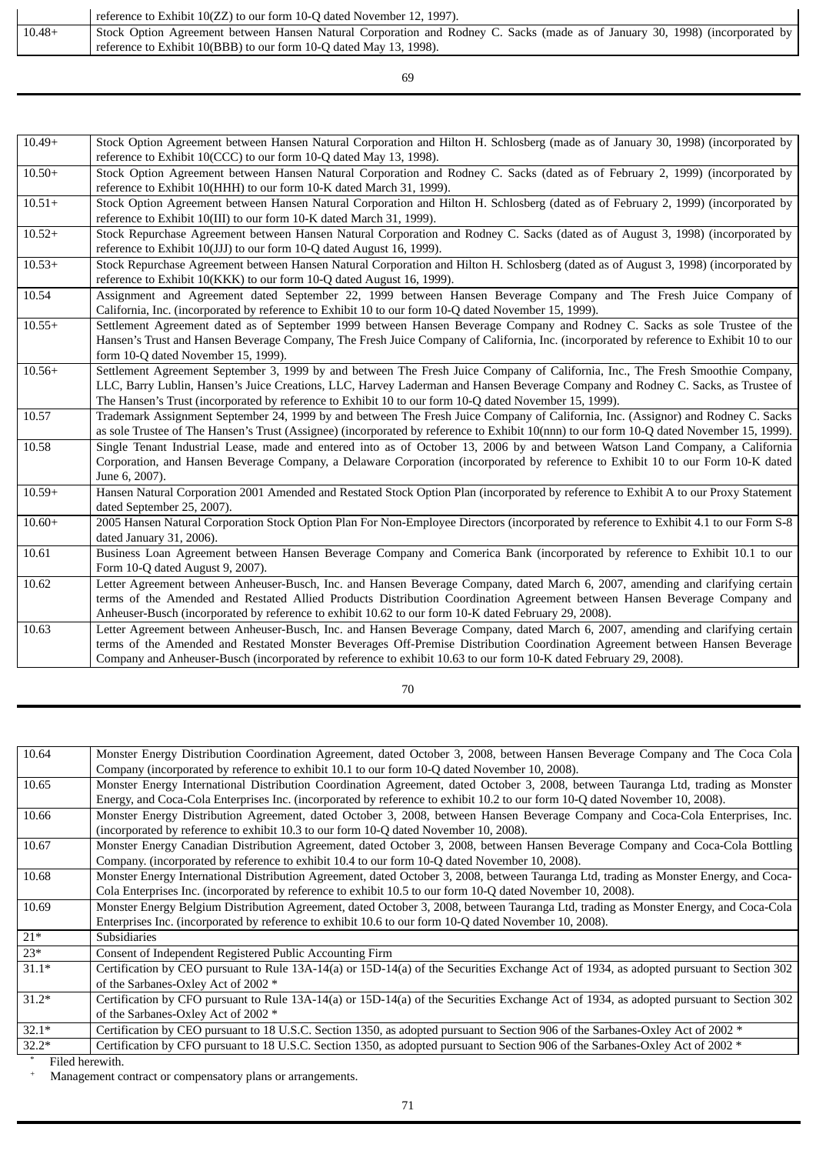|          | reference to Exhibit 10(ZZ) to our form 10-Q dated November 12, 1997).                                                       |
|----------|------------------------------------------------------------------------------------------------------------------------------|
| $10.48+$ | Stock Option Agreement between Hansen Natural Corporation and Rodney C. Sacks (made as of January 30, 1998) (incorporated by |
|          | reference to Exhibit 10(BBB) to our form 10-Q dated May 13, 1998).                                                           |

69

| $10.49+$ | Stock Option Agreement between Hansen Natural Corporation and Hilton H. Schlosberg (made as of January 30, 1998) (incorporated by<br>reference to Exhibit 10(CCC) to our form 10-Q dated May 13, 1998).                                                                                                                                                                             |
|----------|-------------------------------------------------------------------------------------------------------------------------------------------------------------------------------------------------------------------------------------------------------------------------------------------------------------------------------------------------------------------------------------|
| $10.50+$ | Stock Option Agreement between Hansen Natural Corporation and Rodney C. Sacks (dated as of February 2, 1999) (incorporated by<br>reference to Exhibit 10(HHH) to our form 10-K dated March 31, 1999).                                                                                                                                                                               |
| $10.51+$ | Stock Option Agreement between Hansen Natural Corporation and Hilton H. Schlosberg (dated as of February 2, 1999) (incorporated by<br>reference to Exhibit 10(III) to our form 10-K dated March 31, 1999).                                                                                                                                                                          |
| $10.52+$ | Stock Repurchase Agreement between Hansen Natural Corporation and Rodney C. Sacks (dated as of August 3, 1998) (incorporated by<br>reference to Exhibit 10(JJJ) to our form 10-Q dated August 16, 1999).                                                                                                                                                                            |
| $10.53+$ | Stock Repurchase Agreement between Hansen Natural Corporation and Hilton H. Schlosberg (dated as of August 3, 1998) (incorporated by<br>reference to Exhibit 10(KKK) to our form 10-Q dated August 16, 1999).                                                                                                                                                                       |
| 10.54    | Assignment and Agreement dated September 22, 1999 between Hansen Beverage Company and The Fresh Juice Company of<br>California, Inc. (incorporated by reference to Exhibit 10 to our form 10-Q dated November 15, 1999).                                                                                                                                                            |
| $10.55+$ | Settlement Agreement dated as of September 1999 between Hansen Beverage Company and Rodney C. Sacks as sole Trustee of the<br>Hansen's Trust and Hansen Beverage Company, The Fresh Juice Company of California, Inc. (incorporated by reference to Exhibit 10 to our<br>form 10-Q dated November 15, 1999).                                                                        |
| $10.56+$ | Settlement Agreement September 3, 1999 by and between The Fresh Juice Company of California, Inc., The Fresh Smoothie Company,<br>LLC, Barry Lublin, Hansen's Juice Creations, LLC, Harvey Laderman and Hansen Beverage Company and Rodney C. Sacks, as Trustee of<br>The Hansen's Trust (incorporated by reference to Exhibit 10 to our form 10-Q dated November 15, 1999).        |
| 10.57    | Trademark Assignment September 24, 1999 by and between The Fresh Juice Company of California, Inc. (Assignor) and Rodney C. Sacks<br>as sole Trustee of The Hansen's Trust (Assignee) (incorporated by reference to Exhibit 10(nnn) to our form 10-Q dated November 15, 1999).                                                                                                      |
| 10.58    | Single Tenant Industrial Lease, made and entered into as of October 13, 2006 by and between Watson Land Company, a California<br>Corporation, and Hansen Beverage Company, a Delaware Corporation (incorporated by reference to Exhibit 10 to our Form 10-K dated<br>June 6, 2007).                                                                                                 |
| $10.59+$ | Hansen Natural Corporation 2001 Amended and Restated Stock Option Plan (incorporated by reference to Exhibit A to our Proxy Statement<br>dated September 25, 2007).                                                                                                                                                                                                                 |
| $10.60+$ | 2005 Hansen Natural Corporation Stock Option Plan For Non-Employee Directors (incorporated by reference to Exhibit 4.1 to our Form S-8<br>dated January 31, 2006).                                                                                                                                                                                                                  |
| 10.61    | Business Loan Agreement between Hansen Beverage Company and Comerica Bank (incorporated by reference to Exhibit 10.1 to our<br>Form 10-Q dated August 9, 2007).                                                                                                                                                                                                                     |
| 10.62    | Letter Agreement between Anheuser-Busch, Inc. and Hansen Beverage Company, dated March 6, 2007, amending and clarifying certain<br>terms of the Amended and Restated Allied Products Distribution Coordination Agreement between Hansen Beverage Company and<br>Anheuser-Busch (incorporated by reference to exhibit 10.62 to our form 10-K dated February 29, 2008).               |
| 10.63    | Letter Agreement between Anheuser-Busch, Inc. and Hansen Beverage Company, dated March 6, 2007, amending and clarifying certain<br>terms of the Amended and Restated Monster Beverages Off-Premise Distribution Coordination Agreement between Hansen Beverage<br>Company and Anheuser-Busch (incorporated by reference to exhibit 10.63 to our form 10-K dated February 29, 2008). |

70

| 10.64   | Monster Energy Distribution Coordination Agreement, dated October 3, 2008, between Hansen Beverage Company and The Coca Cola            |
|---------|-----------------------------------------------------------------------------------------------------------------------------------------|
|         | Company (incorporated by reference to exhibit 10.1 to our form 10-Q dated November 10, 2008).                                           |
| 10.65   | Monster Energy International Distribution Coordination Agreement, dated October 3, 2008, between Tauranga Ltd, trading as Monster       |
|         | Energy, and Coca-Cola Enterprises Inc. (incorporated by reference to exhibit 10.2 to our form 10-Q dated November 10, 2008).            |
| 10.66   | Monster Energy Distribution Agreement, dated October 3, 2008, between Hansen Beverage Company and Coca-Cola Enterprises, Inc.           |
|         | (incorporated by reference to exhibit 10.3 to our form 10-Q dated November 10, 2008).                                                   |
| 10.67   | Monster Energy Canadian Distribution Agreement, dated October 3, 2008, between Hansen Beverage Company and Coca-Cola Bottling           |
|         | Company. (incorporated by reference to exhibit 10.4 to our form 10-Q dated November 10, 2008).                                          |
| 10.68   | Monster Energy International Distribution Agreement, dated October 3, 2008, between Tauranga Ltd, trading as Monster Energy, and Coca-  |
|         | Cola Enterprises Inc. (incorporated by reference to exhibit 10.5 to our form 10-Q dated November 10, 2008).                             |
| 10.69   | Monster Energy Belgium Distribution Agreement, dated October 3, 2008, between Tauranga Ltd, trading as Monster Energy, and Coca-Cola    |
|         | Enterprises Inc. (incorporated by reference to exhibit 10.6 to our form 10-Q dated November 10, 2008).                                  |
| $21*$   | <b>Subsidiaries</b>                                                                                                                     |
| $23*$   | Consent of Independent Registered Public Accounting Firm                                                                                |
| $31.1*$ | Certification by CEO pursuant to Rule 13A-14(a) or 15D-14(a) of the Securities Exchange Act of 1934, as adopted pursuant to Section 302 |
|         | of the Sarbanes-Oxley Act of 2002 *                                                                                                     |
| $31.2*$ | Certification by CFO pursuant to Rule 13A-14(a) or 15D-14(a) of the Securities Exchange Act of 1934, as adopted pursuant to Section 302 |
|         | of the Sarbanes-Oxley Act of 2002 *                                                                                                     |
| $32.1*$ | Certification by CEO pursuant to 18 U.S.C. Section 1350, as adopted pursuant to Section 906 of the Sarbanes-Oxley Act of 2002 *         |
| $32.2*$ | Certification by CFO pursuant to 18 U.S.C. Section 1350, as adopted pursuant to Section 906 of the Sarbanes-Oxley Act of 2002 *         |
|         | Filed herewith.                                                                                                                         |

Filed herewith. +

Management contract or compensatory plans or arrangements.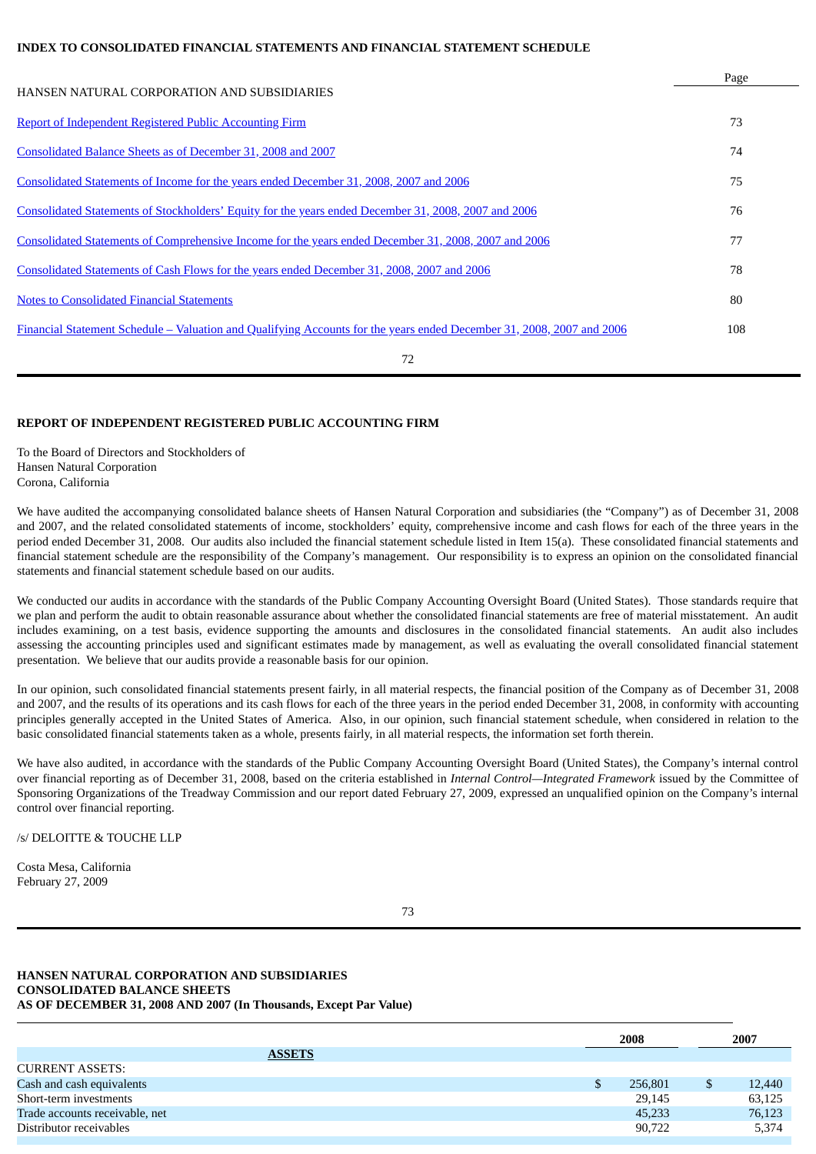### **INDEX TO CONSOLIDATED FINANCIAL STATEMENTS AND FINANCIAL STATEMENT SCHEDULE**

|                                                                                                                       | Page |
|-----------------------------------------------------------------------------------------------------------------------|------|
| HANSEN NATURAL CORPORATION AND SUBSIDIARIES                                                                           |      |
| <b>Report of Independent Registered Public Accounting Firm</b>                                                        | 73   |
| Consolidated Balance Sheets as of December 31, 2008 and 2007                                                          | 74   |
| Consolidated Statements of Income for the years ended December 31, 2008, 2007 and 2006                                | 75   |
| Consolidated Statements of Stockholders' Equity for the years ended December 31, 2008, 2007 and 2006                  | 76   |
| Consolidated Statements of Comprehensive Income for the years ended December 31, 2008, 2007 and 2006                  | 77   |
| Consolidated Statements of Cash Flows for the years ended December 31, 2008, 2007 and 2006                            | 78   |
| <b>Notes to Consolidated Financial Statements</b>                                                                     | 80   |
| Financial Statement Schedule - Valuation and Qualifying Accounts for the years ended December 31, 2008, 2007 and 2006 | 108  |
| 72                                                                                                                    |      |

#### <span id="page-41-0"></span>**REPORT OF INDEPENDENT REGISTERED PUBLIC ACCOUNTING FIRM**

To the Board of Directors and Stockholders of Hansen Natural Corporation Corona, California

We have audited the accompanying consolidated balance sheets of Hansen Natural Corporation and subsidiaries (the "Company") as of December 31, 2008 and 2007, and the related consolidated statements of income, stockholders' equity, comprehensive income and cash flows for each of the three years in the period ended December 31, 2008. Our audits also included the financial statement schedule listed in Item 15(a). These consolidated financial statements and financial statement schedule are the responsibility of the Company's management. Our responsibility is to express an opinion on the consolidated financial statements and financial statement schedule based on our audits.

We conducted our audits in accordance with the standards of the Public Company Accounting Oversight Board (United States). Those standards require that we plan and perform the audit to obtain reasonable assurance about whether the consolidated financial statements are free of material misstatement. An audit includes examining, on a test basis, evidence supporting the amounts and disclosures in the consolidated financial statements. An audit also includes assessing the accounting principles used and significant estimates made by management, as well as evaluating the overall consolidated financial statement presentation. We believe that our audits provide a reasonable basis for our opinion.

In our opinion, such consolidated financial statements present fairly, in all material respects, the financial position of the Company as of December 31, 2008 and 2007, and the results of its operations and its cash flows for each of the three years in the period ended December 31, 2008, in conformity with accounting principles generally accepted in the United States of America. Also, in our opinion, such financial statement schedule, when considered in relation to the basic consolidated financial statements taken as a whole, presents fairly, in all material respects, the information set forth therein.

We have also audited, in accordance with the standards of the Public Company Accounting Oversight Board (United States), the Company's internal control over financial reporting as of December 31, 2008, based on the criteria established in *Internal Control—Integrated Framework* issued by the Committee of Sponsoring Organizations of the Treadway Commission and our report dated February 27, 2009, expressed an unqualified opinion on the Company's internal control over financial reporting.

#### /s/ DELOITTE & TOUCHE LLP

Costa Mesa, California February 27, 2009

<span id="page-41-1"></span>73

### **HANSEN NATURAL CORPORATION AND SUBSIDIARIES CONSOLIDATED BALANCE SHEETS AS OF DECEMBER 31, 2008 AND 2007 (In Thousands, Except Par Value)**

|                                | 2008    |   | 2007   |  |
|--------------------------------|---------|---|--------|--|
| <b>ASSETS</b>                  |         |   |        |  |
| <b>CURRENT ASSETS:</b>         |         |   |        |  |
| Cash and cash equivalents      | 256,801 | ა | 12,440 |  |
| Short-term investments         | 29,145  |   | 63,125 |  |
| Trade accounts receivable, net | 45,233  |   | 76,123 |  |
| Distributor receivables        | 90,722  |   | 5,374  |  |
|                                |         |   |        |  |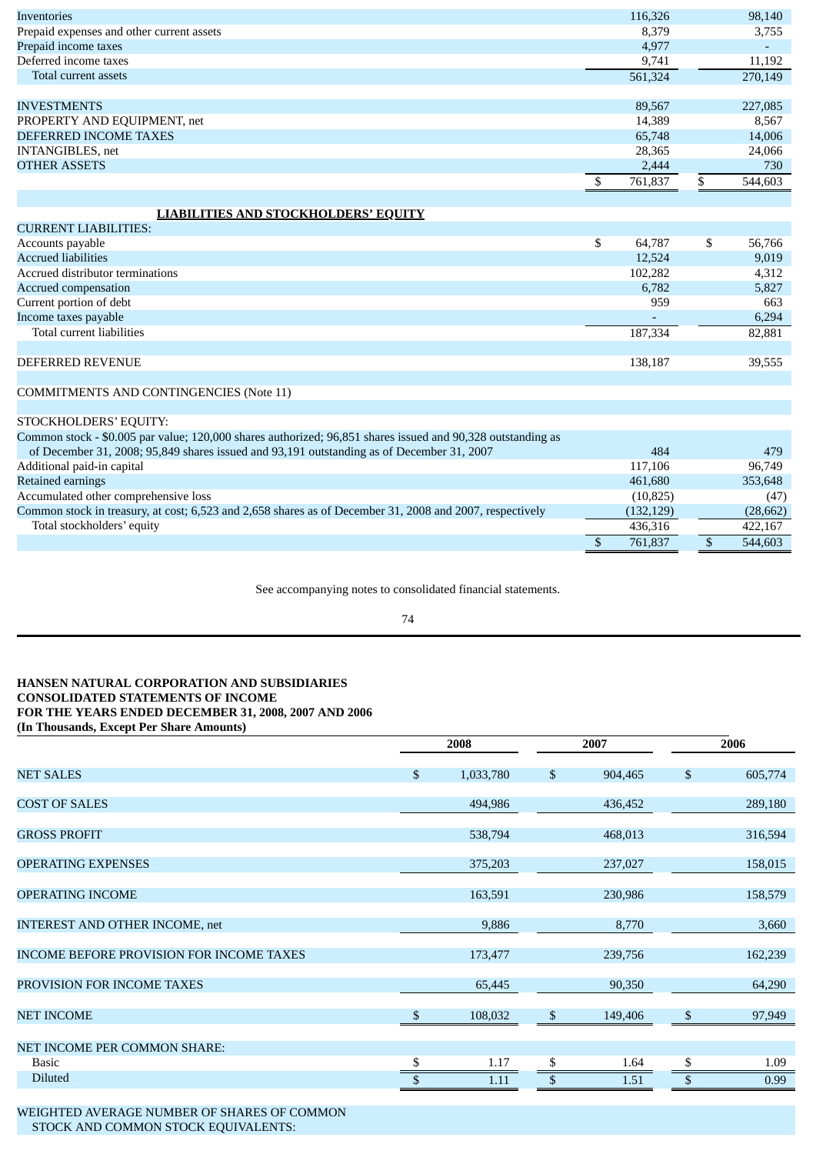| Inventories                                                                                                 |              | 116,326    |                | 98,140    |
|-------------------------------------------------------------------------------------------------------------|--------------|------------|----------------|-----------|
| Prepaid expenses and other current assets                                                                   |              | 8,379      |                | 3,755     |
| Prepaid income taxes                                                                                        |              | 4,977      |                |           |
| Deferred income taxes                                                                                       |              | 9,741      |                | 11,192    |
| Total current assets                                                                                        |              | 561,324    |                | 270,149   |
|                                                                                                             |              |            |                |           |
| <b>INVESTMENTS</b>                                                                                          |              | 89,567     |                | 227,085   |
| PROPERTY AND EQUIPMENT, net                                                                                 |              | 14,389     |                | 8,567     |
| <b>DEFERRED INCOME TAXES</b>                                                                                |              | 65,748     |                | 14,006    |
| <b>INTANGIBLES</b> , net                                                                                    |              | 28,365     |                | 24,066    |
| <b>OTHER ASSETS</b>                                                                                         |              | 2,444      |                | 730       |
|                                                                                                             | \$           | 761,837    | \$             | 544,603   |
|                                                                                                             |              |            |                |           |
| <b>LIABILITIES AND STOCKHOLDERS' EQUITY</b>                                                                 |              |            |                |           |
| <b>CURRENT LIABILITIES:</b>                                                                                 |              |            |                |           |
| Accounts payable                                                                                            | \$           | 64.787     | \$             | 56,766    |
| <b>Accrued liabilities</b>                                                                                  |              | 12,524     |                | 9,019     |
| Accrued distributor terminations                                                                            |              | 102,282    |                | 4,312     |
| Accrued compensation                                                                                        |              | 6,782      |                | 5,827     |
| Current portion of debt                                                                                     |              | 959        |                | 663       |
| Income taxes payable                                                                                        |              |            |                | 6,294     |
| Total current liabilities                                                                                   |              | 187,334    |                | 82,881    |
|                                                                                                             |              |            |                |           |
| DEFERRED REVENUE                                                                                            |              | 138,187    |                | 39,555    |
|                                                                                                             |              |            |                |           |
| <b>COMMITMENTS AND CONTINGENCIES (Note 11)</b>                                                              |              |            |                |           |
|                                                                                                             |              |            |                |           |
| STOCKHOLDERS' EQUITY:                                                                                       |              |            |                |           |
| Common stock - \$0.005 par value; 120,000 shares authorized; 96,851 shares issued and 90,328 outstanding as |              |            |                |           |
| of December 31, 2008; 95,849 shares issued and 93,191 outstanding as of December 31, 2007                   |              | 484        |                | 479       |
| Additional paid-in capital                                                                                  |              | 117,106    |                | 96,749    |
| <b>Retained earnings</b>                                                                                    |              | 461,680    |                | 353,648   |
| Accumulated other comprehensive loss                                                                        |              | (10, 825)  |                | (47)      |
| Common stock in treasury, at cost; 6,523 and 2,658 shares as of December 31, 2008 and 2007, respectively    |              | (132, 129) |                | (28, 662) |
| Total stockholders' equity                                                                                  |              | 436,316    |                | 422,167   |
|                                                                                                             | $\mathbf{s}$ | 761,837    | $\mathfrak{S}$ | 544,603   |

<span id="page-42-0"></span>See accompanying notes to consolidated financial statements.

74

# **HANSEN NATURAL CORPORATION AND SUBSIDIARIES CONSOLIDATED STATEMENTS OF INCOME FOR THE YEARS ENDED DECEMBER 31, 2008, 2007 AND 2006 (In Thousands, Except Per Share Amounts)**

|                                                 |               | 2008      |                | 2007    |                | 2006    |
|-------------------------------------------------|---------------|-----------|----------------|---------|----------------|---------|
| <b>NET SALES</b>                                | \$            | 1,033,780 | $\mathfrak{S}$ | 904,465 | $\mathfrak{S}$ | 605,774 |
| <b>COST OF SALES</b>                            |               | 494,986   |                | 436,452 |                | 289,180 |
| <b>GROSS PROFIT</b>                             |               | 538,794   |                | 468,013 |                | 316,594 |
| <b>OPERATING EXPENSES</b>                       |               | 375,203   |                | 237,027 |                | 158,015 |
| <b>OPERATING INCOME</b>                         |               | 163,591   |                | 230,986 |                | 158,579 |
| <b>INTEREST AND OTHER INCOME, net</b>           |               | 9,886     |                | 8,770   |                | 3,660   |
| <b>INCOME BEFORE PROVISION FOR INCOME TAXES</b> |               | 173,477   |                | 239,756 |                | 162,239 |
| PROVISION FOR INCOME TAXES                      |               | 65,445    |                | 90,350  |                | 64,290  |
| <b>NET INCOME</b>                               | \$            | 108,032   | \$             | 149,406 | \$             | 97,949  |
| NET INCOME PER COMMON SHARE:                    |               |           |                |         |                |         |
| <b>Basic</b>                                    |               | 1.17      | \$             | 1.64    | \$             | 1.09    |
| <b>Diluted</b>                                  | $\mathcal{S}$ | 1.11      | \$             | 1.51    | \$             | 0.99    |

### WEIGHTED AVERAGE NUMBER OF SHARES OF COMMON STOCK AND COMMON STOCK EQUIVALENTS: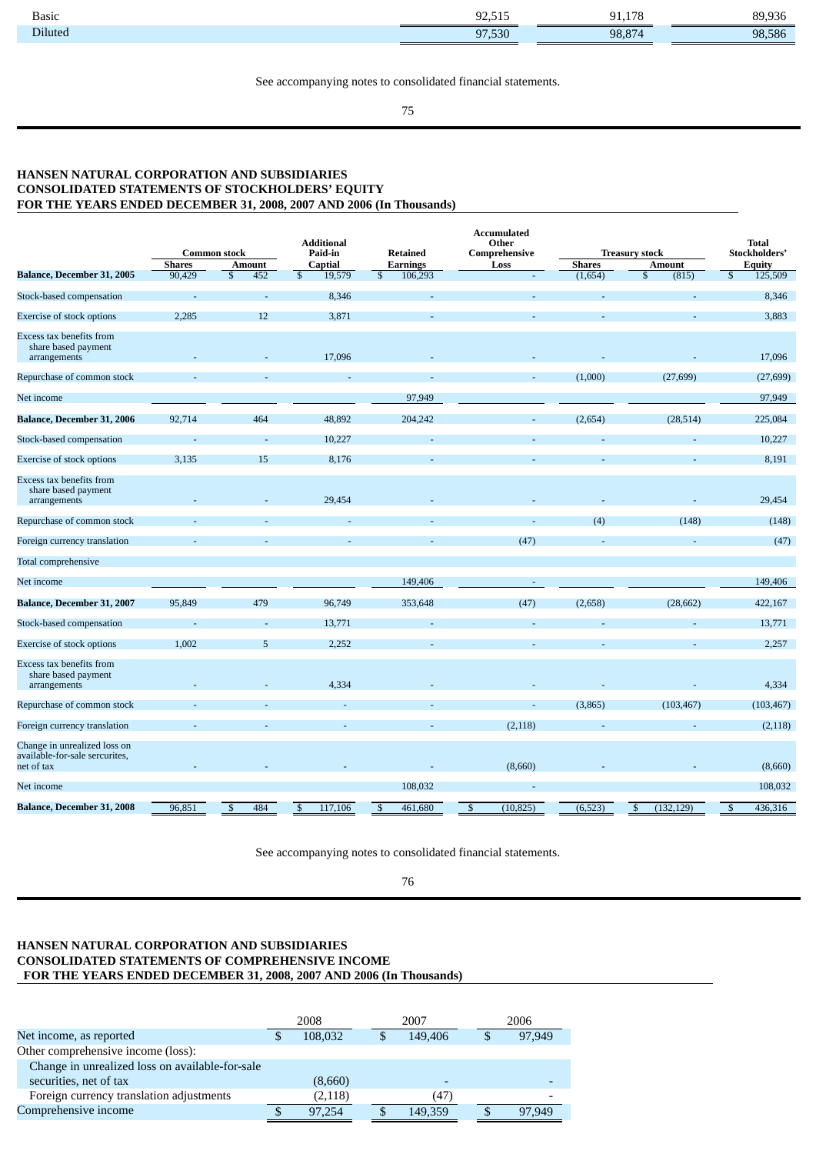| <b>Basic</b>   | $\sim$<br><b>F1F</b><br>∟⊥ ل,ک ل | 170<br>. . | 89.936 |
|----------------|----------------------------------|------------|--------|
| <b>Diluted</b> | 97.530                           | 98.87      | 98,586 |

See accompanying notes to consolidated financial statements.

<span id="page-43-0"></span>75

# **HANSEN NATURAL CORPORATION AND SUBSIDIARIES CONSOLIDATED STATEMENTS OF STOCKHOLDERS' EQUITY FOR THE YEARS ENDED DECEMBER 31, 2008, 2007 AND 2006 (In Thousands)**

|                                                                              | <b>Common stock</b> |                |     | <b>Additional</b><br>Paid-in |              | <b>Retained</b> | Accumulated<br>Other<br>Comprehensive |                | <b>Treasury stock</b> |              |               | <b>Total</b><br>Stockholders' |               |
|------------------------------------------------------------------------------|---------------------|----------------|-----|------------------------------|--------------|-----------------|---------------------------------------|----------------|-----------------------|--------------|---------------|-------------------------------|---------------|
|                                                                              | <b>Shares</b>       | <b>Amount</b>  |     | Captial                      |              | <b>Earnings</b> | Loss                                  |                | <b>Shares</b>         |              | <b>Amount</b> |                               | <b>Equity</b> |
| Balance, December 31, 2005                                                   | 90,429              | \$             | 452 | $\mathbb{S}$<br>19,579       | \$           | 106,293         |                                       | $\blacksquare$ | (1,654)               | \$           | (815)         | $\mathfrak{S}$                | 125,509       |
| Stock-based compensation                                                     |                     |                |     | 8,346                        |              |                 |                                       |                |                       |              |               |                               | 8,346         |
| Exercise of stock options                                                    | 2,285               |                | 12  | 3,871                        |              |                 |                                       |                |                       |              |               |                               | 3,883         |
| Excess tax benefits from<br>share based payment<br>arrangements              |                     |                |     | 17,096                       |              |                 |                                       |                |                       |              |               |                               | 17,096        |
| Repurchase of common stock                                                   |                     |                |     |                              |              |                 |                                       | ÷,             | (1,000)               |              | (27, 699)     |                               | (27, 699)     |
| Net income                                                                   |                     |                |     |                              |              | 97,949          |                                       |                |                       |              |               |                               | 97,949        |
| Balance, December 31, 2006                                                   | 92,714              |                | 464 | 48,892                       |              | 204,242         |                                       | ÷.             | (2,654)               |              | (28, 514)     |                               | 225,084       |
| Stock-based compensation                                                     |                     |                |     | 10,227                       |              |                 |                                       |                |                       |              |               |                               | 10,227        |
| Exercise of stock options                                                    | 3,135               |                | 15  | 8,176                        |              |                 |                                       |                |                       |              |               |                               | 8,191         |
| Excess tax benefits from<br>share based payment<br>arrangements              |                     |                |     | 29,454                       |              |                 |                                       |                |                       |              |               |                               | 29,454        |
| Repurchase of common stock                                                   |                     |                |     |                              |              |                 |                                       |                | (4)                   |              | (148)         |                               | (148)         |
| Foreign currency translation                                                 |                     |                |     |                              |              |                 |                                       | (47)           |                       |              |               |                               | (47)          |
| Total comprehensive                                                          |                     |                |     |                              |              |                 |                                       |                |                       |              |               |                               |               |
| Net income                                                                   |                     |                |     |                              |              | 149,406         |                                       |                |                       |              |               |                               | 149,406       |
| Balance, December 31, 2007                                                   | 95,849              |                | 479 | 96,749                       |              | 353,648         |                                       | (47)           | (2,658)               |              | (28, 662)     |                               | 422,167       |
| Stock-based compensation                                                     |                     |                |     | 13,771                       |              |                 |                                       |                |                       |              |               |                               | 13,771        |
| Exercise of stock options                                                    | 1,002               |                | 5   | 2,252                        |              |                 |                                       |                |                       |              |               |                               | 2,257         |
| Excess tax benefits from<br>share based payment<br>arrangements              |                     |                |     | 4,334                        |              |                 |                                       |                |                       |              |               |                               | 4,334         |
| Repurchase of common stock                                                   |                     |                |     |                              |              |                 |                                       | L.             | (3,865)               |              | (103, 467)    |                               | (103, 467)    |
| Foreign currency translation                                                 |                     |                |     |                              |              |                 |                                       | (2, 118)       |                       |              |               |                               | (2, 118)      |
| Change in unrealized loss on<br>available-for-sale sercurites,<br>net of tax |                     |                |     |                              |              |                 |                                       | (8,660)        |                       |              |               |                               | (8,660)       |
| Net income                                                                   |                     |                |     |                              |              | 108,032         |                                       |                |                       |              |               |                               | 108,032       |
| Balance, December 31, 2008                                                   | 96,851              | $\mathfrak{s}$ | 484 | 117,106<br>$\mathbb{S}$      | $\mathbb{S}$ | 461,680         | (10, 825)<br>$\mathfrak{S}$           |                | (6, 523)              | $\mathbb{S}$ | (132, 129)    | $\mathbb{S}$                  | 436,316       |

See accompanying notes to consolidated financial statements.

<span id="page-43-1"></span>76

# **HANSEN NATURAL CORPORATION AND SUBSIDIARIES CONSOLIDATED STATEMENTS OF COMPREHENSIVE INCOME FOR THE YEARS ENDED DECEMBER 31, 2008, 2007 AND 2006 (In Thousands)**

|                                                 | 2008     |  | 2007    |  | 2006   |
|-------------------------------------------------|----------|--|---------|--|--------|
| Net income, as reported                         | 108,032  |  | 149,406 |  | 97,949 |
| Other comprehensive income (loss):              |          |  |         |  |        |
| Change in unrealized loss on available-for-sale |          |  |         |  |        |
| securities, net of tax                          | (8,660)  |  |         |  |        |
| Foreign currency translation adjustments        | (2, 118) |  | (47)    |  |        |
| Comprehensive income                            | 97,254   |  | 149,359 |  | 97.949 |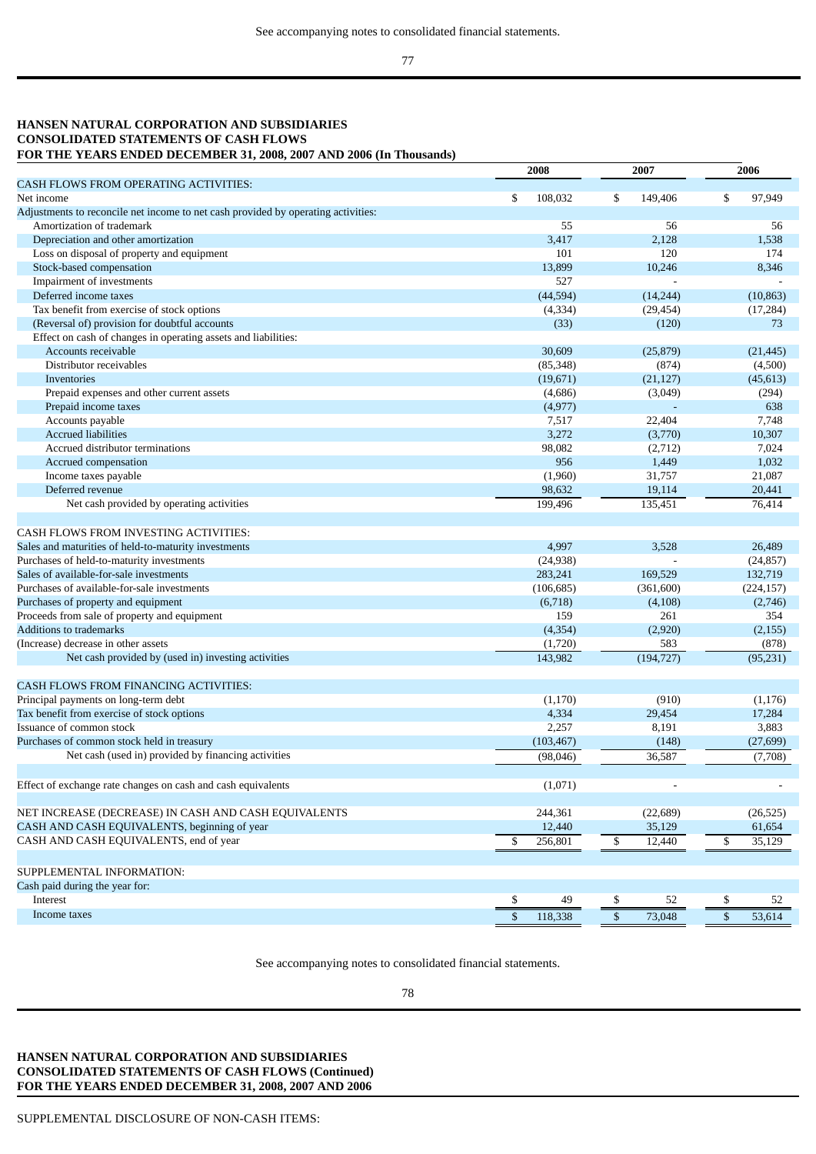### <span id="page-44-0"></span>**HANSEN NATURAL CORPORATION AND SUBSIDIARIES CONSOLIDATED STATEMENTS OF CASH FLOWS FOR THE YEARS ENDED DECEMBER 31, 2008, 2007 AND 2006 (In Thousands)**

|                                                                                   | 2008                     |            | 2007                 |                | 2006                 |                          |
|-----------------------------------------------------------------------------------|--------------------------|------------|----------------------|----------------|----------------------|--------------------------|
| CASH FLOWS FROM OPERATING ACTIVITIES:                                             |                          |            |                      |                |                      |                          |
| Net income                                                                        | \$                       | 108,032    | \$                   | 149,406        | \$                   | 97,949                   |
| Adjustments to reconcile net income to net cash provided by operating activities: |                          |            |                      |                |                      |                          |
| Amortization of trademark                                                         |                          | 55         |                      | 56             |                      | 56                       |
| Depreciation and other amortization                                               |                          | 3,417      |                      | 2,128          |                      | 1,538                    |
| Loss on disposal of property and equipment                                        |                          | 101        |                      | 120            |                      | 174                      |
| Stock-based compensation                                                          |                          | 13,899     |                      | 10,246         |                      | 8,346                    |
| Impairment of investments                                                         |                          | 527        |                      |                |                      |                          |
| Deferred income taxes                                                             |                          | (44, 594)  |                      | (14, 244)      |                      | (10, 863)                |
| Tax benefit from exercise of stock options                                        |                          | (4, 334)   |                      | (29, 454)      |                      | (17, 284)                |
| (Reversal of) provision for doubtful accounts                                     |                          | (33)       |                      | (120)          |                      | 73                       |
| Effect on cash of changes in operating assets and liabilities:                    |                          |            |                      |                |                      |                          |
| Accounts receivable                                                               |                          | 30,609     |                      | (25, 879)      |                      | (21, 445)                |
| Distributor receivables                                                           |                          | (85, 348)  |                      | (874)          |                      | (4,500)                  |
| Inventories                                                                       |                          | (19,671)   |                      | (21, 127)      |                      | (45, 613)                |
| Prepaid expenses and other current assets                                         |                          | (4,686)    |                      | (3,049)        |                      | (294)                    |
| Prepaid income taxes                                                              |                          | (4,977)    |                      |                |                      | 638                      |
| Accounts payable                                                                  |                          | 7,517      |                      | 22,404         |                      | 7,748                    |
| <b>Accrued liabilities</b>                                                        |                          | 3,272      |                      | (3,770)        |                      | 10,307                   |
| Accrued distributor terminations                                                  |                          | 98,082     |                      | (2,712)        |                      | 7,024                    |
| Accrued compensation                                                              |                          | 956        |                      | 1,449          |                      | 1,032                    |
| Income taxes payable                                                              |                          | (1,960)    |                      | 31,757         |                      | 21,087                   |
| Deferred revenue                                                                  |                          | 98,632     |                      | 19,114         |                      | 20,441                   |
| Net cash provided by operating activities                                         |                          | 199,496    |                      | 135,451        |                      | 76,414                   |
|                                                                                   |                          |            |                      |                |                      |                          |
| CASH FLOWS FROM INVESTING ACTIVITIES:                                             |                          |            |                      |                |                      |                          |
| Sales and maturities of held-to-maturity investments                              |                          | 4,997      |                      | 3,528          |                      | 26,489                   |
| Purchases of held-to-maturity investments                                         |                          | (24, 938)  |                      |                |                      | (24, 857)                |
| Sales of available-for-sale investments                                           |                          | 283,241    |                      | 169,529        |                      | 132,719                  |
| Purchases of available-for-sale investments                                       |                          | (106, 685) |                      | (361,600)      |                      | (224, 157)               |
| Purchases of property and equipment                                               |                          | (6,718)    |                      | (4,108)        |                      | (2,746)                  |
| Proceeds from sale of property and equipment                                      |                          | 159        |                      | 261            |                      | 354                      |
| <b>Additions to trademarks</b>                                                    |                          | (4,354)    |                      | (2,920)        |                      | (2, 155)                 |
| (Increase) decrease in other assets                                               |                          | (1,720)    |                      | 583            |                      | (878)                    |
| Net cash provided by (used in) investing activities                               |                          | 143,982    |                      | (194, 727)     |                      | (95, 231)                |
|                                                                                   |                          |            |                      |                |                      |                          |
| <b>CASH FLOWS FROM FINANCING ACTIVITIES:</b>                                      |                          |            |                      |                |                      |                          |
| Principal payments on long-term debt                                              |                          | (1,170)    |                      | (910)          |                      | (1, 176)                 |
| Tax benefit from exercise of stock options                                        |                          | 4,334      |                      | 29,454         |                      | 17,284                   |
| Issuance of common stock                                                          |                          | 2,257      |                      | 8,191          |                      | 3,883                    |
| Purchases of common stock held in treasury                                        |                          | (103, 467) |                      | (148)          |                      | (27, 699)                |
| Net cash (used in) provided by financing activities                               |                          | (98, 046)  |                      | 36,587         |                      | (7,708)                  |
|                                                                                   |                          |            |                      |                |                      |                          |
|                                                                                   |                          |            |                      |                |                      |                          |
| Effect of exchange rate changes on cash and cash equivalents                      |                          | (1,071)    |                      | $\overline{a}$ |                      | $\overline{\phantom{a}}$ |
|                                                                                   |                          |            |                      |                |                      |                          |
| NET INCREASE (DECREASE) IN CASH AND CASH EQUIVALENTS                              |                          | 244,361    |                      | (22, 689)      |                      | (26, 525)                |
| CASH AND CASH EQUIVALENTS, beginning of year                                      |                          | 12,440     |                      | 35,129         |                      | 61,654                   |
| CASH AND CASH EQUIVALENTS, end of year                                            | \$                       | 256,801    | \$                   | 12,440         | \$                   | 35,129                   |
|                                                                                   |                          |            |                      |                |                      |                          |
| SUPPLEMENTAL INFORMATION:                                                         |                          |            |                      |                |                      |                          |
| Cash paid during the year for:                                                    |                          |            |                      |                |                      |                          |
| Interest                                                                          | \$                       | 49         | \$                   | 52             | \$                   | 52                       |
| Income taxes                                                                      | $\overline{\mathcal{S}}$ | 118,338    | $\sqrt{\frac{2}{3}}$ | 73,048         | $\sqrt{\frac{2}{3}}$ | 53,614                   |

See accompanying notes to consolidated financial statements.

78

**HANSEN NATURAL CORPORATION AND SUBSIDIARIES CONSOLIDATED STATEMENTS OF CASH FLOWS (Continued) FOR THE YEARS ENDED DECEMBER 31, 2008, 2007 AND 2006**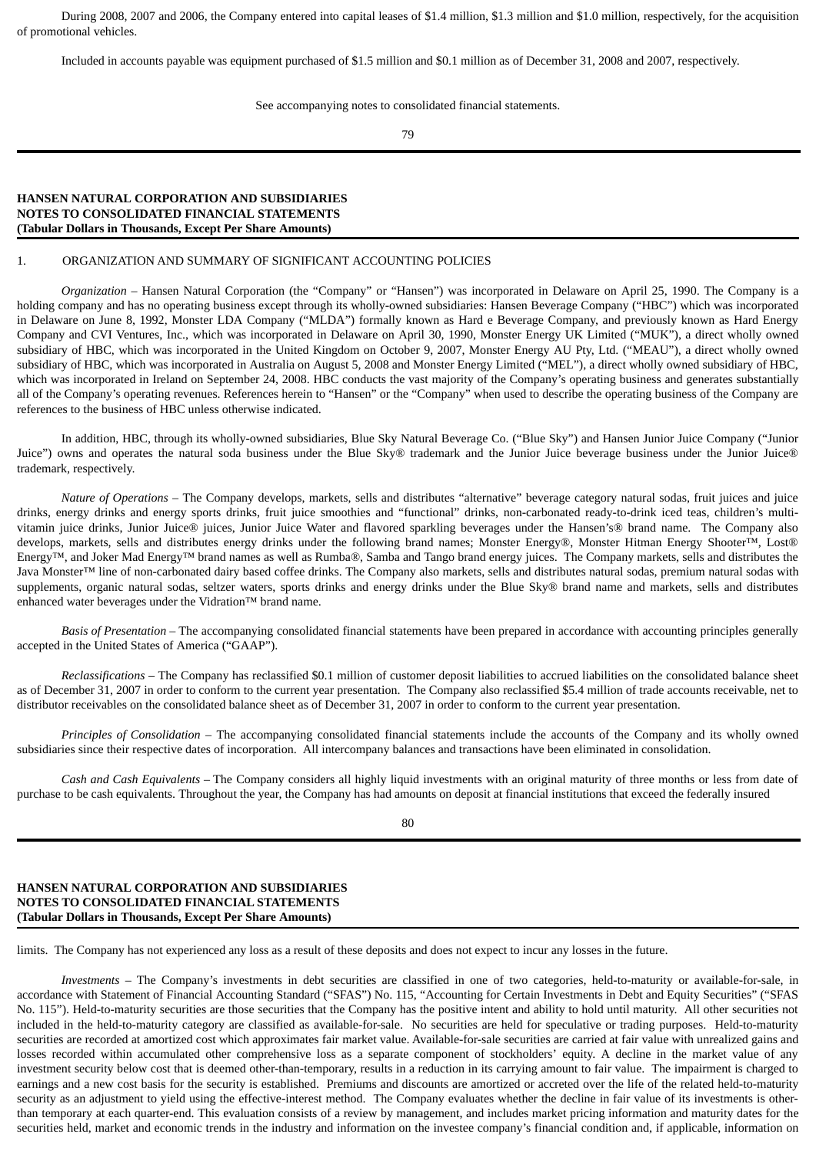During 2008, 2007 and 2006, the Company entered into capital leases of \$1.4 million, \$1.3 million and \$1.0 million, respectively, for the acquisition of promotional vehicles.

Included in accounts payable was equipment purchased of \$1.5 million and \$0.1 million as of December 31, 2008 and 2007, respectively.

See accompanying notes to consolidated financial statements.

<span id="page-45-0"></span>79

# **HANSEN NATURAL CORPORATION AND SUBSIDIARIES NOTES TO CONSOLIDATED FINANCIAL STATEMENTS (Tabular Dollars in Thousands, Except Per Share Amounts)**

### 1. ORGANIZATION AND SUMMARY OF SIGNIFICANT ACCOUNTING POLICIES

*Organization* – Hansen Natural Corporation (the "Company" or "Hansen") was incorporated in Delaware on April 25, 1990. The Company is a holding company and has no operating business except through its wholly-owned subsidiaries: Hansen Beverage Company ("HBC") which was incorporated in Delaware on June 8, 1992, Monster LDA Company ("MLDA") formally known as Hard e Beverage Company, and previously known as Hard Energy Company and CVI Ventures, Inc., which was incorporated in Delaware on April 30, 1990, Monster Energy UK Limited ("MUK"), a direct wholly owned subsidiary of HBC, which was incorporated in the United Kingdom on October 9, 2007, Monster Energy AU Pty, Ltd. ("MEAU"), a direct wholly owned subsidiary of HBC, which was incorporated in Australia on August 5, 2008 and Monster Energy Limited ("MEL"), a direct wholly owned subsidiary of HBC, which was incorporated in Ireland on September 24, 2008. HBC conducts the vast majority of the Company's operating business and generates substantially all of the Company's operating revenues. References herein to "Hansen" or the "Company" when used to describe the operating business of the Company are references to the business of HBC unless otherwise indicated.

In addition, HBC, through its wholly-owned subsidiaries, Blue Sky Natural Beverage Co. ("Blue Sky") and Hansen Junior Juice Company ("Junior Juice") owns and operates the natural soda business under the Blue Sky® trademark and the Junior Juice beverage business under the Junior Juice® trademark, respectively.

*Nature of Operations* – The Company develops, markets, sells and distributes "alternative" beverage category natural sodas, fruit juices and juice drinks, energy drinks and energy sports drinks, fruit juice smoothies and "functional" drinks, non-carbonated ready-to-drink iced teas, children's multivitamin juice drinks, Junior Juice® juices, Junior Juice Water and flavored sparkling beverages under the Hansen's® brand name. The Company also develops, markets, sells and distributes energy drinks under the following brand names; Monster Energy®, Monster Hitman Energy Shooter™, Lost® Energy™, and Joker Mad Energy™ brand names as well as Rumba®, Samba and Tango brand energy juices. The Company markets, sells and distributes the Java Monster™ line of non-carbonated dairy based coffee drinks. The Company also markets, sells and distributes natural sodas, premium natural sodas with supplements, organic natural sodas, seltzer waters, sports drinks and energy drinks under the Blue Sky® brand name and markets, sells and distributes enhanced water beverages under the Vidration™ brand name.

*Basis of Presentation* – The accompanying consolidated financial statements have been prepared in accordance with accounting principles generally accepted in the United States of America ("GAAP").

*Reclassifications* – The Company has reclassified \$0.1 million of customer deposit liabilities to accrued liabilities on the consolidated balance sheet as of December 31, 2007 in order to conform to the current year presentation. The Company also reclassified \$5.4 million of trade accounts receivable, net to distributor receivables on the consolidated balance sheet as of December 31, 2007 in order to conform to the current year presentation.

*Principles of Consolidation* – The accompanying consolidated financial statements include the accounts of the Company and its wholly owned subsidiaries since their respective dates of incorporation. All intercompany balances and transactions have been eliminated in consolidation.

*Cash and Cash Equivalents* – The Company considers all highly liquid investments with an original maturity of three months or less from date of purchase to be cash equivalents. Throughout the year, the Company has had amounts on deposit at financial institutions that exceed the federally insured

# 80

### **HANSEN NATURAL CORPORATION AND SUBSIDIARIES NOTES TO CONSOLIDATED FINANCIAL STATEMENTS (Tabular Dollars in Thousands, Except Per Share Amounts)**

limits. The Company has not experienced any loss as a result of these deposits and does not expect to incur any losses in the future.

*Investments* – The Company's investments in debt securities are classified in one of two categories, held-to-maturity or available-for-sale, in accordance with Statement of Financial Accounting Standard ("SFAS") No. 115, "Accounting for Certain Investments in Debt and Equity Securities" ("SFAS No. 115"). Held-to-maturity securities are those securities that the Company has the positive intent and ability to hold until maturity. All other securities not included in the held-to-maturity category are classified as available-for-sale. No securities are held for speculative or trading purposes. Held-to-maturity securities are recorded at amortized cost which approximates fair market value. Available-for-sale securities are carried at fair value with unrealized gains and losses recorded within accumulated other comprehensive loss as a separate component of stockholders' equity. A decline in the market value of any investment security below cost that is deemed other-than-temporary, results in a reduction in its carrying amount to fair value. The impairment is charged to earnings and a new cost basis for the security is established. Premiums and discounts are amortized or accreted over the life of the related held-to-maturity security as an adjustment to yield using the effective-interest method. The Company evaluates whether the decline in fair value of its investments is otherthan temporary at each quarter-end. This evaluation consists of a review by management, and includes market pricing information and maturity dates for the securities held, market and economic trends in the industry and information on the investee company's financial condition and, if applicable, information on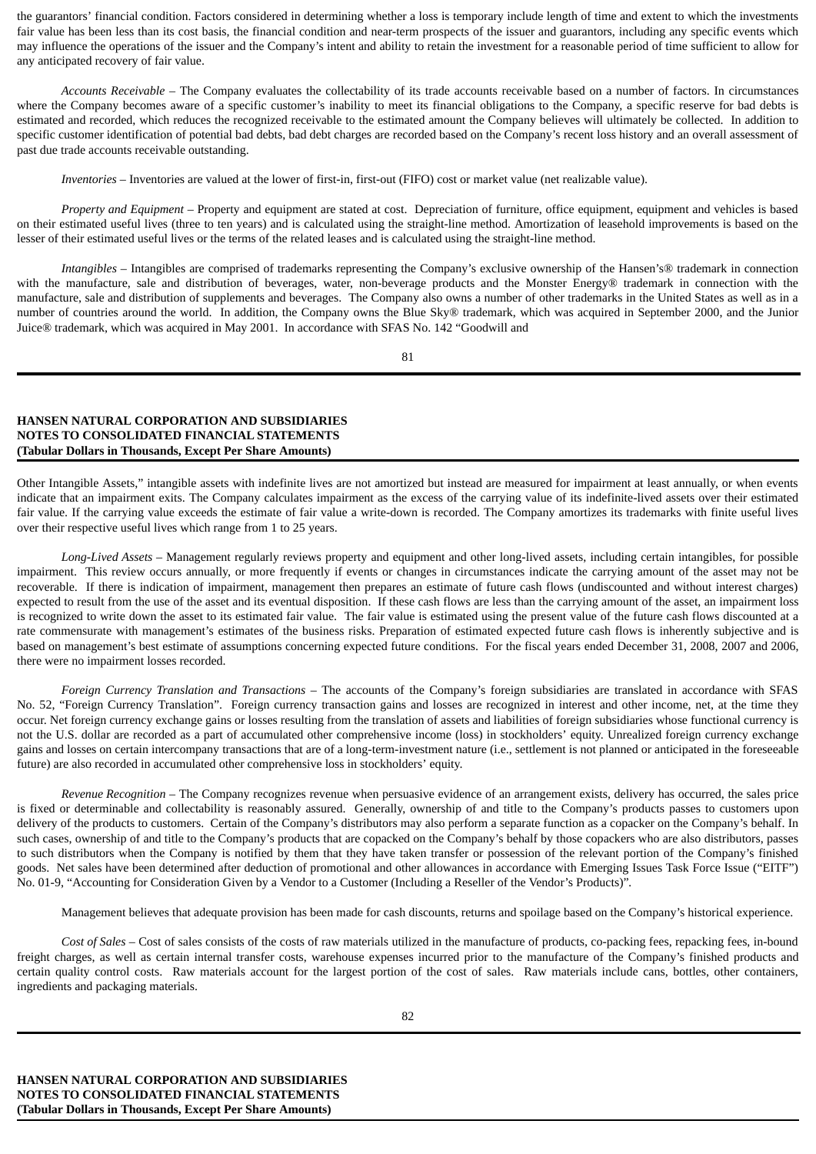the guarantors' financial condition. Factors considered in determining whether a loss is temporary include length of time and extent to which the investments fair value has been less than its cost basis, the financial condition and near-term prospects of the issuer and guarantors, including any specific events which may influence the operations of the issuer and the Company's intent and ability to retain the investment for a reasonable period of time sufficient to allow for any anticipated recovery of fair value.

*Accounts Receivable –* The Company evaluates the collectability of its trade accounts receivable based on a number of factors. In circumstances where the Company becomes aware of a specific customer's inability to meet its financial obligations to the Company, a specific reserve for bad debts is estimated and recorded, which reduces the recognized receivable to the estimated amount the Company believes will ultimately be collected. In addition to specific customer identification of potential bad debts, bad debt charges are recorded based on the Company's recent loss history and an overall assessment of past due trade accounts receivable outstanding.

*Inventories* – Inventories are valued at the lower of first-in, first-out (FIFO) cost or market value (net realizable value).

*Property and Equipment* – Property and equipment are stated at cost. Depreciation of furniture, office equipment, equipment and vehicles is based on their estimated useful lives (three to ten years) and is calculated using the straight-line method. Amortization of leasehold improvements is based on the lesser of their estimated useful lives or the terms of the related leases and is calculated using the straight-line method.

*Intangibles* – Intangibles are comprised of trademarks representing the Company's exclusive ownership of the Hansen's® trademark in connection with the manufacture, sale and distribution of beverages, water, non-beverage products and the Monster Energy® trademark in connection with the manufacture, sale and distribution of supplements and beverages. The Company also owns a number of other trademarks in the United States as well as in a number of countries around the world. In addition, the Company owns the Blue Sky® trademark, which was acquired in September 2000, and the Junior Juice® trademark, which was acquired in May 2001. In accordance with SFAS No. 142 "Goodwill and

81

# **HANSEN NATURAL CORPORATION AND SUBSIDIARIES NOTES TO CONSOLIDATED FINANCIAL STATEMENTS (Tabular Dollars in Thousands, Except Per Share Amounts)**

Other Intangible Assets," intangible assets with indefinite lives are not amortized but instead are measured for impairment at least annually, or when events indicate that an impairment exits. The Company calculates impairment as the excess of the carrying value of its indefinite-lived assets over their estimated fair value. If the carrying value exceeds the estimate of fair value a write-down is recorded. The Company amortizes its trademarks with finite useful lives over their respective useful lives which range from 1 to 25 years.

*Long-Lived Assets* – Management regularly reviews property and equipment and other long-lived assets, including certain intangibles, for possible impairment. This review occurs annually, or more frequently if events or changes in circumstances indicate the carrying amount of the asset may not be recoverable. If there is indication of impairment, management then prepares an estimate of future cash flows (undiscounted and without interest charges) expected to result from the use of the asset and its eventual disposition. If these cash flows are less than the carrying amount of the asset, an impairment loss is recognized to write down the asset to its estimated fair value. The fair value is estimated using the present value of the future cash flows discounted at a rate commensurate with management's estimates of the business risks. Preparation of estimated expected future cash flows is inherently subjective and is based on management's best estimate of assumptions concerning expected future conditions. For the fiscal years ended December 31, 2008, 2007 and 2006, there were no impairment losses recorded.

*Foreign Currency Translation and Transactions* – The accounts of the Company's foreign subsidiaries are translated in accordance with SFAS No. 52, "Foreign Currency Translation". Foreign currency transaction gains and losses are recognized in interest and other income, net, at the time they occur. Net foreign currency exchange gains or losses resulting from the translation of assets and liabilities of foreign subsidiaries whose functional currency is not the U.S. dollar are recorded as a part of accumulated other comprehensive income (loss) in stockholders' equity. Unrealized foreign currency exchange gains and losses on certain intercompany transactions that are of a long-term-investment nature (i.e., settlement is not planned or anticipated in the foreseeable future) are also recorded in accumulated other comprehensive loss in stockholders' equity.

*Revenue Recognition* – The Company recognizes revenue when persuasive evidence of an arrangement exists, delivery has occurred, the sales price is fixed or determinable and collectability is reasonably assured. Generally, ownership of and title to the Company's products passes to customers upon delivery of the products to customers. Certain of the Company's distributors may also perform a separate function as a copacker on the Company's behalf. In such cases, ownership of and title to the Company's products that are copacked on the Company's behalf by those copackers who are also distributors, passes to such distributors when the Company is notified by them that they have taken transfer or possession of the relevant portion of the Company's finished goods. Net sales have been determined after deduction of promotional and other allowances in accordance with Emerging Issues Task Force Issue ("EITF") No. 01-9, "Accounting for Consideration Given by a Vendor to a Customer (Including a Reseller of the Vendor's Products)"*.*

Management believes that adequate provision has been made for cash discounts, returns and spoilage based on the Company's historical experience.

*Cost of Sales* – Cost of sales consists of the costs of raw materials utilized in the manufacture of products, co-packing fees, repacking fees, in-bound freight charges, as well as certain internal transfer costs, warehouse expenses incurred prior to the manufacture of the Company's finished products and certain quality control costs. Raw materials account for the largest portion of the cost of sales. Raw materials include cans, bottles, other containers, ingredients and packaging materials.

**HANSEN NATURAL CORPORATION AND SUBSIDIARIES NOTES TO CONSOLIDATED FINANCIAL STATEMENTS (Tabular Dollars in Thousands, Except Per Share Amounts)**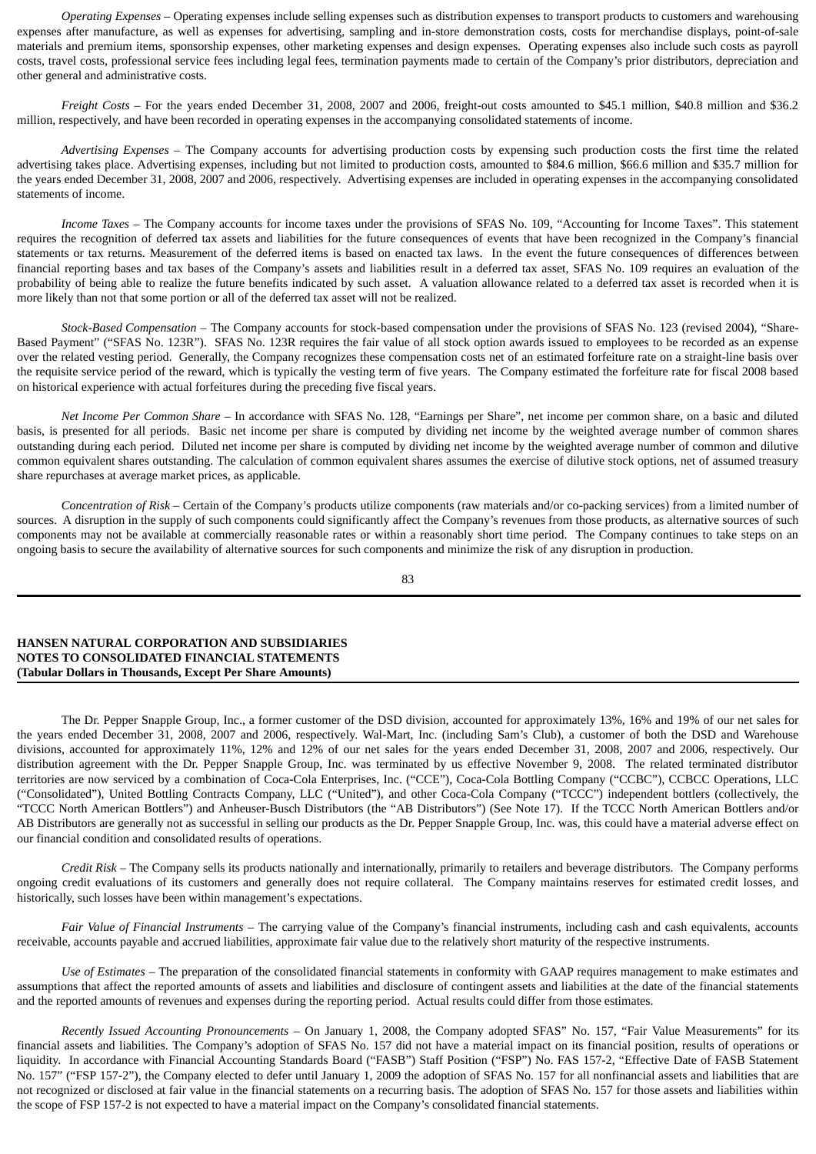*Operating Expenses* – Operating expenses include selling expenses such as distribution expenses to transport products to customers and warehousing expenses after manufacture, as well as expenses for advertising, sampling and in-store demonstration costs, costs for merchandise displays, point-of-sale materials and premium items, sponsorship expenses, other marketing expenses and design expenses. Operating expenses also include such costs as payroll costs, travel costs, professional service fees including legal fees, termination payments made to certain of the Company's prior distributors, depreciation and other general and administrative costs.

*Freight Costs* – For the years ended December 31, 2008, 2007 and 2006, freight-out costs amounted to \$45.1 million, \$40.8 million and \$36.2 million, respectively, and have been recorded in operating expenses in the accompanying consolidated statements of income.

*Advertising Expenses* – The Company accounts for advertising production costs by expensing such production costs the first time the related advertising takes place. Advertising expenses, including but not limited to production costs, amounted to \$84.6 million, \$66.6 million and \$35.7 million for the years ended December 31, 2008, 2007 and 2006, respectively. Advertising expenses are included in operating expenses in the accompanying consolidated statements of income.

*Income Taxes* – The Company accounts for income taxes under the provisions of SFAS No. 109, "Accounting for Income Taxes". This statement requires the recognition of deferred tax assets and liabilities for the future consequences of events that have been recognized in the Company's financial statements or tax returns. Measurement of the deferred items is based on enacted tax laws. In the event the future consequences of differences between financial reporting bases and tax bases of the Company's assets and liabilities result in a deferred tax asset, SFAS No. 109 requires an evaluation of the probability of being able to realize the future benefits indicated by such asset. A valuation allowance related to a deferred tax asset is recorded when it is more likely than not that some portion or all of the deferred tax asset will not be realized.

*Stock-Based Compensation* – The Company accounts for stock-based compensation under the provisions of SFAS No. 123 (revised 2004), "Share-Based Payment" ("SFAS No. 123R"). SFAS No. 123R requires the fair value of all stock option awards issued to employees to be recorded as an expense over the related vesting period. Generally, the Company recognizes these compensation costs net of an estimated forfeiture rate on a straight-line basis over the requisite service period of the reward, which is typically the vesting term of five years. The Company estimated the forfeiture rate for fiscal 2008 based on historical experience with actual forfeitures during the preceding five fiscal years.

*Net Income Per Common Share* – In accordance with SFAS No. 128, "Earnings per Share", net income per common share, on a basic and diluted basis, is presented for all periods. Basic net income per share is computed by dividing net income by the weighted average number of common shares outstanding during each period. Diluted net income per share is computed by dividing net income by the weighted average number of common and dilutive common equivalent shares outstanding. The calculation of common equivalent shares assumes the exercise of dilutive stock options, net of assumed treasury share repurchases at average market prices, as applicable.

*Concentration of Risk –* Certain of the Company's products utilize components (raw materials and/or co-packing services) from a limited number of sources. A disruption in the supply of such components could significantly affect the Company's revenues from those products, as alternative sources of such components may not be available at commercially reasonable rates or within a reasonably short time period. The Company continues to take steps on an ongoing basis to secure the availability of alternative sources for such components and minimize the risk of any disruption in production.

83

### **HANSEN NATURAL CORPORATION AND SUBSIDIARIES NOTES TO CONSOLIDATED FINANCIAL STATEMENTS (Tabular Dollars in Thousands, Except Per Share Amounts)**

The Dr. Pepper Snapple Group, Inc., a former customer of the DSD division, accounted for approximately 13%, 16% and 19% of our net sales for the years ended December 31, 2008, 2007 and 2006, respectively. Wal-Mart, Inc. (including Sam's Club), a customer of both the DSD and Warehouse divisions, accounted for approximately 11%, 12% and 12% of our net sales for the years ended December 31, 2008, 2007 and 2006, respectively. Our distribution agreement with the Dr. Pepper Snapple Group, Inc. was terminated by us effective November 9, 2008. The related terminated distributor territories are now serviced by a combination of Coca-Cola Enterprises, Inc. ("CCE"), Coca-Cola Bottling Company ("CCBC"), CCBCC Operations, LLC ("Consolidated"), United Bottling Contracts Company, LLC ("United"), and other Coca-Cola Company ("TCCC") independent bottlers (collectively, the "TCCC North American Bottlers") and Anheuser-Busch Distributors (the "AB Distributors") (See Note 17). If the TCCC North American Bottlers and/or AB Distributors are generally not as successful in selling our products as the Dr. Pepper Snapple Group, Inc. was, this could have a material adverse effect on our financial condition and consolidated results of operations.

*Credit Risk* – The Company sells its products nationally and internationally, primarily to retailers and beverage distributors. The Company performs ongoing credit evaluations of its customers and generally does not require collateral. The Company maintains reserves for estimated credit losses, and historically, such losses have been within management's expectations.

*Fair Value of Financial Instruments* – The carrying value of the Company's financial instruments, including cash and cash equivalents, accounts receivable, accounts payable and accrued liabilities, approximate fair value due to the relatively short maturity of the respective instruments.

*Use of Estimates* – The preparation of the consolidated financial statements in conformity with GAAP requires management to make estimates and assumptions that affect the reported amounts of assets and liabilities and disclosure of contingent assets and liabilities at the date of the financial statements and the reported amounts of revenues and expenses during the reporting period. Actual results could differ from those estimates.

*Recently Issued Accounting Pronouncements* – On January 1, 2008, the Company adopted SFAS" No. 157, "Fair Value Measurements" for its financial assets and liabilities. The Company's adoption of SFAS No. 157 did not have a material impact on its financial position, results of operations or liquidity. In accordance with Financial Accounting Standards Board ("FASB") Staff Position ("FSP") No. FAS 157-2, "Effective Date of FASB Statement No. 157" ("FSP 157-2"), the Company elected to defer until January 1, 2009 the adoption of SFAS No. 157 for all nonfinancial assets and liabilities that are not recognized or disclosed at fair value in the financial statements on a recurring basis. The adoption of SFAS No. 157 for those assets and liabilities within the scope of FSP 157-2 is not expected to have a material impact on the Company's consolidated financial statements.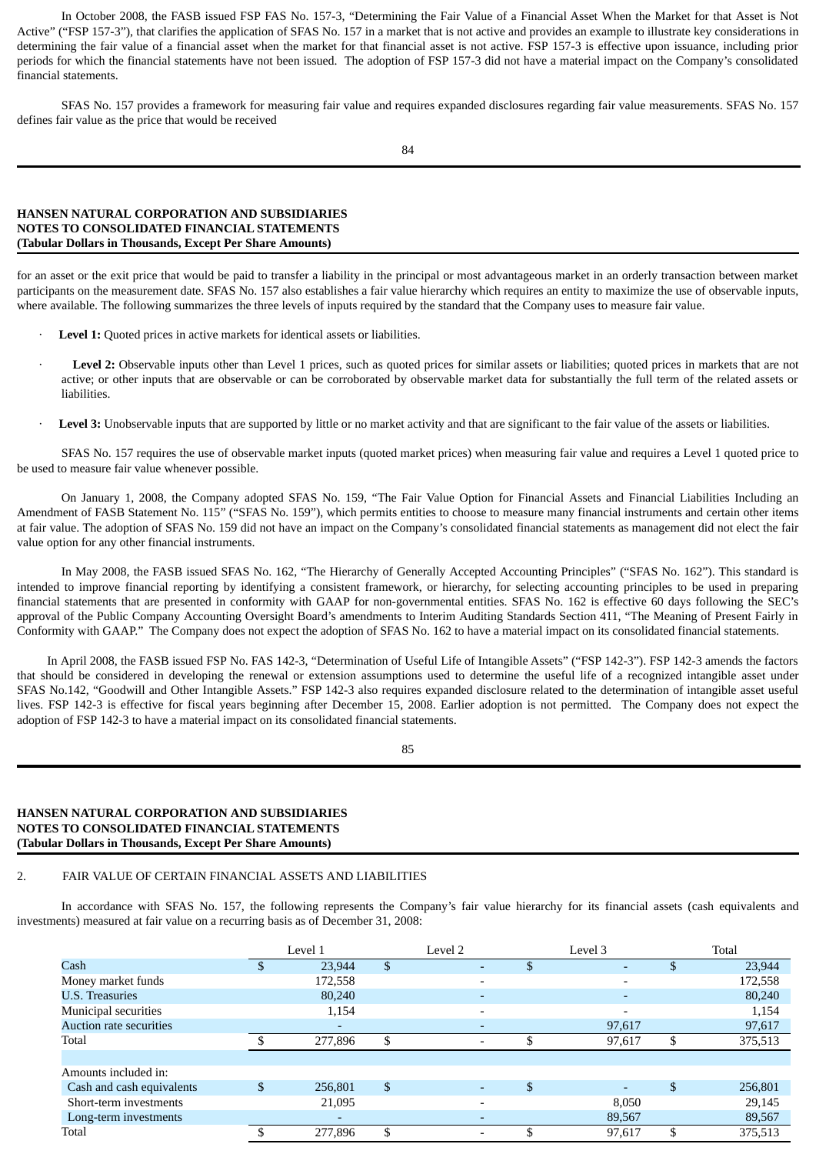In October 2008, the FASB issued FSP FAS No. 157-3, "Determining the Fair Value of a Financial Asset When the Market for that Asset is Not Active" ("FSP 157-3"), that clarifies the application of SFAS No. 157 in a market that is not active and provides an example to illustrate key considerations in determining the fair value of a financial asset when the market for that financial asset is not active. FSP 157-3 is effective upon issuance, including prior periods for which the financial statements have not been issued. The adoption of FSP 157-3 did not have a material impact on the Company's consolidated financial statements.

SFAS No. 157 provides a framework for measuring fair value and requires expanded disclosures regarding fair value measurements. SFAS No. 157 defines fair value as the price that would be received

# **HANSEN NATURAL CORPORATION AND SUBSIDIARIES NOTES TO CONSOLIDATED FINANCIAL STATEMENTS (Tabular Dollars in Thousands, Except Per Share Amounts)**

for an asset or the exit price that would be paid to transfer a liability in the principal or most advantageous market in an orderly transaction between market participants on the measurement date. SFAS No. 157 also establishes a fair value hierarchy which requires an entity to maximize the use of observable inputs, where available. The following summarizes the three levels of inputs required by the standard that the Company uses to measure fair value.

- **Level 1:** Quoted prices in active markets for identical assets or liabilities.
- Level 2: Observable inputs other than Level 1 prices, such as quoted prices for similar assets or liabilities; quoted prices in markets that are not active; or other inputs that are observable or can be corroborated by observable market data for substantially the full term of the related assets or liabilities.
- Level 3: Unobservable inputs that are supported by little or no market activity and that are significant to the fair value of the assets or liabilities.

SFAS No. 157 requires the use of observable market inputs (quoted market prices) when measuring fair value and requires a Level 1 quoted price to be used to measure fair value whenever possible.

On January 1, 2008, the Company adopted SFAS No. 159, "The Fair Value Option for Financial Assets and Financial Liabilities Including an Amendment of FASB Statement No. 115" ("SFAS No. 159"), which permits entities to choose to measure many financial instruments and certain other items at fair value. The adoption of SFAS No. 159 did not have an impact on the Company's consolidated financial statements as management did not elect the fair value option for any other financial instruments.

In May 2008, the FASB issued SFAS No. 162, "The Hierarchy of Generally Accepted Accounting Principles" ("SFAS No. 162"). This standard is intended to improve financial reporting by identifying a consistent framework, or hierarchy, for selecting accounting principles to be used in preparing financial statements that are presented in conformity with GAAP for non-governmental entities. SFAS No. 162 is effective 60 days following the SEC's approval of the Public Company Accounting Oversight Board's amendments to Interim Auditing Standards Section 411, "The Meaning of Present Fairly in Conformity with GAAP." The Company does not expect the adoption of SFAS No. 162 to have a material impact on its consolidated financial statements.

In April 2008, the FASB issued FSP No. FAS 142-3, "Determination of Useful Life of Intangible Assets" ("FSP 142-3"). FSP 142-3 amends the factors that should be considered in developing the renewal or extension assumptions used to determine the useful life of a recognized intangible asset under SFAS No.142, "Goodwill and Other Intangible Assets." FSP 142-3 also requires expanded disclosure related to the determination of intangible asset useful lives. FSP 142-3 is effective for fiscal years beginning after December 15, 2008. Earlier adoption is not permitted. The Company does not expect the adoption of FSP 142-3 to have a material impact on its consolidated financial statements.

85

# **HANSEN NATURAL CORPORATION AND SUBSIDIARIES NOTES TO CONSOLIDATED FINANCIAL STATEMENTS (Tabular Dollars in Thousands, Except Per Share Amounts)**

# 2. FAIR VALUE OF CERTAIN FINANCIAL ASSETS AND LIABILITIES

In accordance with SFAS No. 157, the following represents the Company's fair value hierarchy for its financial assets (cash equivalents and investments) measured at fair value on a recurring basis as of December 31, 2008:

|                                |     | Level 1                  | Level 2                        | Level 3                  | Total         |
|--------------------------------|-----|--------------------------|--------------------------------|--------------------------|---------------|
| Cash                           |     | 23.944                   | \$<br>$\overline{\phantom{0}}$ |                          | \$<br>23,944  |
| Money market funds             |     | 172,558                  | $\overline{\phantom{0}}$       |                          | 172,558       |
| <b>U.S. Treasuries</b>         |     | 80,240                   |                                |                          | 80,240        |
| Municipal securities           |     | 1,154                    | $\overline{\phantom{0}}$       | $\overline{\phantom{0}}$ | 1,154         |
| <b>Auction rate securities</b> |     | $\overline{\phantom{m}}$ |                                | 97,617                   | 97,617        |
| Total                          |     | 277,896                  | \$                             | 97,617                   | \$<br>375,513 |
|                                |     |                          |                                |                          |               |
| Amounts included in:           |     |                          |                                |                          |               |
| Cash and cash equivalents      | \$. | 256,801                  | \$                             | \$                       | \$<br>256,801 |
| Short-term investments         |     | 21,095                   |                                | 8,050                    | 29,145        |
| Long-term investments          |     | $\overline{\phantom{0}}$ |                                | 89,567                   | 89,567        |
| Total                          |     | 277,896                  |                                | 97,617                   | \$<br>375,513 |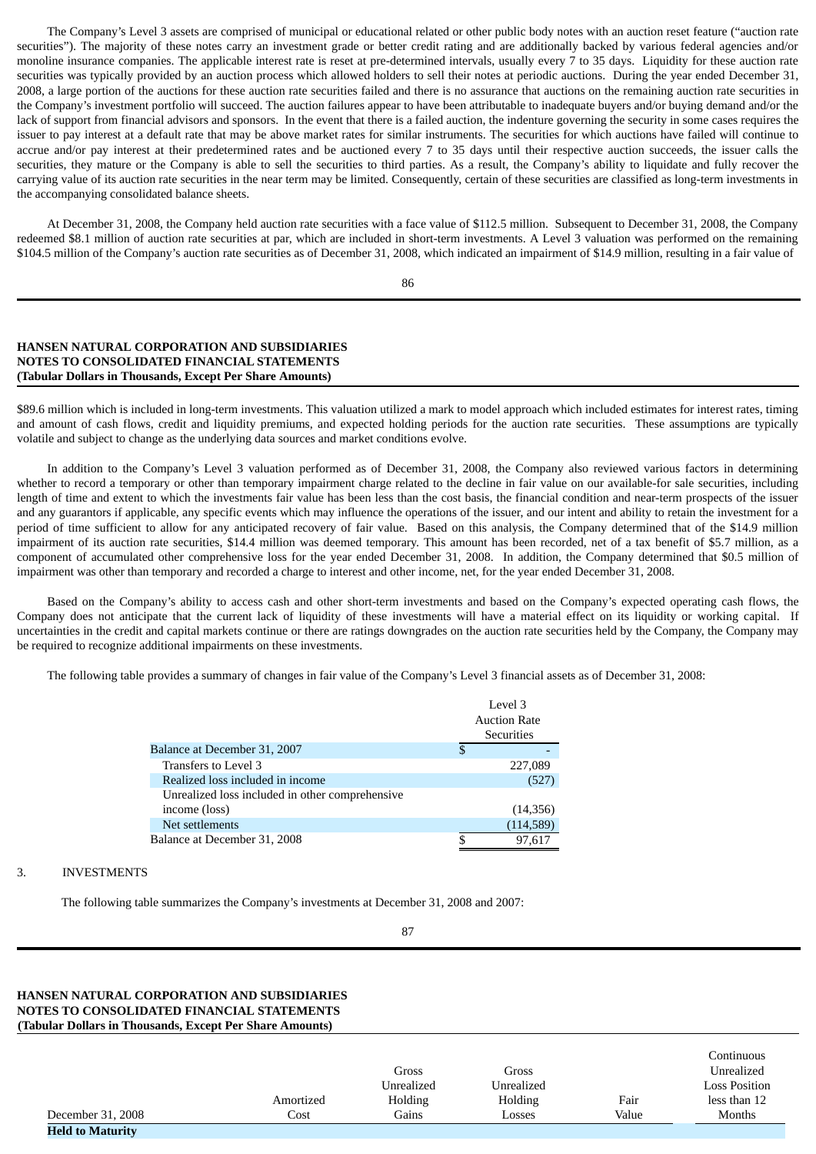The Company's Level 3 assets are comprised of municipal or educational related or other public body notes with an auction reset feature ("auction rate securities"). The majority of these notes carry an investment grade or better credit rating and are additionally backed by various federal agencies and/or monoline insurance companies. The applicable interest rate is reset at pre-determined intervals, usually every 7 to 35 days. Liquidity for these auction rate securities was typically provided by an auction process which allowed holders to sell their notes at periodic auctions. During the year ended December 31, 2008, a large portion of the auctions for these auction rate securities failed and there is no assurance that auctions on the remaining auction rate securities in the Company's investment portfolio will succeed. The auction failures appear to have been attributable to inadequate buyers and/or buying demand and/or the lack of support from financial advisors and sponsors. In the event that there is a failed auction, the indenture governing the security in some cases requires the issuer to pay interest at a default rate that may be above market rates for similar instruments. The securities for which auctions have failed will continue to accrue and/or pay interest at their predetermined rates and be auctioned every 7 to 35 days until their respective auction succeeds, the issuer calls the securities, they mature or the Company is able to sell the securities to third parties. As a result, the Company's ability to liquidate and fully recover the carrying value of its auction rate securities in the near term may be limited. Consequently, certain of these securities are classified as long-term investments in the accompanying consolidated balance sheets.

At December 31, 2008, the Company held auction rate securities with a face value of \$112.5 million. Subsequent to December 31, 2008, the Company redeemed \$8.1 million of auction rate securities at par, which are included in short-term investments. A Level 3 valuation was performed on the remaining \$104.5 million of the Company's auction rate securities as of December 31, 2008, which indicated an impairment of \$14.9 million, resulting in a fair value of

86

# **HANSEN NATURAL CORPORATION AND SUBSIDIARIES NOTES TO CONSOLIDATED FINANCIAL STATEMENTS (Tabular Dollars in Thousands, Except Per Share Amounts)**

\$89.6 million which is included in long-term investments. This valuation utilized a mark to model approach which included estimates for interest rates, timing and amount of cash flows, credit and liquidity premiums, and expected holding periods for the auction rate securities. These assumptions are typically volatile and subject to change as the underlying data sources and market conditions evolve.

In addition to the Company's Level 3 valuation performed as of December 31, 2008, the Company also reviewed various factors in determining whether to record a temporary or other than temporary impairment charge related to the decline in fair value on our available-for sale securities, including length of time and extent to which the investments fair value has been less than the cost basis, the financial condition and near-term prospects of the issuer and any guarantors if applicable, any specific events which may influence the operations of the issuer, and our intent and ability to retain the investment for a period of time sufficient to allow for any anticipated recovery of fair value. Based on this analysis, the Company determined that of the \$14.9 million impairment of its auction rate securities, \$14.4 million was deemed temporary. This amount has been recorded, net of a tax benefit of \$5.7 million, as a component of accumulated other comprehensive loss for the year ended December 31, 2008. In addition, the Company determined that \$0.5 million of impairment was other than temporary and recorded a charge to interest and other income, net, for the year ended December 31, 2008.

Based on the Company's ability to access cash and other short-term investments and based on the Company's expected operating cash flows, the Company does not anticipate that the current lack of liquidity of these investments will have a material effect on its liquidity or working capital. If uncertainties in the credit and capital markets continue or there are ratings downgrades on the auction rate securities held by the Company, the Company may be required to recognize additional impairments on these investments.

The following table provides a summary of changes in fair value of the Company's Level 3 financial assets as of December 31, 2008:

|                                                 | Level 3             |
|-------------------------------------------------|---------------------|
|                                                 | <b>Auction Rate</b> |
|                                                 | <b>Securities</b>   |
| Balance at December 31, 2007                    |                     |
| Transfers to Level 3                            | 227,089             |
| Realized loss included in income                | (527)               |
| Unrealized loss included in other comprehensive |                     |
| income (loss)                                   | (14,356)            |
| Net settlements                                 | (114, 589)          |
| Balance at December 31, 2008                    | 97.617              |
|                                                 |                     |

#### 3. INVESTMENTS

The following table summarizes the Company's investments at December 31, 2008 and 2007:

87

# **HANSEN NATURAL CORPORATION AND SUBSIDIARIES NOTES TO CONSOLIDATED FINANCIAL STATEMENTS (Tabular Dollars in Thousands, Except Per Share Amounts)**

|                         |           |            |            |       | Continuous           |
|-------------------------|-----------|------------|------------|-------|----------------------|
|                         |           | Gross      | Gross      |       | Unrealized           |
|                         |           | Unrealized | Unrealized |       | <b>Loss Position</b> |
|                         | Amortized | Holding    | Holding    | Fair  | less than 12         |
| December 31, 2008       | Cost      | Gains      | Losses     | Value | Months               |
| <b>Held to Maturity</b> |           |            |            |       |                      |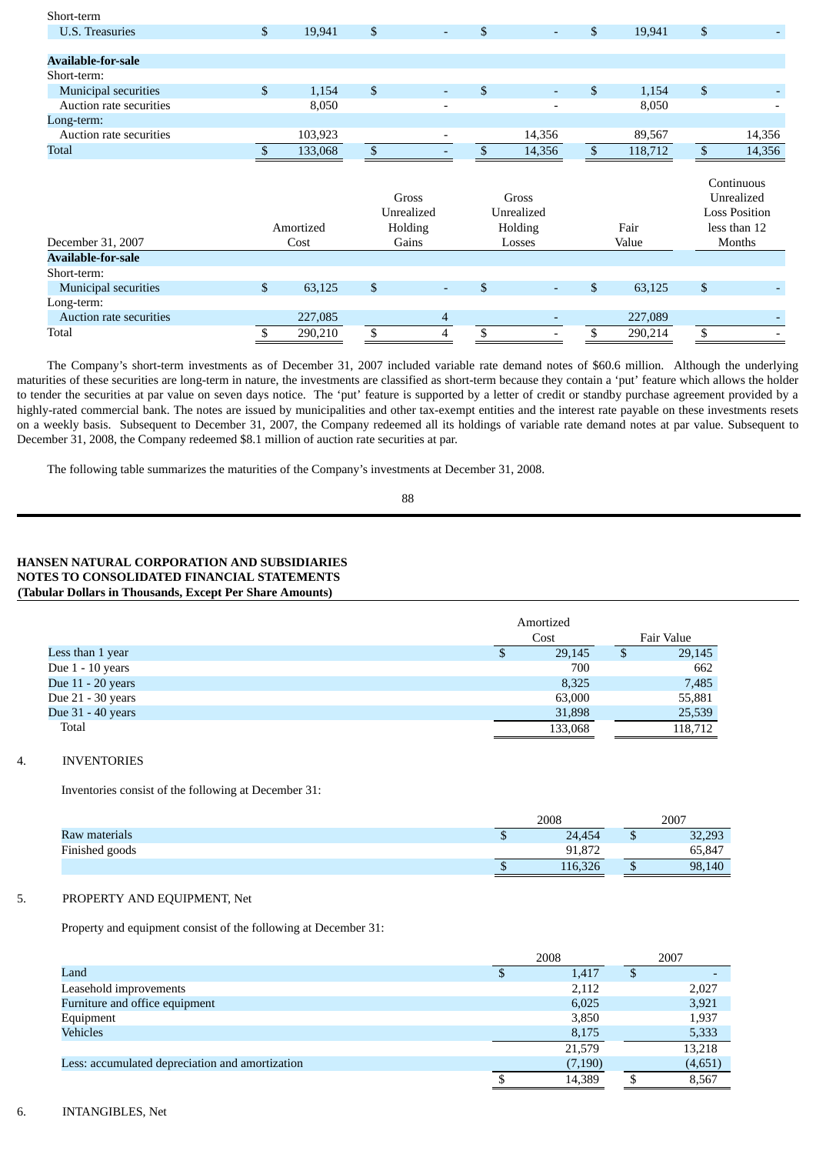| Short-term                |              |                                |                                |              |         |                                                                  |
|---------------------------|--------------|--------------------------------|--------------------------------|--------------|---------|------------------------------------------------------------------|
| U.S. Treasuries           | \$<br>19,941 | \$<br>$\sim$                   | \$<br>٠                        | $\mathbb{S}$ | 19,941  | \$                                                               |
|                           |              |                                |                                |              |         |                                                                  |
| <b>Available-for-sale</b> |              |                                |                                |              |         |                                                                  |
| Short-term:               |              |                                |                                |              |         |                                                                  |
| Municipal securities      | \$<br>1,154  | \$<br>$\overline{\phantom{a}}$ | \$                             | \$           | 1,154   | \$                                                               |
| Auction rate securities   | 8,050        | $\overline{\phantom{a}}$       | $\overline{\phantom{0}}$       |              | 8,050   |                                                                  |
| Long-term:                |              |                                |                                |              |         |                                                                  |
| Auction rate securities   | 103,923      | $\overline{\phantom{a}}$       | 14,356                         |              | 89,567  | 14,356                                                           |
| Total                     | 133,068      | \$                             | \$<br>14,356                   | $\mathbb{S}$ | 118,712 | \$<br>14,356                                                     |
|                           |              |                                |                                |              |         |                                                                  |
|                           | Amortized    | Gross<br>Unrealized<br>Holding | Gross<br>Unrealized<br>Holding |              | Fair    | Continuous<br>Unrealized<br><b>Loss Position</b><br>less than 12 |
| December 31, 2007         | Cost         | Gains                          | Losses                         |              | Value   | Months                                                           |
| <b>Available-for-sale</b> |              |                                |                                |              |         |                                                                  |
| Short-term:               |              |                                |                                |              |         |                                                                  |
| Municipal securities      | \$<br>63,125 | \$<br>$\blacksquare$           | \$                             | \$           | 63,125  | \$                                                               |
| Long-term:                |              |                                |                                |              |         |                                                                  |
| Auction rate securities   | 227,085      | $\overline{4}$                 | $\overline{\phantom{0}}$       |              | 227,089 |                                                                  |

The Company's short-term investments as of December 31, 2007 included variable rate demand notes of \$60.6 million. Although the underlying maturities of these securities are long-term in nature, the investments are classified as short-term because they contain a 'put' feature which allows the holder to tender the securities at par value on seven days notice. The 'put' feature is supported by a letter of credit or standby purchase agreement provided by a highly-rated commercial bank. The notes are issued by municipalities and other tax-exempt entities and the interest rate payable on these investments resets on a weekly basis. Subsequent to December 31, 2007, the Company redeemed all its holdings of variable rate demand notes at par value. Subsequent to December 31, 2008, the Company redeemed \$8.1 million of auction rate securities at par.

The following table summarizes the maturities of the Company's investments at December 31, 2008.

88

# **HANSEN NATURAL CORPORATION AND SUBSIDIARIES NOTES TO CONSOLIDATED FINANCIAL STATEMENTS (Tabular Dollars in Thousands, Except Per Share Amounts)**

|                    |      | Amortized |    |            |  |  |
|--------------------|------|-----------|----|------------|--|--|
|                    | Cost |           |    | Fair Value |  |  |
| Less than 1 year   | \$   | 29,145    | \$ | 29,145     |  |  |
| Due $1 - 10$ years |      | 700       |    | 662        |  |  |
| Due 11 - 20 years  |      | 8,325     |    | 7,485      |  |  |
| Due 21 - 30 years  |      | 63,000    |    | 55,881     |  |  |
| Due 31 - 40 years  |      | 31,898    |    | 25,539     |  |  |
| Total              |      | 133,068   |    | 118,712    |  |  |

# 4. INVENTORIES

Inventories consist of the following at December 31:

|                |    | 2008    |   | 2007   |
|----------------|----|---------|---|--------|
| Raw materials  | Φ  | 24.454  | ω | 32,293 |
| Finished goods |    | 91.872  |   | 65,847 |
|                | لا | 116.326 | ω | 98,140 |

# 5. PROPERTY AND EQUIPMENT, Net

Property and equipment consist of the following at December 31:

|                                                 | 2008    | 2007    |
|-------------------------------------------------|---------|---------|
| Land                                            | 1,417   | \$      |
| Leasehold improvements                          | 2,112   | 2,027   |
| Furniture and office equipment                  | 6,025   | 3,921   |
| Equipment                                       | 3,850   | 1,937   |
| <b>Vehicles</b>                                 | 8,175   | 5,333   |
|                                                 | 21,579  | 13,218  |
| Less: accumulated depreciation and amortization | (7,190) | (4,651) |
|                                                 | 14,389  | 8,567   |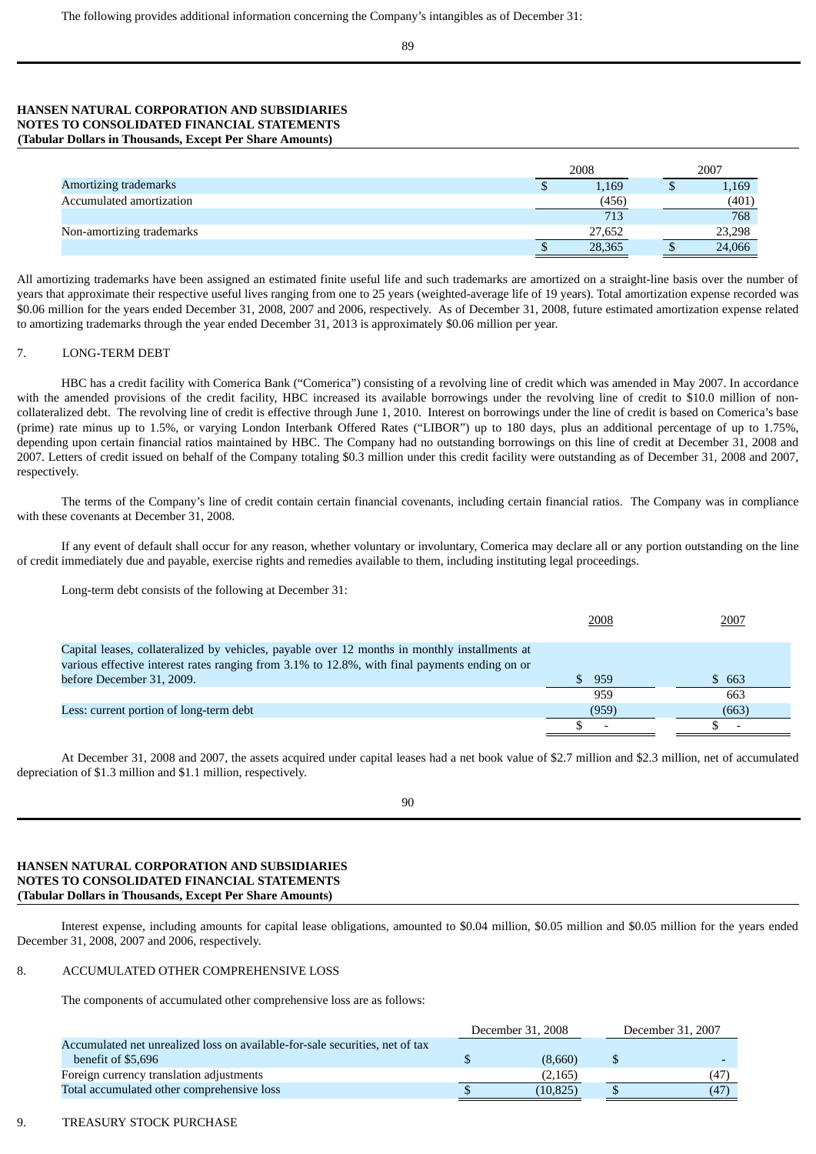89

# **HANSEN NATURAL CORPORATION AND SUBSIDIARIES NOTES TO CONSOLIDATED FINANCIAL STATEMENTS (Tabular Dollars in Thousands, Except Per Share Amounts)**

|                              | 2008   |  | 2007   |
|------------------------------|--------|--|--------|
| <b>Amortizing trademarks</b> | 1,169  |  | 1,169  |
| Accumulated amortization     | (456)  |  | (401)  |
|                              | 713    |  | 768    |
| Non-amortizing trademarks    | 27,652 |  | 23,298 |
|                              | 28,365 |  | 24,066 |

All amortizing trademarks have been assigned an estimated finite useful life and such trademarks are amortized on a straight-line basis over the number of years that approximate their respective useful lives ranging from one to 25 years (weighted-average life of 19 years). Total amortization expense recorded was \$0.06 million for the years ended December 31, 2008, 2007 and 2006, respectively. As of December 31, 2008, future estimated amortization expense related to amortizing trademarks through the year ended December 31, 2013 is approximately \$0.06 million per year.

# 7. LONG-TERM DEBT

HBC has a credit facility with Comerica Bank ("Comerica") consisting of a revolving line of credit which was amended in May 2007. In accordance with the amended provisions of the credit facility, HBC increased its available borrowings under the revolving line of credit to \$10.0 million of noncollateralized debt. The revolving line of credit is effective through June 1, 2010. Interest on borrowings under the line of credit is based on Comerica's base (prime) rate minus up to 1.5%, or varying London Interbank Offered Rates ("LIBOR") up to 180 days, plus an additional percentage of up to 1.75%, depending upon certain financial ratios maintained by HBC. The Company had no outstanding borrowings on this line of credit at December 31, 2008 and 2007. Letters of credit issued on behalf of the Company totaling \$0.3 million under this credit facility were outstanding as of December 31, 2008 and 2007, respectively.

The terms of the Company's line of credit contain certain financial covenants, including certain financial ratios. The Company was in compliance with these covenants at December 31, 2008.

If any event of default shall occur for any reason, whether voluntary or involuntary, Comerica may declare all or any portion outstanding on the line of credit immediately due and payable, exercise rights and remedies available to them, including instituting legal proceedings.

Long-term debt consists of the following at December 31:

|                                                                                                                                                                                                | 2008  | 2007  |
|------------------------------------------------------------------------------------------------------------------------------------------------------------------------------------------------|-------|-------|
| Capital leases, collateralized by vehicles, payable over 12 months in monthly installments at<br>various effective interest rates ranging from 3.1% to 12.8%, with final payments ending on or |       |       |
| before December 31, 2009.                                                                                                                                                                      | 959   | \$663 |
|                                                                                                                                                                                                | 959   | 663   |
| Less: current portion of long-term debt                                                                                                                                                        | (959) | (663) |
|                                                                                                                                                                                                |       |       |

At December 31, 2008 and 2007, the assets acquired under capital leases had a net book value of \$2.7 million and \$2.3 million, net of accumulated depreciation of \$1.3 million and \$1.1 million, respectively.

90

### **HANSEN NATURAL CORPORATION AND SUBSIDIARIES NOTES TO CONSOLIDATED FINANCIAL STATEMENTS (Tabular Dollars in Thousands, Except Per Share Amounts)**

Interest expense, including amounts for capital lease obligations, amounted to \$0.04 million, \$0.05 million and \$0.05 million for the years ended December 31, 2008, 2007 and 2006, respectively.

# 8. ACCUMULATED OTHER COMPREHENSIVE LOSS

The components of accumulated other comprehensive loss are as follows:

|                                                                              | December 31, 2008 |  | December 31, 2007 |
|------------------------------------------------------------------------------|-------------------|--|-------------------|
| Accumulated net unrealized loss on available-for-sale securities, net of tax |                   |  |                   |
| benefit of \$5,696                                                           | (8,660)           |  |                   |
| Foreign currency translation adjustments                                     | (2, 165)          |  | (47)              |
| Total accumulated other comprehensive loss                                   | (10, 825)         |  | (47)              |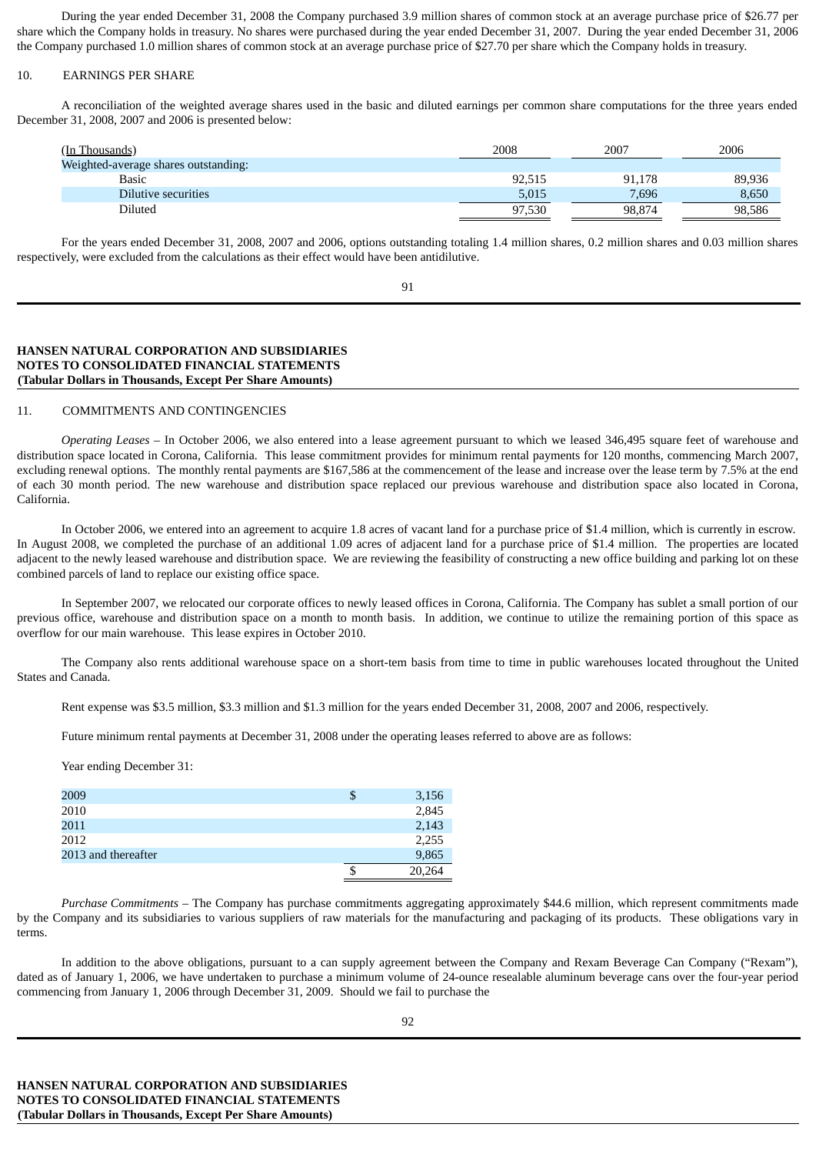During the year ended December 31, 2008 the Company purchased 3.9 million shares of common stock at an average purchase price of \$26.77 per share which the Company holds in treasury. No shares were purchased during the year ended December 31, 2007. During the year ended December 31, 2006 the Company purchased 1.0 million shares of common stock at an average purchase price of \$27.70 per share which the Company holds in treasury.

### 10. EARNINGS PER SHARE

A reconciliation of the weighted average shares used in the basic and diluted earnings per common share computations for the three years ended December 31, 2008, 2007 and 2006 is presented below:

| <u>(In Thousands)</u>                | 2008   | 2007   | 2006   |
|--------------------------------------|--------|--------|--------|
| Weighted-average shares outstanding: |        |        |        |
| Basic                                | 92,515 | 91.178 | 89,936 |
| Dilutive securities                  | 5,015  | 7.696  | 8,650  |
| Diluted                              | 97,530 | 98.874 | 98,586 |

For the years ended December 31, 2008, 2007 and 2006, options outstanding totaling 1.4 million shares, 0.2 million shares and 0.03 million shares respectively, were excluded from the calculations as their effect would have been antidilutive.

**91** 

# **HANSEN NATURAL CORPORATION AND SUBSIDIARIES NOTES TO CONSOLIDATED FINANCIAL STATEMENTS (Tabular Dollars in Thousands, Except Per Share Amounts)**

### 11. COMMITMENTS AND CONTINGENCIES

*Operating Leases* – In October 2006, we also entered into a lease agreement pursuant to which we leased 346,495 square feet of warehouse and distribution space located in Corona, California. This lease commitment provides for minimum rental payments for 120 months, commencing March 2007, excluding renewal options. The monthly rental payments are \$167,586 at the commencement of the lease and increase over the lease term by 7.5% at the end of each 30 month period. The new warehouse and distribution space replaced our previous warehouse and distribution space also located in Corona, California.

In October 2006, we entered into an agreement to acquire 1.8 acres of vacant land for a purchase price of \$1.4 million, which is currently in escrow. In August 2008, we completed the purchase of an additional 1.09 acres of adjacent land for a purchase price of \$1.4 million. The properties are located adjacent to the newly leased warehouse and distribution space. We are reviewing the feasibility of constructing a new office building and parking lot on these combined parcels of land to replace our existing office space.

In September 2007, we relocated our corporate offices to newly leased offices in Corona, California. The Company has sublet a small portion of our previous office, warehouse and distribution space on a month to month basis. In addition, we continue to utilize the remaining portion of this space as overflow for our main warehouse. This lease expires in October 2010.

The Company also rents additional warehouse space on a short-tem basis from time to time in public warehouses located throughout the United States and Canada.

Rent expense was \$3.5 million, \$3.3 million and \$1.3 million for the years ended December 31, 2008, 2007 and 2006, respectively.

Future minimum rental payments at December 31, 2008 under the operating leases referred to above are as follows:

Year ending December 31:

| 2009                | \$<br>3,156 |
|---------------------|-------------|
| 2010                | 2,845       |
| 2011                | 2,143       |
| 2012                | 2,255       |
| 2013 and thereafter | 9,865       |
|                     | 20,264      |

*Purchase Commitments* – The Company has purchase commitments aggregating approximately \$44.6 million, which represent commitments made by the Company and its subsidiaries to various suppliers of raw materials for the manufacturing and packaging of its products. These obligations vary in terms.

In addition to the above obligations, pursuant to a can supply agreement between the Company and Rexam Beverage Can Company ("Rexam"), dated as of January 1, 2006, we have undertaken to purchase a minimum volume of 24-ounce resealable aluminum beverage cans over the four-year period commencing from January 1, 2006 through December 31, 2009. Should we fail to purchase the

**HANSEN NATURAL CORPORATION AND SUBSIDIARIES NOTES TO CONSOLIDATED FINANCIAL STATEMENTS (Tabular Dollars in Thousands, Except Per Share Amounts)**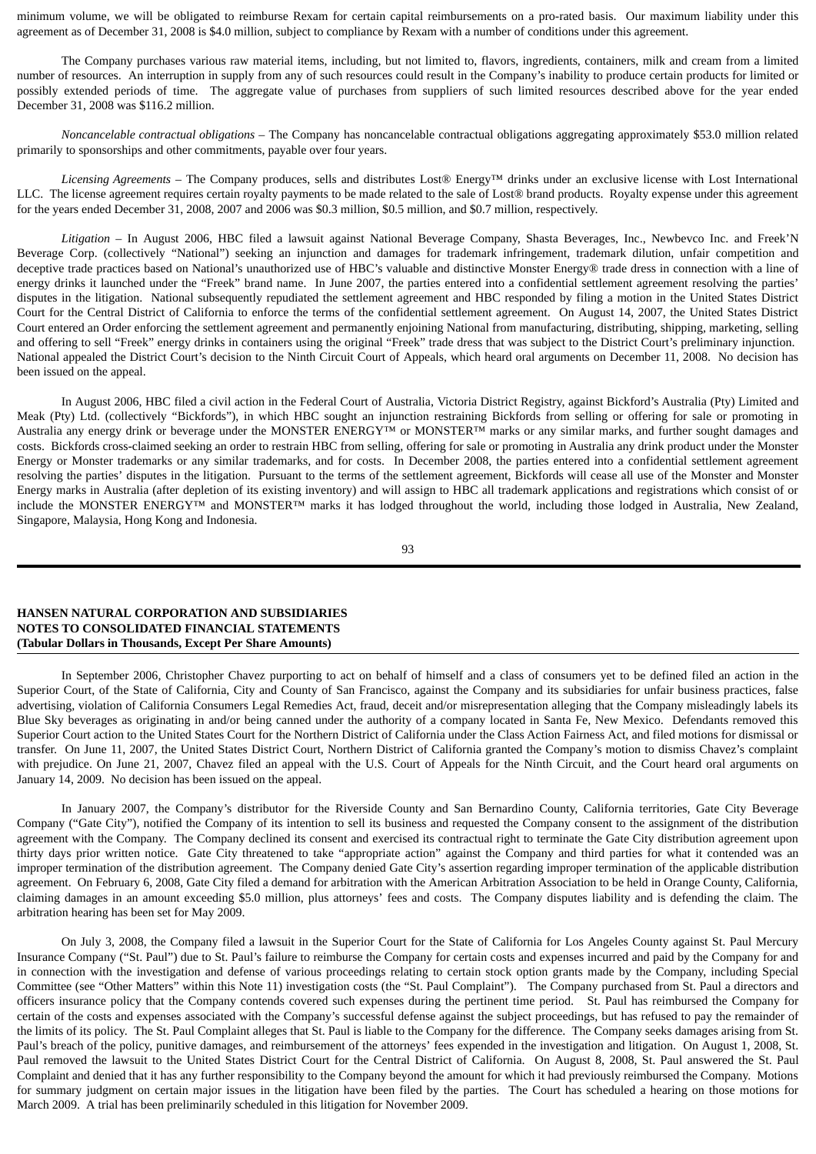minimum volume, we will be obligated to reimburse Rexam for certain capital reimbursements on a pro-rated basis. Our maximum liability under this agreement as of December 31, 2008 is \$4.0 million, subject to compliance by Rexam with a number of conditions under this agreement.

The Company purchases various raw material items, including, but not limited to, flavors, ingredients, containers, milk and cream from a limited number of resources. An interruption in supply from any of such resources could result in the Company's inability to produce certain products for limited or possibly extended periods of time. The aggregate value of purchases from suppliers of such limited resources described above for the year ended December 31, 2008 was \$116.2 million.

*Noncancelable contractual obligations* – The Company has noncancelable contractual obligations aggregating approximately \$53.0 million related primarily to sponsorships and other commitments, payable over four years.

*Licensing Agreements* – The Company produces, sells and distributes Lost® Energy™ drinks under an exclusive license with Lost International LLC. The license agreement requires certain royalty payments to be made related to the sale of Lost® brand products. Royalty expense under this agreement for the years ended December 31, 2008, 2007 and 2006 was \$0.3 million, \$0.5 million, and \$0.7 million, respectively.

*Litigation* – In August 2006, HBC filed a lawsuit against National Beverage Company, Shasta Beverages, Inc., Newbevco Inc. and Freek'N Beverage Corp. (collectively "National") seeking an injunction and damages for trademark infringement, trademark dilution, unfair competition and deceptive trade practices based on National's unauthorized use of HBC's valuable and distinctive Monster Energy® trade dress in connection with a line of energy drinks it launched under the "Freek" brand name. In June 2007, the parties entered into a confidential settlement agreement resolving the parties' disputes in the litigation. National subsequently repudiated the settlement agreement and HBC responded by filing a motion in the United States District Court for the Central District of California to enforce the terms of the confidential settlement agreement. On August 14, 2007, the United States District Court entered an Order enforcing the settlement agreement and permanently enjoining National from manufacturing, distributing, shipping, marketing, selling and offering to sell "Freek" energy drinks in containers using the original "Freek" trade dress that was subject to the District Court's preliminary injunction. National appealed the District Court's decision to the Ninth Circuit Court of Appeals, which heard oral arguments on December 11, 2008. No decision has been issued on the appeal.

In August 2006, HBC filed a civil action in the Federal Court of Australia, Victoria District Registry, against Bickford's Australia (Pty) Limited and Meak (Pty) Ltd. (collectively "Bickfords"), in which HBC sought an injunction restraining Bickfords from selling or offering for sale or promoting in Australia any energy drink or beverage under the MONSTER ENERGY™ or MONSTER™ marks or any similar marks, and further sought damages and costs. Bickfords cross-claimed seeking an order to restrain HBC from selling, offering for sale or promoting in Australia any drink product under the Monster Energy or Monster trademarks or any similar trademarks, and for costs. In December 2008, the parties entered into a confidential settlement agreement resolving the parties' disputes in the litigation. Pursuant to the terms of the settlement agreement, Bickfords will cease all use of the Monster and Monster Energy marks in Australia (after depletion of its existing inventory) and will assign to HBC all trademark applications and registrations which consist of or include the MONSTER ENERGY™ and MONSTER™ marks it has lodged throughout the world, including those lodged in Australia, New Zealand, Singapore, Malaysia, Hong Kong and Indonesia.

93

# **HANSEN NATURAL CORPORATION AND SUBSIDIARIES NOTES TO CONSOLIDATED FINANCIAL STATEMENTS (Tabular Dollars in Thousands, Except Per Share Amounts)**

In September 2006, Christopher Chavez purporting to act on behalf of himself and a class of consumers yet to be defined filed an action in the Superior Court, of the State of California, City and County of San Francisco, against the Company and its subsidiaries for unfair business practices, false advertising, violation of California Consumers Legal Remedies Act, fraud, deceit and/or misrepresentation alleging that the Company misleadingly labels its Blue Sky beverages as originating in and/or being canned under the authority of a company located in Santa Fe, New Mexico. Defendants removed this Superior Court action to the United States Court for the Northern District of California under the Class Action Fairness Act, and filed motions for dismissal or transfer. On June 11, 2007, the United States District Court, Northern District of California granted the Company's motion to dismiss Chavez's complaint with prejudice. On June 21, 2007, Chavez filed an appeal with the U.S. Court of Appeals for the Ninth Circuit, and the Court heard oral arguments on January 14, 2009. No decision has been issued on the appeal.

In January 2007, the Company's distributor for the Riverside County and San Bernardino County, California territories, Gate City Beverage Company ("Gate City"), notified the Company of its intention to sell its business and requested the Company consent to the assignment of the distribution agreement with the Company. The Company declined its consent and exercised its contractual right to terminate the Gate City distribution agreement upon thirty days prior written notice. Gate City threatened to take "appropriate action" against the Company and third parties for what it contended was an improper termination of the distribution agreement. The Company denied Gate City's assertion regarding improper termination of the applicable distribution agreement. On February 6, 2008, Gate City filed a demand for arbitration with the American Arbitration Association to be held in Orange County, California, claiming damages in an amount exceeding \$5.0 million, plus attorneys' fees and costs. The Company disputes liability and is defending the claim. The arbitration hearing has been set for May 2009.

On July 3, 2008, the Company filed a lawsuit in the Superior Court for the State of California for Los Angeles County against St. Paul Mercury Insurance Company ("St. Paul") due to St. Paul's failure to reimburse the Company for certain costs and expenses incurred and paid by the Company for and in connection with the investigation and defense of various proceedings relating to certain stock option grants made by the Company, including Special Committee (see "Other Matters" within this Note 11) investigation costs (the "St. Paul Complaint"). The Company purchased from St. Paul a directors and officers insurance policy that the Company contends covered such expenses during the pertinent time period. St. Paul has reimbursed the Company for certain of the costs and expenses associated with the Company's successful defense against the subject proceedings, but has refused to pay the remainder of the limits of its policy. The St. Paul Complaint alleges that St. Paul is liable to the Company for the difference. The Company seeks damages arising from St. Paul's breach of the policy, punitive damages, and reimbursement of the attorneys' fees expended in the investigation and litigation. On August 1, 2008, St. Paul removed the lawsuit to the United States District Court for the Central District of California. On August 8, 2008, St. Paul answered the St. Paul Complaint and denied that it has any further responsibility to the Company beyond the amount for which it had previously reimbursed the Company. Motions for summary judgment on certain major issues in the litigation have been filed by the parties. The Court has scheduled a hearing on those motions for March 2009. A trial has been preliminarily scheduled in this litigation for November 2009.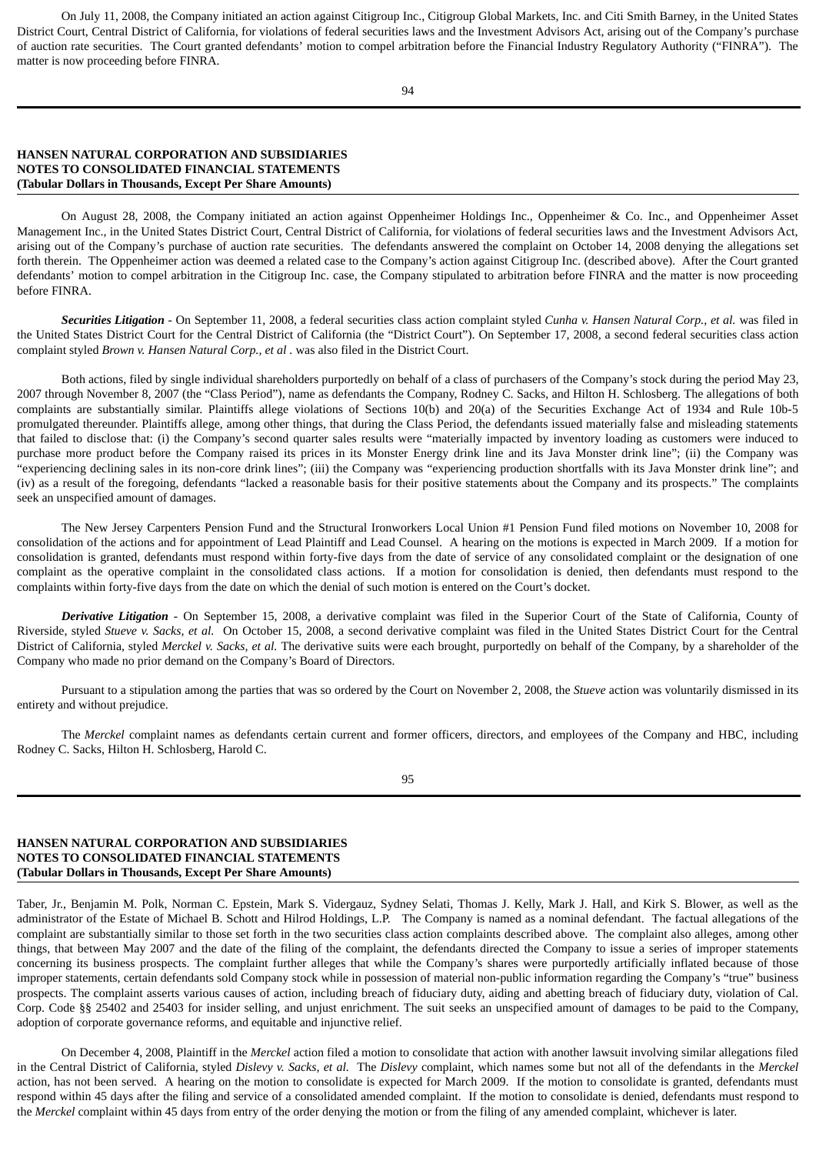On July 11, 2008, the Company initiated an action against Citigroup Inc., Citigroup Global Markets, Inc. and Citi Smith Barney, in the United States District Court, Central District of California, for violations of federal securities laws and the Investment Advisors Act, arising out of the Company's purchase of auction rate securities. The Court granted defendants' motion to compel arbitration before the Financial Industry Regulatory Authority ("FINRA"). The matter is now proceeding before FINRA.

# **HANSEN NATURAL CORPORATION AND SUBSIDIARIES NOTES TO CONSOLIDATED FINANCIAL STATEMENTS (Tabular Dollars in Thousands, Except Per Share Amounts)**

On August 28, 2008, the Company initiated an action against Oppenheimer Holdings Inc., Oppenheimer & Co. Inc., and Oppenheimer Asset Management Inc., in the United States District Court, Central District of California, for violations of federal securities laws and the Investment Advisors Act, arising out of the Company's purchase of auction rate securities. The defendants answered the complaint on October 14, 2008 denying the allegations set forth therein. The Oppenheimer action was deemed a related case to the Company's action against Citigroup Inc. (described above). After the Court granted defendants' motion to compel arbitration in the Citigroup Inc. case, the Company stipulated to arbitration before FINRA and the matter is now proceeding before FINRA.

*Securities Litigation* - On September 11, 2008, a federal securities class action complaint styled *Cunha v. Hansen Natural Corp., et al.* was filed in the United States District Court for the Central District of California (the "District Court"). On September 17, 2008, a second federal securities class action complaint styled *Brown v. Hansen Natural Corp., et al .* was also filed in the District Court.

Both actions, filed by single individual shareholders purportedly on behalf of a class of purchasers of the Company's stock during the period May 23, 2007 through November 8, 2007 (the "Class Period"), name as defendants the Company, Rodney C. Sacks, and Hilton H. Schlosberg. The allegations of both complaints are substantially similar. Plaintiffs allege violations of Sections 10(b) and 20(a) of the Securities Exchange Act of 1934 and Rule 10b-5 promulgated thereunder. Plaintiffs allege, among other things, that during the Class Period, the defendants issued materially false and misleading statements that failed to disclose that: (i) the Company's second quarter sales results were "materially impacted by inventory loading as customers were induced to purchase more product before the Company raised its prices in its Monster Energy drink line and its Java Monster drink line"; (ii) the Company was "experiencing declining sales in its non-core drink lines"; (iii) the Company was "experiencing production shortfalls with its Java Monster drink line"; and (iv) as a result of the foregoing, defendants "lacked a reasonable basis for their positive statements about the Company and its prospects." The complaints seek an unspecified amount of damages.

The New Jersey Carpenters Pension Fund and the Structural Ironworkers Local Union #1 Pension Fund filed motions on November 10, 2008 for consolidation of the actions and for appointment of Lead Plaintiff and Lead Counsel. A hearing on the motions is expected in March 2009. If a motion for consolidation is granted, defendants must respond within forty-five days from the date of service of any consolidated complaint or the designation of one complaint as the operative complaint in the consolidated class actions. If a motion for consolidation is denied, then defendants must respond to the complaints within forty-five days from the date on which the denial of such motion is entered on the Court's docket.

*Derivative Litigation* - On September 15, 2008, a derivative complaint was filed in the Superior Court of the State of California, County of Riverside, styled *Stueve v. Sacks, et al.* On October 15, 2008, a second derivative complaint was filed in the United States District Court for the Central District of California, styled *Merckel v. Sacks, et al.* The derivative suits were each brought, purportedly on behalf of the Company, by a shareholder of the Company who made no prior demand on the Company's Board of Directors.

Pursuant to a stipulation among the parties that was so ordered by the Court on November 2, 2008, the *Stueve* action was voluntarily dismissed in its entirety and without prejudice.

The *Merckel* complaint names as defendants certain current and former officers, directors, and employees of the Company and HBC, including Rodney C. Sacks, Hilton H. Schlosberg, Harold C.

# 95

### **HANSEN NATURAL CORPORATION AND SUBSIDIARIES NOTES TO CONSOLIDATED FINANCIAL STATEMENTS (Tabular Dollars in Thousands, Except Per Share Amounts)**

Taber, Jr., Benjamin M. Polk, Norman C. Epstein, Mark S. Vidergauz, Sydney Selati, Thomas J. Kelly, Mark J. Hall, and Kirk S. Blower, as well as the administrator of the Estate of Michael B. Schott and Hilrod Holdings, L.P. The Company is named as a nominal defendant. The factual allegations of the complaint are substantially similar to those set forth in the two securities class action complaints described above. The complaint also alleges, among other things, that between May 2007 and the date of the filing of the complaint, the defendants directed the Company to issue a series of improper statements concerning its business prospects. The complaint further alleges that while the Company's shares were purportedly artificially inflated because of those improper statements, certain defendants sold Company stock while in possession of material non-public information regarding the Company's "true" business prospects. The complaint asserts various causes of action, including breach of fiduciary duty, aiding and abetting breach of fiduciary duty, violation of Cal. Corp. Code §§ 25402 and 25403 for insider selling, and unjust enrichment. The suit seeks an unspecified amount of damages to be paid to the Company, adoption of corporate governance reforms, and equitable and injunctive relief.

On December 4, 2008, Plaintiff in the *Merckel* action filed a motion to consolidate that action with another lawsuit involving similar allegations filed in the Central District of California, styled *Dislevy v. Sacks, et al.* The *Dislevy* complaint, which names some but not all of the defendants in the *Merckel* action, has not been served. A hearing on the motion to consolidate is expected for March 2009. If the motion to consolidate is granted, defendants must respond within 45 days after the filing and service of a consolidated amended complaint. If the motion to consolidate is denied, defendants must respond to the *Merckel* complaint within 45 days from entry of the order denying the motion or from the filing of any amended complaint, whichever is later.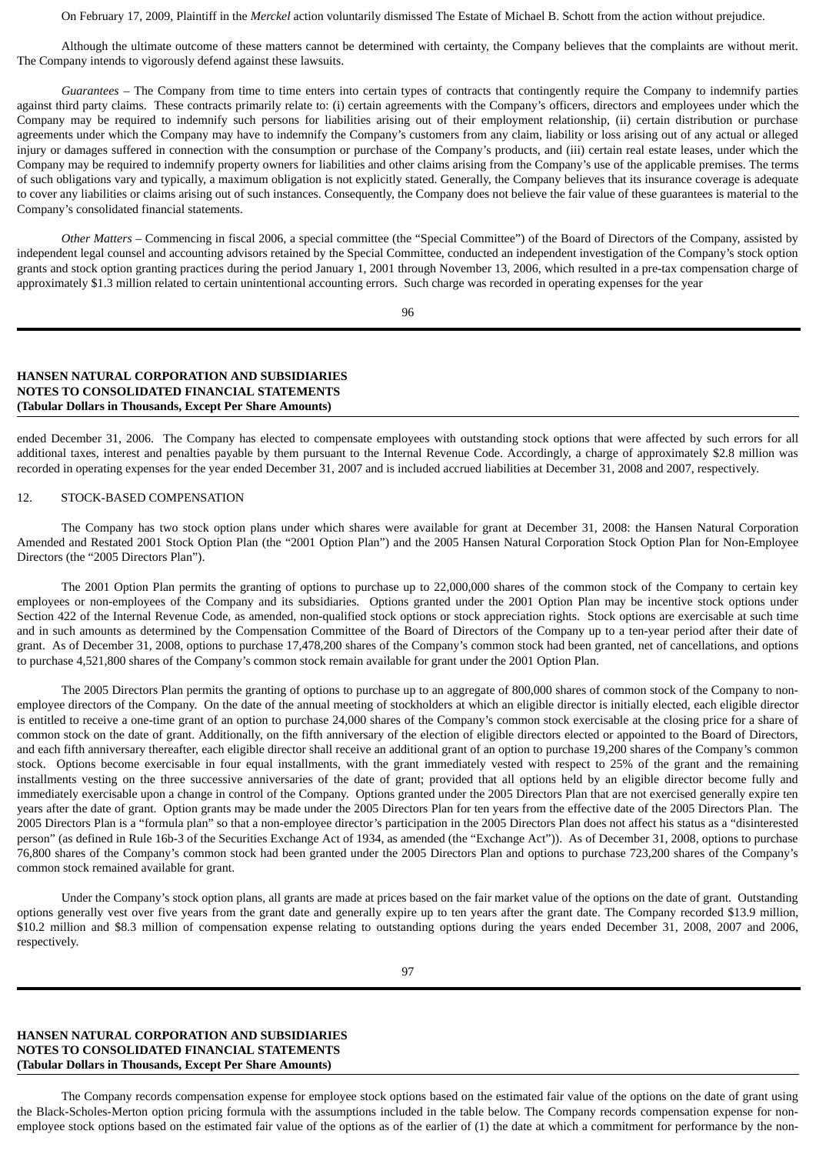On February 17, 2009, Plaintiff in the *Merckel* action voluntarily dismissed The Estate of Michael B. Schott from the action without prejudice.

Although the ultimate outcome of these matters cannot be determined with certainty, the Company believes that the complaints are without merit. The Company intends to vigorously defend against these lawsuits.

*Guarantees* – The Company from time to time enters into certain types of contracts that contingently require the Company to indemnify parties against third party claims. These contracts primarily relate to: (i) certain agreements with the Company's officers, directors and employees under which the Company may be required to indemnify such persons for liabilities arising out of their employment relationship, (ii) certain distribution or purchase agreements under which the Company may have to indemnify the Company's customers from any claim, liability or loss arising out of any actual or alleged injury or damages suffered in connection with the consumption or purchase of the Company's products, and (iii) certain real estate leases, under which the Company may be required to indemnify property owners for liabilities and other claims arising from the Company's use of the applicable premises. The terms of such obligations vary and typically, a maximum obligation is not explicitly stated. Generally, the Company believes that its insurance coverage is adequate to cover any liabilities or claims arising out of such instances. Consequently, the Company does not believe the fair value of these guarantees is material to the Company's consolidated financial statements.

*Other Matters –* Commencing in fiscal 2006, a special committee (the "Special Committee") of the Board of Directors of the Company, assisted by independent legal counsel and accounting advisors retained by the Special Committee, conducted an independent investigation of the Company's stock option grants and stock option granting practices during the period January 1, 2001 through November 13, 2006, which resulted in a pre-tax compensation charge of approximately \$1.3 million related to certain unintentional accounting errors. Such charge was recorded in operating expenses for the year

96

# **HANSEN NATURAL CORPORATION AND SUBSIDIARIES NOTES TO CONSOLIDATED FINANCIAL STATEMENTS (Tabular Dollars in Thousands, Except Per Share Amounts)**

ended December 31, 2006. The Company has elected to compensate employees with outstanding stock options that were affected by such errors for all additional taxes, interest and penalties payable by them pursuant to the Internal Revenue Code. Accordingly, a charge of approximately \$2.8 million was recorded in operating expenses for the year ended December 31, 2007 and is included accrued liabilities at December 31, 2008 and 2007, respectively.

# 12. STOCK-BASED COMPENSATION

The Company has two stock option plans under which shares were available for grant at December 31, 2008: the Hansen Natural Corporation Amended and Restated 2001 Stock Option Plan (the "2001 Option Plan") and the 2005 Hansen Natural Corporation Stock Option Plan for Non-Employee Directors (the "2005 Directors Plan").

The 2001 Option Plan permits the granting of options to purchase up to 22,000,000 shares of the common stock of the Company to certain key employees or non-employees of the Company and its subsidiaries. Options granted under the 2001 Option Plan may be incentive stock options under Section 422 of the Internal Revenue Code, as amended, non-qualified stock options or stock appreciation rights. Stock options are exercisable at such time and in such amounts as determined by the Compensation Committee of the Board of Directors of the Company up to a ten-year period after their date of grant. As of December 31, 2008, options to purchase 17,478,200 shares of the Company's common stock had been granted, net of cancellations, and options to purchase 4,521,800 shares of the Company's common stock remain available for grant under the 2001 Option Plan.

The 2005 Directors Plan permits the granting of options to purchase up to an aggregate of 800,000 shares of common stock of the Company to nonemployee directors of the Company. On the date of the annual meeting of stockholders at which an eligible director is initially elected, each eligible director is entitled to receive a one-time grant of an option to purchase 24,000 shares of the Company's common stock exercisable at the closing price for a share of common stock on the date of grant. Additionally, on the fifth anniversary of the election of eligible directors elected or appointed to the Board of Directors, and each fifth anniversary thereafter, each eligible director shall receive an additional grant of an option to purchase 19,200 shares of the Company's common stock. Options become exercisable in four equal installments, with the grant immediately vested with respect to 25% of the grant and the remaining installments vesting on the three successive anniversaries of the date of grant; provided that all options held by an eligible director become fully and immediately exercisable upon a change in control of the Company. Options granted under the 2005 Directors Plan that are not exercised generally expire ten years after the date of grant. Option grants may be made under the 2005 Directors Plan for ten years from the effective date of the 2005 Directors Plan. The 2005 Directors Plan is a "formula plan" so that a non-employee director's participation in the 2005 Directors Plan does not affect his status as a "disinterested person" (as defined in Rule 16b-3 of the Securities Exchange Act of 1934, as amended (the "Exchange Act")). As of December 31, 2008, options to purchase 76,800 shares of the Company's common stock had been granted under the 2005 Directors Plan and options to purchase 723,200 shares of the Company's common stock remained available for grant.

Under the Company's stock option plans, all grants are made at prices based on the fair market value of the options on the date of grant. Outstanding options generally vest over five years from the grant date and generally expire up to ten years after the grant date. The Company recorded \$13.9 million, \$10.2 million and \$8.3 million of compensation expense relating to outstanding options during the years ended December 31, 2008, 2007 and 2006, respectively.

# **HANSEN NATURAL CORPORATION AND SUBSIDIARIES NOTES TO CONSOLIDATED FINANCIAL STATEMENTS (Tabular Dollars in Thousands, Except Per Share Amounts)**

The Company records compensation expense for employee stock options based on the estimated fair value of the options on the date of grant using the Black-Scholes-Merton option pricing formula with the assumptions included in the table below. The Company records compensation expense for nonemployee stock options based on the estimated fair value of the options as of the earlier of (1) the date at which a commitment for performance by the non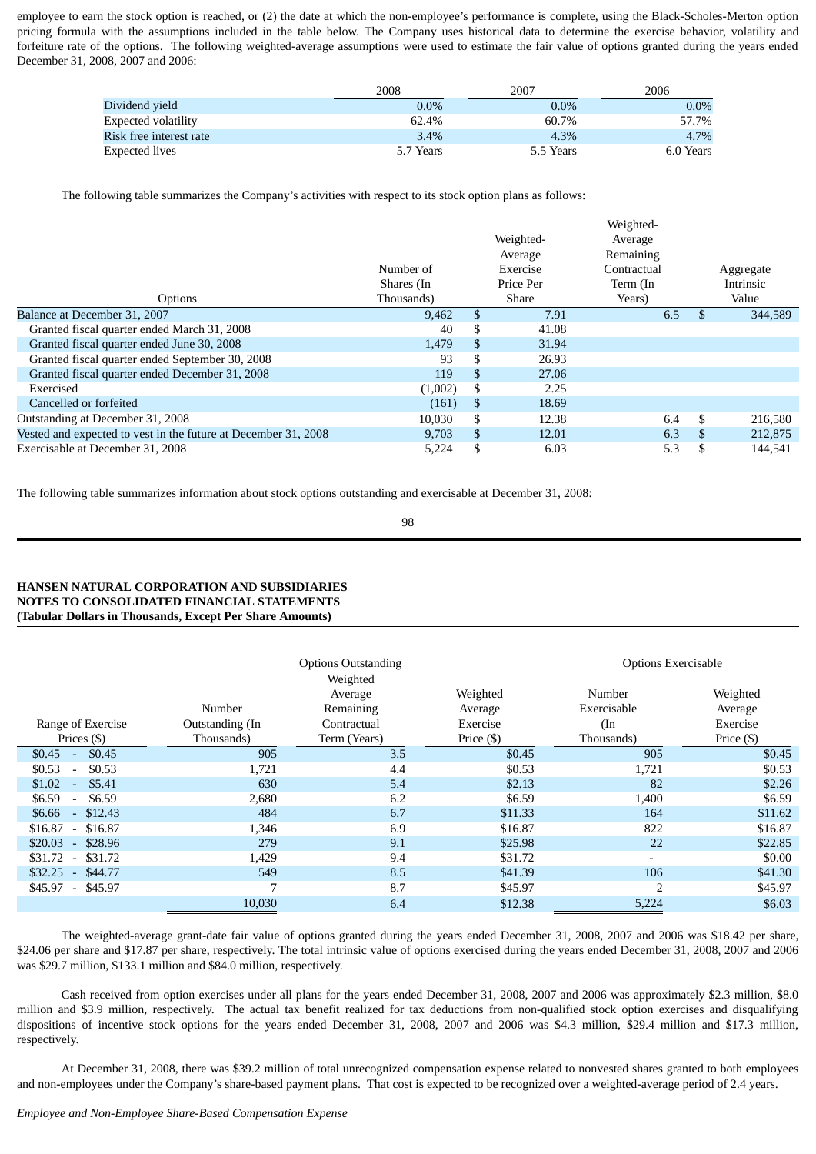employee to earn the stock option is reached, or (2) the date at which the non-employee's performance is complete, using the Black-Scholes-Merton option pricing formula with the assumptions included in the table below. The Company uses historical data to determine the exercise behavior, volatility and forfeiture rate of the options. The following weighted-average assumptions were used to estimate the fair value of options granted during the years ended December 31, 2008, 2007 and 2006:

|                         | 2008      | 2007      | 2006      |
|-------------------------|-----------|-----------|-----------|
| Dividend yield          | $0.0\%$   | $0.0\%$   | $0.0\%$   |
| Expected volatility     | 62.4%     | 60.7%     | 57.7%     |
| Risk free interest rate | $3.4\%$   | 4.3%      | 4.7%      |
| Expected lives          | 5.7 Years | 5.5 Years | 6.0 Years |

The following table summarizes the Company's activities with respect to its stock option plans as follows:

|                                                                |            |       |           | Weighted-   |               |
|----------------------------------------------------------------|------------|-------|-----------|-------------|---------------|
|                                                                |            |       | Weighted- | Average     |               |
|                                                                |            |       | Average   | Remaining   |               |
|                                                                | Number of  |       | Exercise  | Contractual | Aggregate     |
|                                                                | Shares (In |       | Price Per | Term (In    | Intrinsic     |
| Options                                                        | Thousands) | Share |           | Years)      | Value         |
| Balance at December 31, 2007                                   | 9,462      |       | 7.91      | 6.5         | 344,589       |
| Granted fiscal quarter ended March 31, 2008                    | 40         | \$    | 41.08     |             |               |
| Granted fiscal quarter ended June 30, 2008                     | 1,479      | \$    | 31.94     |             |               |
| Granted fiscal quarter ended September 30, 2008                | 93         | \$    | 26.93     |             |               |
| Granted fiscal quarter ended December 31, 2008                 | 119        | \$    | 27.06     |             |               |
| Exercised                                                      | (1,002)    | S     | 2.25      |             |               |
| Cancelled or forfeited                                         | (161)      | -S    | 18.69     |             |               |
| Outstanding at December 31, 2008                               | 10.030     | \$    | 12.38     | 6.4         | \$<br>216,580 |
| Vested and expected to vest in the future at December 31, 2008 | 9,703      | \$    | 12.01     | 6.3         | \$<br>212,875 |
| Exercisable at December 31, 2008                               | 5,224      | \$    | 6.03      | 5.3         | \$<br>144,541 |

The following table summarizes information about stock options outstanding and exercisable at December 31, 2008:

98

### **HANSEN NATURAL CORPORATION AND SUBSIDIARIES NOTES TO CONSOLIDATED FINANCIAL STATEMENTS (Tabular Dollars in Thousands, Except Per Share Amounts)**

|                        |                 | <b>Options Outstanding</b> |               | <b>Options Exercisable</b> |               |
|------------------------|-----------------|----------------------------|---------------|----------------------------|---------------|
|                        |                 | Weighted                   |               |                            |               |
|                        |                 | Average                    | Weighted      | Number                     | Weighted      |
|                        | Number          | Remaining                  | Average       | Exercisable                | Average       |
| Range of Exercise      | Outstanding (In | Contractual                | Exercise      | (In                        | Exercise      |
| Prices $($ \$)         | Thousands)      | Term (Years)               | Price $($ \$) | Thousands)                 | Price $($ \$) |
| \$0.45<br>\$0.45       | 905             | 3.5                        | \$0.45        | 905                        | \$0.45        |
| \$0.53<br>\$0.53       | 1,721           | 4.4                        | \$0.53        | 1,721                      | \$0.53        |
| \$1.02<br>\$5.41       | 630             | 5.4                        | \$2.13        | 82                         | \$2.26        |
| \$6.59<br>\$6.59       | 2,680           | 6.2                        | \$6.59        | 1,400                      | \$6.59        |
| $-$ \$12.43<br>\$6.66  | 484             | 6.7                        | \$11.33       | 164                        | \$11.62       |
| $-$ \$16.87<br>\$16.87 | 1,346           | 6.9                        | \$16.87       | 822                        | \$16.87       |
| $-$ \$28.96<br>\$20.03 | 279             | 9.1                        | \$25.98       | 22                         | \$22.85       |
| $-$ \$31.72<br>\$31.72 | 1,429           | 9.4                        | \$31.72       | -                          | \$0.00        |
| $$32.25 - $44.77$      | 549             | 8.5                        | \$41.39       | 106                        | \$41.30       |
| $-$ \$45.97<br>\$45.97 |                 | 8.7                        | \$45.97       |                            | \$45.97       |
|                        | 10,030          | 6.4                        | \$12.38       | 5,224                      | \$6.03        |

The weighted-average grant-date fair value of options granted during the years ended December 31, 2008, 2007 and 2006 was \$18.42 per share, \$24.06 per share and \$17.87 per share, respectively. The total intrinsic value of options exercised during the years ended December 31, 2008, 2007 and 2006 was \$29.7 million, \$133.1 million and \$84.0 million, respectively.

Cash received from option exercises under all plans for the years ended December 31, 2008, 2007 and 2006 was approximately \$2.3 million, \$8.0 million and \$3.9 million, respectively. The actual tax benefit realized for tax deductions from non-qualified stock option exercises and disqualifying dispositions of incentive stock options for the years ended December 31, 2008, 2007 and 2006 was \$4.3 million, \$29.4 million and \$17.3 million, respectively.

At December 31, 2008, there was \$39.2 million of total unrecognized compensation expense related to nonvested shares granted to both employees and non-employees under the Company's share-based payment plans. That cost is expected to be recognized over a weighted-average period of 2.4 years.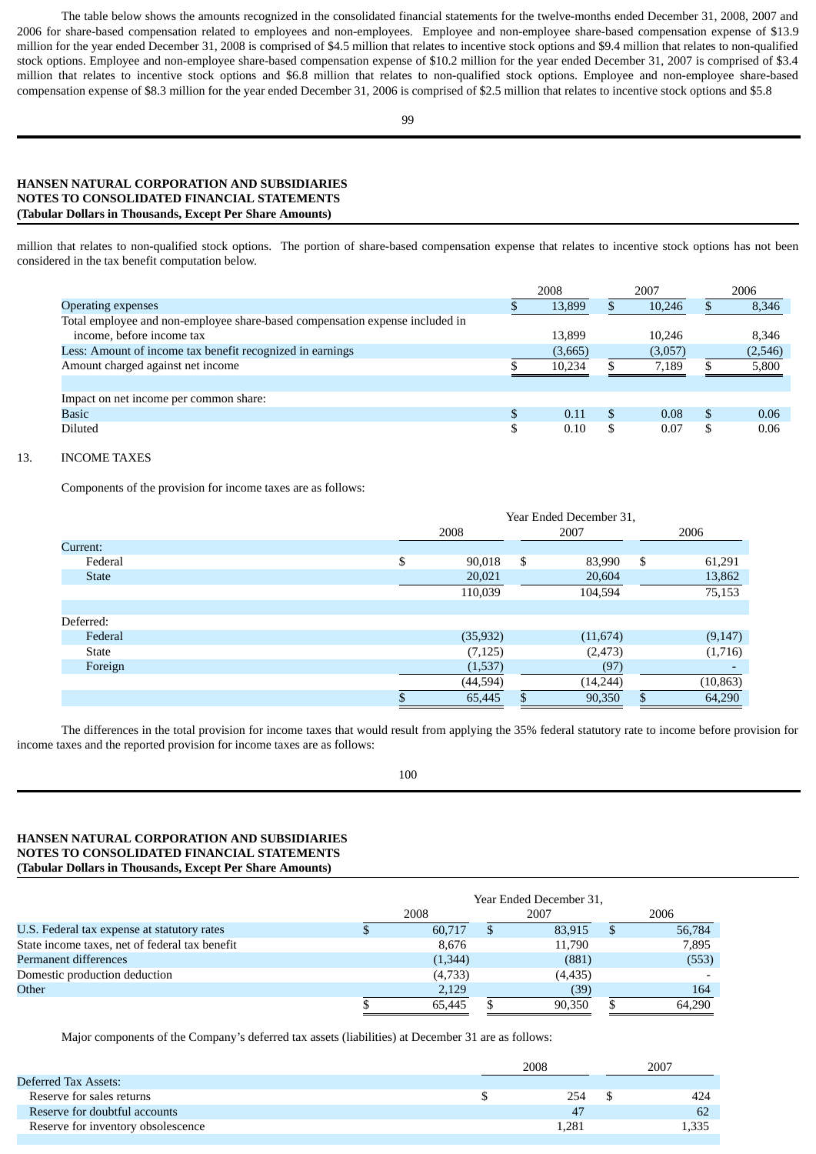The table below shows the amounts recognized in the consolidated financial statements for the twelve-months ended December 31, 2008, 2007 and 2006 for share-based compensation related to employees and non-employees. Employee and non-employee share-based compensation expense of \$13.9 million for the year ended December 31, 2008 is comprised of \$4.5 million that relates to incentive stock options and \$9.4 million that relates to non-qualified stock options. Employee and non-employee share-based compensation expense of \$10.2 million for the year ended December 31, 2007 is comprised of \$3.4 million that relates to incentive stock options and \$6.8 million that relates to non-qualified stock options. Employee and non-employee share-based compensation expense of \$8.3 million for the year ended December 31, 2006 is comprised of \$2.5 million that relates to incentive stock options and \$5.8

# **HANSEN NATURAL CORPORATION AND SUBSIDIARIES NOTES TO CONSOLIDATED FINANCIAL STATEMENTS (Tabular Dollars in Thousands, Except Per Share Amounts)**

million that relates to non-qualified stock options. The portion of share-based compensation expense that relates to incentive stock options has not been considered in the tax benefit computation below.

|                                                                              | 2008       |    | 2007    |    | 2006    |
|------------------------------------------------------------------------------|------------|----|---------|----|---------|
| <b>Operating expenses</b>                                                    | 13,899     |    | 10.246  |    | 8,346   |
| Total employee and non-employee share-based compensation expense included in |            |    |         |    |         |
| income, before income tax                                                    | 13.899     |    | 10.246  |    | 8.346   |
| Less: Amount of income tax benefit recognized in earnings                    | (3,665)    |    | (3,057) |    | (2,546) |
| Amount charged against net income                                            | 10.234     |    | 7.189   |    | 5,800   |
|                                                                              |            |    |         |    |         |
| Impact on net income per common share:                                       |            |    |         |    |         |
| <b>Basic</b>                                                                 | \$<br>0.11 | -S | 0.08    | \$ | 0.06    |
| <b>Diluted</b>                                                               | \$<br>0.10 | \$ | 0.07    | S  | 0.06    |

# 13. INCOME TAXES

Components of the provision for income taxes are as follows:

|              | Year Ended December 31, |    |           |    |           |
|--------------|-------------------------|----|-----------|----|-----------|
|              | 2008                    |    | 2007      |    | 2006      |
| Current:     |                         |    |           |    |           |
| Federal      | \$<br>90,018            | \$ | 83,990    | \$ | 61,291    |
| <b>State</b> | 20,021                  |    | 20,604    |    | 13,862    |
|              | 110,039                 |    | 104,594   |    | 75,153    |
|              |                         |    |           |    |           |
| Deferred:    |                         |    |           |    |           |
| Federal      | (35, 932)               |    | (11, 674) |    | (9, 147)  |
| <b>State</b> | (7, 125)                |    | (2, 473)  |    | (1,716)   |
| Foreign      | (1,537)                 |    | (97)      |    |           |
|              | (44,594)                |    | (14, 244) |    | (10, 863) |
|              | 65,445                  | \$ | 90,350    |    | 64,290    |

The differences in the total provision for income taxes that would result from applying the 35% federal statutory rate to income before provision for income taxes and the reported provision for income taxes are as follows:

100

### **HANSEN NATURAL CORPORATION AND SUBSIDIARIES NOTES TO CONSOLIDATED FINANCIAL STATEMENTS (Tabular Dollars in Thousands, Except Per Share Amounts)**

|                                                | Year Ended December 31, |  |          |      |        |  |
|------------------------------------------------|-------------------------|--|----------|------|--------|--|
|                                                | 2008<br>2007            |  |          | 2006 |        |  |
| U.S. Federal tax expense at statutory rates    | 60.717                  |  | 83.915   |      | 56,784 |  |
| State income taxes, net of federal tax benefit | 8.676                   |  | 11.790   |      | 7,895  |  |
| Permanent differences                          | (1, 344)                |  | (881)    |      | (553)  |  |
| Domestic production deduction                  | (4,733)                 |  | (4, 435) |      |        |  |
| Other                                          | 2.129                   |  | (39)     |      | 164    |  |
|                                                | 65.445                  |  | 90.350   |      | 64.290 |  |

Major components of the Company's deferred tax assets (liabilities) at December 31 are as follows:

|                                    | 2008 |       | 2007  |
|------------------------------------|------|-------|-------|
| Deferred Tax Assets:               |      |       |       |
| Reserve for sales returns          |      | 254   | 424   |
| Reserve for doubtful accounts      |      | 47    | 62    |
| Reserve for inventory obsolescence |      | 1.281 | 1,335 |
|                                    |      |       |       |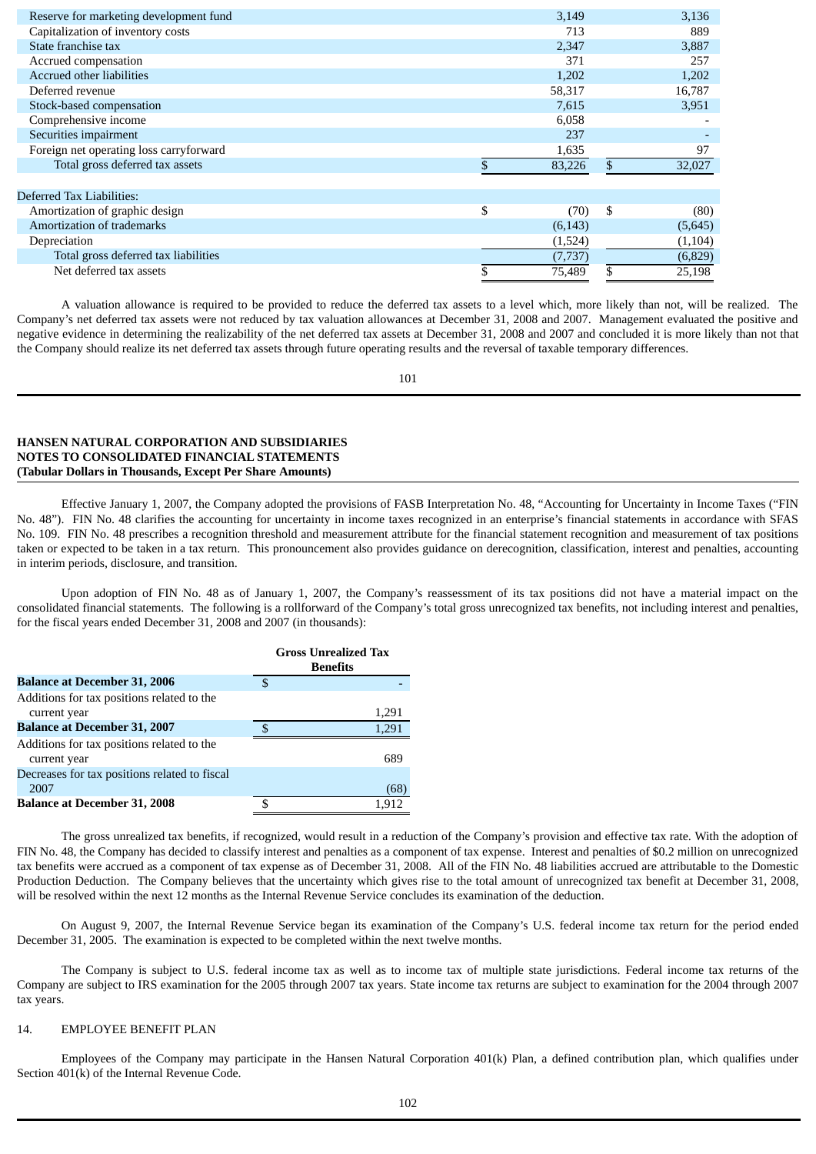| Reserve for marketing development fund  | 3,149        | 3,136        |
|-----------------------------------------|--------------|--------------|
| Capitalization of inventory costs       | 713          | 889          |
| State franchise tax                     | 2,347        | 3,887        |
| Accrued compensation                    | 371          | 257          |
| Accrued other liabilities               | 1,202        | 1,202        |
| Deferred revenue                        | 58,317       | 16,787       |
| Stock-based compensation                | 7,615        | 3,951        |
| Comprehensive income                    | 6,058        |              |
| Securities impairment                   | 237          |              |
| Foreign net operating loss carryforward | 1,635        | 97           |
| Total gross deferred tax assets         | 83,226       | \$<br>32,027 |
|                                         |              |              |
| Deferred Tax Liabilities:               |              |              |
| Amortization of graphic design          | \$<br>(70)   | \$<br>(80)   |
| Amortization of trademarks              | (6, 143)     | (5,645)      |
| Depreciation                            | (1,524)      | (1, 104)     |
| Total gross deferred tax liabilities    | (7, 737)     | (6,829)      |
| Net deferred tax assets                 | \$<br>75,489 | 25,198       |

A valuation allowance is required to be provided to reduce the deferred tax assets to a level which, more likely than not, will be realized. The Company's net deferred tax assets were not reduced by tax valuation allowances at December 31, 2008 and 2007. Management evaluated the positive and negative evidence in determining the realizability of the net deferred tax assets at December 31, 2008 and 2007 and concluded it is more likely than not that the Company should realize its net deferred tax assets through future operating results and the reversal of taxable temporary differences.

101

# **HANSEN NATURAL CORPORATION AND SUBSIDIARIES NOTES TO CONSOLIDATED FINANCIAL STATEMENTS (Tabular Dollars in Thousands, Except Per Share Amounts)**

Effective January 1, 2007, the Company adopted the provisions of FASB Interpretation No. 48, "Accounting for Uncertainty in Income Taxes ("FIN No. 48"). FIN No. 48 clarifies the accounting for uncertainty in income taxes recognized in an enterprise's financial statements in accordance with SFAS No. 109. FIN No. 48 prescribes a recognition threshold and measurement attribute for the financial statement recognition and measurement of tax positions taken or expected to be taken in a tax return. This pronouncement also provides guidance on derecognition, classification, interest and penalties, accounting in interim periods, disclosure, and transition.

Upon adoption of FIN No. 48 as of January 1, 2007, the Company's reassessment of its tax positions did not have a material impact on the consolidated financial statements. The following is a rollforward of the Company's total gross unrecognized tax benefits, not including interest and penalties, for the fiscal years ended December 31, 2008 and 2007 (in thousands):

|                                               | <b>Gross Unrealized Tax</b> |                 |  |  |  |
|-----------------------------------------------|-----------------------------|-----------------|--|--|--|
|                                               |                             | <b>Benefits</b> |  |  |  |
| <b>Balance at December 31, 2006</b>           |                             |                 |  |  |  |
| Additions for tax positions related to the    |                             |                 |  |  |  |
| current year                                  |                             | 1,291           |  |  |  |
| <b>Balance at December 31, 2007</b>           |                             | 1.291           |  |  |  |
| Additions for tax positions related to the    |                             |                 |  |  |  |
| current year                                  |                             | 689             |  |  |  |
| Decreases for tax positions related to fiscal |                             |                 |  |  |  |
| 2007                                          |                             | 68              |  |  |  |
| <b>Balance at December 31, 2008</b>           |                             |                 |  |  |  |

The gross unrealized tax benefits, if recognized, would result in a reduction of the Company's provision and effective tax rate. With the adoption of FIN No. 48, the Company has decided to classify interest and penalties as a component of tax expense. Interest and penalties of \$0.2 million on unrecognized tax benefits were accrued as a component of tax expense as of December 31, 2008. All of the FIN No. 48 liabilities accrued are attributable to the Domestic Production Deduction. The Company believes that the uncertainty which gives rise to the total amount of unrecognized tax benefit at December 31, 2008, will be resolved within the next 12 months as the Internal Revenue Service concludes its examination of the deduction.

On August 9, 2007, the Internal Revenue Service began its examination of the Company's U.S. federal income tax return for the period ended December 31, 2005. The examination is expected to be completed within the next twelve months.

The Company is subject to U.S. federal income tax as well as to income tax of multiple state jurisdictions. Federal income tax returns of the Company are subject to IRS examination for the 2005 through 2007 tax years. State income tax returns are subject to examination for the 2004 through 2007 tax years.

# 14. EMPLOYEE BENEFIT PLAN

Employees of the Company may participate in the Hansen Natural Corporation 401(k) Plan, a defined contribution plan, which qualifies under Section 401(k) of the Internal Revenue Code.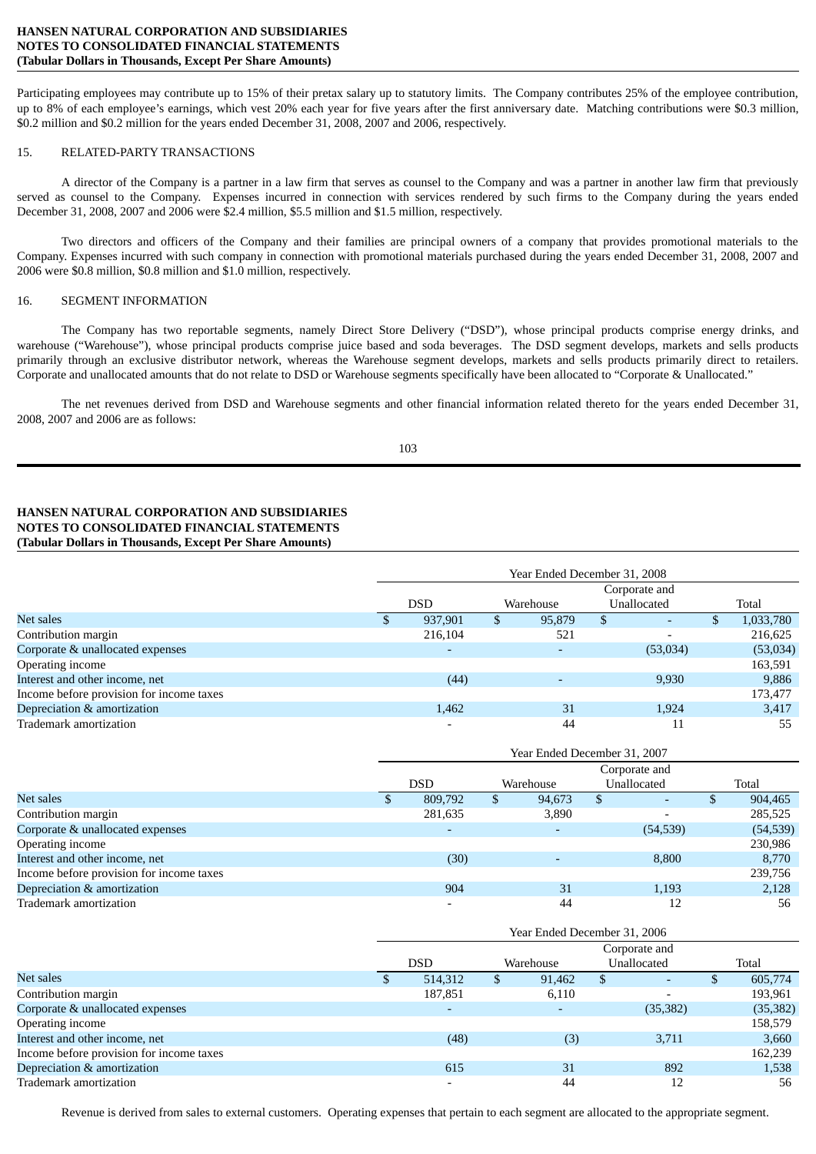# **HANSEN NATURAL CORPORATION AND SUBSIDIARIES NOTES TO CONSOLIDATED FINANCIAL STATEMENTS (Tabular Dollars in Thousands, Except Per Share Amounts)**

Participating employees may contribute up to 15% of their pretax salary up to statutory limits. The Company contributes 25% of the employee contribution, up to 8% of each employee's earnings, which vest 20% each year for five years after the first anniversary date. Matching contributions were \$0.3 million, \$0.2 million and \$0.2 million for the years ended December 31, 2008, 2007 and 2006, respectively.

### 15. RELATED-PARTY TRANSACTIONS

A director of the Company is a partner in a law firm that serves as counsel to the Company and was a partner in another law firm that previously served as counsel to the Company. Expenses incurred in connection with services rendered by such firms to the Company during the years ended December 31, 2008, 2007 and 2006 were \$2.4 million, \$5.5 million and \$1.5 million, respectively.

Two directors and officers of the Company and their families are principal owners of a company that provides promotional materials to the Company. Expenses incurred with such company in connection with promotional materials purchased during the years ended December 31, 2008, 2007 and 2006 were \$0.8 million, \$0.8 million and \$1.0 million, respectively.

#### 16. SEGMENT INFORMATION

The Company has two reportable segments, namely Direct Store Delivery ("DSD"), whose principal products comprise energy drinks, and warehouse ("Warehouse"), whose principal products comprise juice based and soda beverages. The DSD segment develops, markets and sells products primarily through an exclusive distributor network, whereas the Warehouse segment develops, markets and sells products primarily direct to retailers. Corporate and unallocated amounts that do not relate to DSD or Warehouse segments specifically have been allocated to "Corporate & Unallocated."

The net revenues derived from DSD and Warehouse segments and other financial information related thereto for the years ended December 31, 2008, 2007 and 2006 are as follows:

103

### **HANSEN NATURAL CORPORATION AND SUBSIDIARIES NOTES TO CONSOLIDATED FINANCIAL STATEMENTS (Tabular Dollars in Thousands, Except Per Share Amounts)**

|                                          |  | Year Ended December 31, 2008 |               |           |  |                          |  |           |  |  |  |  |
|------------------------------------------|--|------------------------------|---------------|-----------|--|--------------------------|--|-----------|--|--|--|--|
|                                          |  |                              | Corporate and |           |  |                          |  |           |  |  |  |  |
|                                          |  | <b>DSD</b>                   |               | Warehouse |  | Unallocated              |  | Total     |  |  |  |  |
| Net sales                                |  | 937,901                      | Œ             | 95,879    |  | $\overline{\phantom{a}}$ |  | 1,033,780 |  |  |  |  |
| Contribution margin                      |  | 216,104                      |               | 521       |  | $\overline{\phantom{0}}$ |  | 216,625   |  |  |  |  |
| Corporate & unallocated expenses         |  | $\overline{\phantom{0}}$     |               |           |  | (53,034)                 |  | (53,034)  |  |  |  |  |
| Operating income                         |  |                              |               |           |  |                          |  | 163,591   |  |  |  |  |
| Interest and other income, net           |  | (44)                         |               |           |  | 9,930                    |  | 9,886     |  |  |  |  |
| Income before provision for income taxes |  |                              |               |           |  |                          |  | 173,477   |  |  |  |  |
| Depreciation & amortization              |  | 1,462                        |               | 31        |  | 1,924                    |  | 3,417     |  |  |  |  |
| Trademark amortization                   |  | $\overline{\phantom{a}}$     |               | 44        |  | 11                       |  | 55        |  |  |  |  |

|                                          | Year Ended December 31, 2007 |    |           |               |                          |  |           |  |  |  |  |
|------------------------------------------|------------------------------|----|-----------|---------------|--------------------------|--|-----------|--|--|--|--|
|                                          |                              |    |           | Corporate and |                          |  |           |  |  |  |  |
|                                          | <b>DSD</b>                   |    | Warehouse | Unallocated   |                          |  | Total     |  |  |  |  |
| Net sales                                | 809,792                      | S. | 94,673    | <sup>S</sup>  | $\overline{\phantom{0}}$ |  | 904,465   |  |  |  |  |
| Contribution margin                      | 281,635                      |    | 3,890     |               |                          |  | 285,525   |  |  |  |  |
| Corporate & unallocated expenses         | $\overline{\phantom{a}}$     |    | ۰         |               | (54, 539)                |  | (54, 539) |  |  |  |  |
| Operating income                         |                              |    |           |               |                          |  | 230,986   |  |  |  |  |
| Interest and other income, net           | (30)                         |    |           |               | 8,800                    |  | 8.770     |  |  |  |  |
| Income before provision for income taxes |                              |    |           |               |                          |  | 239,756   |  |  |  |  |
| Depreciation & amortization              | 904                          |    | 31        |               | 1,193                    |  | 2,128     |  |  |  |  |
| Trademark amortization                   | $\overline{\phantom{a}}$     |    | 44        |               | 12                       |  | 56        |  |  |  |  |

|                                          |  | Year Ended December 31, 2006 |     |           |   |                          |  |           |  |  |  |
|------------------------------------------|--|------------------------------|-----|-----------|---|--------------------------|--|-----------|--|--|--|
|                                          |  |                              |     |           |   |                          |  |           |  |  |  |
|                                          |  | <b>DSD</b>                   |     | Warehouse |   | Unallocated              |  | Total     |  |  |  |
| Net sales                                |  | 514,312                      | Эb. | 91,462    | S | $\overline{\phantom{a}}$ |  | 605,774   |  |  |  |
| Contribution margin                      |  | 187,851                      |     | 6,110     |   | $\overline{\phantom{a}}$ |  | 193,961   |  |  |  |
| Corporate & unallocated expenses         |  | $\overline{\phantom{0}}$     |     |           |   | (35, 382)                |  | (35, 382) |  |  |  |
| Operating income                         |  |                              |     |           |   |                          |  | 158,579   |  |  |  |
| Interest and other income, net           |  | (48)                         |     | (3)       |   | 3,711                    |  | 3,660     |  |  |  |
| Income before provision for income taxes |  |                              |     |           |   |                          |  | 162,239   |  |  |  |
| Depreciation & amortization              |  | 615                          |     | 31        |   | 892                      |  | 1,538     |  |  |  |
| Trademark amortization                   |  | $\overline{\phantom{0}}$     |     | 44        |   | 12                       |  | 56        |  |  |  |

Revenue is derived from sales to external customers. Operating expenses that pertain to each segment are allocated to the appropriate segment.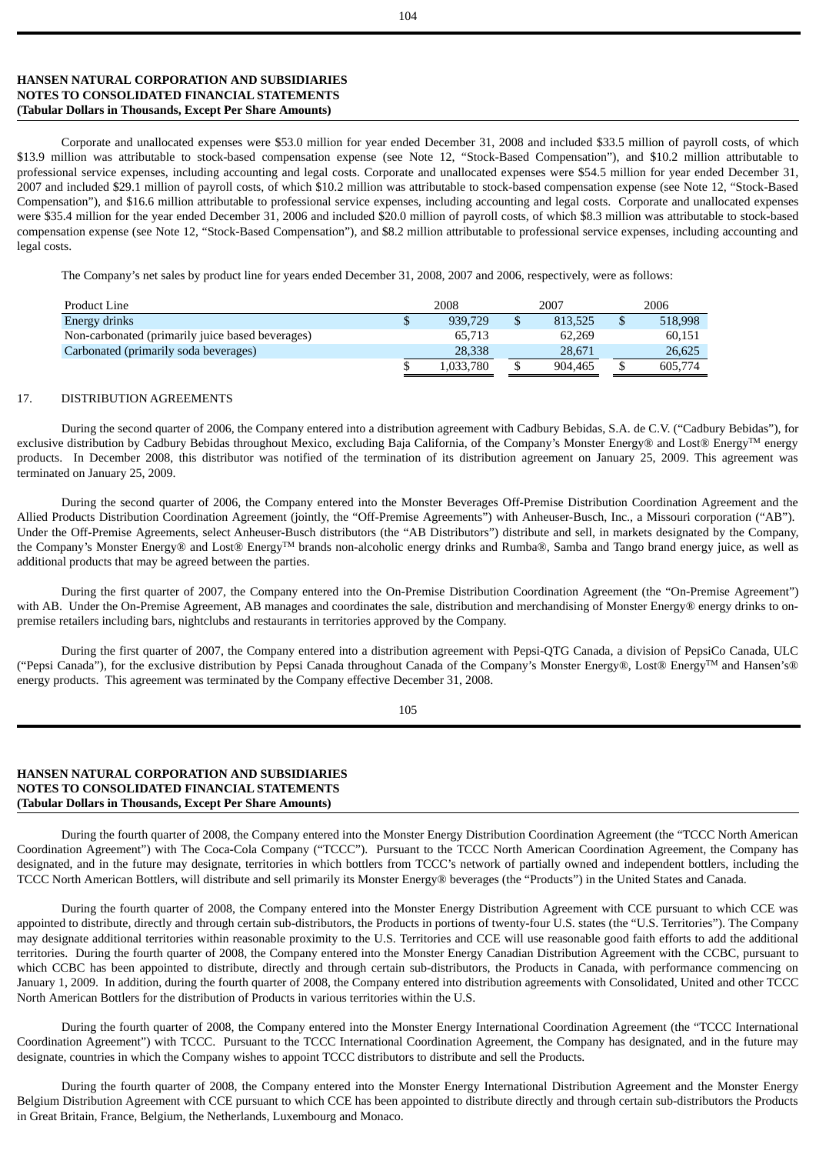### **HANSEN NATURAL CORPORATION AND SUBSIDIARIES NOTES TO CONSOLIDATED FINANCIAL STATEMENTS (Tabular Dollars in Thousands, Except Per Share Amounts)**

Corporate and unallocated expenses were \$53.0 million for year ended December 31, 2008 and included \$33.5 million of payroll costs, of which \$13.9 million was attributable to stock-based compensation expense (see Note 12, "Stock-Based Compensation"), and \$10.2 million attributable to professional service expenses, including accounting and legal costs. Corporate and unallocated expenses were \$54.5 million for year ended December 31, 2007 and included \$29.1 million of payroll costs, of which \$10.2 million was attributable to stock-based compensation expense (see Note 12, "Stock-Based Compensation"), and \$16.6 million attributable to professional service expenses, including accounting and legal costs. Corporate and unallocated expenses were \$35.4 million for the year ended December 31, 2006 and included \$20.0 million of payroll costs, of which \$8.3 million was attributable to stock-based compensation expense (see Note 12, "Stock-Based Compensation"), and \$8.2 million attributable to professional service expenses, including accounting and legal costs.

The Company's net sales by product line for years ended December 31, 2008, 2007 and 2006, respectively, were as follows:

| Product Line                                     | 2008<br>2007 |           |  |         | 2006 |         |  |
|--------------------------------------------------|--------------|-----------|--|---------|------|---------|--|
| Energy drinks                                    |              | 939.729   |  | 813.525 |      | 518,998 |  |
| Non-carbonated (primarily juice based beverages) |              | 65.713    |  | 62.269  |      | 60.151  |  |
| Carbonated (primarily soda beverages)            |              | 28,338    |  | 28.671  |      | 26.625  |  |
|                                                  |              | 1,033,780 |  | 904.465 |      | 605,774 |  |

# 17. DISTRIBUTION AGREEMENTS

During the second quarter of 2006, the Company entered into a distribution agreement with Cadbury Bebidas, S.A. de C.V. ("Cadbury Bebidas"), for exclusive distribution by Cadbury Bebidas throughout Mexico, excluding Baja California, of the Company's Monster Energy® and Lost® Energy™ energy products. In December 2008, this distributor was notified of the termination of its distribution agreement on January 25, 2009. This agreement was terminated on January 25, 2009.

During the second quarter of 2006, the Company entered into the Monster Beverages Off-Premise Distribution Coordination Agreement and the Allied Products Distribution Coordination Agreement (jointly, the "Off-Premise Agreements") with Anheuser-Busch, Inc., a Missouri corporation ("AB"). Under the Off-Premise Agreements, select Anheuser-Busch distributors (the "AB Distributors") distribute and sell, in markets designated by the Company, the Company's Monster Energy® and Lost® Energy™ brands non-alcoholic energy drinks and Rumba®, Samba and Tango brand energy juice, as well as additional products that may be agreed between the parties.

During the first quarter of 2007, the Company entered into the On-Premise Distribution Coordination Agreement (the "On-Premise Agreement") with AB. Under the On-Premise Agreement, AB manages and coordinates the sale, distribution and merchandising of Monster Energy® energy drinks to onpremise retailers including bars, nightclubs and restaurants in territories approved by the Company.

During the first quarter of 2007, the Company entered into a distribution agreement with Pepsi-QTG Canada, a division of PepsiCo Canada, ULC ("Pepsi Canada"), for the exclusive distribution by Pepsi Canada throughout Canada of the Company's Monster Energy®, Lost® Energy™ and Hansen's® energy products. This agreement was terminated by the Company effective December 31, 2008.

105

# **HANSEN NATURAL CORPORATION AND SUBSIDIARIES NOTES TO CONSOLIDATED FINANCIAL STATEMENTS (Tabular Dollars in Thousands, Except Per Share Amounts)**

During the fourth quarter of 2008, the Company entered into the Monster Energy Distribution Coordination Agreement (the "TCCC North American Coordination Agreement") with The Coca-Cola Company ("TCCC"). Pursuant to the TCCC North American Coordination Agreement, the Company has designated, and in the future may designate, territories in which bottlers from TCCC's network of partially owned and independent bottlers, including the TCCC North American Bottlers, will distribute and sell primarily its Monster Energy® beverages (the "Products") in the United States and Canada.

During the fourth quarter of 2008, the Company entered into the Monster Energy Distribution Agreement with CCE pursuant to which CCE was appointed to distribute, directly and through certain sub-distributors, the Products in portions of twenty-four U.S. states (the "U.S. Territories"). The Company may designate additional territories within reasonable proximity to the U.S. Territories and CCE will use reasonable good faith efforts to add the additional territories. During the fourth quarter of 2008, the Company entered into the Monster Energy Canadian Distribution Agreement with the CCBC, pursuant to which CCBC has been appointed to distribute, directly and through certain sub-distributors, the Products in Canada, with performance commencing on January 1, 2009. In addition, during the fourth quarter of 2008, the Company entered into distribution agreements with Consolidated, United and other TCCC North American Bottlers for the distribution of Products in various territories within the U.S.

During the fourth quarter of 2008, the Company entered into the Monster Energy International Coordination Agreement (the "TCCC International Coordination Agreement") with TCCC. Pursuant to the TCCC International Coordination Agreement, the Company has designated, and in the future may designate, countries in which the Company wishes to appoint TCCC distributors to distribute and sell the Products.

During the fourth quarter of 2008, the Company entered into the Monster Energy International Distribution Agreement and the Monster Energy Belgium Distribution Agreement with CCE pursuant to which CCE has been appointed to distribute directly and through certain sub-distributors the Products in Great Britain, France, Belgium, the Netherlands, Luxembourg and Monaco.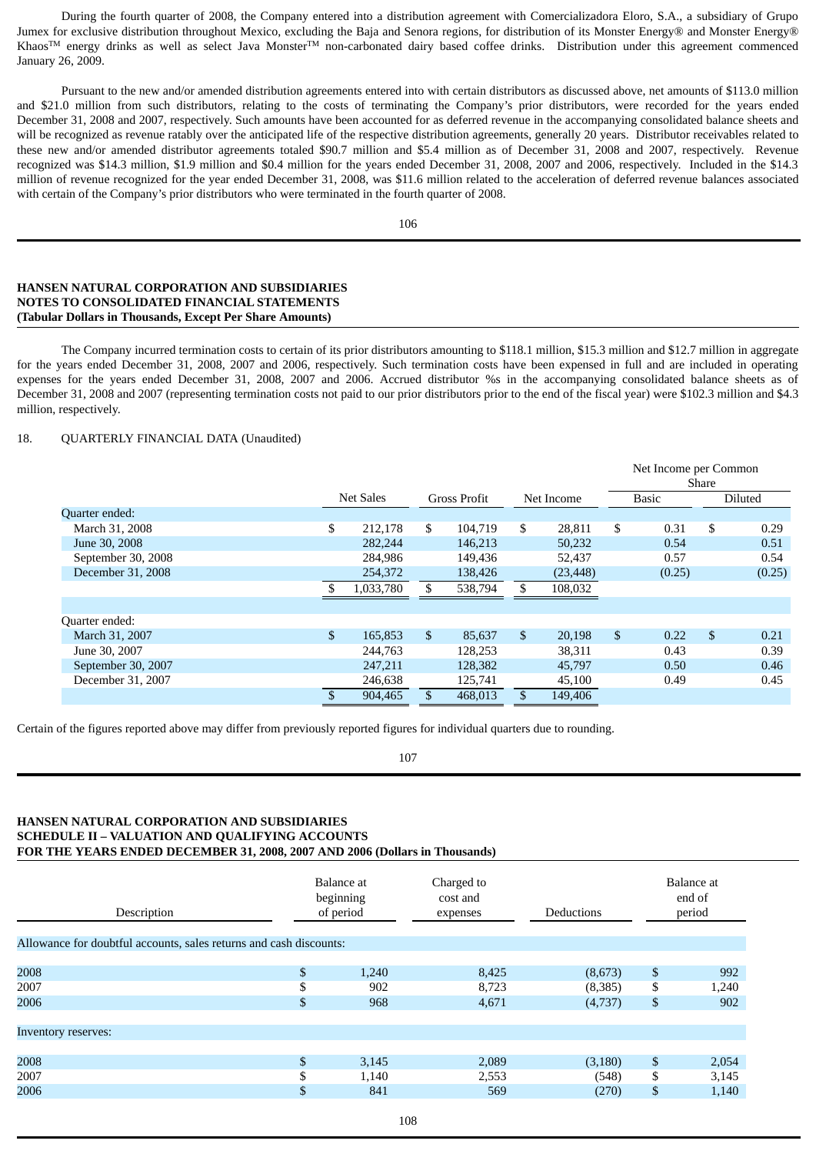During the fourth quarter of 2008, the Company entered into a distribution agreement with Comercializadora Eloro, S.A., a subsidiary of Grupo Jumex for exclusive distribution throughout Mexico, excluding the Baja and Senora regions, for distribution of its Monster Energy® and Monster Energy® Khaos™ energy drinks as well as select Java Monster™ non-carbonated dairy based coffee drinks. Distribution under this agreement commenced January 26, 2009.

Pursuant to the new and/or amended distribution agreements entered into with certain distributors as discussed above, net amounts of \$113.0 million and \$21.0 million from such distributors, relating to the costs of terminating the Company's prior distributors, were recorded for the years ended December 31, 2008 and 2007, respectively. Such amounts have been accounted for as deferred revenue in the accompanying consolidated balance sheets and will be recognized as revenue ratably over the anticipated life of the respective distribution agreements, generally 20 years. Distributor receivables related to these new and/or amended distributor agreements totaled \$90.7 million and \$5.4 million as of December 31, 2008 and 2007, respectively. Revenue recognized was \$14.3 million, \$1.9 million and \$0.4 million for the years ended December 31, 2008, 2007 and 2006, respectively. Included in the \$14.3 million of revenue recognized for the year ended December 31, 2008, was \$11.6 million related to the acceleration of deferred revenue balances associated with certain of the Company's prior distributors who were terminated in the fourth quarter of 2008.

106

### **HANSEN NATURAL CORPORATION AND SUBSIDIARIES NOTES TO CONSOLIDATED FINANCIAL STATEMENTS (Tabular Dollars in Thousands, Except Per Share Amounts)**

The Company incurred termination costs to certain of its prior distributors amounting to \$118.1 million, \$15.3 million and \$12.7 million in aggregate for the years ended December 31, 2008, 2007 and 2006, respectively. Such termination costs have been expensed in full and are included in operating expenses for the years ended December 31, 2008, 2007 and 2006. Accrued distributor %s in the accompanying consolidated balance sheets as of December 31, 2008 and 2007 (representing termination costs not paid to our prior distributors prior to the end of the fiscal year) were \$102.3 million and \$4.3 million, respectively.

### 18. QUARTERLY FINANCIAL DATA (Unaudited)

|                    |    |                  |    |                     |    |            | Net Income per Common<br>Share |              |              |         |
|--------------------|----|------------------|----|---------------------|----|------------|--------------------------------|--------------|--------------|---------|
|                    |    | <b>Net Sales</b> |    | <b>Gross Profit</b> |    | Net Income |                                | <b>Basic</b> |              | Diluted |
| Quarter ended:     |    |                  |    |                     |    |            |                                |              |              |         |
| March 31, 2008     | \$ | 212,178          | \$ | 104,719             | \$ | 28,811     | \$                             | 0.31         | \$           | 0.29    |
| June 30, 2008      |    | 282,244          |    | 146,213             |    | 50,232     |                                | 0.54         |              | 0.51    |
| September 30, 2008 |    | 284,986          |    | 149,436             |    | 52,437     |                                | 0.57         |              | 0.54    |
| December 31, 2008  |    | 254,372          |    | 138,426             |    | (23, 448)  |                                | (0.25)       |              | (0.25)  |
|                    | .S | 1,033,780        | \$ | 538,794             | \$ | 108,032    |                                |              |              |         |
|                    |    |                  |    |                     |    |            |                                |              |              |         |
| Quarter ended:     |    |                  |    |                     |    |            |                                |              |              |         |
| March 31, 2007     | \$ | 165,853          | \$ | 85,637              | \$ | 20,198     | \$                             | 0.22         | $\mathbb{S}$ | 0.21    |
| June 30, 2007      |    | 244,763          |    | 128,253             |    | 38,311     |                                | 0.43         |              | 0.39    |
| September 30, 2007 |    | 247,211          |    | 128,382             |    | 45,797     |                                | 0.50         |              | 0.46    |
| December 31, 2007  |    | 246,638          |    | 125,741             |    | 45,100     |                                | 0.49         |              | 0.45    |
|                    | \$ | 904.465          | \$ | 468.013             | \$ | 149,406    |                                |              |              |         |

Certain of the figures reported above may differ from previously reported figures for individual quarters due to rounding.

<span id="page-61-0"></span>107

# **HANSEN NATURAL CORPORATION AND SUBSIDIARIES SCHEDULE II – VALUATION AND QUALIFYING ACCOUNTS FOR THE YEARS ENDED DECEMBER 31, 2008, 2007 AND 2006 (Dollars in Thousands)**

| Description                                                        |    | Balance at<br>beginning<br>of period | Charged to<br>cost and<br>expenses | Deductions |    | Balance at<br>end of<br>period |  |  |  |  |
|--------------------------------------------------------------------|----|--------------------------------------|------------------------------------|------------|----|--------------------------------|--|--|--|--|
| Allowance for doubtful accounts, sales returns and cash discounts: |    |                                      |                                    |            |    |                                |  |  |  |  |
|                                                                    |    |                                      |                                    |            |    |                                |  |  |  |  |
| 2008                                                               | \$ | 1,240                                | 8,425                              | (8,673)    | \$ | 992                            |  |  |  |  |
| 2007                                                               | \$ | 902                                  | 8,723                              | (8,385)    | \$ | 1,240                          |  |  |  |  |
| 2006                                                               | \$ | 968                                  | 4,671                              | (4,737)    | \$ | 902                            |  |  |  |  |
|                                                                    |    |                                      |                                    |            |    |                                |  |  |  |  |
| Inventory reserves:                                                |    |                                      |                                    |            |    |                                |  |  |  |  |
|                                                                    |    |                                      |                                    |            |    |                                |  |  |  |  |
| 2008                                                               | \$ | 3,145                                | 2,089                              | (3,180)    | \$ | 2,054                          |  |  |  |  |
| 2007                                                               | \$ | 1,140                                | 2,553                              | (548)      | \$ | 3,145                          |  |  |  |  |
| 2006                                                               | \$ | 841                                  | 569                                | (270)      | \$ | 1,140                          |  |  |  |  |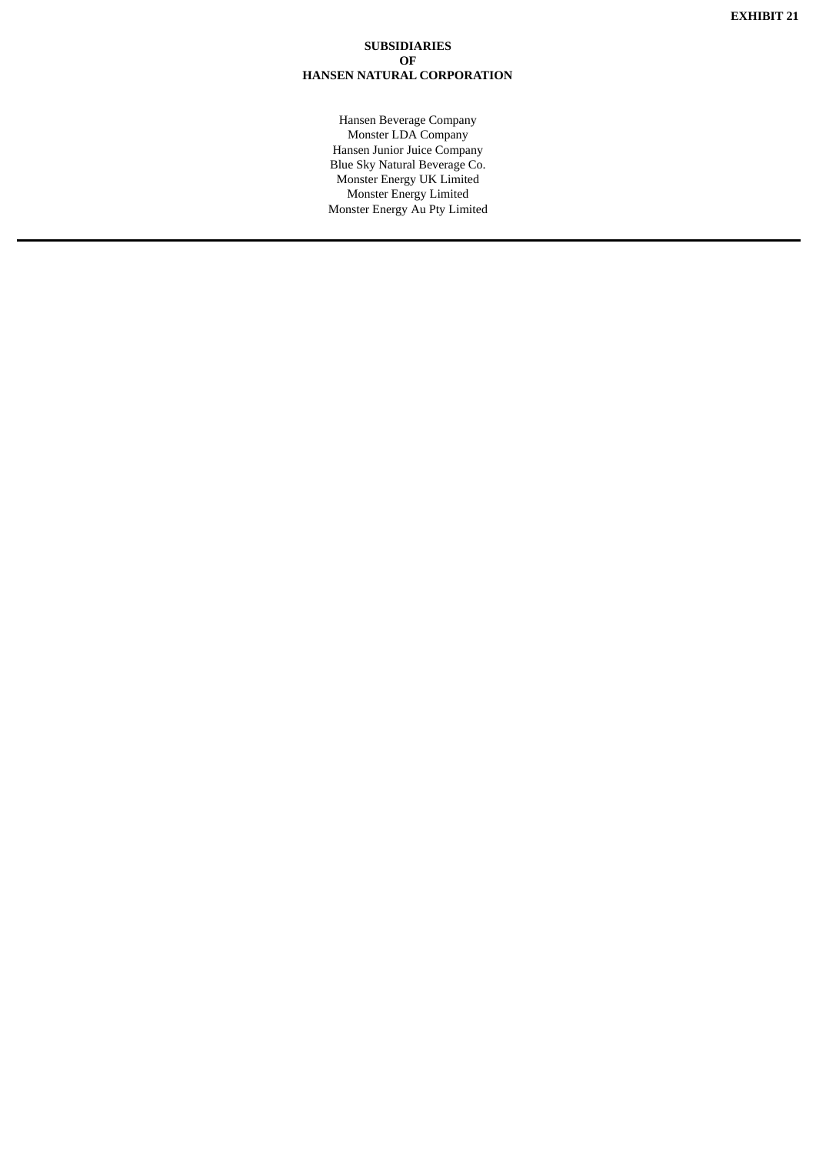### **SUBSIDIARIES O F HANSEN NATURAL CORPORATION**

Hansen Beverage Company Monster LDA Company Hansen Junior Juice Company Blue Sky Natural Beverage Co. Monster Energy UK Limited Monster Energy Limited Monster Energy Au Pty Limited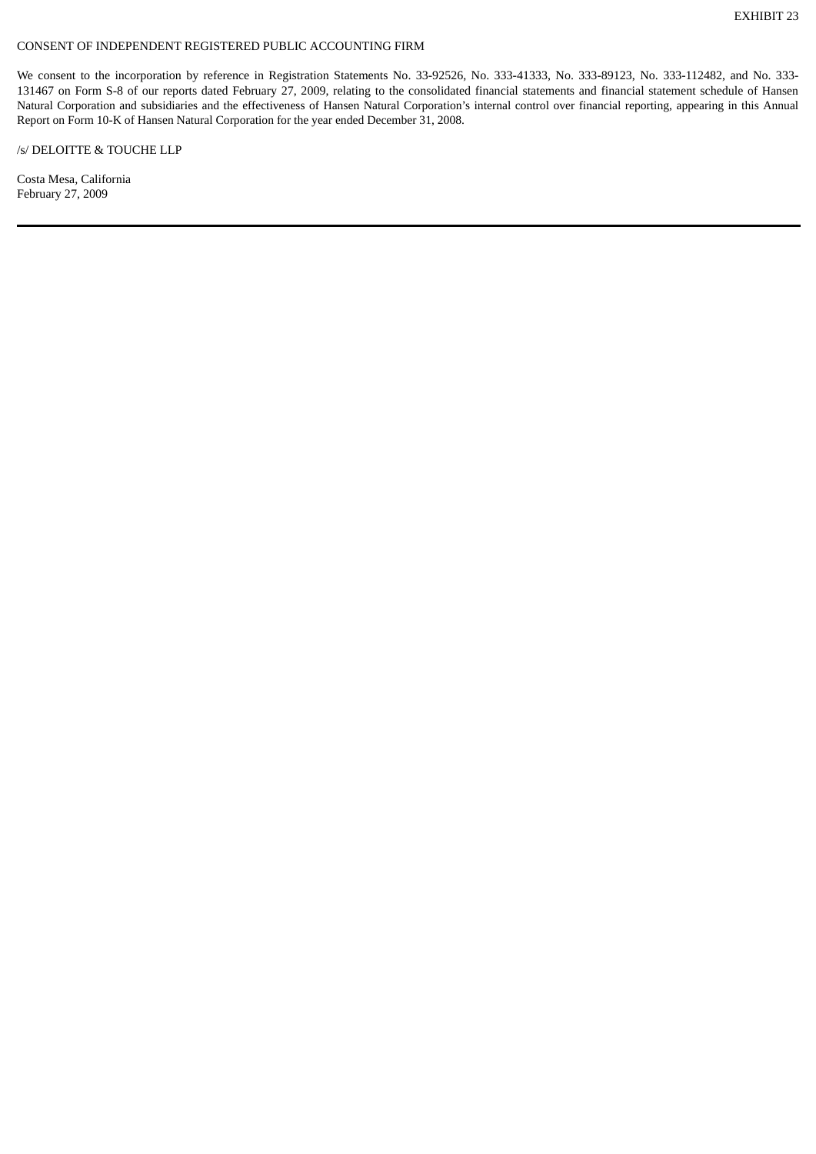### CONSENT OF INDEPENDENT REGISTERED PUBLIC ACCOUNTING FIRM

We consent to the incorporation by reference in Registration Statements No. 33-92526, No. 333-41333, No. 333-89123, No. 333-112482, and No. 333- 131467 on Form S-8 of our reports dated February 27, 2009, relating to the consolidated financial statements and financial statement schedule of Hansen Natural Corporation and subsidiaries and the effectiveness of Hansen Natural Corporation's internal control over financial reporting, appearing in this Annual Report on Form 10-K of Hansen Natural Corporation for the year ended December 31, 2008.

/s/ DELOITTE & TOUCHE LLP

Costa Mesa*,* California February 27, 2009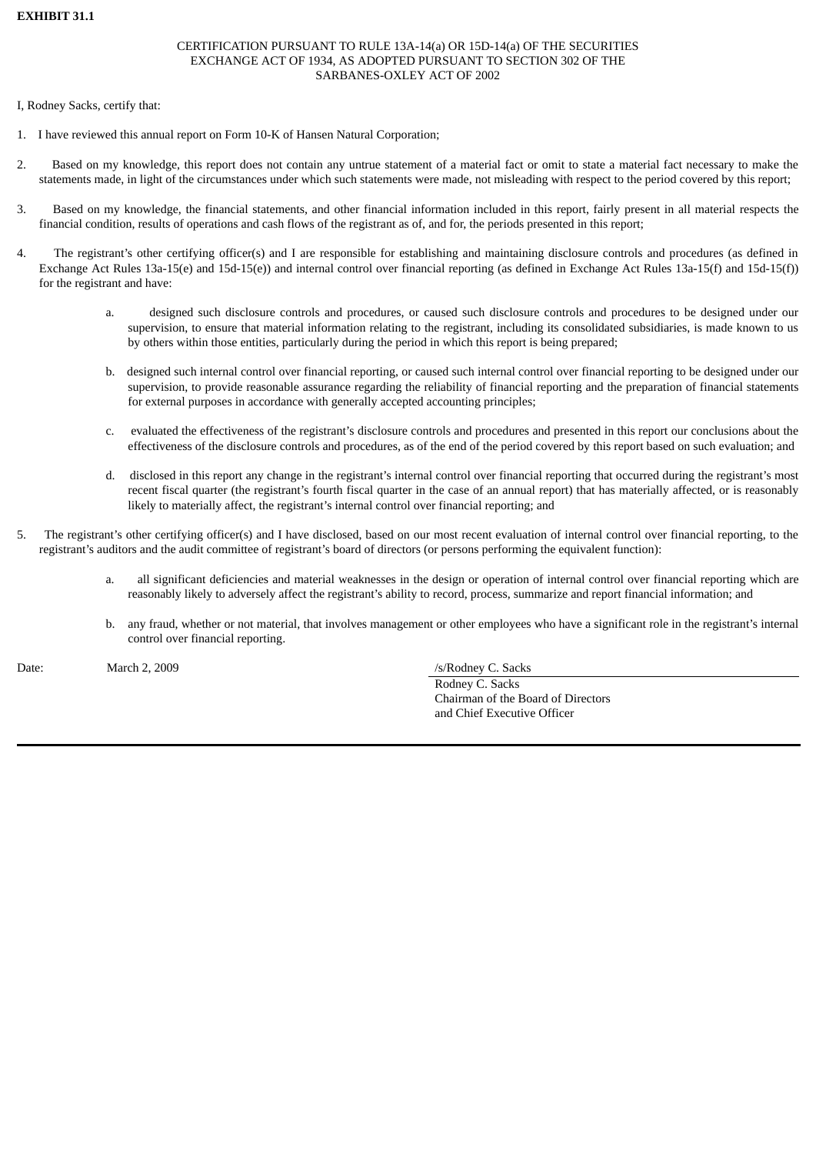# **EXHIBIT 31.1**

### CERTIFICATION PURSUANT TO RULE 13A-14(a) OR 15D-14(a) OF THE SECURITIES EXCHANGE ACT OF 1934, AS ADOPTED PURSUANT TO SECTION 302 OF THE SARBANES-OXLEY ACT OF 2002

### I, Rodney Sacks, certify that:

- 1. I have reviewed this annual report on Form 10-K of Hansen Natural Corporation;
- 2. Based on my knowledge, this report does not contain any untrue statement of a material fact or omit to state a material fact necessary to make the statements made, in light of the circumstances under which such statements were made, not misleading with respect to the period covered by this report;
- 3. Based on my knowledge, the financial statements, and other financial information included in this report, fairly present in all material respects the financial condition, results of operations and cash flows of the registrant as of, and for, the periods presented in this report;
- 4. The registrant's other certifying officer(s) and I are responsible for establishing and maintaining disclosure controls and procedures (as defined in Exchange Act Rules 13a-15(e) and 15d-15(e)) and internal control over financial reporting (as defined in Exchange Act Rules 13a-15(f) and 15d-15(f)) for the registrant and have:
	- a. designed such disclosure controls and procedures, or caused such disclosure controls and procedures to be designed under our supervision, to ensure that material information relating to the registrant, including its consolidated subsidiaries, is made known to us by others within those entities, particularly during the period in which this report is being prepared;
	- b. designed such internal control over financial reporting, or caused such internal control over financial reporting to be designed under our supervision, to provide reasonable assurance regarding the reliability of financial reporting and the preparation of financial statements for external purposes in accordance with generally accepted accounting principles;
	- c. evaluated the effectiveness of the registrant's disclosure controls and procedures and presented in this report our conclusions about the effectiveness of the disclosure controls and procedures, as of the end of the period covered by this report based on such evaluation; and
	- d. disclosed in this report any change in the registrant's internal control over financial reporting that occurred during the registrant's most recent fiscal quarter (the registrant's fourth fiscal quarter in the case of an annual report) that has materially affected, or is reasonably likely to materially affect, the registrant's internal control over financial reporting; and
- 5. The registrant's other certifying officer(s) and I have disclosed, based on our most recent evaluation of internal control over financial reporting, to the registrant's auditors and the audit committee of registrant's board of directors (or persons performing the equivalent function):
	- a. all significant deficiencies and material weaknesses in the design or operation of internal control over financial reporting which are reasonably likely to adversely affect the registrant's ability to record, process, summarize and report financial information; and
	- b. any fraud, whether or not material, that involves management or other employees who have a significant role in the registrant's internal control over financial reporting.

Date: March 2, 2009 March 2, 2009 March 2, 2009 March 2, 2009 March 2, 2009 March 2, 2009 March 2, 2009 March 2, 2009 March 2, 2009 March 2, 2009 March 2, 2009 March 2, 2009 March 2, 2009 March 2, 2009 March 2, 2009 March

Rodney C. Sacks Chairman of the Board of Directors and Chief Executive Officer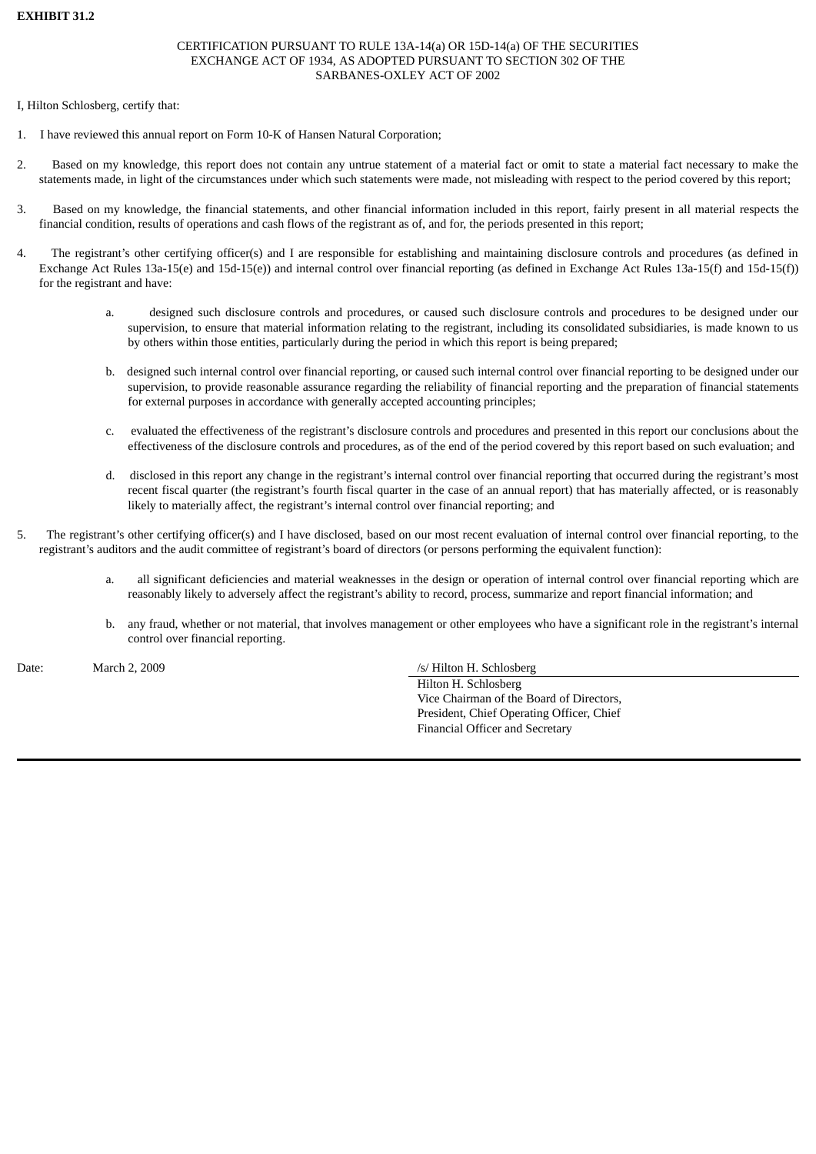### CERTIFICATION PURSUANT TO RULE 13A-14(a) OR 15D-14(a) OF THE SECURITIES EXCHANGE ACT OF 1934, AS ADOPTED PURSUANT TO SECTION 302 OF THE SARBANES-OXLEY ACT OF 2002

I, Hilton Schlosberg, certify that:

- 1. I have reviewed this annual report on Form 10-K of Hansen Natural Corporation;
- 2. Based on my knowledge, this report does not contain any untrue statement of a material fact or omit to state a material fact necessary to make the statements made, in light of the circumstances under which such statements were made, not misleading with respect to the period covered by this report;
- 3. Based on my knowledge, the financial statements, and other financial information included in this report, fairly present in all material respects the financial condition, results of operations and cash flows of the registrant as of, and for, the periods presented in this report;
- 4. The registrant's other certifying officer(s) and I are responsible for establishing and maintaining disclosure controls and procedures (as defined in Exchange Act Rules 13a-15(e) and 15d-15(e)) and internal control over financial reporting (as defined in Exchange Act Rules 13a-15(f) and 15d-15(f)) for the registrant and have:
	- a. designed such disclosure controls and procedures, or caused such disclosure controls and procedures to be designed under our supervision, to ensure that material information relating to the registrant, including its consolidated subsidiaries, is made known to us by others within those entities, particularly during the period in which this report is being prepared;
	- b. designed such internal control over financial reporting, or caused such internal control over financial reporting to be designed under our supervision, to provide reasonable assurance regarding the reliability of financial reporting and the preparation of financial statements for external purposes in accordance with generally accepted accounting principles;
	- c. evaluated the effectiveness of the registrant's disclosure controls and procedures and presented in this report our conclusions about the effectiveness of the disclosure controls and procedures, as of the end of the period covered by this report based on such evaluation; and
	- d. disclosed in this report any change in the registrant's internal control over financial reporting that occurred during the registrant's most recent fiscal quarter (the registrant's fourth fiscal quarter in the case of an annual report) that has materially affected, or is reasonably likely to materially affect, the registrant's internal control over financial reporting; and
- 5. The registrant's other certifying officer(s) and I have disclosed, based on our most recent evaluation of internal control over financial reporting, to the registrant's auditors and the audit committee of registrant's board of directors (or persons performing the equivalent function):
	- a. all significant deficiencies and material weaknesses in the design or operation of internal control over financial reporting which are reasonably likely to adversely affect the registrant's ability to record, process, summarize and report financial information; and
	- b. any fraud, whether or not material, that involves management or other employees who have a significant role in the registrant's internal control over financial reporting.

Date: March 2, 2009 /s/ Hilton H. Schlosberg

Hilton H. Schlosberg Vice Chairman of the Board of Directors, President, Chief Operating Officer, Chief Financial Officer and Secretary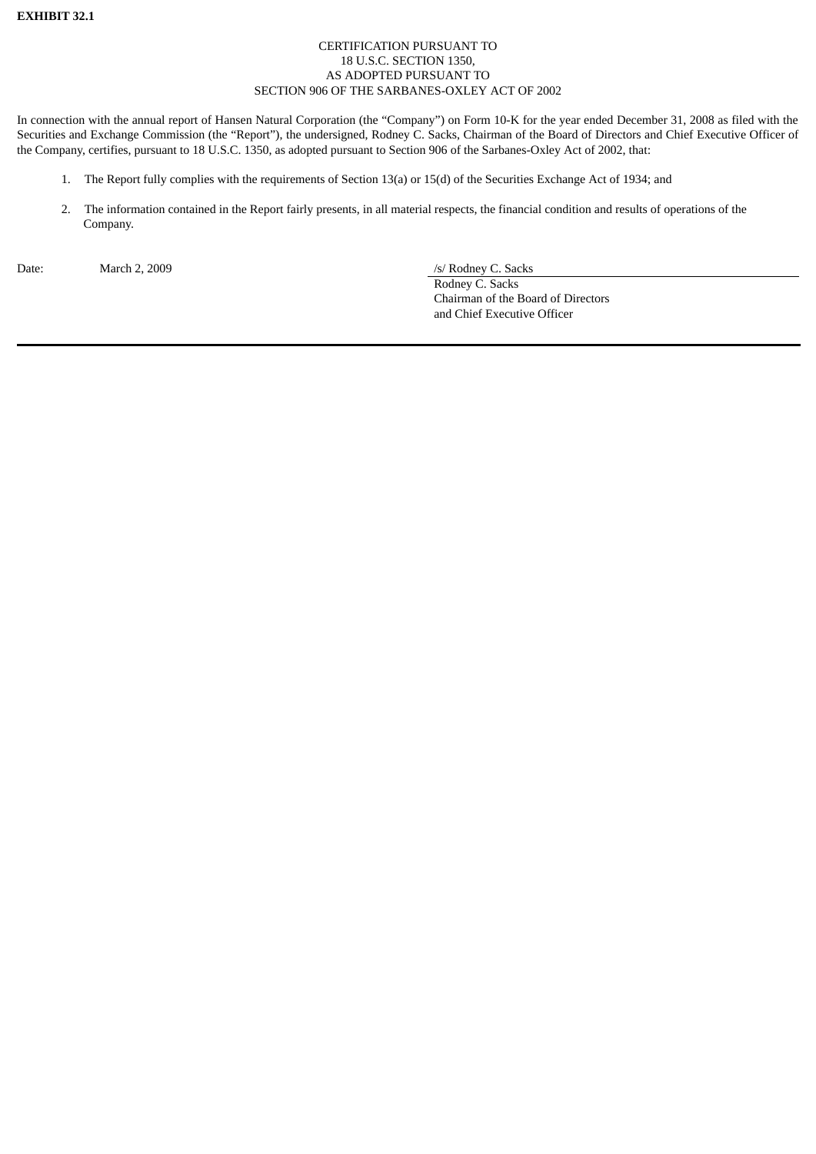# CERTIFICATION PURSUANT TO 18 U.S.C. SECTION 1350, AS ADOPTED PURSUANT TO SECTION 906 OF THE SARBANES-OXLEY ACT OF 2002

In connection with the annual report of Hansen Natural Corporation (the "Company") on Form 10-K for the year ended December 31, 2008 as filed with the Securities and Exchange Commission (the "Report"), the undersigned, Rodney C. Sacks, Chairman of the Board of Directors and Chief Executive Officer of the Company, certifies, pursuant to 18 U.S.C. 1350, as adopted pursuant to Section 906 of the Sarbanes-Oxley Act of 2002, that:

- 1. The Report fully complies with the requirements of Section 13(a) or 15(d) of the Securities Exchange Act of 1934; and
- 2. The information contained in the Report fairly presents, in all material respects, the financial condition and results of operations of the Company.

Date: March 2, 2009 /s/ Rodney C. Sacks

Rodney C. Sacks Chairman of the Board of Directors and Chief Executive Officer